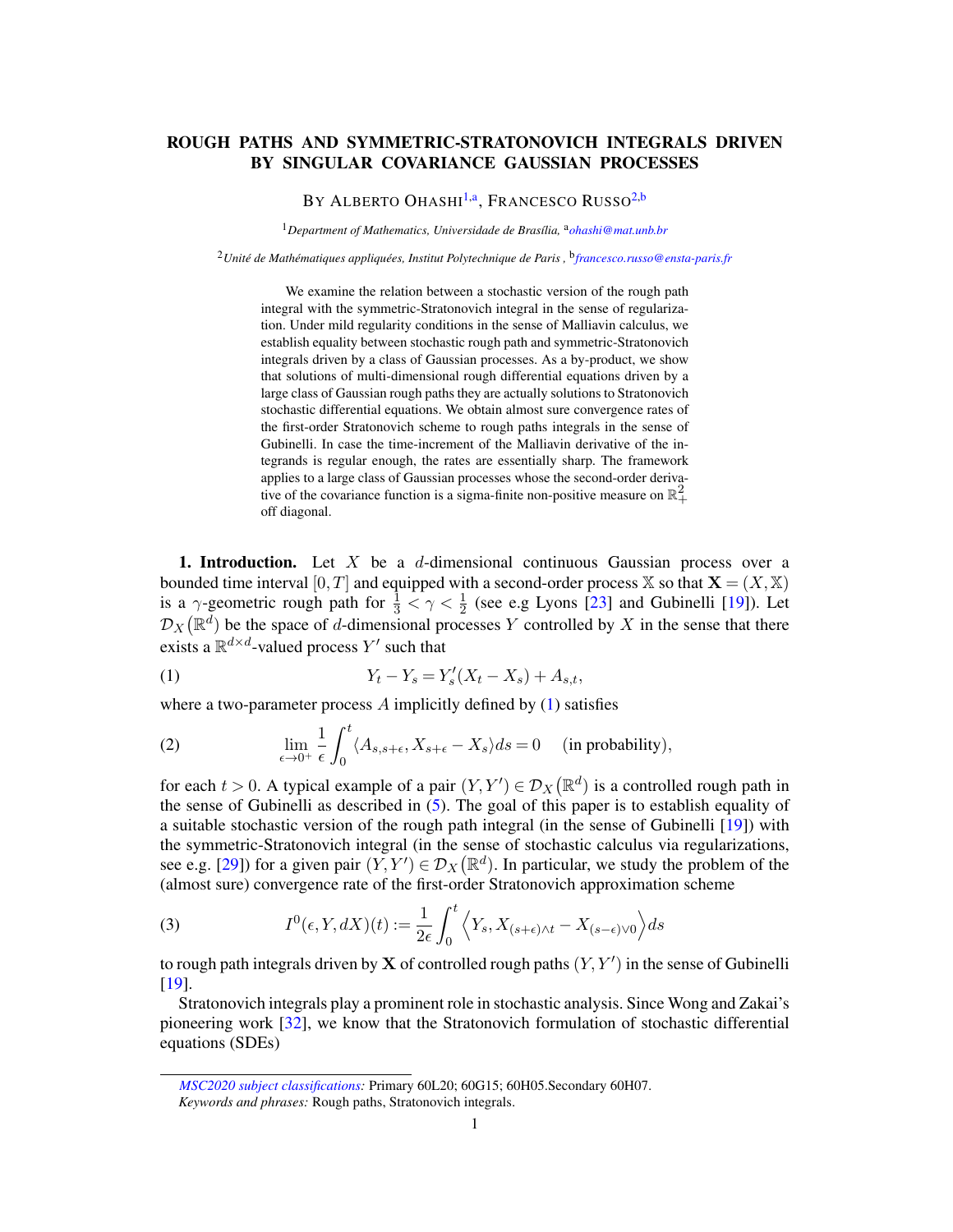## ROUGH PATHS AND SYMMETRIC-STRATONOVICH INTEGRALS DRIVEN BY SINGULAR COVARIANCE GAUSSIAN PROCESSES

# <span id="page-0-3"></span><span id="page-0-1"></span>BY ALBERTO OHASHI<sup>[1](#page-0-0)[,a](#page-0-1)</sup>, Francesco Russo<sup>[2,](#page-0-2)[b](#page-0-3)</sup>

<span id="page-0-0"></span><sup>1</sup>Department of Mathematics, Universidade de Brasília, <sup>a</sup>[ohashi@mat.unb.br](mailto:ohashi@mat.unb.br)

<span id="page-0-2"></span><sup>2</sup>*Unité de Mathématiques appliquées, Institut Polytechnique de Paris ,* <sup>b</sup> *[francesco.russo@ensta-paris.fr](mailto:francesco.russo@ensta-paris.fr)*

We examine the relation between a stochastic version of the rough path integral with the symmetric-Stratonovich integral in the sense of regularization. Under mild regularity conditions in the sense of Malliavin calculus, we establish equality between stochastic rough path and symmetric-Stratonovich integrals driven by a class of Gaussian processes. As a by-product, we show that solutions of multi-dimensional rough differential equations driven by a large class of Gaussian rough paths they are actually solutions to Stratonovich stochastic differential equations. We obtain almost sure convergence rates of the first-order Stratonovich scheme to rough paths integrals in the sense of Gubinelli. In case the time-increment of the Malliavin derivative of the integrands is regular enough, the rates are essentially sharp. The framework applies to a large class of Gaussian processes whose the second-order derivative of the covariance function is a sigma-finite non-positive measure on  $\mathbb{R}^2_+$ off diagonal.

**1. Introduction.** Let X be a d-dimensional continuous Gaussian process over a bounded time interval [0, T] and equipped with a second-order process X so that  $X = (X, X)$ is a  $\gamma$ -geometric rough path for  $\frac{1}{3} < \gamma < \frac{1}{2}$  (see e.g Lyons [\[23](#page-52-0)] and Gubinelli [\[19](#page-52-1)]). Let  $\mathcal{D}_X(\mathbb{R}^d)$  be the space of d-dimensional processes Y controlled by X in the sense that there exists a  $\mathbb{R}^{d \times d}$ -valued process  $Y'$  such that

<span id="page-0-4"></span>(1) 
$$
Y_t - Y_s = Y'_s(X_t - X_s) + A_{s,t},
$$

where a two-parameter process  $A$  implicitly defined by  $(1)$  satisfies

<span id="page-0-5"></span>(2) 
$$
\lim_{\epsilon \to 0^+} \frac{1}{\epsilon} \int_0^t \langle A_{s,s+\epsilon}, X_{s+\epsilon} - X_s \rangle ds = 0 \quad \text{(in probability)},
$$

for each  $t > 0$ . A typical example of a pair  $(Y, Y') \in \mathcal{D}_X(\mathbb{R}^d)$  is a controlled rough path in the sense of Gubinelli as described in [\(5\)](#page-1-0). The goal of this paper is to establish equality of a suitable stochastic version of the rough path integral (in the sense of Gubinelli [\[19](#page-52-1)]) with the symmetric-Stratonovich integral (in the sense of stochastic calculus via regularizations, see e.g. [\[29\]](#page-52-2)) for a given pair  $(Y, Y') \in \mathcal{D}_X(\mathbb{R}^d)$ . In particular, we study the problem of the (almost sure) convergence rate of the first-order Stratonovich approximation scheme

<span id="page-0-6"></span>(3) 
$$
I^{0}(\epsilon, Y, dX)(t) := \frac{1}{2\epsilon} \int_{0}^{t} \left\langle Y_{s}, X_{(s+\epsilon)\wedge t} - X_{(s-\epsilon)\vee 0} \right\rangle ds
$$

to rough path integrals driven by  $X$  of controlled rough paths  $(Y, Y')$  in the sense of Gubinelli [\[19](#page-52-1)].

Stratonovich integrals play a prominent role in stochastic analysis. Since Wong and Zakai's pioneering work [\[32\]](#page-53-0), we know that the Stratonovich formulation of stochastic differential equations (SDEs)

*[MSC2020 subject classifications:](https://mathscinet.ams.org/mathscinet/msc/msc2020.html)* Primary 60L20; 60G15; 60H05.Secondary 60H07.

*Keywords and phrases:* Rough paths, Stratonovich integrals.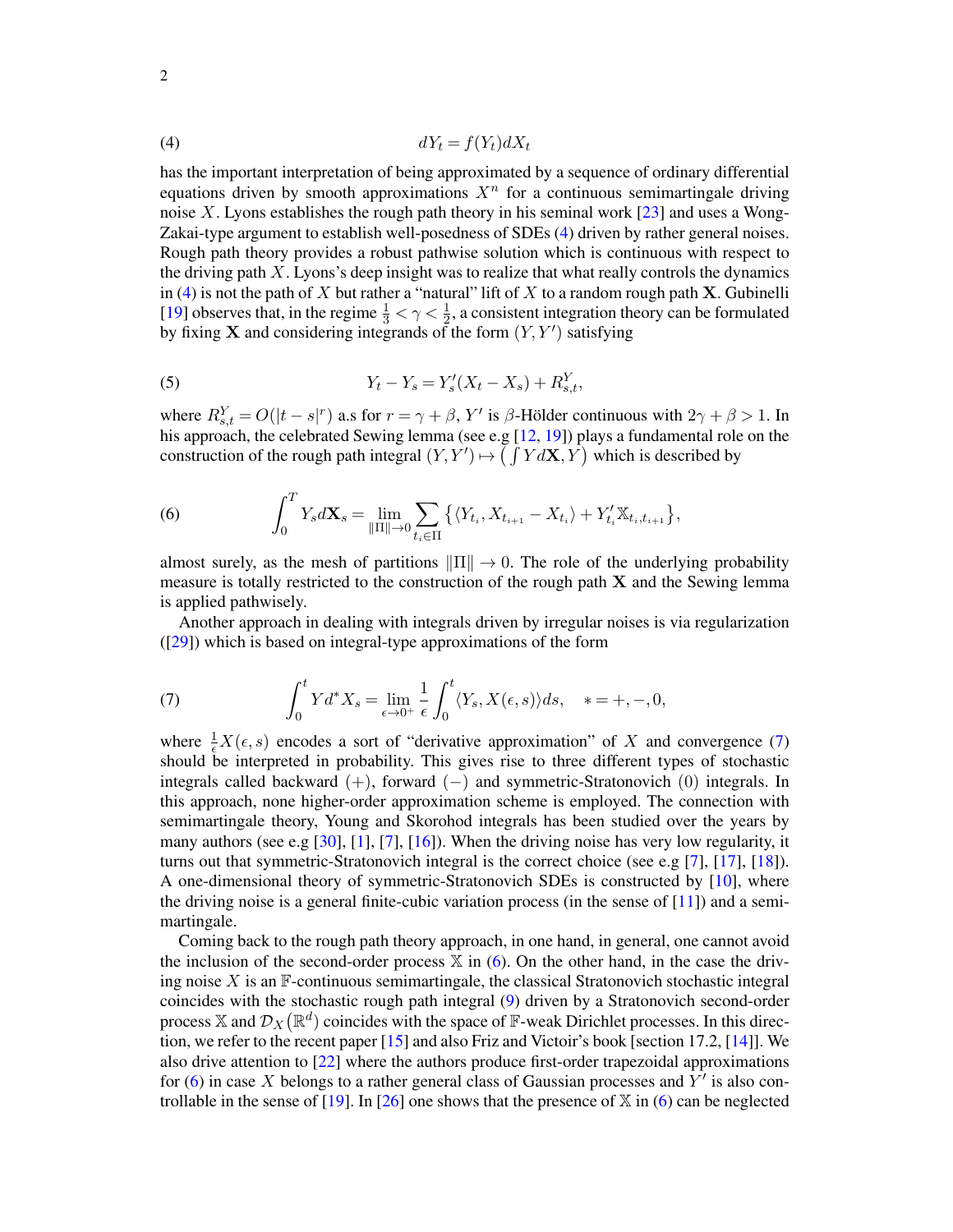<span id="page-1-1"></span>
$$
dY_t = f(Y_t) dX_t
$$

has the important interpretation of being approximated by a sequence of ordinary differential equations driven by smooth approximations  $X<sup>n</sup>$  for a continuous semimartingale driving noise X. Lyons establishes the rough path theory in his seminal work  $[23]$  and uses a Wong-Zakai-type argument to establish well-posedness of SDEs [\(4\)](#page-1-1) driven by rather general noises. Rough path theory provides a robust pathwise solution which is continuous with respect to the driving path  $X$ . Lyons's deep insight was to realize that what really controls the dynamics in [\(4\)](#page-1-1) is not the path of  $X$  but rather a "natural" lift of  $X$  to a random rough path  $X$ . Gubinelli [\[19](#page-52-1)] observes that, in the regime  $\frac{1}{3} < \gamma < \frac{1}{2}$ , a consistent integration theory can be formulated by fixing **X** and considering integrands of the form  $(Y, Y')$  satisfying

<span id="page-1-0"></span>(5) 
$$
Y_t - Y_s = Y'_s(X_t - X_s) + R_{s,t}^Y,
$$

where  $R_{s,t}^Y = O(|t-s|^r)$  a.s for  $r = \gamma + \beta$ , Y' is  $\beta$ -Hölder continuous with  $2\gamma + \beta > 1$ . In his approach, the celebrated Sewing lemma (see e.g [\[12,](#page-52-3) [19\]](#page-52-1)) plays a fundamental role on the construction of the rough path integral  $(Y, Y') \mapsto (\int Y dX, Y)$  which is described by

<span id="page-1-3"></span>(6) 
$$
\int_0^T Y_s d\mathbf{X}_s = \lim_{\|\Pi\| \to 0} \sum_{t_i \in \Pi} \left\{ \langle Y_{t_i}, X_{t_{i+1}} - X_{t_i} \rangle + Y_{t_i}^{\prime} \mathbb{X}_{t_i, t_{i+1}} \right\},
$$

almost surely, as the mesh of partitions  $\|\Pi\| \to 0$ . The role of the underlying probability measure is totally restricted to the construction of the rough path  $X$  and the Sewing lemma is applied pathwisely.

Another approach in dealing with integrals driven by irregular noises is via regularization ([\[29](#page-52-2)]) which is based on integral-type approximations of the form

<span id="page-1-2"></span>(7) 
$$
\int_0^t Y d^* X_s = \lim_{\epsilon \to 0^+} \frac{1}{\epsilon} \int_0^t \langle Y_s, X(\epsilon, s) \rangle ds, \quad * = +, -, 0,
$$

where  $\frac{1}{\epsilon}X(\epsilon, s)$  encodes a sort of "derivative approximation" of X and convergence [\(7\)](#page-1-2) should be interpreted in probability. This gives rise to three different types of stochastic integrals called backward  $(+)$ , forward  $(-)$  and symmetric-Stratonovich  $(0)$  integrals. In this approach, none higher-order approximation scheme is employed. The connection with semimartingale theory, Young and Skorohod integrals has been studied over the years by many authors (see e.g  $[30]$ ,  $[1]$ ,  $[7]$ ,  $[16]$ ). When the driving noise has very low regularity, it turns out that symmetric-Stratonovich integral is the correct choice (see e.g [\[7\]](#page-52-4), [\[17](#page-52-6)], [\[18](#page-52-7)]). A one-dimensional theory of symmetric-Stratonovich SDEs is constructed by [\[10](#page-52-8)], where the driving noise is a general finite-cubic variation process (in the sense of  $[11]$ ) and a semimartingale.

Coming back to the rough path theory approach, in one hand, in general, one cannot avoid the inclusion of the second-order process  $X$  in [\(6\)](#page-1-3). On the other hand, in the case the driving noise  $X$  is an  $\mathbb F$ -continuous semimartingale, the classical Stratonovich stochastic integral coincides with the stochastic rough path integral [\(9\)](#page-2-0) driven by a Stratonovich second-order process X and  $\mathcal{D}_X(\mathbb{R}^d)$  coincides with the space of F-weak Dirichlet processes. In this direction, we refer to the recent paper [\[15](#page-52-10)] and also Friz and Victoir's book [section 17.2, [\[14\]](#page-52-11)]. We also drive attention to [\[22](#page-52-12)] where the authors produce first-order trapezoidal approximations for  $(6)$  in case X belongs to a rather general class of Gaussian processes and Y' is also con-trollable in the sense of [\[19](#page-52-1)]. In [\[26\]](#page-52-13) one shows that the presence of  $X$  in [\(6\)](#page-1-3) can be neglected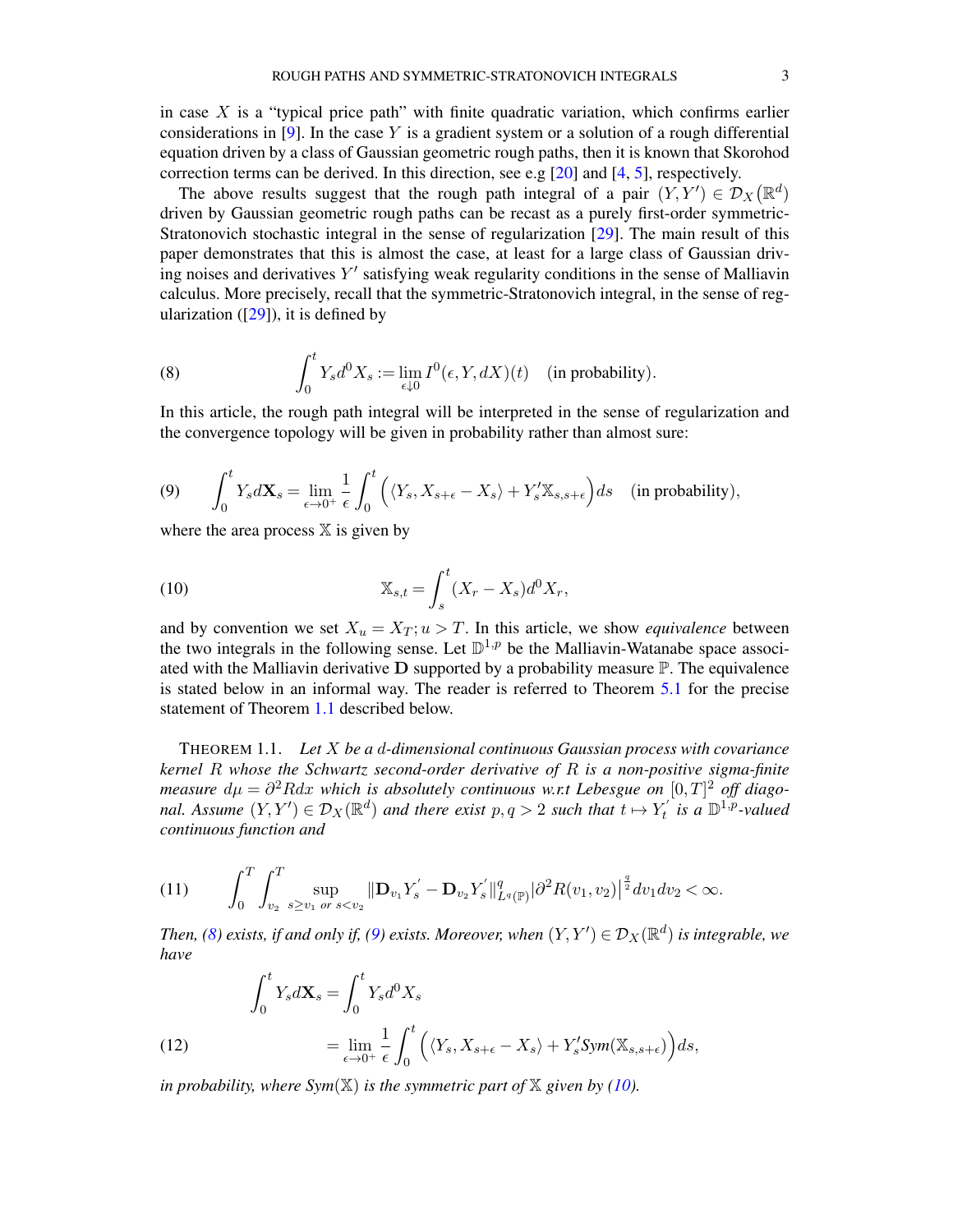in case  $X$  is a "typical price path" with finite quadratic variation, which confirms earlier considerations in [\[9\]](#page-52-14). In the case Y is a gradient system or a solution of a rough differential equation driven by a class of Gaussian geometric rough paths, then it is known that Skorohod correction terms can be derived. In this direction, see e.g  $[20]$  and  $[4, 5]$  $[4, 5]$  $[4, 5]$  $[4, 5]$ , respectively.

The above results suggest that the rough path integral of a pair  $(Y, Y') \in \mathcal{D}_X(\mathbb{R}^d)$ driven by Gaussian geometric rough paths can be recast as a purely first-order symmetric-Stratonovich stochastic integral in the sense of regularization [\[29](#page-52-2)]. The main result of this paper demonstrates that this is almost the case, at least for a large class of Gaussian driving noises and derivatives  $Y'$  satisfying weak regularity conditions in the sense of Malliavin calculus. More precisely, recall that the symmetric-Stratonovich integral, in the sense of regularization ( $[29]$ ), it is defined by

<span id="page-2-2"></span>(8) 
$$
\int_0^t Y_s d^0 X_s := \lim_{\epsilon \downarrow 0} I^0(\epsilon, Y, dX)(t) \quad \text{(in probability)}.
$$

In this article, the rough path integral will be interpreted in the sense of regularization and the convergence topology will be given in probability rather than almost sure:

<span id="page-2-0"></span>(9) 
$$
\int_0^t Y_s d\mathbf{X}_s = \lim_{\epsilon \to 0^+} \frac{1}{\epsilon} \int_0^t \left( \langle Y_s, X_{s+\epsilon} - X_s \rangle + Y'_s \mathbb{X}_{s,s+\epsilon} \right) ds \quad \text{(in probability)},
$$

where the area process  $X$  is given by

<span id="page-2-3"></span>(10) 
$$
X_{s,t} = \int_s^t (X_r - X_s) d^0 X_r,
$$

and by convention we set  $X_u = X_T$ ;  $u > T$ . In this article, we show *equivalence* between the two integrals in the following sense. Let  $\mathbb{D}^{1,p}$  be the Malliavin-Watanabe space associated with the Malliavin derivative  $D$  supported by a probability measure  $\mathbb P$ . The equivalence is stated below in an informal way. The reader is referred to Theorem [5.1](#page-21-0) for the precise statement of Theorem [1.1](#page-2-1) described below.

<span id="page-2-1"></span>THEOREM 1.1. *Let* X *be a* d*-dimensional continuous Gaussian process with covariance kernel* R *whose the Schwartz second-order derivative of* R *is a non-positive sigma-finite measure*  $d\mu = \partial^2 R dx$  which is absolutely continuous w.r.t Lebesgue on  $[0,T]^2$  off diago*nal. Assume*  $(Y, Y') \in \mathcal{D}_X(\mathbb{R}^d)$  *and there exist*  $p, q > 2$  *such that*  $t \mapsto Y'_t$  *is a*  $\mathbb{D}^{1,p}$ -valued *continuous function and*

<span id="page-2-4"></span>
$$
(11) \qquad \int_0^T \int_{v_2}^T \sup_{s \geq v_1} \sup_{\sigma s < v_2} \|\mathbf{D}_{v_1} Y_s' - \mathbf{D}_{v_2} Y_s'\|_{L^q(\mathbb{P})}^q |\partial^2 R(v_1, v_2)|^{\frac{q}{2}} dv_1 dv_2 < \infty.
$$

*Then,* [\(8\)](#page-2-2) exists, if and only if, [\(9\)](#page-2-0) exists. Moreover, when  $(Y, Y') \in \mathcal{D}_X(\mathbb{R}^d)$  is integrable, we *have*

<span id="page-2-5"></span>(12) 
$$
\int_0^t Y_s d\mathbf{X}_s = \int_0^t Y_s d^0 X_s
$$

$$
= \lim_{\epsilon \to 0^+} \frac{1}{\epsilon} \int_0^t \left( \langle Y_s, X_{s+\epsilon} - X_s \rangle + Y'_s \text{Sym}(\mathbb{X}_{s,s+\epsilon}) \right) ds,
$$

*in probability, where Sym* $(\mathbb{X})$  *is the symmetric part of*  $\mathbb{X}$  *given by* [\(10\)](#page-2-3)*.*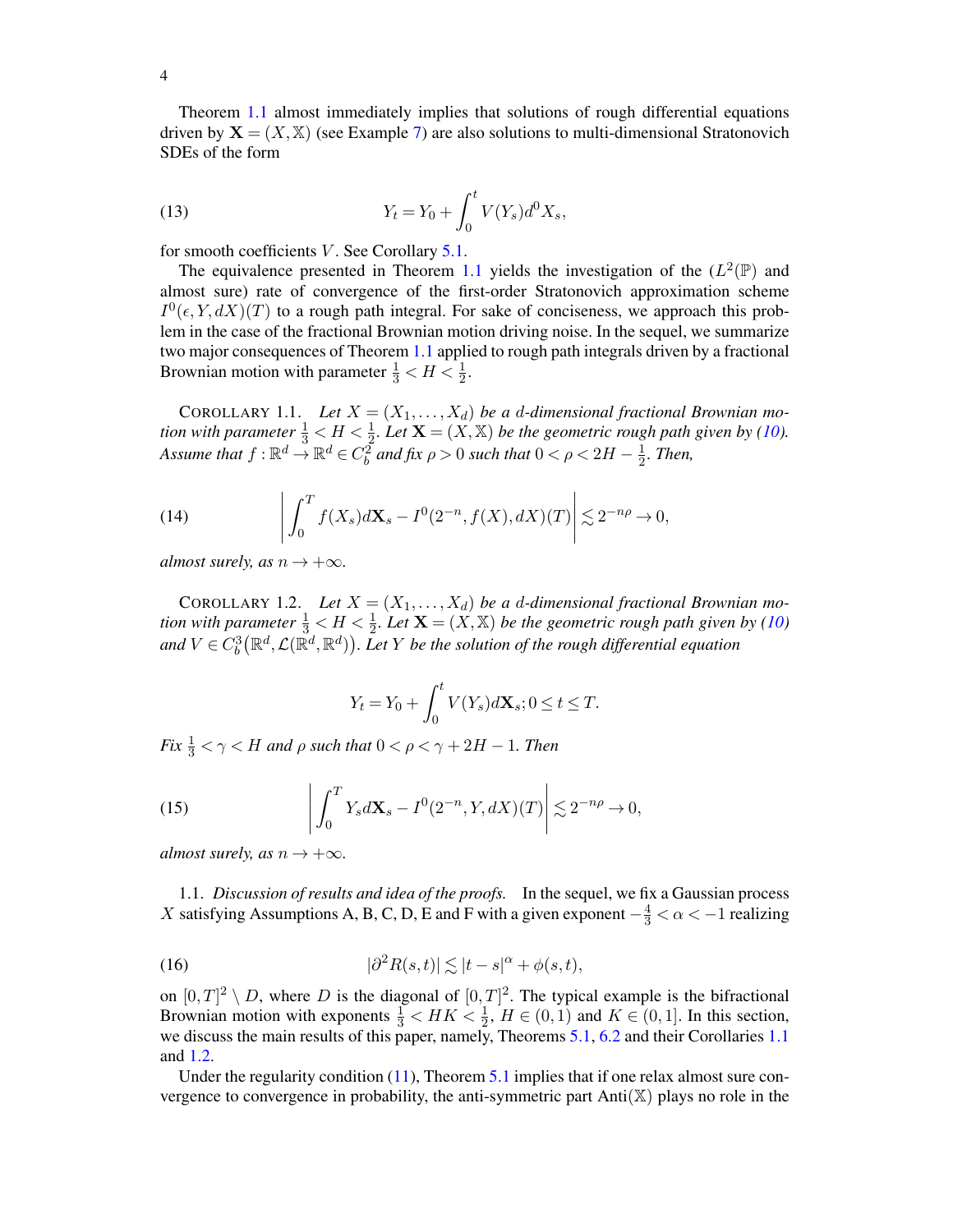Theorem [1.1](#page-2-1) almost immediately implies that solutions of rough differential equations driven by  $X = (X, X)$  (see Example [7\)](#page-22-0) are also solutions to multi-dimensional Stratonovich SDEs of the form

(13) 
$$
Y_t = Y_0 + \int_0^t V(Y_s) d^0 X_s,
$$

for smooth coefficients  $V$ . See Corollary [5.1.](#page-23-0)

The equivalence presented in Theorem [1.1](#page-2-1) yields the investigation of the  $(L^2(\mathbb{P})$  and almost sure) rate of convergence of the first-order Stratonovich approximation scheme  $I^0(\epsilon, Y, dX)(T)$  to a rough path integral. For sake of conciseness, we approach this problem in the case of the fractional Brownian motion driving noise. In the sequel, we summarize two major consequences of Theorem [1.1](#page-2-1) applied to rough path integrals driven by a fractional Brownian motion with parameter  $\frac{1}{3} < H < \frac{1}{2}$ .

<span id="page-3-0"></span>COROLLARY 1.1. Let  $X = (X_1, \ldots, X_d)$  be a d-dimensional fractional Brownian mo*tion with parameter*  $\frac{1}{3} < H < \frac{1}{2}$ *. Let*  $\mathbf{X} = (X, \mathbb{X})$  *be the geometric rough path given by* [\(10\)](#page-2-3)*.* Assume that  $f: \mathbb{R}^d \to \mathbb{R}^d \in C_b^2$  and fix  $\rho > 0$  such that  $0 < \rho < 2H - \frac{1}{2}$  $\frac{1}{2}$ *. Then,* 

<span id="page-3-3"></span>(14) 
$$
\left| \int_0^T f(X_s) d\mathbf{X}_s - I^0(2^{-n}, f(X), dX)(T) \right| \lesssim 2^{-n\rho} \to 0,
$$

*almost surely, as*  $n \rightarrow +\infty$ *.* 

<span id="page-3-1"></span>COROLLARY 1.2. Let  $X = (X_1, \ldots, X_d)$  be a d-dimensional fractional Brownian mo*tion with parameter*  $\frac{1}{3} < H < \frac{1}{2}$ *. Let*  $\mathbf{X} = (X, \mathbb{X})$  *be the geometric rough path given by* [\(10\)](#page-2-3) and  $V\in C_b^3\big(\mathbb{R}^d,\mathcal{L}(\mathbb{\bar{R}}^d,\mathbb{R}^d)\big).$  Let  $Y$  be the solution of the rough differential equation

<span id="page-3-4"></span>
$$
Y_t = Y_0 + \int_0^t V(Y_s) d\mathbf{X}_s; 0 \le t \le T.
$$

Fix  $\frac{1}{3} < \gamma < H$  and  $\rho$  such that  $0 < \rho < \gamma + 2H - 1$ . Then

(15) 
$$
\left| \int_0^T Y_s d\mathbf{X}_s - I^0(2^{-n}, Y, dX)(T) \right| \lesssim 2^{-n\rho} \to 0,
$$

*almost surely, as*  $n \rightarrow +\infty$ *.* 

1.1. *Discussion of results and idea of the proofs.* In the sequel, we fix a Gaussian process X satisfying Assumptions A, B, C, D, E and F with a given exponent  $-\frac{4}{3} < \alpha < -1$  realizing

<span id="page-3-2"></span>(16) 
$$
|\partial^2 R(s,t)| \lesssim |t-s|^\alpha + \phi(s,t),
$$

on  $[0, T]^2 \setminus D$ , where D is the diagonal of  $[0, T]^2$ . The typical example is the bifractional Brownian motion with exponents  $\frac{1}{3}$  <  $HK < \frac{1}{2}$ ,  $H \in (0, 1)$  and  $K \in (0, 1]$ . In this section, we discuss the main results of this paper, namely, Theorems [5.1,](#page-21-0) [6.2](#page-31-0) and their Corollaries [1.1](#page-3-0) and [1.2.](#page-3-1)

Under the regularity condition  $(11)$ , Theorem [5.1](#page-21-0) implies that if one relax almost sure convergence to convergence in probability, the anti-symmetric part  $Anti(X)$  plays no role in the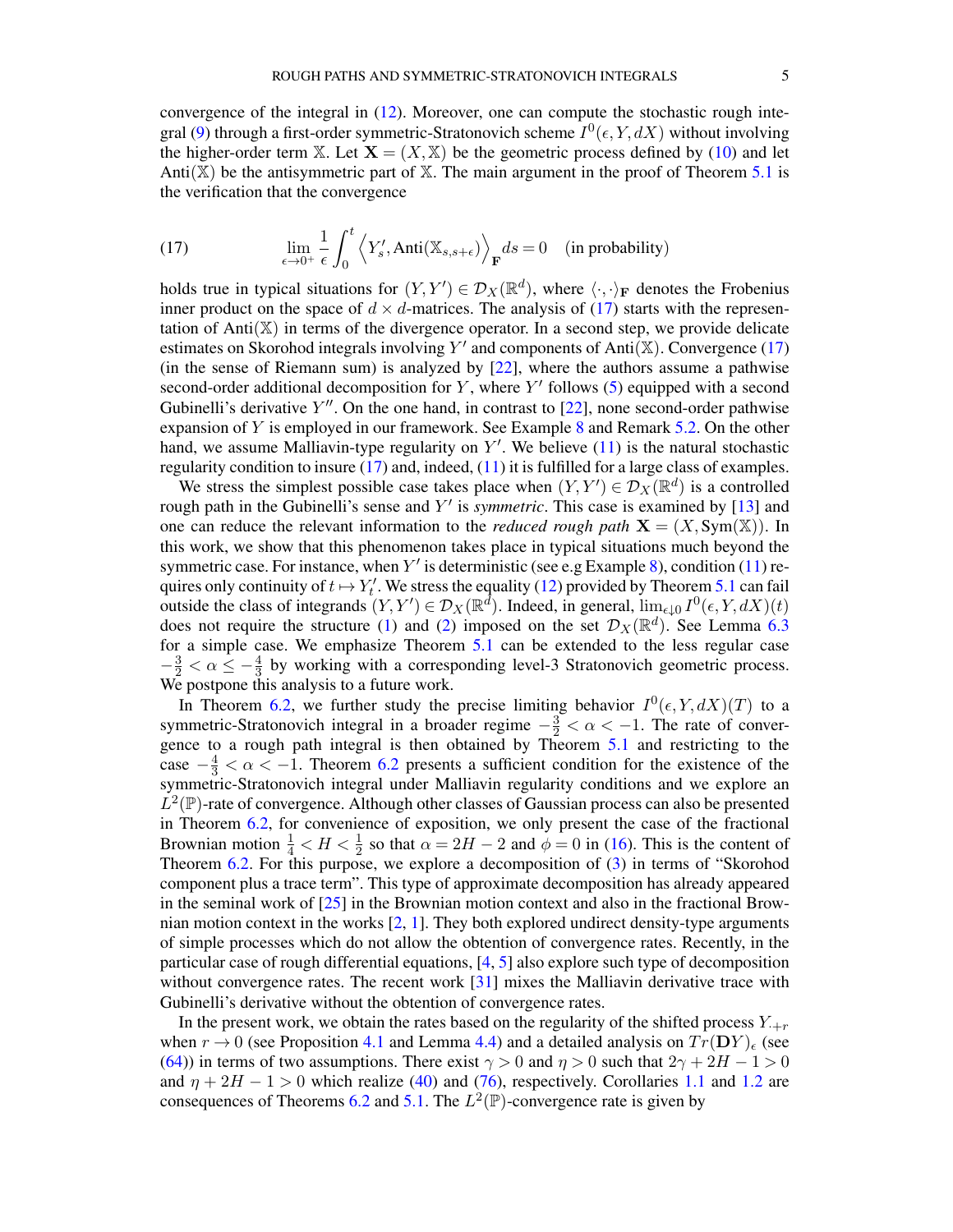convergence of the integral in [\(12\)](#page-2-5). Moreover, one can compute the stochastic rough inte-gral [\(9\)](#page-2-0) through a first-order symmetric-Stratonovich scheme  $I^0(\epsilon, Y, dX)$  without involving the higher-order term X. Let  $X = (X, X)$  be the geometric process defined by [\(10\)](#page-2-3) and let Anti( $\mathbb{X}$ ) be the antisymmetric part of  $\mathbb{X}$ . The main argument in the proof of Theorem [5.1](#page-21-0) is the verification that the convergence

<span id="page-4-0"></span>(17) 
$$
\lim_{\epsilon \to 0^+} \frac{1}{\epsilon} \int_0^t \left\langle Y'_s, \text{Anti}(\mathbb{X}_{s,s+\epsilon}) \right\rangle_{\mathbf{F}} ds = 0 \quad \text{(in probability)}
$$

holds true in typical situations for  $(Y, Y') \in \mathcal{D}_X(\mathbb{R}^d)$ , where  $\langle \cdot, \cdot \rangle_F$  denotes the Frobenius inner product on the space of  $d \times d$ -matrices. The analysis of [\(17\)](#page-4-0) starts with the representation of Anti $(X)$  in terms of the divergence operator. In a second step, we provide delicate estimates on Skorohod integrals involving  $Y'$  and components of Anti $(X)$ . Convergence [\(17\)](#page-4-0) (in the sense of Riemann sum) is analyzed by [\[22](#page-52-12)], where the authors assume a pathwise second-order additional decomposition for  $Y$ , where  $Y'$  follows [\(5\)](#page-1-0) equipped with a second Gubinelli's derivative  $Y''$ . On the one hand, in contrast to [\[22](#page-52-12)], none second-order pathwise expansion of Y is employed in our framework. See Example [8](#page-23-1) and Remark [5.2.](#page-23-2) On the other hand, we assume Malliavin-type regularity on  $Y'$ . We believe  $(11)$  is the natural stochastic regularity condition to insure [\(17\)](#page-4-0) and, indeed, [\(11\)](#page-2-4) it is fulfilled for a large class of examples.

We stress the simplest possible case takes place when  $(Y, Y') \in \mathcal{D}_X(\mathbb{R}^d)$  is a controlled rough path in the Gubinelli's sense and Y' is *symmetric*. This case is examined by [\[13\]](#page-52-18) and one can reduce the relevant information to the *reduced rough path*  $X = (X, Sym(X))$ . In this work, we show that this phenomenon takes place in typical situations much beyond the symmetric case. For instance, when  $Y'$  is deterministic (see e.g Example [8\)](#page-23-1), condition [\(11\)](#page-2-4) requires only continuity of  $t \mapsto Y'_t$ . We stress the equality [\(12\)](#page-2-5) provided by Theorem [5.1](#page-21-0) can fail outside the class of integrands  $(Y, Y') \in \mathcal{D}_X(\mathbb{R}^d)$ . Indeed, in general,  $\lim_{\epsilon \downarrow 0} I^0(\epsilon, Y, dX)(t)$ does not require the structure [\(1\)](#page-0-4) and [\(2\)](#page-0-5) imposed on the set  $\mathcal{D}_X(\mathbb{R}^d)$ . See Lemma [6.3](#page-32-0) for a simple case. We emphasize Theorem [5.1](#page-21-0) can be extended to the less regular case  $-\frac{3}{2} < \alpha \le -\frac{4}{3}$  by working with a corresponding level-3 Stratonovich geometric process. We postpone this analysis to a future work.

In Theorem [6.2,](#page-31-0) we further study the precise limiting behavior  $I^0(\epsilon, Y, dX)(T)$  to a symmetric-Stratonovich integral in a broader regime  $-\frac{3}{2} < \alpha < -1$ . The rate of convergence to a rough path integral is then obtained by Theorem [5.1](#page-21-0) and restricting to the case  $-\frac{4}{3} < \alpha < -1$ . Theorem [6.2](#page-31-0) presents a sufficient condition for the existence of the symmetric-Stratonovich integral under Malliavin regularity conditions and we explore an  $\hat{L}^2(\mathbb{P})$ -rate of convergence. Although other classes of Gaussian process can also be presented in Theorem [6.2,](#page-31-0) for convenience of exposition, we only present the case of the fractional Brownian motion  $\frac{1}{4} < H < \frac{1}{2}$  so that  $\alpha = 2H - 2$  and  $\phi = 0$  in [\(16\)](#page-3-2). This is the content of Theorem [6.2.](#page-31-0) For this purpose, we explore a decomposition of [\(3\)](#page-0-6) in terms of "Skorohod component plus a trace term". This type of approximate decomposition has already appeared in the seminal work of  $[25]$  in the Brownian motion context and also in the fractional Brownian motion context in the works [\[2,](#page-51-1) [1](#page-51-0)]. They both explored undirect density-type arguments of simple processes which do not allow the obtention of convergence rates. Recently, in the particular case of rough differential equations, [\[4](#page-52-16), [5](#page-52-17)] also explore such type of decomposition without convergence rates. The recent work [\[31\]](#page-53-2) mixes the Malliavin derivative trace with Gubinelli's derivative without the obtention of convergence rates.

In the present work, we obtain the rates based on the regularity of the shifted process  $Y_{+r}$ when  $r \to 0$  (see Proposition [4.1](#page-16-0) and Lemma [4.4\)](#page-15-0) and a detailed analysis on  $Tr(DY)_{\epsilon}$  (see [\(64\)](#page-24-0)) in terms of two assumptions. There exist  $\gamma > 0$  and  $\eta > 0$  such that  $2\gamma + 2H - 1 > 0$ and  $\eta + 2H - 1 > 0$  which realize [\(40\)](#page-14-0) and [\(76\)](#page-26-0), respectively. Corollaries [1.1](#page-3-0) and [1.2](#page-3-1) are consequences of Theorems [6.2](#page-31-0) and [5.1.](#page-21-0) The  $L^2(\mathbb{P})$ -convergence rate is given by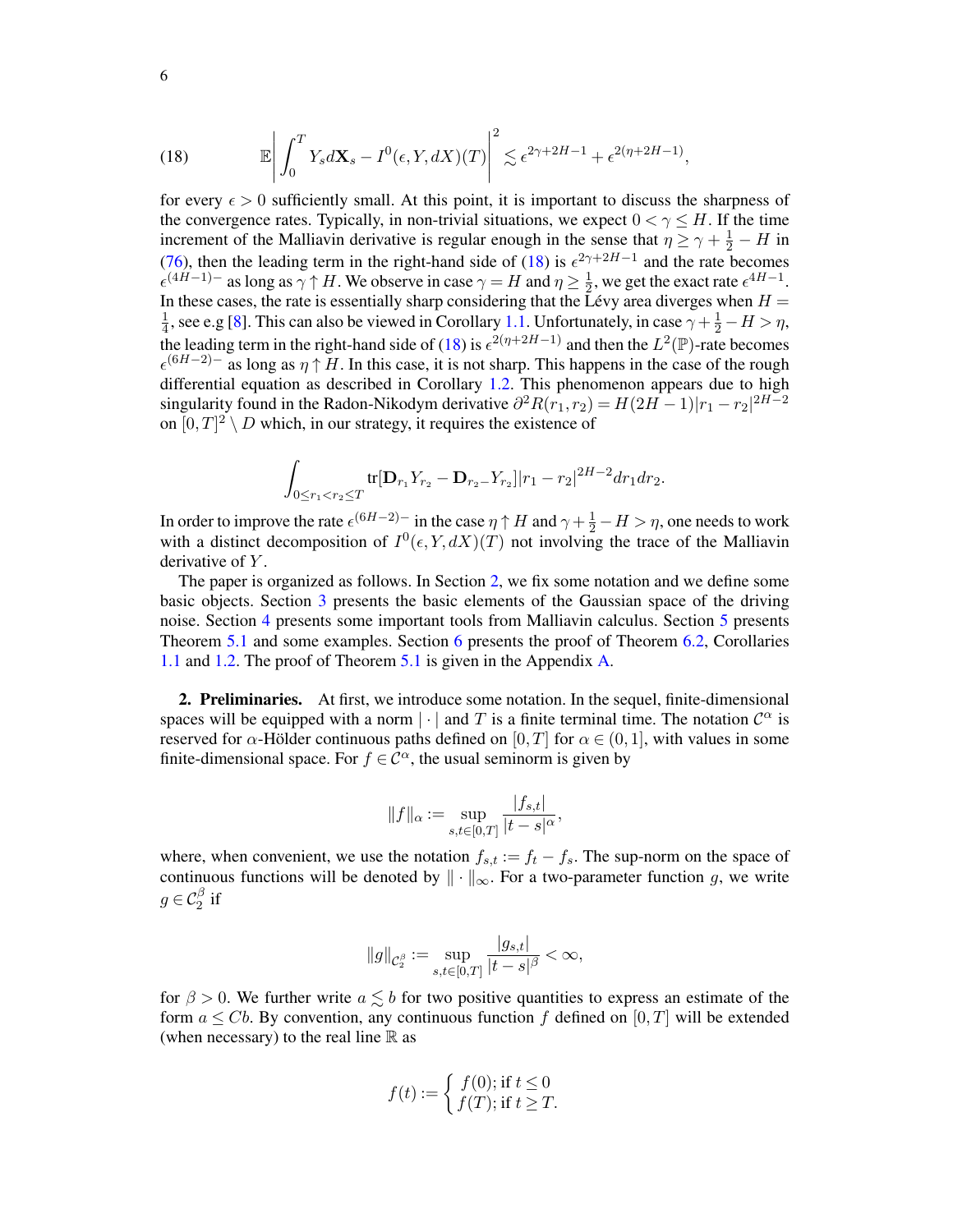<span id="page-5-0"></span>(18) 
$$
\mathbb{E}\left|\int_0^T Y_s d\mathbf{X}_s - I^0(\epsilon, Y, dX)(T)\right|^2 \lesssim \epsilon^{2\gamma + 2H - 1} + \epsilon^{2(\eta + 2H - 1)},
$$

for every  $\epsilon > 0$  sufficiently small. At this point, it is important to discuss the sharpness of the convergence rates. Typically, in non-trivial situations, we expect  $0 < \gamma \leq H$ . If the time increment of the Malliavin derivative is regular enough in the sense that  $\eta \ge \gamma + \frac{1}{2} - H$  in [\(76\)](#page-26-0), then the leading term in the right-hand side of [\(18\)](#page-5-0) is  $\epsilon^{2\gamma+2H-1}$  and the rate becomes  $\epsilon^{(4H-1)-}$  as long as  $\gamma \uparrow H$ . We observe in case  $\gamma = H$  and  $\eta \geq \frac{1}{2}$  $\frac{1}{2}$ , we get the exact rate  $\epsilon^{4H-1}$ . In these cases, the rate is essentially sharp considering that the Lévy area diverges when  $H =$ 1  $\frac{1}{4}$ , see e.g [\[8](#page-52-20)]. This can also be viewed in Corollary [1.1.](#page-3-0) Unfortunately, in case  $\gamma + \frac{1}{2} - H > \eta$ , the leading term in the right-hand side of [\(18\)](#page-5-0) is  $\epsilon^{2(\eta+2H-1)}$  and then the  $L^2(\mathbb{P})$ -rate becomes  $\epsilon^{(6H-2)-}$  as long as  $\eta \uparrow H$ . In this case, it is not sharp. This happens in the case of the rough differential equation as described in Corollary [1.2.](#page-3-1) This phenomenon appears due to high singularity found in the Radon-Nikodym derivative  $\partial^2 R(r_1, r_2) = H(2H - 1)|r_1 - r_2|^{2H - 2}$ on  $[0, T]^2 \setminus D$  which, in our strategy, it requires the existence of

$$
\int_{0 \le r_1 < r_2 \le T} tr[D_{r_1}Y_{r_2} - D_{r_2}Y_{r_2}] |r_1 - r_2|^{2H - 2} dr_1 dr_2.
$$

In order to improve the rate  $\epsilon^{(6H-2)-}$  in the case  $\eta \uparrow H$  and  $\gamma + \frac{1}{2} - H > \eta$ , one needs to work with a distinct decomposition of  $I^0(\epsilon, Y, dX)(T)$  not involving the trace of the Malliavin derivative of Y.

The paper is organized as follows. In Section [2,](#page-5-1) we fix some notation and we define some basic objects. Section [3](#page-7-0) presents the basic elements of the Gaussian space of the driving noise. Section [4](#page-12-0) presents some important tools from Malliavin calculus. Section [5](#page-21-1) presents Theorem [5.1](#page-21-0) and some examples. Section [6](#page-24-1) presents the proof of Theorem [6.2,](#page-31-0) Corollaries [1.1](#page-3-0) and [1.2.](#page-3-1) The proof of Theorem [5.1](#page-21-0) is given in the Appendix [A.](#page-35-0)

<span id="page-5-1"></span>2. Preliminaries. At first, we introduce some notation. In the sequel, finite-dimensional spaces will be equipped with a norm  $|\cdot|$  and T is a finite terminal time. The notation  $\mathcal{C}^{\alpha}$  is reserved for  $\alpha$ -Hölder continuous paths defined on [0, T] for  $\alpha \in (0,1]$ , with values in some finite-dimensional space. For  $f \in \mathcal{C}^{\alpha}$ , the usual seminorm is given by

$$
||f||_{\alpha} := \sup_{s,t \in [0,T]} \frac{|f_{s,t}|}{|t-s|^{\alpha}},
$$

where, when convenient, we use the notation  $f_{s,t} := f_t - f_s$ . The sup-norm on the space of continuous functions will be denoted by  $\|\cdot\|_{\infty}$ . For a two-parameter function g, we write  $g \in \mathcal{C}_2^{\beta}$  if

$$
\|g\|_{\mathcal{C}_2^{\beta}} := \sup_{s,t \in [0,T]} \frac{|g_{s,t}|}{|t-s|^{\beta}} < \infty,
$$

for  $\beta > 0$ . We further write  $a \lesssim b$  for two positive quantities to express an estimate of the form  $a \leq Cb$ . By convention, any continuous function f defined on [0, T] will be extended (when necessary) to the real line  $\mathbb R$  as

$$
f(t) := \begin{cases} f(0); \text{ if } t \le 0\\ f(T); \text{ if } t \ge T. \end{cases}
$$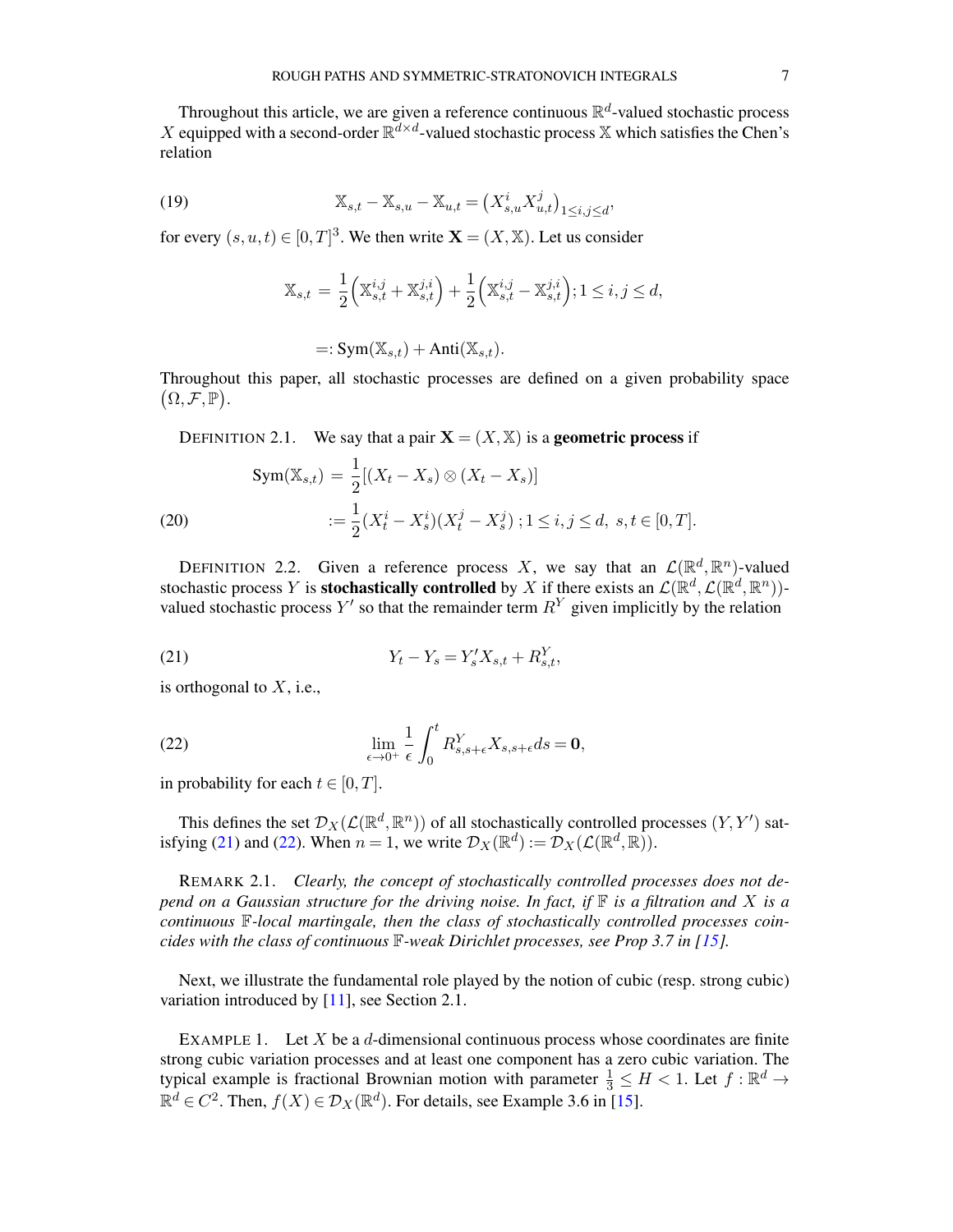Throughout this article, we are given a reference continuous  $\mathbb{R}^d$ -valued stochastic process X equipped with a second-order  $\mathbb{R}^{d \times d}$ -valued stochastic process X which satisfies the Chen's relation

,

(19) 
$$
\mathbb{X}_{s,t} - \mathbb{X}_{s,u} - \mathbb{X}_{u,t} = (X_{s,u}^i X_{u,t}^j)_{1 \le i,j \le d}
$$

for every  $(s, u, t) \in [0, T]^3$ . We then write  $\mathbf{X} = (X, \mathbb{X})$ . Let us consider

$$
\mathbb{X}_{s,t} = \frac{1}{2} \left( \mathbb{X}_{s,t}^{i,j} + \mathbb{X}_{s,t}^{j,i} \right) + \frac{1}{2} \left( \mathbb{X}_{s,t}^{i,j} - \mathbb{X}_{s,t}^{j,i} \right); 1 \le i, j \le d,
$$

$$
=: Sym(\mathbb{X}_{s,t}) + Anti(\mathbb{X}_{s,t}).
$$

Throughout this paper, all stochastic processes are defined on a given probability space  $(\Omega, \mathcal{F}, \mathbb{P}).$ 

DEFINITION 2.1. We say that a pair  $X = (X, X)$  is a **geometric process** if

(20) 
$$
\text{Sym}(\mathbb{X}_{s,t}) = \frac{1}{2} [(X_t - X_s) \otimes (X_t - X_s)]
$$

$$
:= \frac{1}{2} (X_t^i - X_s^i) (X_t^j - X_s^j) ; 1 \le i, j \le d, \ s, t \in [0, T].
$$

DEFINITION 2.2. Given a reference process X, we say that an  $\mathcal{L}(\mathbb{R}^d, \mathbb{R}^n)$ -valued stochastic process Y is **stochastically controlled** by X if there exists an  $\mathcal{L}(\mathbb{R}^d, \mathcal{L}(\mathbb{R}^d, \mathbb{R}^n))$ valued stochastic process Y' so that the remainder term  $R<sup>Y</sup>$  given implicitly by the relation

<span id="page-6-0"></span>(21) 
$$
Y_t - Y_s = Y'_s X_{s,t} + R_{s,t}^Y,
$$

is orthogonal to  $X$ , i.e.,

<span id="page-6-1"></span>(22) 
$$
\lim_{\epsilon \to 0^+} \frac{1}{\epsilon} \int_0^t R^Y_{s,s+\epsilon} X_{s,s+\epsilon} ds = \mathbf{0},
$$

in probability for each  $t \in [0, T]$ .

This defines the set  $\mathcal{D}_X(\mathcal{L}(\mathbb{R}^d,\mathbb{R}^n))$  of all stochastically controlled processes  $(Y,Y')$  sat-isfying [\(21\)](#page-6-0) and [\(22\)](#page-6-1). When  $n = 1$ , we write  $\mathcal{D}_X(\mathbb{R}^d) := \mathcal{D}_X(\mathcal{L}(\mathbb{R}^d, \mathbb{R}))$ .

REMARK 2.1. *Clearly, the concept of stochastically controlled processes does not depend on a Gaussian structure for the driving noise. In fact, if*  $\mathbb F$  *is a filtration and* X *is a continuous* F*-local martingale, then the class of stochastically controlled processes coincides with the class of continuous*  $\mathbb{F}\text{-}$ *weak Dirichlet processes, see Prop 3.7 in [\[15](#page-52-10)].* 

Next, we illustrate the fundamental role played by the notion of cubic (resp. strong cubic) variation introduced by [\[11](#page-52-9)], see Section 2.1.

EXAMPLE 1. Let  $X$  be a  $d$ -dimensional continuous process whose coordinates are finite strong cubic variation processes and at least one component has a zero cubic variation. The typical example is fractional Brownian motion with parameter  $\frac{1}{3} \leq H < 1$ . Let  $f : \mathbb{R}^d \to$  $\mathbb{R}^d \in C^2$ . Then,  $f(X) \in \mathcal{D}_X(\mathbb{R}^d)$ . For details, see Example 3.6 in [\[15](#page-52-10)].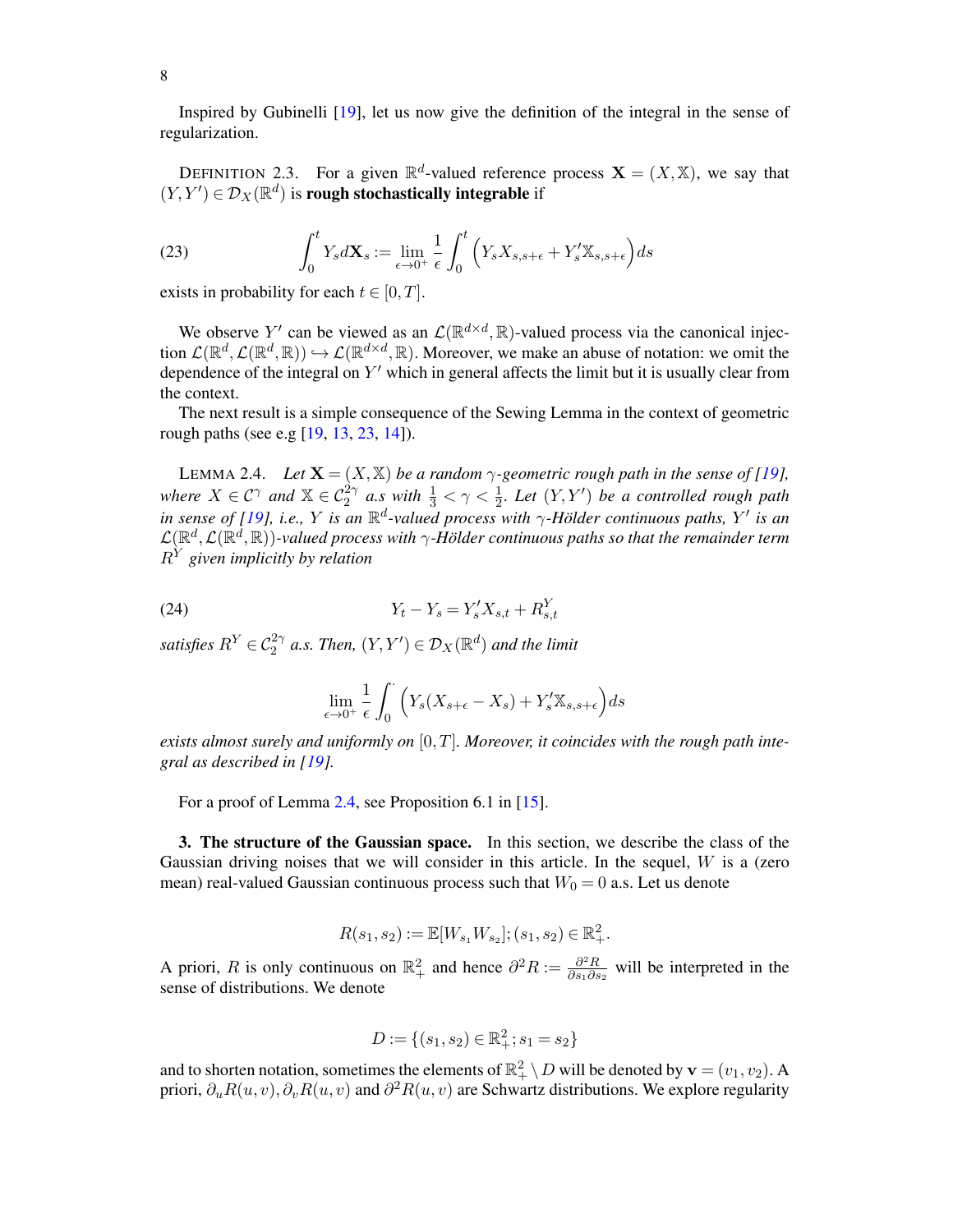Inspired by Gubinelli [\[19\]](#page-52-1), let us now give the definition of the integral in the sense of regularization.

DEFINITION 2.3. For a given  $\mathbb{R}^d$ -valued reference process  $\mathbf{X} = (X, \mathbb{X})$ , we say that  $(Y, Y') \in \mathcal{D}_X(\mathbb{R}^d)$  is rough stochastically integrable if

(23) 
$$
\int_0^t Y_s d\mathbf{X}_s := \lim_{\epsilon \to 0^+} \frac{1}{\epsilon} \int_0^t \left( Y_s X_{s,s+\epsilon} + Y'_s \mathbb{X}_{s,s+\epsilon} \right) ds
$$

exists in probability for each  $t \in [0, T]$ .

We observe Y' can be viewed as an  $\mathcal{L}(\mathbb{R}^{d \times d}, \mathbb{R})$ -valued process via the canonical injection  $\mathcal{L}(\mathbb{R}^d, \mathcal{L}(\mathbb{R}^d, \mathbb{R})) \hookrightarrow \mathcal{L}(\mathbb{R}^{d \times d}, \mathbb{R})$ . Moreover, we make an abuse of notation: we omit the dependence of the integral on  $Y'$  which in general affects the limit but it is usually clear from the context.

The next result is a simple consequence of the Sewing Lemma in the context of geometric rough paths (see e.g [\[19,](#page-52-1) [13](#page-52-18), [23,](#page-52-0) [14](#page-52-11)]).

<span id="page-7-1"></span>LEMMA 2.4. *Let*  $\mathbf{X} = (X, \mathbb{X})$  *be a random*  $\gamma$ -geometric rough path in the sense of [\[19](#page-52-1)], where  $X \in \mathcal{C}^\gamma$  and  $X \in \mathcal{C}_2^{2\gamma}$  a.s with  $\frac{1}{3} < \gamma < \frac{1}{2}$ . Let  $(Y, Y')$  be a controlled rough path *in sense of [\[19](#page-52-1)], i.e., Y is an*  $\mathbb{R}^d$ -valued process with  $\gamma$ -Hölder continuous paths, Y' is an  $\mathcal{L}(\mathbb{R}^d,\mathcal{L}(\mathbb{R}^d,\mathbb{R}))$ -valued process with  $\gamma$ -Hölder continuous paths so that the remainder term  $R^{Y}$  given implicitly by relation

(24) 
$$
Y_t - Y_s = Y'_s X_{s,t} + R_{s,t}^Y
$$

satisfies  $R^Y \in \mathcal{C}_2^{2\gamma}$  a.s. Then,  $(Y, Y') \in \mathcal{D}_X(\mathbb{R}^d)$  and the limit

$$
\lim_{\epsilon \to 0^+} \frac{1}{\epsilon} \int_0^{\cdot} \left( Y_s(X_{s+\epsilon} - X_s) + Y'_s \mathbb{X}_{s, s+\epsilon} \right) ds
$$

*exists almost surely and uniformly on* [0, T]*. Moreover, it coincides with the rough path integral as described in [\[19](#page-52-1)].*

For a proof of Lemma [2.4,](#page-7-1) see Proposition 6.1 in [\[15](#page-52-10)].

<span id="page-7-0"></span>3. The structure of the Gaussian space. In this section, we describe the class of the Gaussian driving noises that we will consider in this article. In the sequel,  $W$  is a (zero mean) real-valued Gaussian continuous process such that  $W_0 = 0$  a.s. Let us denote

$$
R(s_1, s_2) := \mathbb{E}[W_{s_1} W_{s_2}]; (s_1, s_2) \in \mathbb{R}^2_+.
$$

A priori, R is only continuous on  $\mathbb{R}^2_+$  and hence  $\partial^2 R := \frac{\partial^2 R}{\partial s_1 \partial s_2}$  $\frac{\partial^2 R}{\partial s_1 \partial s_2}$  will be interpreted in the sense of distributions. We denote

$$
D:=\{(s_1,s_2)\in\mathbb{R}^2_+;s_1=s_2\}
$$

and to shorten notation, sometimes the elements of  $\mathbb{R}^2_+ \setminus D$  will be denoted by  $\mathbf{v} = (v_1, v_2)$ . A priori,  $\partial_u R(u, v), \partial_v R(u, v)$  and  $\partial^2 R(u, v)$  are Schwartz distributions. We explore regularity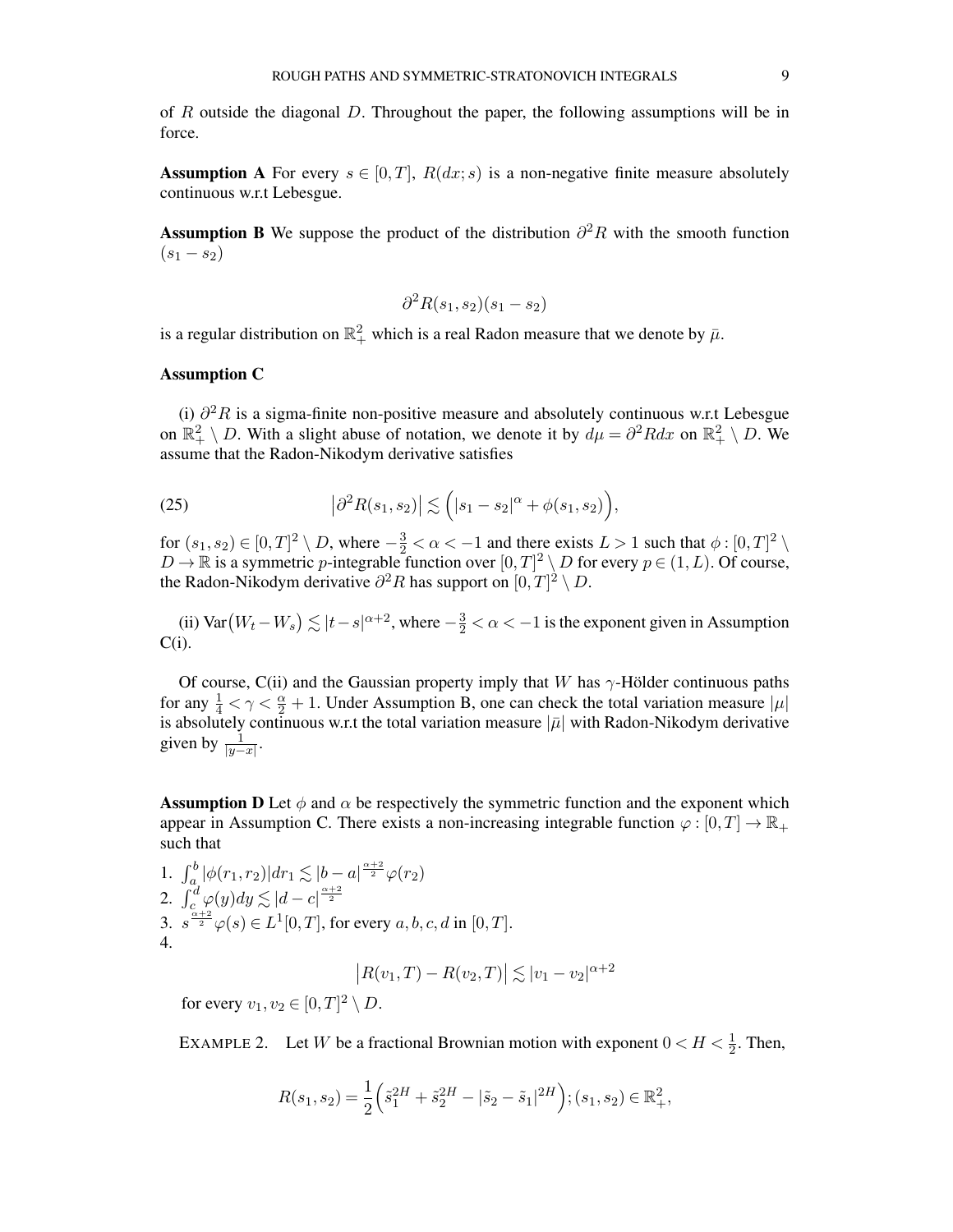of R outside the diagonal D. Throughout the paper, the following assumptions will be in force.

**Assumption A** For every  $s \in [0, T]$ ,  $R(dx; s)$  is a non-negative finite measure absolutely continuous w.r.t Lebesgue.

Assumption B We suppose the product of the distribution  $\partial^2 R$  with the smooth function  $(s_1 - s_2)$ 

$$
\partial^2 R(s_1, s_2)(s_1 - s_2)
$$

is a regular distribution on  $\mathbb{R}^2_+$  which is a real Radon measure that we denote by  $\bar{\mu}$ .

#### Assumption C

(i)  $\partial^2 R$  is a sigma-finite non-positive measure and absolutely continuous w.r.t Lebesgue on  $\mathbb{R}^2_+ \setminus D$ . With a slight abuse of notation, we denote it by  $d\mu = \partial^2 R dx$  on  $\mathbb{R}^2_+ \setminus D$ . We assume that the Radon-Nikodym derivative satisfies

<span id="page-8-0"></span>(25) 
$$
|\partial^2 R(s_1, s_2)| \lesssim (|s_1 - s_2|^{\alpha} + \phi(s_1, s_2)),
$$

for  $(s_1, s_2) \in [0, T]^2 \setminus D$ , where  $-\frac{3}{2} < \alpha < -1$  and there exists  $L > 1$  such that  $\phi : [0, T]^2 \setminus D$  $D \to \mathbb{R}$  is a symmetric p-integrable function over  $[0,T]^2 \setminus D$  for every  $p \in (1, L)$ . Of course, the Radon-Nikodym derivative  $\partial^2 R$  has support on  $[0,T]^2 \setminus D$ .

(ii) Var $(W_t - W_s) \lesssim |t - s|^{\alpha + 2}$ , where  $-\frac{3}{2} < \alpha < -1$  is the exponent given in Assumption  $C(i)$ .

Of course, C(ii) and the Gaussian property imply that W has  $\gamma$ -Hölder continuous paths for any  $\frac{1}{4} < \gamma < \frac{\alpha}{2} + 1$ . Under Assumption B, one can check the total variation measure  $|\mu|$ is absolutely continuous w.r.t the total variation measure  $|\bar{\mu}|$  with Radon-Nikodym derivative given by  $\frac{1}{|y-x|}$ .

**Assumption D** Let  $\phi$  and  $\alpha$  be respectively the symmetric function and the exponent which appear in Assumption C. There exists a non-increasing integrable function  $\varphi : [0, T] \to \mathbb{R}_+$ such that

1. 
$$
\int_{a}^{b} |\phi(r_1, r_2)| dr_1 \lesssim |b - a|^{\frac{\alpha+2}{2}} \varphi(r_2)
$$
  
\n2. 
$$
\int_{c}^{d} \varphi(y) dy \lesssim |d - c|^{\frac{\alpha+2}{2}} \varphi(r_2)
$$
  
\n3. 
$$
s^{\frac{\alpha+2}{2}} \varphi(s) \in L^1[0, T], \text{ for every } a, b, c, d \text{ in } [0, T].
$$
  
\n4.

$$
|R(v_1, T) - R(v_2, T)| \lesssim |v_1 - v_2|^{\alpha + 2}
$$

for every  $v_1, v_2 \in [0, T]^2 \setminus D$ .

EXAMPLE 2. Let W be a fractional Brownian motion with exponent  $0 < H < \frac{1}{2}$ . Then,

$$
R(s_1, s_2) = \frac{1}{2} \left( \tilde{s}_1^{2H} + \tilde{s}_2^{2H} - |\tilde{s}_2 - \tilde{s}_1|^{2H} \right); (s_1, s_2) \in \mathbb{R}_+^2,
$$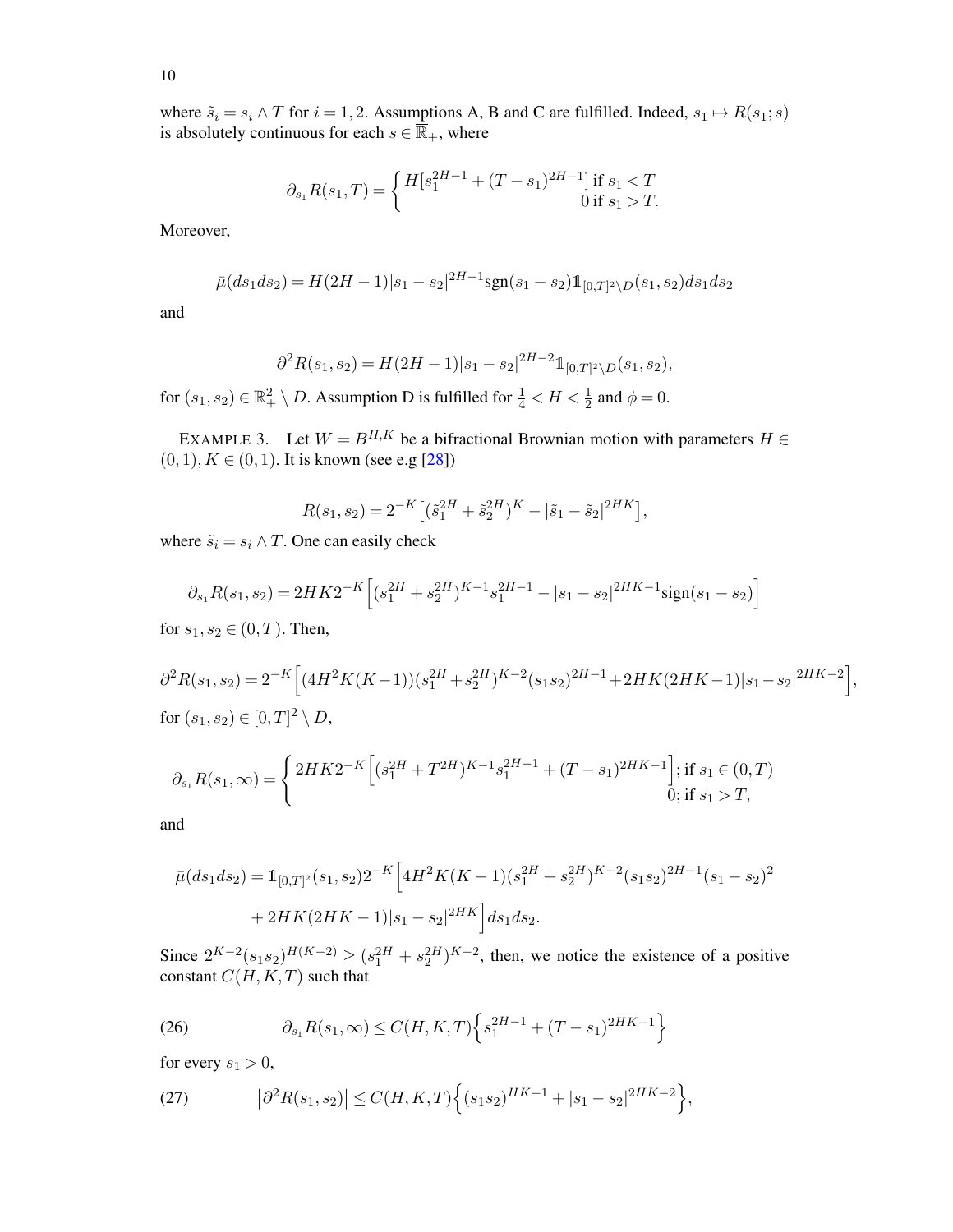where  $\tilde{s}_i = s_i \wedge T$  for  $i = 1, 2$ . Assumptions A, B and C are fulfilled. Indeed,  $s_1 \mapsto R(s_1; s)$ is absolutely continuous for each  $s \in \overline{\mathbb{R}}_+$ , where

$$
\partial_{s_1} R(s_1, T) = \begin{cases} H[s_1^{2H-1} + (T - s_1)^{2H-1}] \text{ if } s_1 < T\\ 0 \text{ if } s_1 > T. \end{cases}
$$

Moreover,

$$
\bar{\mu}(ds_1ds_2) = H(2H-1)|s_1 - s_2|^{2H-1} \text{sgn}(s_1 - s_2) \mathbb{1}_{[0,T]^2 \setminus D}(s_1, s_2) ds_1 ds_2
$$

and

$$
\partial^2 R(s_1, s_2) = H(2H - 1)|s_1 - s_2|^{2H - 2} \mathbb{1}_{[0,T]^2 \setminus D}(s_1, s_2),
$$

for  $(s_1, s_2) \in \mathbb{R}^2_+ \setminus D$ . Assumption D is fulfilled for  $\frac{1}{4} < H < \frac{1}{2}$  and  $\phi = 0$ .

EXAMPLE 3. Let  $W = B^{H,K}$  be a bifractional Brownian motion with parameters  $H \in$  $(0, 1), K \in (0, 1)$ . It is known (see e.g [\[28](#page-52-21)])

$$
R(s_1, s_2) = 2^{-K} \left[ (\tilde{s}_1^{2H} + \tilde{s}_2^{2H})^K - |\tilde{s}_1 - \tilde{s}_2|^{2HK} \right],
$$

where  $\tilde{s}_i = s_i \wedge T$ . One can easily check

$$
\partial_{s_1} R(s_1, s_2) = 2HK2^{-K} \left[ (s_1^{2H} + s_2^{2H})^{K-1} s_1^{2H-1} - |s_1 - s_2|^{2HK-1} \text{sign}(s_1 - s_2) \right]
$$

for  $s_1, s_2 \in (0, T)$ . Then,

 $\partial^2 R(s_1,s_2) = 2^{-K} \left[ (4H^2K(K-1))(s_1^{2H} + s_2^{2H})^{K-2} (s_1s_2)^{2H-1} + 2HK(2HK-1)|s_1 - s_2|^{2HK-2} \right],$ for  $(s_1, s_2) \in [0, T]^2 \setminus D$ ,

$$
\partial_{s_1} R(s_1,\infty) = \begin{cases} 2HK 2^{-K} \Big[ (s_1^{2H} + T^{2H})^{K-1} s_1^{2H-1} + (T-s_1)^{2HK-1} \Big]; \text{if } s_1 \in (0,T) \\ 0; \text{if } s_1 > T, \end{cases}
$$

and

$$
\bar{\mu}(ds_1ds_2) = \mathbb{1}_{[0,T]^2}(s_1,s_2)2^{-K} \left[ 4H^2K(K-1)(s_1^{2H} + s_2^{2H})^{K-2}(s_1s_2)^{2H-1}(s_1-s_2)^2 + 2HK(2HK-1)|s_1-s_2|^{2HK} \right] ds_1ds_2.
$$

Since  $2^{K-2}(s_1 s_2)^{H(K-2)} \ge (s_1^{2H} + s_2^{2H})^{K-2}$ , then, we notice the existence of a positive constant  $C(H, K, T)$  such that

(26) 
$$
\partial_{s_1} R(s_1, \infty) \le C(H, K, T) \left\{ s_1^{2H-1} + (T - s_1)^{2HK-1} \right\}
$$

for every  $s_1 > 0$ ,

(27) 
$$
\left|\partial^2 R(s_1,s_2)\right| \leq C(H,K,T) \left\{ (s_1s_2)^{HK-1} + |s_1-s_2|^{2HK-2} \right\},\,
$$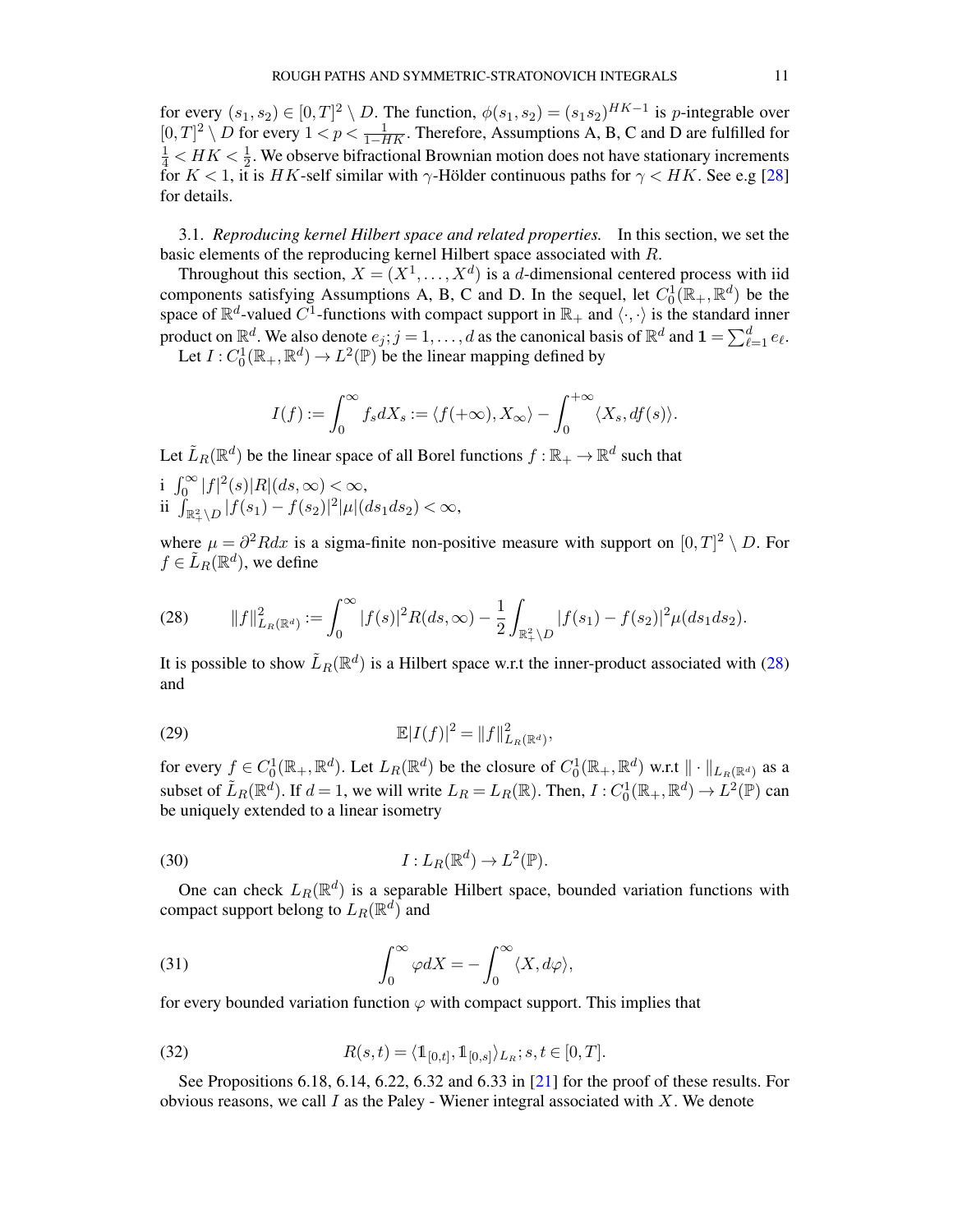for every  $(s_1, s_2) \in [0,T]^2 \setminus D$ . The function,  $\phi(s_1, s_2) = (s_1 s_2)^{HK-1}$  is *p*-integrable over  $[0, T]^2 \setminus D$  for every  $1 < p < \frac{1}{1-HK}$ . Therefore, Assumptions A, B, C and D are fulfilled for  $\frac{1}{4}$  <  $HK < \frac{1}{2}$ . We observe bifractional Brownian motion does not have stationary increments for  $K < 1$ , it is HK-self similar with  $\gamma$ -Hölder continuous paths for  $\gamma < HK$ . See e.g [\[28\]](#page-52-21) for details.

3.1. *Reproducing kernel Hilbert space and related properties.* In this section, we set the basic elements of the reproducing kernel Hilbert space associated with R.

Throughout this section,  $X = (X^1, \dots, X^d)$  is a d-dimensional centered process with iid components satisfying Assumptions A, B, C and D. In the sequel, let  $C_0^1(\mathbb{R}_+, \mathbb{R}^d)$  be the space of  $\mathbb{R}^d$ -valued  $C^1$ -functions with compact support in  $\mathbb{R}_+$  and  $\langle \cdot, \cdot \rangle$  is the standard inner product on  $\mathbb{R}^d$ . We also denote  $e_j$ ;  $j = 1, \ldots, d$  as the canonical basis of  $\mathbb{R}^d$  and  $\mathbf{1} = \sum_{\ell=1}^d e_\ell$ . Let  $I: C_0^1(\mathbb{R}_+, \mathbb{R}^d) \to L^2(\mathbb{P})$  be the linear mapping defined by

$$
I(f):=\int_0^\infty f_s dX_s:=\langle f(+\infty),X_\infty\rangle-\int_0^{+\infty}\langle X_s,df(s)\rangle.
$$

Let  $\tilde{L}_R(\mathbb{R}^d)$  be the linear space of all Borel functions  $f : \mathbb{R}_+ \to \mathbb{R}^d$  such that

i  $\int_0^\infty |f|^2(s)|R|(ds,\infty) < \infty$ , ii  $\int_{\mathbb{R}^2_+ \setminus D} |f(s_1) - f(s_2)|^2 |\mu|(ds_1 ds_2) < \infty$ ,

where  $\mu = \partial^2 R dx$  is a sigma-finite non-positive measure with support on  $[0, T]^2 \setminus D$ . For  $f \in \tilde{L}_R(\mathbb{R}^d)$ , we define

<span id="page-10-0"></span>(28) 
$$
||f||_{L_R(\mathbb{R}^d)}^2 := \int_0^\infty |f(s)|^2 R(ds,\infty) - \frac{1}{2} \int_{\mathbb{R}^2_+ \setminus D} |f(s_1) - f(s_2)|^2 \mu(ds_1 ds_2).
$$

It is possible to show  $\tilde{L}_R(\mathbb{R}^d)$  is a Hilbert space w.r.t the inner-product associated with [\(28\)](#page-10-0) and

(29) 
$$
\mathbb{E}|I(f)|^2 = ||f||^2_{L_R(\mathbb{R}^d)},
$$

for every  $f \in C_0^1(\mathbb{R}_+,\mathbb{R}^d)$ . Let  $L_R(\mathbb{R}^d)$  be the closure of  $C_0^1(\mathbb{R}_+,\mathbb{R}^d)$  w.r.t  $\|\cdot\|_{L_R(\mathbb{R}^d)}$  as a subset of  $\tilde{L}_R(\mathbb{R}^d)$ . If  $d = 1$ , we will write  $L_R = L_R(\mathbb{R})$ . Then,  $I: C_0^1(\mathbb{R}_+, \mathbb{R}^d) \to L^2(\mathbb{P})$  can be uniquely extended to a linear isometry

<span id="page-10-1"></span>(30) 
$$
I: L_R(\mathbb{R}^d) \to L^2(\mathbb{P}).
$$

One can check  $L_R(\mathbb{R}^d)$  is a separable Hilbert space, bounded variation functions with compact support belong to  $L_R(\mathbb{R}^d)$  and

<span id="page-10-2"></span>(31) 
$$
\int_0^\infty \varphi dX = -\int_0^\infty \langle X, d\varphi \rangle,
$$

for every bounded variation function  $\varphi$  with compact support. This implies that

(32) 
$$
R(s,t) = \langle \mathbb{1}_{[0,t]}, \mathbb{1}_{[0,s]} \rangle_{L_R}; s, t \in [0,T].
$$

See Propositions 6.18, 6.14, 6.22, 6.32 and 6.33 in [\[21](#page-52-22)] for the proof of these results. For obvious reasons, we call  $I$  as the Paley - Wiener integral associated with  $X$ . We denote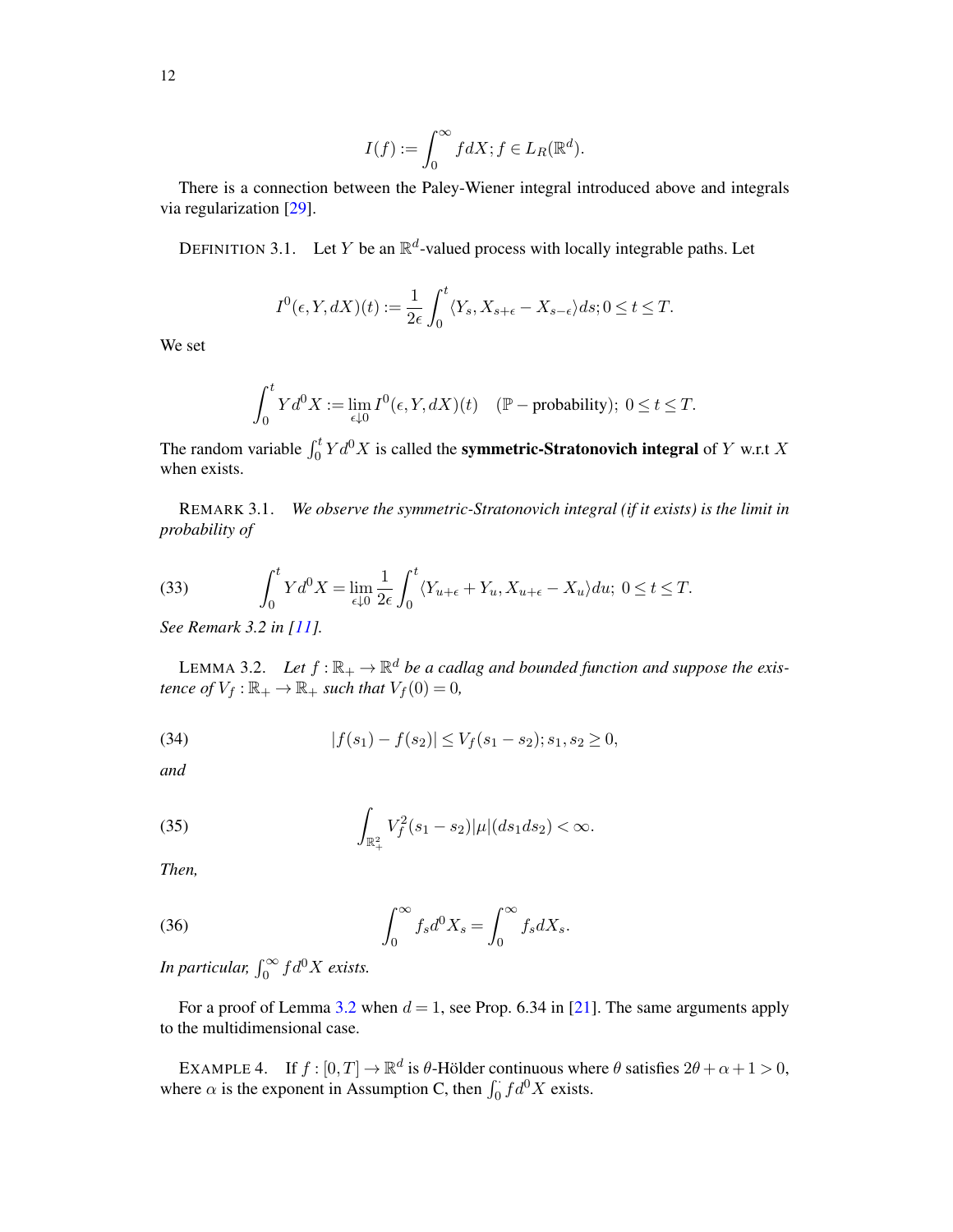$$
I(f):=\int_0^\infty f dX; f\in L_R(\mathbb{R}^d).
$$

There is a connection between the Paley-Wiener integral introduced above and integrals via regularization [\[29](#page-52-2)].

DEFINITION 3.1. Let Y be an  $\mathbb{R}^d$ -valued process with locally integrable paths. Let

$$
I^{0}(\epsilon, Y, dX)(t) := \frac{1}{2\epsilon} \int_{0}^{t} \langle Y_{s}, X_{s+\epsilon} - X_{s-\epsilon} \rangle ds; 0 \le t \le T.
$$

We set

$$
\int_0^t Y d^0 X := \lim_{\epsilon \downarrow 0} I^0(\epsilon, Y, dX)(t) \quad (\mathbb{P}-\text{probability}); \ 0 \le t \le T.
$$

The random variable  $\int_0^t Y d^0X$  is called the **symmetric-Stratonovich integral** of Y w.r.t X when exists.

REMARK 3.1. *We observe the symmetric-Stratonovich integral (if it exists) is the limit in probability of*

(33) 
$$
\int_0^t Y d^0 X = \lim_{\epsilon \downarrow 0} \frac{1}{2\epsilon} \int_0^t \langle Y_{u+\epsilon} + Y_u, X_{u+\epsilon} - X_u \rangle du; \ 0 \le t \le T.
$$

*See Remark 3.2 in [\[11\]](#page-52-9).*

<span id="page-11-0"></span>LEMMA 3.2. Let  $f : \mathbb{R}_+ \to \mathbb{R}^d$  be a cadlag and bounded function and suppose the exis*tence of*  $V_f : \mathbb{R}_+ \to \mathbb{R}_+$  *such that*  $V_f(0) = 0$ *,* 

<span id="page-11-1"></span>(34) 
$$
|f(s_1) - f(s_2)| \le V_f(s_1 - s_2); s_1, s_2 \ge 0,
$$

*and*

<span id="page-11-2"></span>(35) 
$$
\int_{\mathbb{R}^2_+} V_f^2(s_1-s_2)|\mu|(ds_1ds_2) < \infty.
$$

*Then,*

(36) 
$$
\int_0^\infty f_s d^0 X_s = \int_0^\infty f_s dX_s.
$$

*In particular,*  $\int_0^\infty f d^0 X$  *exists.* 

For a proof of Lemma [3.2](#page-11-0) when  $d = 1$ , see Prop. 6.34 in [\[21](#page-52-22)]. The same arguments apply to the multidimensional case.

EXAMPLE 4. If  $f : [0, T] \to \mathbb{R}^d$  is  $\theta$ -Hölder continuous where  $\theta$  satisfies  $2\theta + \alpha + 1 > 0$ , where  $\alpha$  is the exponent in Assumption C, then  $\int_0^{\cdot} f d^0 X$  exists.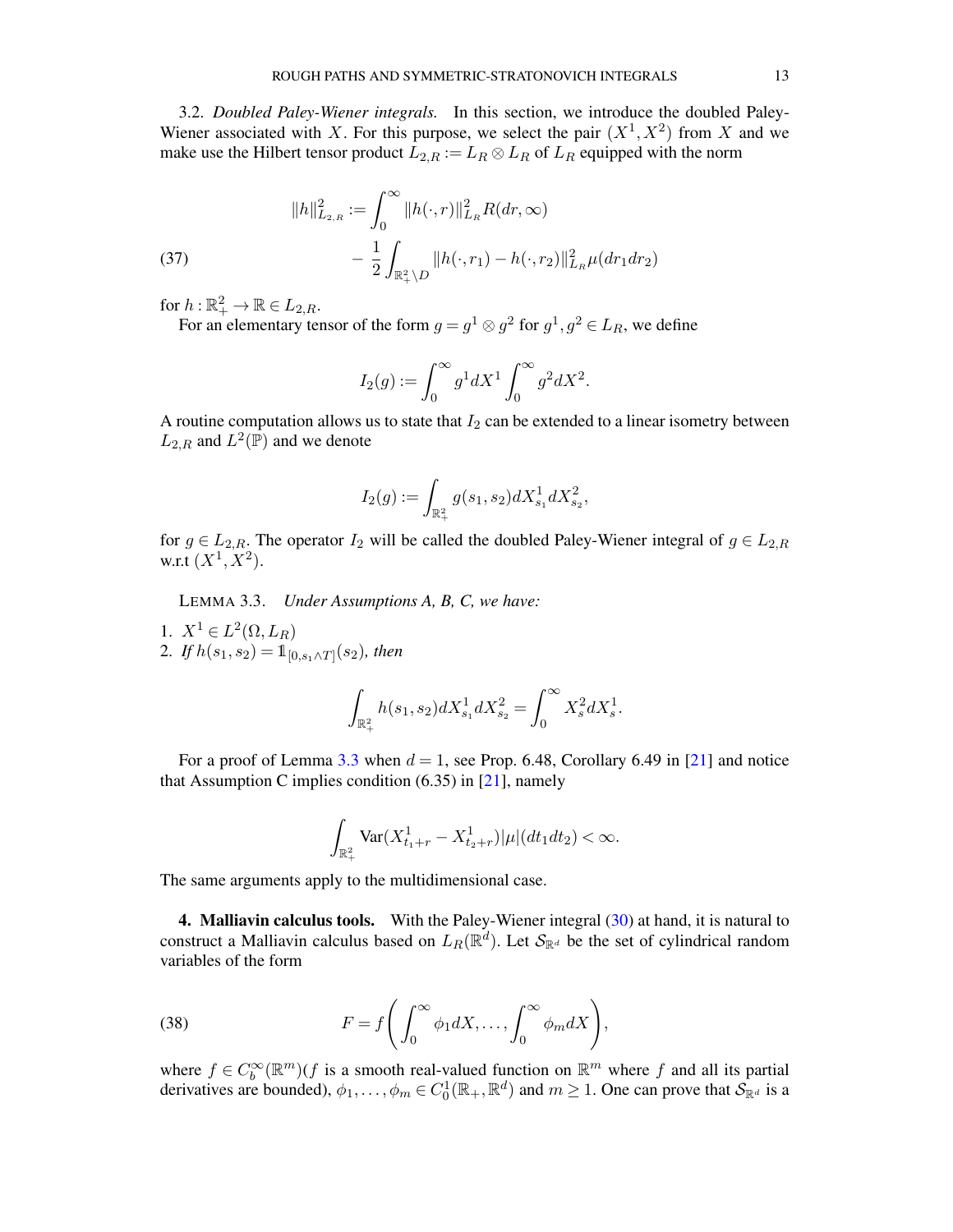3.2. *Doubled Paley-Wiener integrals.* In this section, we introduce the doubled Paley-Wiener associated with X. For this purpose, we select the pair  $(X^1, X^2)$  from X and we make use the Hilbert tensor product  $L_{2,R} := L_R \otimes L_R$  of  $L_R$  equipped with the norm

<span id="page-12-3"></span>(37) 
$$
||h||_{L_{2,R}}^2 := \int_0^\infty ||h(\cdot,r)||_{L_R}^2 R(dr,\infty) - \frac{1}{2} \int_{\mathbb{R}_+^2 \setminus D} ||h(\cdot,r_1) - h(\cdot,r_2)||_{L_R}^2 \mu(dr_1 dr_2)
$$

for  $h:\mathbb{R}^2_+\to\mathbb{R}\in L_{2,R}$ .

For an elementary tensor of the form  $g = g^1 \otimes g^2$  for  $g^1, g^2 \in L_R$ , we define

$$
I_2(g) := \int_0^\infty g^1 dX^1 \int_0^\infty g^2 dX^2.
$$

A routine computation allows us to state that  $I_2$  can be extended to a linear isometry between  $L_{2,R}$  and  $L^2(\bar{\mathbb{P}})$  and we denote

$$
I_2(g):=\int_{\mathbb{R}_+^2}g(s_1,s_2)dX^1_{s_1}dX^2_{s_2},
$$

for  $g \in L_{2,R}$ . The operator  $I_2$  will be called the doubled Paley-Wiener integral of  $g \in L_{2,R}$ w.r.t  $(X^1, X^2)$ .

<span id="page-12-1"></span>LEMMA 3.3. *Under Assumptions A, B, C, we have:*

1.  $X^1 \in L^2(\Omega, L_R)$ 2. If  $h(s_1, s_2) = 1\!\mathbb{1}_{[0, s_1 \wedge T]}(s_2)$ , then

$$
\int_{\mathbb{R}^2_+} h(s_1,s_2) dX^1_{s_1} dX^2_{s_2} = \int_0^\infty X^2_s dX^1_s.
$$

For a proof of Lemma [3.3](#page-12-1) when  $d = 1$ , see Prop. 6.48, Corollary 6.49 in [\[21\]](#page-52-22) and notice that Assumption C implies condition  $(6.35)$  in [\[21](#page-52-22)], namely

$$
\int_{\mathbb{R}^2_+} \text{Var}(X^1_{t_1+r} - X^1_{t_2+r}) |\mu|(dt_1 dt_2) < \infty.
$$

The same arguments apply to the multidimensional case.

<span id="page-12-0"></span>4. Malliavin calculus tools. With the Paley-Wiener integral [\(30\)](#page-10-1) at hand, it is natural to construct a Malliavin calculus based on  $L_R(\mathbb{R}^d)$ . Let  $\mathcal{S}_{\mathbb{R}^d}$  be the set of cylindrical random variables of the form

<span id="page-12-2"></span>(38) 
$$
F = f\left(\int_0^\infty \phi_1 dX, \dots, \int_0^\infty \phi_m dX\right),
$$

where  $f \in C_b^{\infty}(\mathbb{R}^m)$  (f is a smooth real-valued function on  $\mathbb{R}^m$  where f and all its partial derivatives are bounded),  $\phi_1, \dots, \phi_m \in C_0^1(\mathbb{R}_+, \mathbb{R}^d)$  and  $m \ge 1$ . One can prove that  $\mathcal{S}_{\mathbb{R}^d}$  is a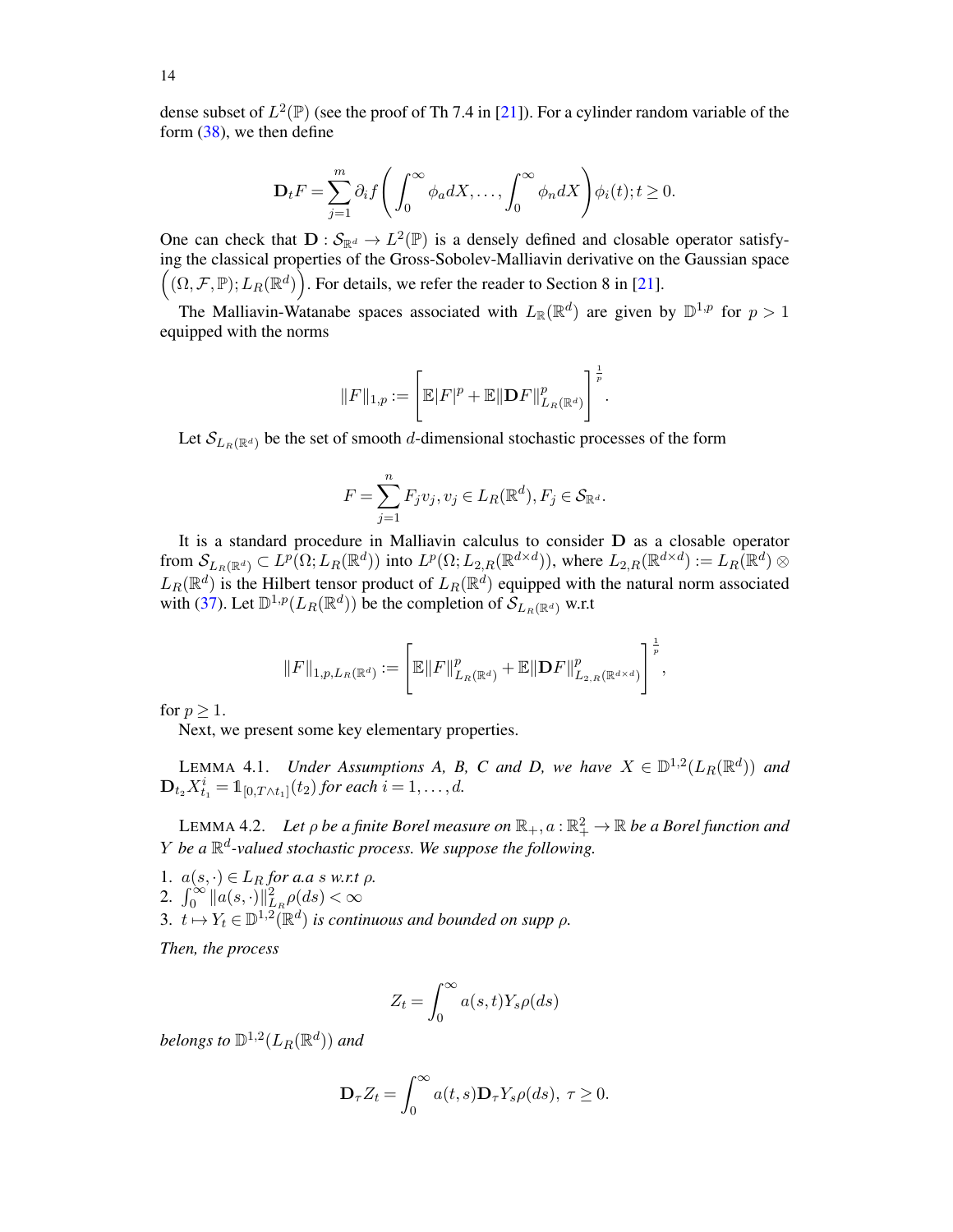dense subset of  $L^2(\mathbb{P})$  (see the proof of Th 7.4 in [\[21\]](#page-52-22)). For a cylinder random variable of the form [\(38\)](#page-12-2), we then define

$$
\mathbf{D}_t F = \sum_{j=1}^m \partial_i f\left(\int_0^\infty \phi_a dX, \dots, \int_0^\infty \phi_n dX\right) \phi_i(t); t \ge 0.
$$

One can check that  $\mathbf{D}: \mathcal{S}_{\mathbb{R}^d} \to L^2(\mathbb{P})$  is a densely defined and closable operator satisfying the classical properties of the Gross-Sobolev-Malliavin derivative on the Gaussian space  $((\Omega, \mathcal{F}, \mathbb{P}); L_R(\mathbb{R}^d))$ . For details, we refer the reader to Section 8 in [\[21\]](#page-52-22).

The Malliavin-Watanabe spaces associated with  $L_{\mathbb{R}}(\mathbb{R}^d)$  are given by  $\mathbb{D}^{1,p}$  for  $p > 1$ equipped with the norms

$$
||F||_{1,p} := \left[ \mathbb{E} |F|^p + \mathbb{E} ||\mathbf{D} F||_{L_R(\mathbb{R}^d)}^p \right]^{\frac{1}{p}}.
$$

Let  $\mathcal{S}_{L_R(\mathbb{R}^d)}$  be the set of smooth d-dimensional stochastic processes of the form

$$
F = \sum_{j=1}^n F_j v_j, v_j \in L_R(\mathbb{R}^d), F_j \in \mathcal{S}_{\mathbb{R}^d}.
$$

It is a standard procedure in Malliavin calculus to consider D as a closable operator from  $\mathcal{S}_{L_R(\mathbb{R}^d)} \subset L^p(\Omega; L_R(\mathbb{R}^d))$  into  $L^p(\Omega; L_{2,R}(\mathbb{R}^{d \times d}))$ , where  $L_{2,R}(\mathbb{R}^{d \times d}) := L_R(\mathbb{R}^d) \otimes$  $L_R(\mathbb{R}^d)$  is the Hilbert tensor product of  $L_R(\mathbb{R}^d)$  equipped with the natural norm associated with [\(37\)](#page-12-3). Let  $\mathbb{D}^{1,p}(L_R(\mathbb{R}^d))$  be the completion of  $\widetilde{\mathcal{S}}_{L_R(\mathbb{R}^d)}$  w.r.t

$$
||F||_{1,p,L_R(\mathbb{R}^d)} := \left[\mathbb{E}||F||^p_{L_R(\mathbb{R}^d)} + \mathbb{E}||DF||^p_{L_{2,R}(\mathbb{R}^{d\times d})}\right]^{\frac{1}{p}},
$$

for  $p \geq 1$ .

Next, we present some key elementary properties.

<span id="page-13-1"></span>LEMMA 4.1. *Under Assumptions A, B, C and D, we have*  $X \in D^{1,2}(L_R(\mathbb{R}^d))$  and  ${\rm\textbf{D}}_{t_2} X_{t_1}^i = \mathbb{1}_{[0, T \wedge t_1]}(t_2)$  for each  $i = 1, \ldots, d$ .

<span id="page-13-0"></span>LEMMA 4.2. Let  $\rho$  be a finite Borel measure on  $\mathbb{R}_+,a$  :  $\mathbb{R}_+^2\to\mathbb{R}$  be a Borel function and Y *be a* R d *-valued stochastic process. We suppose the following.*

1.  $a(s, \cdot) \in L_R$  *for a.a s w.r.t*  $\rho$ *.* 2.  $\int_0^\infty ||a(s, \cdot)||^2_{L_R} \rho(ds) < \infty$ 3.  $t \mapsto Y_t \in \mathbb{D}^{1,2}(\mathbb{R}^d)$  *is continuous and bounded on supp*  $\rho$ .

*Then, the process*

$$
Z_t = \int_0^\infty a(s, t) Y_s \rho(ds)
$$

belongs to  $\mathbb{D}^{1,2}(L_R(\mathbb{R}^d))$  and

$$
\mathbf{D}_{\tau }Z_{t}=\int_{0}^{\infty }a(t,s)\mathbf{D}_{\tau }Y_{s}\rho (ds),\ \tau \geq 0.
$$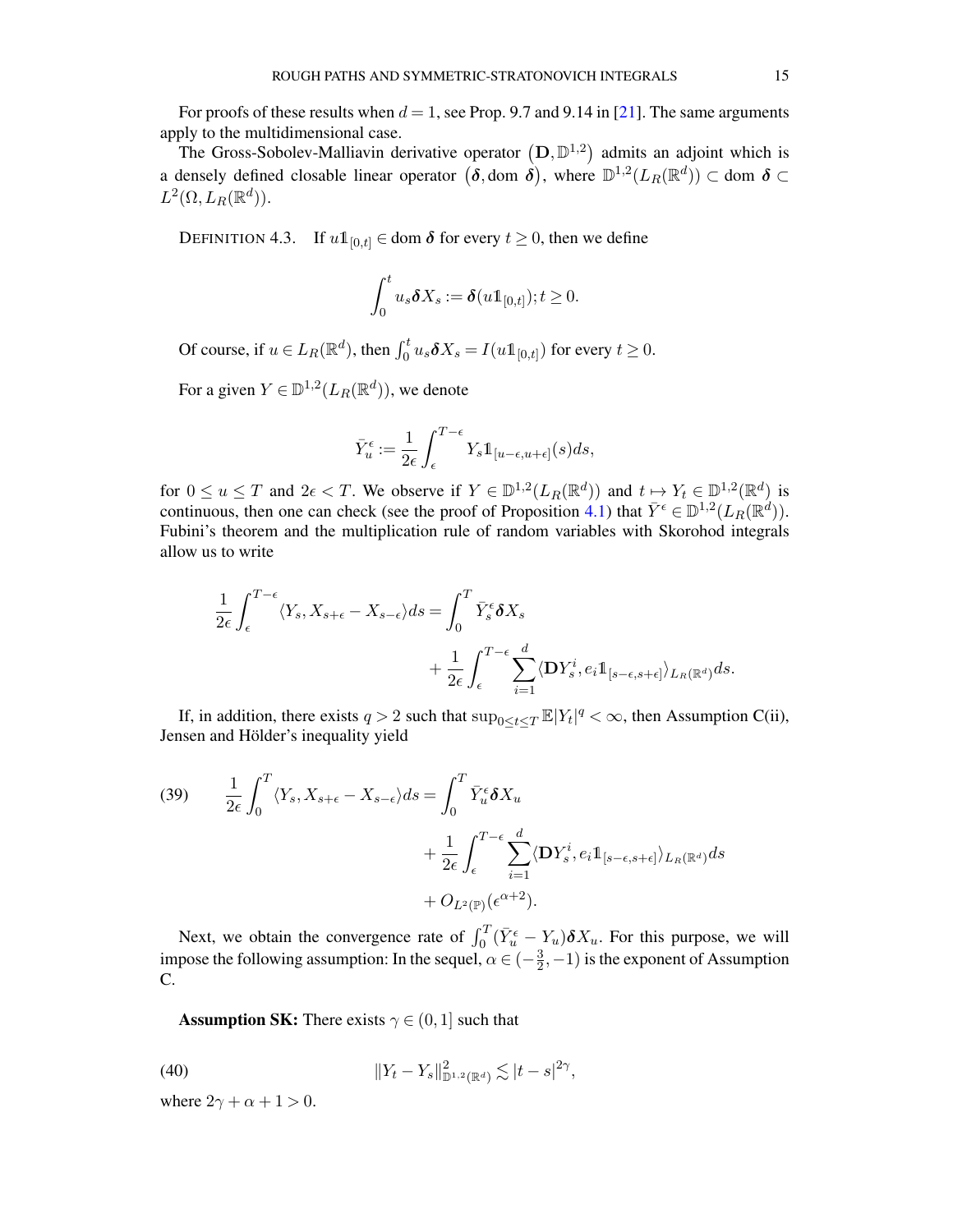For proofs of these results when  $d = 1$ , see Prop. 9.7 and 9.14 in [\[21\]](#page-52-22). The same arguments apply to the multidimensional case.

The Gross-Sobolev-Malliavin derivative operator  $(D, D<sup>1,2</sup>)$  admits an adjoint which is a densely defined closable linear operator  $(\delta,$  dom  $\delta)$ , where  $\mathbb{D}^{1,2}(L_R(\mathbb{R}^d)) \subset$  dom  $\delta \subset$  $L^2(\Omega, L_R(\mathbb{R}^d)).$ 

DEFINITION 4.3. If  $u1_{[0,t]} \in \text{dom } \delta$  for every  $t \ge 0$ , then we define

$$
\int_0^t u_s \delta X_s := \delta(u 1\!\!1_{[0,t]}); t \geq 0.
$$

Of course, if  $u \in L_R(\mathbb{R}^d)$ , then  $\int_0^t u_s \delta X_s = I(u1\mathbb{1}_{[0,t]})$  for every  $t \ge 0$ .

For a given  $Y \in \mathbb{D}^{1,2}(L_R(\mathbb{R}^d))$ , we denote

$$
\bar{Y}_u^{\epsilon} := \frac{1}{2\epsilon} \int_{\epsilon}^{T-\epsilon} Y_s \mathbb{1}_{[u-\epsilon, u+\epsilon]}(s) ds,
$$

for  $0 \le u \le T$  and  $2\epsilon < T$ . We observe if  $Y \in \mathbb{D}^{1,2}(L_R(\mathbb{R}^d))$  and  $t \mapsto Y_t \in \mathbb{D}^{1,2}(\mathbb{R}^d)$  is continuous, then one can check (see the proof of Proposition [4.1\)](#page-16-0) that  $\bar{Y}^{\epsilon} \in \mathbb{D}^{1,2}(L_R(\mathbb{R}^d))$ . Fubini's theorem and the multiplication rule of random variables with Skorohod integrals allow us to write

$$
\frac{1}{2\epsilon} \int_{\epsilon}^{T-\epsilon} \langle Y_s, X_{s+\epsilon} - X_{s-\epsilon} \rangle ds = \int_{0}^{T} \bar{Y}_s^{\epsilon} \delta X_s \n+ \frac{1}{2\epsilon} \int_{\epsilon}^{T-\epsilon} \sum_{i=1}^{d} \langle \mathbf{D} Y_s^i, e_i \mathbb{1}_{[s-\epsilon, s+\epsilon]} \rangle_{L_R(\mathbb{R}^d)} ds.
$$

If, in addition, there exists  $q > 2$  such that  $\sup_{0 \le t \le T} \mathbb{E}|Y_t|^q < \infty$ , then Assumption C(ii), Jensen and Hölder's inequality yield

<span id="page-14-1"></span>(39) 
$$
\frac{1}{2\epsilon} \int_0^T \langle Y_s, X_{s+\epsilon} - X_{s-\epsilon} \rangle ds = \int_0^T \bar{Y}_u^{\epsilon} \delta X_u + \frac{1}{2\epsilon} \int_{\epsilon}^{T-\epsilon} \sum_{i=1}^d \langle \mathbf{D} Y_s^i, e_i \mathbb{1}_{[s-\epsilon, s+\epsilon]} \rangle_{L_R(\mathbb{R}^d)} ds + O_{L^2(\mathbb{P})}(\epsilon^{\alpha+2}).
$$

Next, we obtain the convergence rate of  $\int_0^T (\bar{Y}_u^{\epsilon} - Y_u) \delta X_u$ . For this purpose, we will impose the following assumption: In the sequel,  $\alpha \in (-\frac{3}{2})$  $(\frac{3}{2},-1)$  is the exponent of Assumption C.

<span id="page-14-0"></span>**Assumption SK:** There exists  $\gamma \in (0, 1]$  such that

(40) 
$$
||Y_t - Y_s||_{\mathbb{D}^{1,2}(\mathbb{R}^d)}^2 \lesssim |t - s|^{2\gamma},
$$

where  $2\gamma + \alpha + 1 > 0$ .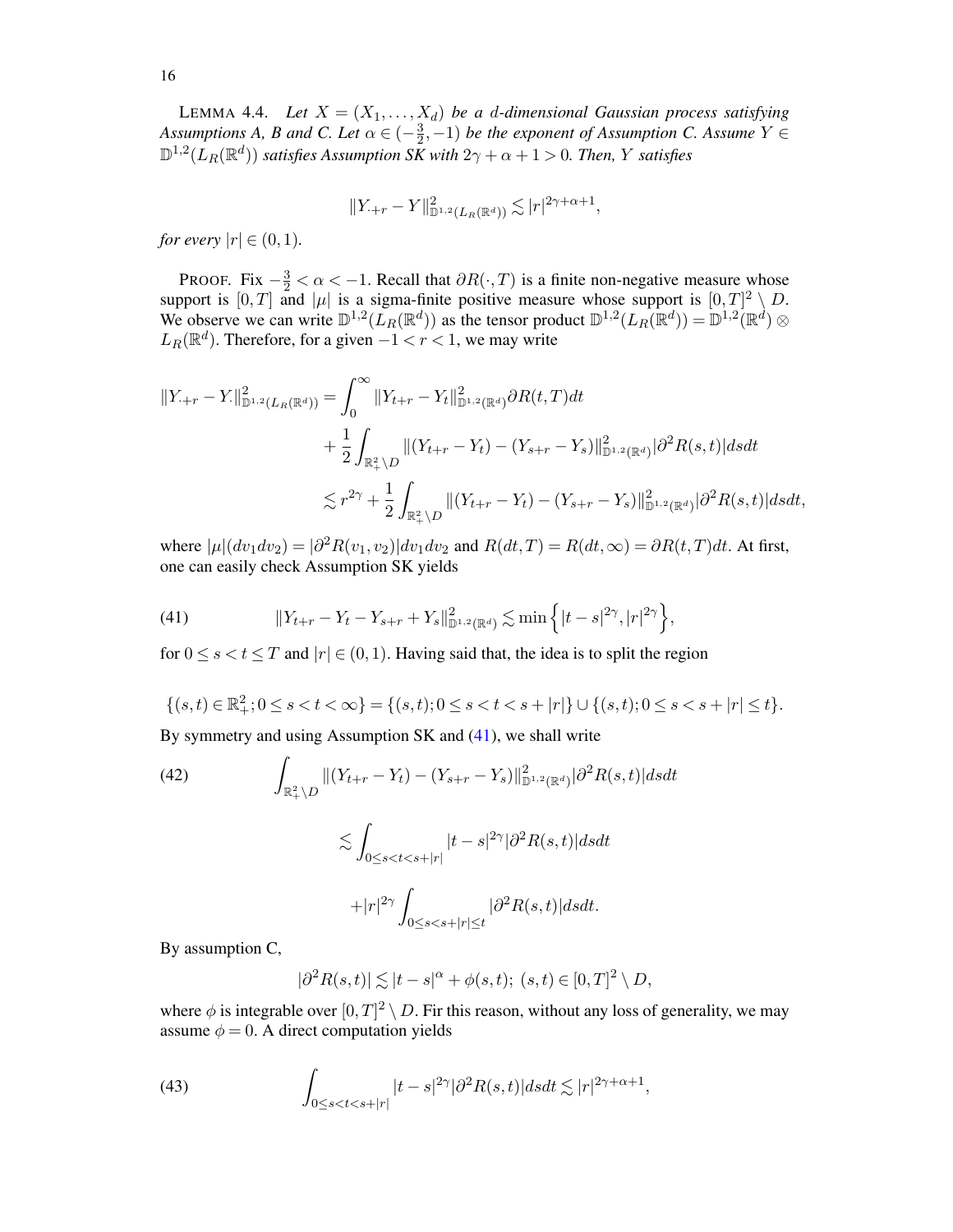<span id="page-15-0"></span>LEMMA 4.4. *Let*  $X = (X_1, \ldots, X_d)$  *be a d-dimensional Gaussian process satisfying Assumptions A, B and C. Let*  $\alpha \in (-\frac{3}{2})$  $(\frac{3}{2},-1)$  *be the exponent of Assumption C. Assume*  $Y \in$  $\mathbb{D}^{1,2}(L_R(\mathbb{R}^d))$  *satisfies Assumption SK with*  $2\gamma+\alpha+1>0$ *. Then, Y satisfies* 

$$
||Y_{\cdot+r} - Y||_{\mathbb{D}^{1,2}(L_R(\mathbb{R}^d))}^2 \lesssim |r|^{2\gamma + \alpha + 1},
$$

*for every*  $|r| \in (0,1)$ *.* 

PROOF. Fix  $-\frac{3}{2} < \alpha < -1$ . Recall that  $\partial R(\cdot, T)$  is a finite non-negative measure whose support is  $[0, T]$  and  $|\mu|$  is a sigma-finite positive measure whose support is  $[0, T]^2 \setminus D$ . We observe we can write  $\mathbb{D}^{1,2}(L_R(\mathbb{R}^d))$  as the tensor product  $\mathbb{D}^{1,2}(L_R(\mathbb{R}^d)) = \mathbb{D}^{1,2}(\mathbb{R}^d) \otimes$  $L_R(\mathbb{R}^d)$ . Therefore, for a given  $-1 < r < 1$ , we may write

$$
||Y_{\cdot+r} - Y_{\cdot}||_{\mathbb{D}^{1,2}(L_R(\mathbb{R}^d))}^2 = \int_0^{\infty} ||Y_{t+r} - Y_t||_{\mathbb{D}^{1,2}(\mathbb{R}^d)}^2 \partial R(t,T) dt + \frac{1}{2} \int_{\mathbb{R}_+^2 \setminus D} ||(Y_{t+r} - Y_t) - (Y_{s+r} - Y_s)||_{\mathbb{D}^{1,2}(\mathbb{R}^d)}^2 |\partial^2 R(s,t)| ds dt \n\lesssim r^{2\gamma} + \frac{1}{2} \int_{\mathbb{R}_+^2 \setminus D} ||(Y_{t+r} - Y_t) - (Y_{s+r} - Y_s)||_{\mathbb{D}^{1,2}(\mathbb{R}^d)}^2 |\partial^2 R(s,t)| ds dt,
$$

where  $|\mu|(dv_1dv_2) = |\partial^2 R(v_1, v_2)| dv_1dv_2$  and  $R(dt, T) = R(dt, \infty) = \partial R(t, T)dt$ . At first, one can easily check Assumption SK yields

<span id="page-15-1"></span>(41) 
$$
||Y_{t+r} - Y_t - Y_{s+r} + Y_s||_{\mathbb{D}^{1,2}(\mathbb{R}^d)}^2 \lesssim \min\left\{|t-s|^{2\gamma}, |r|^{2\gamma}\right\},\,
$$

for  $0 \le s < t \le T$  and  $|r| \in (0, 1)$ . Having said that, the idea is to split the region

$$
\{(s,t)\in\mathbb{R}^2_+;0\leq s
$$

By symmetry and using Assumption SK and [\(41\)](#page-15-1), we shall write

<span id="page-15-2"></span>(42)  
\n
$$
\int_{\mathbb{R}^2_+ \backslash D} ||(Y_{t+r} - Y_t) - (Y_{s+r} - Y_s)||_{\mathbb{D}^{1,2}(\mathbb{R}^d)}^2 |\partial^2 R(s,t)| ds dt
$$
\n
$$
\lesssim \int_{0 \le s < t < s+|r|} |t-s|^{2\gamma} |\partial^2 R(s,t)| ds dt
$$
\n
$$
+ |r|^{2\gamma} \int_{0 \le s < s+|r| \le t} |\partial^2 R(s,t)| ds dt.
$$

By assumption C,

<span id="page-15-3"></span>
$$
|\partial^2 R(s,t)| \lesssim |t-s|^{\alpha} + \phi(s,t); \ (s,t) \in [0,T]^2 \setminus D,
$$

where  $\phi$  is integrable over  $[0, T]^2 \setminus D$ . Fir this reason, without any loss of generality, we may assume  $\phi = 0$ . A direct computation yields

(43) 
$$
\int_{0 \le s < t < s+|r|} |t-s|^{2\gamma} |\partial^2 R(s,t)| ds dt \lesssim |r|^{2\gamma+\alpha+1},
$$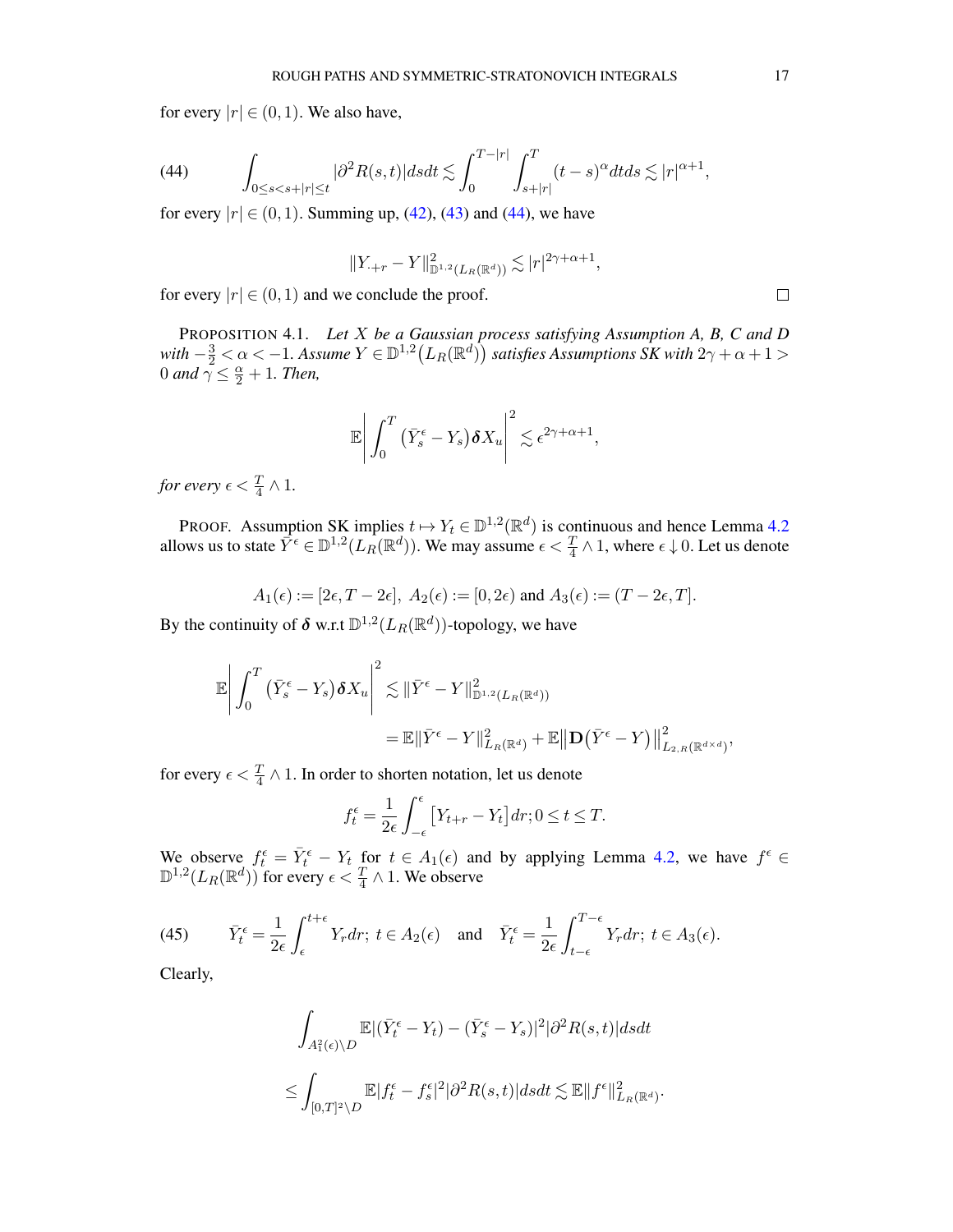for every  $|r| \in (0,1)$ . We also have,

<span id="page-16-1"></span>(44) 
$$
\int_{0 \leq s < s+|r| \leq t} |\partial^2 R(s,t)| ds dt \lesssim \int_0^{T-|r|} \int_{s+|r|}^T (t-s)^\alpha dt ds \lesssim |r|^{\alpha+1},
$$

for every  $|r| \in (0, 1)$ . Summing up, [\(42\)](#page-15-2), [\(43\)](#page-15-3) and [\(44\)](#page-16-1), we have

$$
||Y_{\cdot+r} - Y||_{\mathbb{D}^{1,2}(L_R(\mathbb{R}^d))}^2 \lesssim |r|^{2\gamma + \alpha + 1}
$$

,

for every  $|r| \in (0, 1)$  and we conclude the proof.

<span id="page-16-0"></span>PROPOSITION 4.1. *Let* X *be a Gaussian process satisfying Assumption A, B, C and D* with  $-\frac{3}{2} < \alpha < -1$ . Assume  $Y \in \mathbb{D}^{1,2}\big(L_R(\mathbb{R}^d)\big)$  satisfies Assumptions SK with  $2\gamma + \alpha + 1 >$ 0 and  $\gamma \leq \frac{\alpha}{2} + 1$ . Then,

$$
\mathbb{E}\bigg|\int_0^T\big(\bar{Y}_s^{\epsilon}-Y_s\big)\boldsymbol{\delta} X_u\bigg|^2\lesssim \epsilon^{2\gamma+\alpha+1},
$$

*for every*  $\epsilon < \frac{T}{4} \wedge 1$ .

PROOF. Assumption SK implies  $t \mapsto Y_t \in \mathbb{D}^{1,2}(\mathbb{R}^d)$  is continuous and hence Lemma [4.2](#page-13-0) allows us to state  $\bar{Y}^{\epsilon} \in \mathbb{D}^{1,2}(L_R(\mathbb{R}^d))$ . We may assume  $\epsilon < \frac{T}{4} \wedge 1$ , where  $\epsilon \downarrow 0$ . Let us denote

$$
A_1(\epsilon) := [2\epsilon, T - 2\epsilon], A_2(\epsilon) := [0, 2\epsilon) \text{ and } A_3(\epsilon) := (T - 2\epsilon, T].
$$

By the continuity of  $\delta$  w.r.t  $\mathbb{D}^{1,2}(L_R(\mathbb{R}^d))$ -topology, we have

$$
\mathbb{E}\left|\int_{0}^{T} (\bar{Y}_{s}^{\epsilon} - Y_{s}) \delta X_{u}\right|^{2} \lesssim \|\bar{Y}^{\epsilon} - Y\|_{\mathbb{D}^{1,2}(L_{R}(\mathbb{R}^{d}))}^{2}
$$
  

$$
= \mathbb{E}\|\bar{Y}^{\epsilon} - Y\|_{L_{R}(\mathbb{R}^{d})}^{2} + \mathbb{E}\|\mathbf{D}(\bar{Y}^{\epsilon} - Y)\|_{L_{2,R}(\mathbb{R}^{d \times d})}^{2},
$$

for every  $\epsilon < \frac{T}{4} \wedge 1$ . In order to shorten notation, let us denote

$$
f_t^{\epsilon} = \frac{1}{2\epsilon} \int_{-\epsilon}^{\epsilon} \left[ Y_{t+r} - Y_t \right] dr; 0 \le t \le T.
$$

We observe  $f_t^{\epsilon} = \overline{Y}_t^{\epsilon} - Y_t$  for  $t \in A_1(\epsilon)$  and by applying Lemma [4.2,](#page-13-0) we have  $f^{\epsilon} \in$  $\mathbb{D}^{1,2}(L_R(\mathbb{R}^d))$  for every  $\epsilon < \frac{T}{4} \wedge 1$ . We observe

<span id="page-16-2"></span>(45) 
$$
\bar{Y}_t^{\epsilon} = \frac{1}{2\epsilon} \int_{\epsilon}^{t+\epsilon} Y_r dr; \ t \in A_2(\epsilon) \quad \text{and} \quad \bar{Y}_t^{\epsilon} = \frac{1}{2\epsilon} \int_{t-\epsilon}^{T-\epsilon} Y_r dr; \ t \in A_3(\epsilon).
$$

Clearly,

$$
\int_{A_1^2(\epsilon)\backslash D} \mathbb{E} |(\bar{Y}_t^{\epsilon} - Y_t) - (\bar{Y}_s^{\epsilon} - Y_s)|^2 |\partial^2 R(s, t)| ds dt
$$
  

$$
\leq \int_{[0,T]^2\backslash D} \mathbb{E} |f_t^{\epsilon} - f_s^{\epsilon}|^2 |\partial^2 R(s,t)| ds dt \lesssim \mathbb{E} ||f^{\epsilon}||_{L_R(\mathbb{R}^d)}^2.
$$

 $\Box$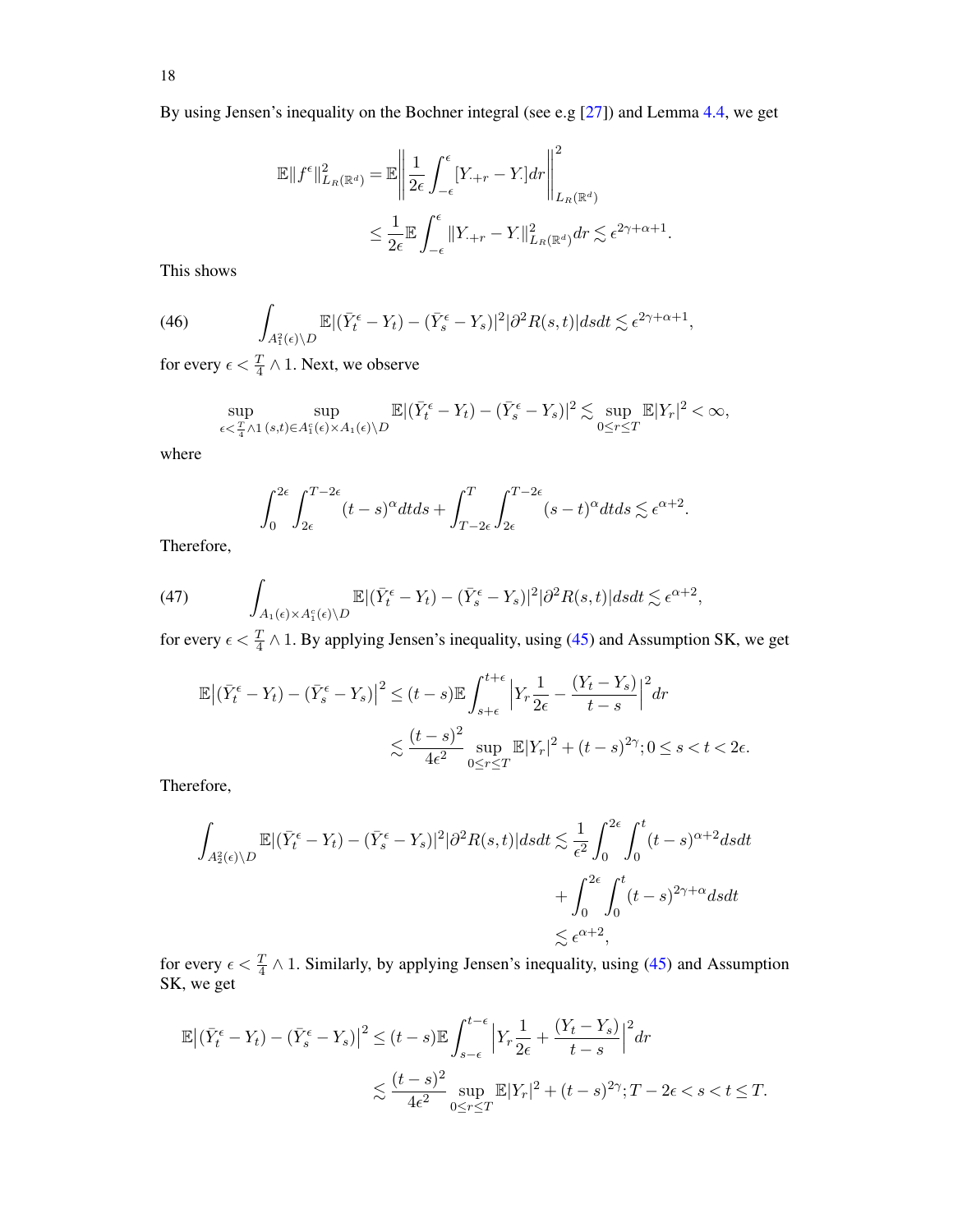By using Jensen's inequality on the Bochner integral (see e.g [\[27](#page-52-23)]) and Lemma [4.4,](#page-15-0) we get

$$
\mathbb{E}||f^{\epsilon}||_{L_R(\mathbb{R}^d)}^2 = \mathbb{E}\left\|\frac{1}{2\epsilon}\int_{-\epsilon}^{\epsilon} [Y_{\cdot+r} - Y_{\cdot}]dr\right\|_{L_R(\mathbb{R}^d)}^2
$$
  

$$
\leq \frac{1}{2\epsilon} \mathbb{E}\int_{-\epsilon}^{\epsilon} ||Y_{\cdot+r} - Y_{\cdot}||_{L_R(\mathbb{R}^d)}^2 dr \lesssim \epsilon^{2\gamma+\alpha+1}.
$$

This shows

(46) 
$$
\int_{A_1^2(\epsilon)\backslash D} \mathbb{E}|(\bar{Y}_t^{\epsilon} - Y_t) - (\bar{Y}_s^{\epsilon} - Y_s)|^2 |\partial^2 R(s,t)| ds dt \lesssim \epsilon^{2\gamma + \alpha + 1},
$$

for every  $\epsilon < \frac{T}{4} \wedge 1$ . Next, we observe

<span id="page-17-0"></span>
$$
\sup_{\epsilon < \frac{T}{4} \wedge 1} \sup_{(s,t) \in A_1^c(\epsilon) \times A_1(\epsilon) \setminus D} \mathbb{E} |(\bar{Y}_t^{\epsilon} - Y_t) - (\bar{Y}_s^{\epsilon} - Y_s)|^2 \lesssim \sup_{0 \leq r \leq T} \mathbb{E} |Y_r|^2 < \infty,
$$

where

$$
\int_0^{2\epsilon} \int_{2\epsilon}^{T-2\epsilon} (t-s)^\alpha dt ds + \int_{T-2\epsilon}^T \int_{2\epsilon}^{T-2\epsilon} (s-t)^\alpha dt ds \lesssim \epsilon^{\alpha+2}.
$$

Therefore,

<span id="page-17-1"></span>(47) 
$$
\int_{A_1(\epsilon)\times A_1^c(\epsilon)\backslash D} \mathbb{E} |(\bar{Y}_t^{\epsilon} - Y_t) - (\bar{Y}_s^{\epsilon} - Y_s)|^2 |\partial^2 R(s,t)| ds dt \lesssim \epsilon^{\alpha+2},
$$

for every  $\epsilon < \frac{T}{4} \wedge 1$ . By applying Jensen's inequality, using [\(45\)](#page-16-2) and Assumption SK, we get

$$
\mathbb{E}\left|\left(\bar{Y}_t^{\epsilon} - Y_t\right) - \left(\bar{Y}_s^{\epsilon} - Y_s\right)\right|^2 \le (t-s)\mathbb{E}\int_{s+\epsilon}^{t+\epsilon} \left|Y_r \frac{1}{2\epsilon} - \frac{\left(Y_t - Y_s\right)}{t-s}\right|^2 dr
$$
  

$$
\lesssim \frac{(t-s)^2}{4\epsilon^2} \sup_{0 \le r \le T} \mathbb{E}|Y_r|^2 + (t-s)^{2\gamma}; 0 \le s < t < 2\epsilon.
$$

Therefore,

$$
\int_{A_2^2(\epsilon)\backslash D} \mathbb{E} |(\bar{Y}_t^{\epsilon} - Y_t) - (\bar{Y}_s^{\epsilon} - Y_s)|^2 |\partial^2 R(s, t)| ds dt \lesssim \frac{1}{\epsilon^2} \int_0^{2\epsilon} \int_0^t (t - s)^{\alpha + 2} ds dt + \int_0^{2\epsilon} \int_0^t (t - s)^{2\gamma + \alpha} ds dt \lesssim \epsilon^{\alpha + 2},
$$

for every  $\epsilon < \frac{T}{4} \wedge 1$ . Similarly, by applying Jensen's inequality, using [\(45\)](#page-16-2) and Assumption SK, we get

$$
\mathbb{E}\left|\left(\bar{Y}_t^{\epsilon} - Y_t\right) - \left(\bar{Y}_s^{\epsilon} - Y_s\right)\right|^2 \le (t-s)\mathbb{E}\int_{s-\epsilon}^{t-\epsilon} \left|Y_r\frac{1}{2\epsilon} + \frac{\left(Y_t - Y_s\right)}{t-s}\right|^2 dr
$$
  

$$
\lesssim \frac{(t-s)^2}{4\epsilon^2} \sup_{0 \le r \le T} \mathbb{E}|Y_r|^2 + (t-s)^{2\gamma}; T - 2\epsilon < s < t \le T.
$$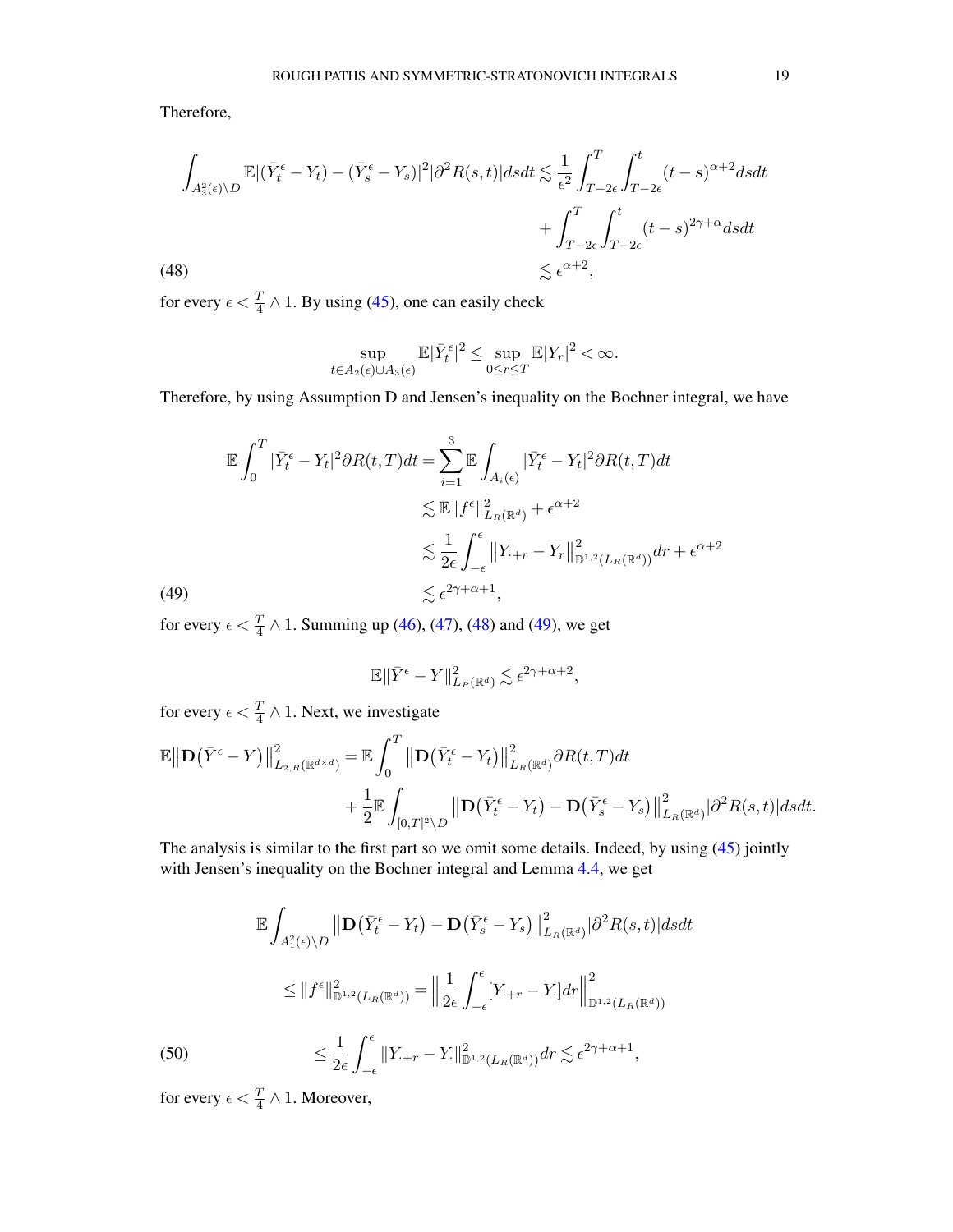Therefore,

<span id="page-18-0"></span>
$$
\int_{A_3^2(\epsilon)\backslash D} \mathbb{E} |(\bar{Y}_t^{\epsilon} - Y_t) - (\bar{Y}_s^{\epsilon} - Y_s)|^2 |\partial^2 R(s, t)| ds dt \lesssim \frac{1}{\epsilon^2} \int_{T-2\epsilon}^T \int_{T-2\epsilon}^t (t-s)^{\alpha+2} ds dt + \int_{T-2\epsilon}^T \int_{T-2\epsilon}^t (t-s)^{2\gamma+\alpha} ds dt \lesssim \epsilon^{\alpha+2},
$$
\n(48)

for every  $\epsilon < \frac{T}{4} \wedge 1$ . By using [\(45\)](#page-16-2), one can easily check

$$
\sup_{t \in A_2(\epsilon) \cup A_3(\epsilon)} \mathbb{E}|\bar{Y}_t^{\epsilon}|^2 \leq \sup_{0 \leq r \leq T} \mathbb{E}|Y_r|^2 < \infty.
$$

Therefore, by using Assumption D and Jensen's inequality on the Bochner integral, we have

<span id="page-18-1"></span>
$$
\mathbb{E} \int_0^T |\bar{Y}_t^{\epsilon} - Y_t|^2 \partial R(t, T) dt = \sum_{i=1}^3 \mathbb{E} \int_{A_i(\epsilon)} |\bar{Y}_t^{\epsilon} - Y_t|^2 \partial R(t, T) dt
$$
  
\$\lesssim \mathbb{E} ||f^{\epsilon}||^2\_{L\_R(\mathbb{R}^d)} + \epsilon^{\alpha+2}\$  
\$\lesssim \frac{1}{2\epsilon} \int\_{-\epsilon}^{\epsilon} ||Y\_{\cdot+r} - Y\_r||^2\_{\mathbb{D}^{1,2}(L\_R(\mathbb{R}^d))} dr + \epsilon^{\alpha+2}\$  
(49)  
\$\lesssim \epsilon^{2\gamma + \alpha + 1},

for every  $\epsilon < \frac{T}{4} \wedge 1$ . Summing up [\(46\)](#page-17-0), [\(47\)](#page-17-1), [\(48\)](#page-18-0) and [\(49\)](#page-18-1), we get

$$
\mathbb{E}\|\bar{Y}^{\epsilon}-Y\|_{L_R(\mathbb{R}^d)}^2\lesssim \epsilon^{2\gamma+\alpha+2},
$$

for every  $\epsilon < \frac{T}{4} \wedge 1$ . Next, we investigate

$$
\mathbb{E} \left\| \mathbf{D} (\bar{Y}^{\epsilon} - Y) \right\|_{L_{2,R}(\mathbb{R}^{d \times d})}^{2} = \mathbb{E} \int_{0}^{T} \left\| \mathbf{D} (\bar{Y}_{t}^{\epsilon} - Y_{t}) \right\|_{L_{R}(\mathbb{R}^{d})}^{2} \partial R(t, T) dt + \frac{1}{2} \mathbb{E} \int_{[0,T]^{2} \backslash D} \left\| \mathbf{D} (\bar{Y}_{t}^{\epsilon} - Y_{t}) - \mathbf{D} (\bar{Y}_{s}^{\epsilon} - Y_{s}) \right\|_{L_{R}(\mathbb{R}^{d})}^{2} |\partial^{2} R(s,t)| ds dt.
$$

The analysis is similar to the first part so we omit some details. Indeed, by using [\(45\)](#page-16-2) jointly with Jensen's inequality on the Bochner integral and Lemma [4.4,](#page-15-0) we get

$$
\mathbb{E} \int_{A_1^2(\epsilon)\backslash D} \left\| \mathbf{D} (\bar{Y}_t^{\epsilon} - Y_t) - \mathbf{D} (\bar{Y}_s^{\epsilon} - Y_s) \right\|_{L_R(\mathbb{R}^d)}^2 |\partial^2 R(s, t)| ds dt
$$
  
\n
$$
\leq \|f^{\epsilon}\|_{\mathbb{D}^{1,2}(L_R(\mathbb{R}^d))}^2 = \left\| \frac{1}{2\epsilon} \int_{-\epsilon}^{\epsilon} [Y_{\cdot+r} - Y_{\cdot}] dr \right\|_{\mathbb{D}^{1,2}(L_R(\mathbb{R}^d))}^2
$$
  
\n
$$
\leq \frac{1}{2\epsilon} \int_{-\epsilon}^{\epsilon} \|Y_{\cdot+r} - Y_{\cdot}\|_{\mathbb{D}^{1,2}(L_R(\mathbb{R}^d))}^2 dr \lesssim \epsilon^{2\gamma + \alpha + 1},
$$

<span id="page-18-2"></span>for every  $\epsilon < \frac{T}{4} \wedge 1$ . Moreover,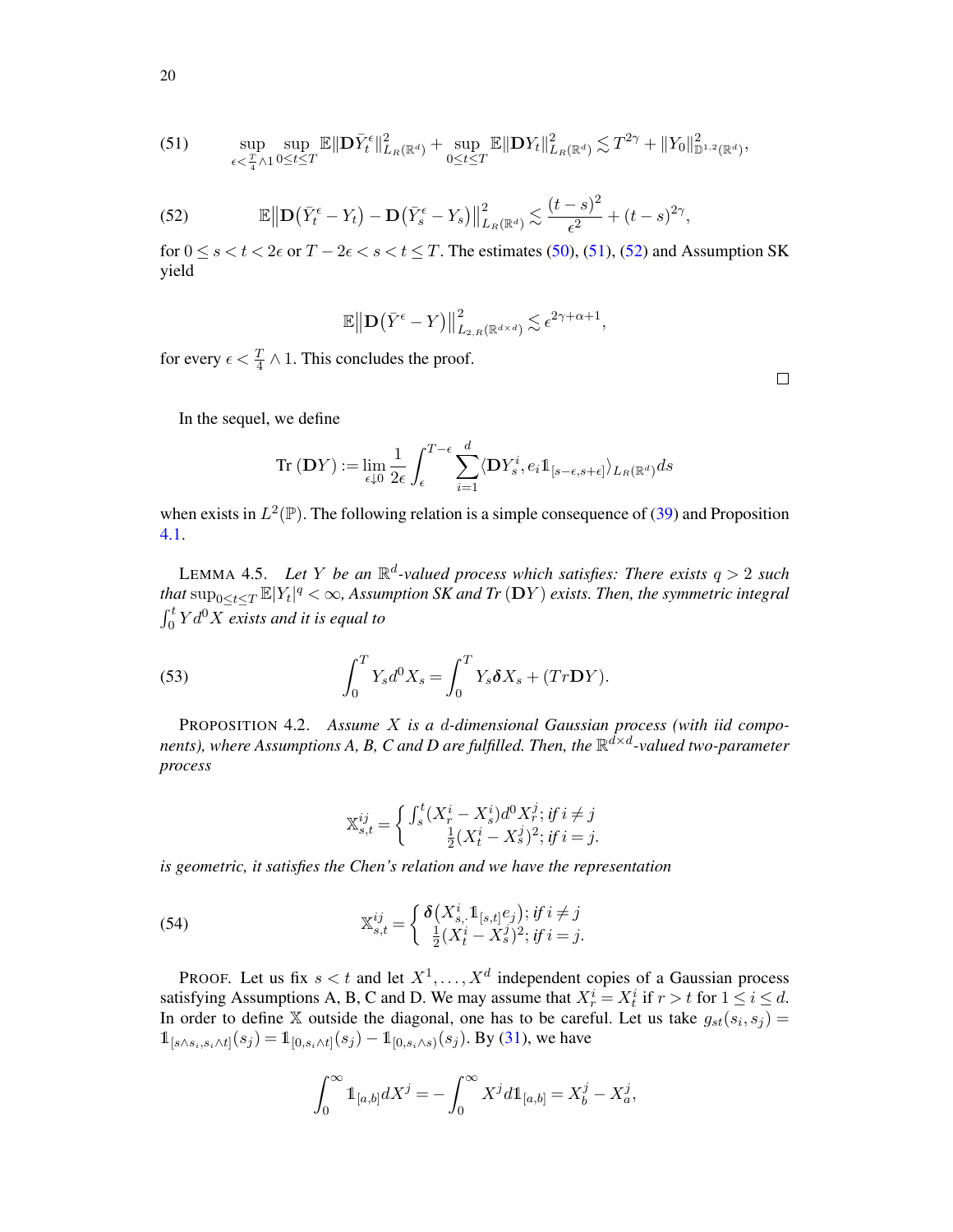<span id="page-19-0"></span>
$$
(51) \qquad \sup_{\epsilon \leq \frac{T}{4} \wedge 1}{\sup_{0 \leq t \leq T} {\mathbb{E} \Vert \mathbf{D}\bar{Y}_t^{\epsilon} \Vert_{L_R(\mathbb{R}^d)}^2} + \sup_{0 \leq t \leq T} {\mathbb{E} \Vert \mathbf{D}Y_t \Vert_{L_R(\mathbb{R}^d)}^2} \lesssim T^{2\gamma} + \Vert Y_0 \Vert_{\mathbb{D}^{1,2}(\mathbb{R}^d)}^2,
$$

<span id="page-19-1"></span>(52) 
$$
\mathbb{E}\big\|\mathbf{D}\big(\bar{Y}_t^{\epsilon}-Y_t\big)-\mathbf{D}\big(\bar{Y}_s^{\epsilon}-Y_s\big)\big\|_{L_R(\mathbb{R}^d)}^2\lesssim \frac{(t-s)^2}{\epsilon^2}+(t-s)^{2\gamma},
$$

for  $0 \le s < t < 2\epsilon$  or  $T - 2\epsilon < s < t \le T$ . The estimates [\(50\)](#page-18-2), [\(51\)](#page-19-0), [\(52\)](#page-19-1) and Assumption SK yield

$$
\mathbb{E}\big\|\mathbf{D}\big(\bar{Y}^{\epsilon}-Y\big)\big\|_{L_{2,R}\left(\mathbb{R}^{d\times d}\right)}^2 \lesssim \epsilon^{2\gamma+\alpha+1},
$$

for every  $\epsilon < \frac{T}{4} \wedge 1$ . This concludes the proof.

In the sequel, we define

$$
\text{Tr}\left(\mathbf{D}Y\right):=\lim_{\epsilon\downarrow 0}\frac{1}{2\epsilon}\int_\epsilon^{T-\epsilon}\sum_{i=1}^d\langle \mathbf{D}Y_s^i, e_i1\!\!1_{[s-\epsilon,s+\epsilon]}\rangle_{L_R(\mathbb{R}^d)}ds
$$

when exists in  $L^2(\mathbb{P})$ . The following relation is a simple consequence of [\(39\)](#page-14-1) and Proposition [4.1.](#page-16-0)

LEMMA 4.5. Let Y be an  $\mathbb{R}^d$ -valued process which satisfies: There exists  $q > 2$  such that  $\sup_{0\leq t\leq T}\mathbb{E}|Y_t|^q<\infty$ , Assumption SK and Tr  $(\mathbf{D}Y)$  exists. Then, the symmetric integral  $\int_0^t Y d^0 X \overline{e}$ *xists and it is equal to* 

(53) 
$$
\int_0^T Y_s d^0 X_s = \int_0^T Y_s \delta X_s + (Tr\mathbf{D}Y).
$$

<span id="page-19-3"></span>PROPOSITION 4.2. *Assume* X *is a* d*-dimensional Gaussian process (with iid compo*nents), where Assumptions A, B, C and D are fulfilled. Then, the  $\mathbb{R}^{\bar{d} \times d}$ -valued two-parameter *process*

<span id="page-19-2"></span>
$$
\mathbb{X}_{s,t}^{ij} = \begin{cases} \int_s^t (X_r^i - X_s^i) d^0 X_r^j; \, if \, i \neq j \\ \frac{1}{2} (X_t^i - X_s^j)^2; \, if \, i = j. \end{cases}
$$

*is geometric, it satisfies the Chen's relation and we have the representation*

(54) 
$$
\mathbb{X}_{s,t}^{ij} = \begin{cases} \delta\big(X_{s}^{i}, 1_{[s,t]}e_j\big); \text{if } i \neq j\\ \frac{1}{2}(X_t^{i} - X_s^{j})^2; \text{if } i = j. \end{cases}
$$

PROOF. Let us fix  $s < t$  and let  $X^1, \ldots, X^d$  independent copies of a Gaussian process satisfying Assumptions A, B, C and D. We may assume that  $X_r^i = X_t^i$  if  $r > t$  for  $1 \le i \le d$ . In order to define X outside the diagonal, one has to be careful. Let us take  $g_{st}(s_i, s_j) =$  $\mathbb{1}_{[s \wedge s_i, s_i \wedge t]}(s_j) = \mathbb{1}_{[0, s_i \wedge t]}(s_j) - \mathbb{1}_{[0, s_i \wedge s]}(s_j)$ . By [\(31\)](#page-10-2), we have

$$
\int_0^{\infty} 1\!\!1_{[a,b]} dX^j = -\int_0^{\infty} X^j d1\!\!1_{[a,b]} = X_b^j - X_a^j,
$$

20

 $\Box$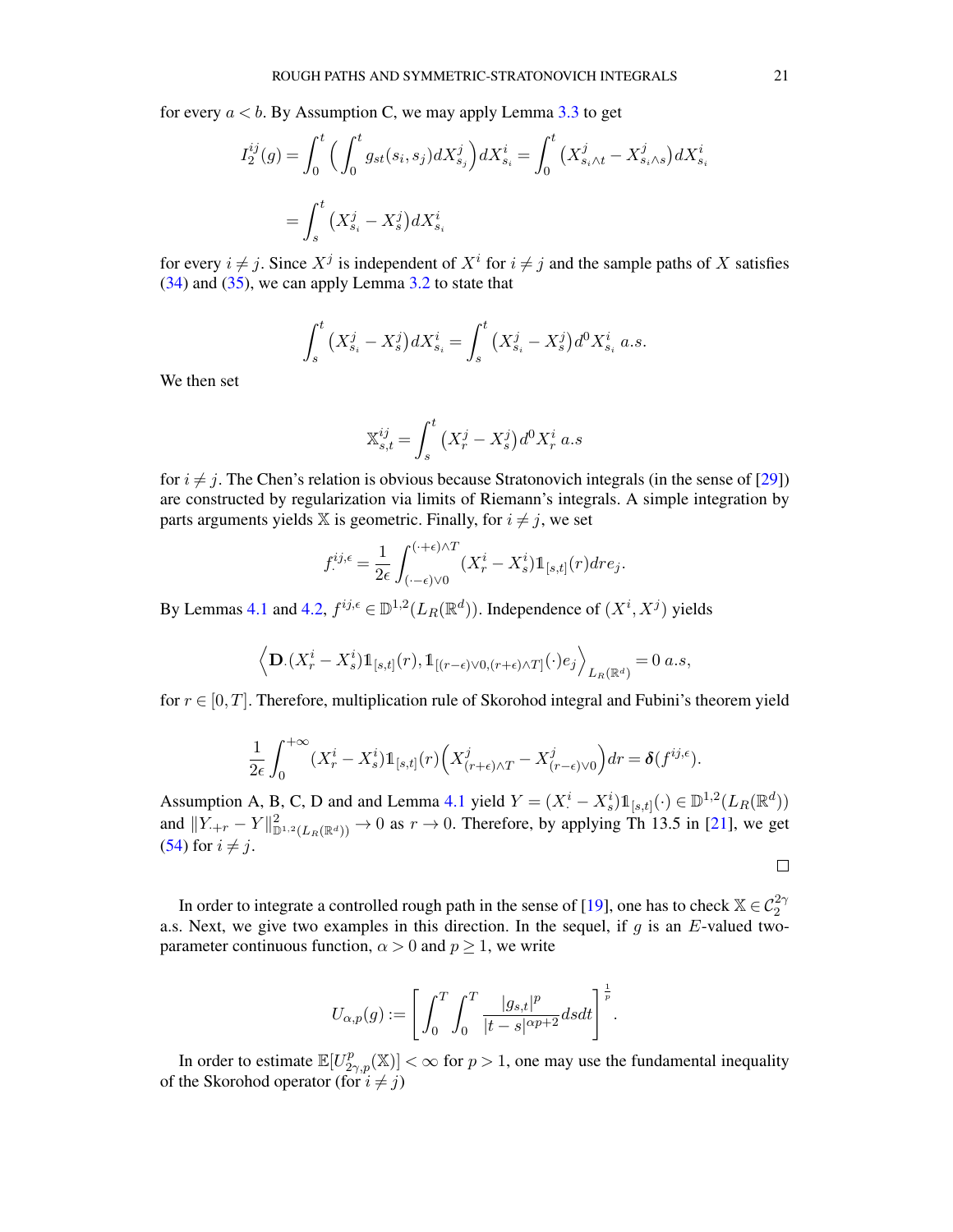for every  $a < b$ . By Assumption C, we may apply Lemma [3.3](#page-12-1) to get

$$
I_2^{ij}(g) = \int_0^t \Big( \int_0^t g_{st}(s_i, s_j) dX_{s_j}^j \Big) dX_{s_i}^i = \int_0^t \big( X_{s_i \wedge t}^j - X_{s_i \wedge s}^j \big) dX_{s_i}^i
$$
  
= 
$$
\int_s^t \big( X_{s_i}^j - X_s^j \big) dX_{s_i}^i
$$

for every  $i \neq j$ . Since  $X^j$  is independent of  $X^i$  for  $i \neq j$  and the sample paths of X satisfies [\(34\)](#page-11-1) and [\(35\)](#page-11-2), we can apply Lemma [3.2](#page-11-0) to state that

$$
\int_{s}^{t} (X_{s_i}^{j} - X_s^{j}) dX_{s_i}^{i} = \int_{s}^{t} (X_{s_i}^{j} - X_s^{j}) d^{0} X_{s_i}^{i} \ a.s.
$$

We then set

$$
\mathbb{X}_{s,t}^{ij} = \int_s^t \left( X_r^j - X_s^j \right) d^0 X_r^i \, a.s
$$

for  $i \neq j$ . The Chen's relation is obvious because Stratonovich integrals (in the sense of [\[29](#page-52-2)]) are constructed by regularization via limits of Riemann's integrals. A simple integration by parts arguments yields  $X$  is geometric. Finally, for  $i \neq j$ , we set

$$
f^{ij,\epsilon}_{\cdot} = \frac{1}{2\epsilon} \int_{(\cdot-\epsilon)\vee 0}^{(\cdot+\epsilon)\wedge T} (X_r^i - X_s^i) \mathbb{1}_{[s,t]}(r) dr e_j.
$$

By Lemmas [4.1](#page-13-1) and [4.2,](#page-13-0)  $f^{ij,\epsilon} \in \mathbb{D}^{1,2}(L_R(\mathbb{R}^d))$ . Independence of  $(X^i, X^j)$  yields

$$
\left\langle \mathbf{D} \left( X_r^i - X_s^i \right) 1\!\!1_{[s,t]}(r), 1\!\!1_{[(r-\epsilon)\vee 0, (r+\epsilon)\wedge T]}(\cdot) e_j \right\rangle_{L_R(\mathbb{R}^d)} = 0 \ a.s,
$$

for  $r \in [0, T]$ . Therefore, multiplication rule of Skorohod integral and Fubini's theorem yield

$$
\frac{1}{2\epsilon} \int_0^{+\infty} (X_r^i - X_s^i) \mathbb{1}_{[s,t]}(r) \left( X_{(r+\epsilon)\wedge T}^j - X_{(r-\epsilon)\vee 0}^j \right) dr = \delta(f^{ij,\epsilon}).
$$

Assumption A, B, C, D and and Lemma [4.1](#page-13-1) yield  $Y = (X_i^i - X_s^i) 1\!\!1_{[s,t]}(\cdot) \in \mathbb{D}^{1,2}(L_R(\mathbb{R}^d))$ and  $||Y_{\cdot+r} - Y||^2_{\mathbb{D}^{1,2}(L_R(\mathbb{R}^d))} \to 0$  as  $r \to 0$ . Therefore, by applying Th 13.5 in [\[21\]](#page-52-22), we get [\(54\)](#page-19-2) for  $i \neq j$ .

 $\Box$ 

In order to integrate a controlled rough path in the sense of [\[19\]](#page-52-1), one has to check  $\mathbb{X} \in C_2^{2\gamma}$ a.s. Next, we give two examples in this direction. In the sequel, if  $g$  is an  $E$ -valued twoparameter continuous function,  $\alpha > 0$  and  $p \ge 1$ , we write

$$
U_{\alpha,p}(g) := \left[ \int_0^T \int_0^T \frac{|g_{s,t}|^p}{|t-s|^{\alpha p+2}} ds dt \right]^{\frac{1}{p}}.
$$

In order to estimate  $\mathbb{E}[U^p_{2\gamma,p}(\mathbb{X})]<\infty$  for  $p>1$ , one may use the fundamental inequality of the Skorohod operator (for  $i \neq j$ )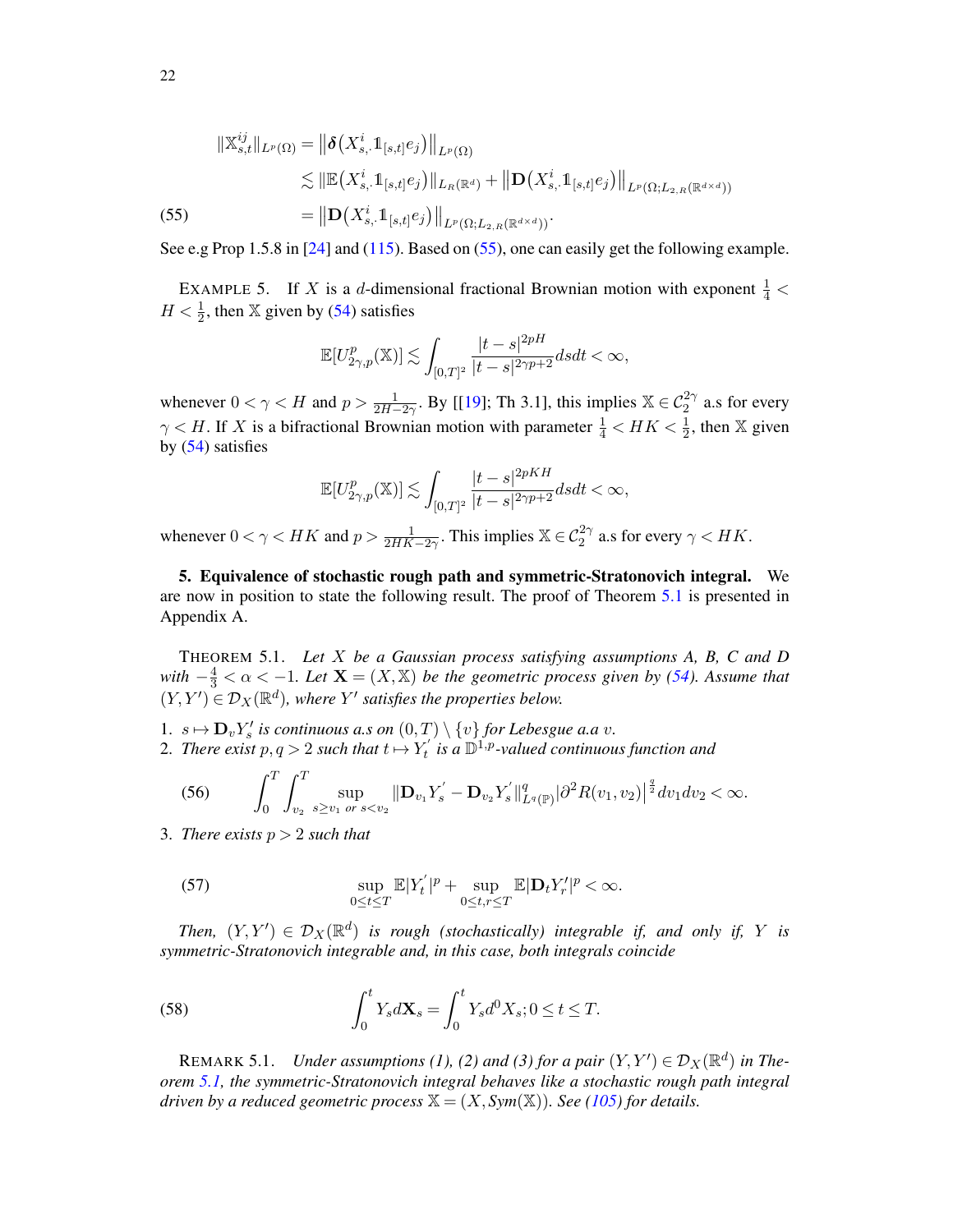<span id="page-21-2"></span>
$$
\|\mathbb{X}_{s,t}^{ij}\|_{L^{p}(\Omega)} = \|\boldsymbol{\delta}\big(X_{s,\cdot}^{i}\mathbb{1}_{[s,t]}e_{j}\big)\|_{L^{p}(\Omega)}
$$
  
\$\leq\$ 
$$
\|\mathbb{E}\big(X_{s,\cdot}^{i}\mathbb{1}_{[s,t]}e_{j}\big)\|_{L_{R}(\mathbb{R}^{d})} + \|\mathbf{D}\big(X_{s,\cdot}^{i}\mathbb{1}_{[s,t]}e_{j}\big)\|_{L^{p}(\Omega;L_{2,R}(\mathbb{R}^{d\times d}))}
$$
  
(55) = 
$$
\|\mathbf{D}\big(X_{s,\cdot}^{i}\mathbb{1}_{[s,t]}e_{j}\big)\|_{L^{p}(\Omega;L_{2,R}(\mathbb{R}^{d\times d}))}.
$$

See e.g Prop 1.5.8 in [\[24](#page-52-24)] and [\(115\)](#page-39-0). Based on [\(55\)](#page-21-2), one can easily get the following example.

EXAMPLE 5. If X is a d-dimensional fractional Brownian motion with exponent  $\frac{1}{4}$  <  $H < \frac{1}{2}$ , then X given by [\(54\)](#page-19-2) satisfies

$$
\mathbb{E}[U^p_{2\gamma,p}(\mathbb{X})]\lesssim \int_{[0,T]^2}\frac{|t-s|^{2pH}}{|t-s|^{2\gamma p+2}}dsdt<\infty,
$$

whenever  $0 < \gamma < H$  and  $p > \frac{1}{2H-2\gamma}$ . By [[\[19](#page-52-1)]; Th 3.1], this implies  $\mathbb{X} \in C_2^{2\gamma}$  a.s for every  $\gamma$  < H. If X is a bifractional Brownian motion with parameter  $\frac{1}{4}$  < HK <  $\frac{1}{2}$ , then X given by [\(54\)](#page-19-2) satisfies

$$
\mathbb{E}[U^p_{2\gamma,p}(\mathbb{X})]\lesssim \int_{[0,T]^2}\frac{|t-s|^{2pKH}}{|t-s|^{2\gamma p+2}}dsdt<\infty,
$$

whenever  $0 < \gamma < HK$  and  $p > \frac{1}{2HK-2\gamma}$ . This implies  $\mathbb{X} \in C_2^{2\gamma}$  a.s for every  $\gamma < HK$ .

<span id="page-21-1"></span>5. Equivalence of stochastic rough path and symmetric-Stratonovich integral. We are now in position to state the following result. The proof of Theorem [5.1](#page-21-0) is presented in Appendix A.

<span id="page-21-0"></span>THEOREM 5.1. *Let* X *be a Gaussian process satisfying assumptions A, B, C and D with*  $-\frac{4}{3} < \alpha < -1$ *. Let*  $\mathbf{X} = (X, \mathbb{X})$  *be the geometric process given by* [\(54\)](#page-19-2)*. Assume that*  $(Y, Y') \in \mathcal{D}_X(\mathbb{R}^d)$ , where Y' satisfies the properties below.

1.  $s \mapsto D_v Y_s'$  is continuous a.s on  $(0,T) \setminus \{v\}$  for Lebesgue a.a v.

2. There exist  $p, q > 2$  such that  $t \mapsto Y_t'$  is a  $\mathbb{D}^{1,p}$ -valued continuous function and

<span id="page-21-3"></span>
$$
(56) \qquad \int_0^T \int_{v_2}^T \sup_{s \geq v_1 \text{ or } s < v_2} \|\mathbf{D}_{v_1} Y_s' - \mathbf{D}_{v_2} Y_s' \|^q_{L^q(\mathbb{P})} |\partial^2 R(v_1, v_2)|^{\frac{q}{2}} dv_1 dv_2 < \infty.
$$

3. *There exists*  $p > 2$  *such that* 

<span id="page-21-4"></span>(57) 
$$
\sup_{0\leq t\leq T}\mathbb{E}|Y'_t|^p+\sup_{0\leq t,r\leq T}\mathbb{E}|\mathbf{D}_tY'_r|^p<\infty.
$$

*Then,*  $(Y, Y') \in \mathcal{D}_X(\mathbb{R}^d)$  *is rough (stochastically) integrable if, and only if, Y is symmetric-Stratonovich integrable and, in this case, both integrals coincide*

(58) 
$$
\int_0^t Y_s d\mathbf{X}_s = \int_0^t Y_s d^0 X_s; 0 \le t \le T.
$$

REMARK 5.1. *Under assumptions (1), (2) and (3) for a pair*  $(Y, Y') \in \mathcal{D}_X(\mathbb{R}^d)$  in The*orem [5.1,](#page-21-0) the symmetric-Stratonovich integral behaves like a stochastic rough path integral driven by a reduced geometric process*  $X = (X, Sym(X))$ *. See* [\(105\)](#page-35-1) for details.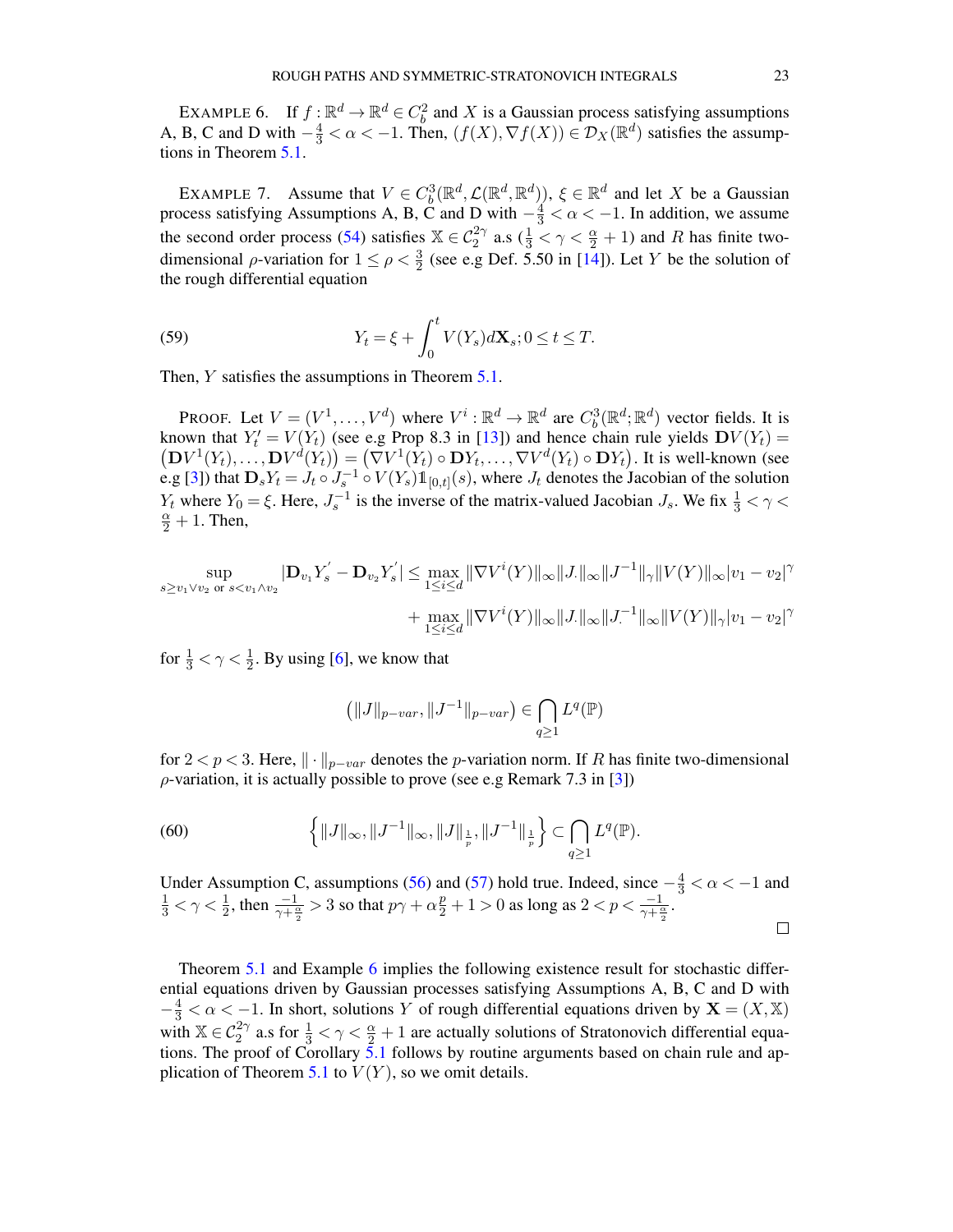<span id="page-22-1"></span>EXAMPLE 6. If  $f: \mathbb{R}^d \to \mathbb{R}^d \in C_b^2$  and X is a Gaussian process satisfying assumptions A, B, C and D with  $-\frac{4}{3} < \alpha < -1$ . Then,  $(f(X), \nabla f(X)) \in \mathcal{D}_X(\mathbb{R}^d)$  satisfies the assumptions in Theorem [5.1.](#page-21-0)

<span id="page-22-0"></span>EXAMPLE 7. Assume that  $V \in C_b^3(\mathbb{R}^d, \mathcal{L}(\mathbb{R}^d, \mathbb{R}^d))$ ,  $\xi \in \mathbb{R}^d$  and let X be a Gaussian process satisfying Assumptions A, B, C and D with  $-\frac{4}{3} < \alpha < -1$ . In addition, we assume the second order process [\(54\)](#page-19-2) satisfies  $\mathbb{X} \in C_2^{2\gamma}$  a.s ( $\frac{1}{3} < \gamma < \frac{\alpha}{2} + 1$ ) and R has finite twodimensional  $\rho$ -variation for  $1 \le \rho < \frac{3}{2}$  (see e.g Def. 5.50 in [\[14](#page-52-11)]). Let Y be the solution of the rough differential equation

(59) 
$$
Y_t = \xi + \int_0^t V(Y_s) d\mathbf{X}_s; 0 \le t \le T.
$$

Then,  $Y$  satisfies the assumptions in Theorem  $5.1$ .

PROOF. Let  $V = (V^1, \dots, V^d)$  where  $V^i : \mathbb{R}^d \to \mathbb{R}^d$  are  $C_b^3(\mathbb{R}^d; \mathbb{R}^d)$  vector fields. It is known that  $Y'_t = V(Y_t)$  (see e.g Prop 8.3 in [\[13\]](#page-52-18)) and hence chain rule yields  $DV(Y_t) =$  $(DV^1(Y_t),...,DV^d(Y_t)) = (\nabla V^1(Y_t) \circ DY_t,...,\nabla V^d(Y_t) \circ DY_t).$  It is well-known (see e.g [\[3\]](#page-51-2)) that  $D_s Y_t = J_t \circ J_s^{-1} \circ V(Y_s) 1\!\!1_{[0,t]}(s)$ , where  $J_t$  denotes the Jacobian of the solution  $Y_t$  where  $Y_0 = \xi$ . Here,  $J_s^{-1}$  is the inverse of the matrix-valued Jacobian  $J_s$ . We fix  $\frac{1}{3} < \gamma <$  $\frac{\alpha}{2} + 1$ . Then,

$$
\sup_{s \ge v_1 \vee v_2 \text{ or } s < v_1 \wedge v_2} |\mathbf{D}_{v_1} Y_s' - \mathbf{D}_{v_2} Y_s'| \le \max_{1 \le i \le d} \|\nabla V^i(Y)\|_{\infty} \|J\|_{\infty} \|J^{-1}\|_{\gamma} \|V(Y)\|_{\infty} |v_1 - v_2|^{\gamma} + \max_{1 \le i \le d} \|\nabla V^i(Y)\|_{\infty} \|J\|_{\infty} \|J^{-1}\|_{\infty} \|V(Y)\|_{\gamma} |v_1 - v_2|^{\gamma}
$$

for  $\frac{1}{3} < \gamma < \frac{1}{2}$ . By using [\[6\]](#page-52-25), we know that

$$
(\|J\|_{p-var}, \|J^{-1}\|_{p-var}) \in \bigcap_{q \ge 1} L^q(\mathbb{P})
$$

for 2 < p < 3. Here,  $\|\cdot\|_{p-var}$  denotes the p-variation norm. If R has finite two-dimensional  $\rho$ -variation, it is actually possible to prove (see e.g Remark 7.3 in [\[3\]](#page-51-2))

(60) 
$$
\left\{ \|J\|_{\infty}, \|J^{-1}\|_{\infty}, \|J\|_{\frac{1}{p}}, \|J^{-1}\|_{\frac{1}{p}} \right\} \subset \bigcap_{q \geq 1} L^q(\mathbb{P}).
$$

Under Assumption C, assumptions [\(56\)](#page-21-3) and [\(57\)](#page-21-4) hold true. Indeed, since  $-\frac{4}{3} < \alpha < -1$  and  $\frac{1}{3} < \gamma < \frac{1}{2}$ , then  $\frac{-1}{\gamma + \frac{\alpha}{2}} > 3$  so that  $p\gamma + \alpha \frac{p}{2} + 1 > 0$  as long as  $2 < p < \frac{-1}{\gamma + \frac{\alpha}{2}}$ .  $\Box$ 

Theorem [5.1](#page-21-0) and Example [6](#page-22-1) implies the following existence result for stochastic differential equations driven by Gaussian processes satisfying Assumptions A, B, C and D with  $-\frac{4}{3} < \alpha < -1$ . In short, solutions Y of rough differential equations driven by  $X = (X, X)$ with  $\mathbb{X} \in C_2^{2\gamma}$  a.s for  $\frac{1}{3} < \gamma < \frac{\alpha}{2} + 1$  are actually solutions of Stratonovich differential equations. The proof of Corollary  $\frac{5.1}{1}$  $\frac{5.1}{1}$  $\frac{5.1}{1}$  follows by routine arguments based on chain rule and ap-plication of Theorem [5.1](#page-21-0) to  $V(Y)$ , so we omit details.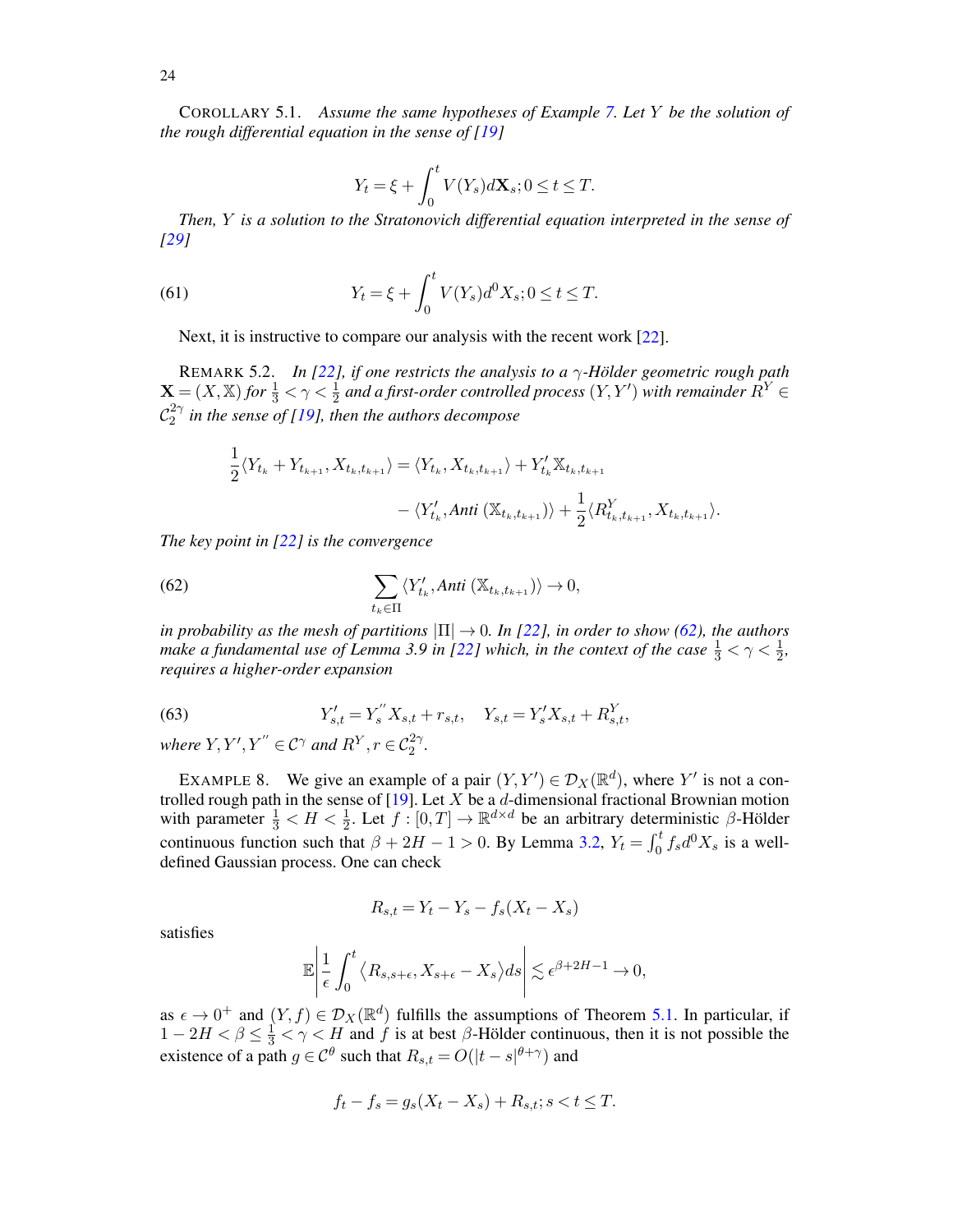<span id="page-23-0"></span>COROLLARY 5.1. *Assume the same hypotheses of Example [7.](#page-22-0) Let* Y *be the solution of the rough differential equation in the sense of [\[19\]](#page-52-1)*

$$
Y_t = \xi + \int_0^t V(Y_s) d\mathbf{X}_s; 0 \le t \le T.
$$

*Then,* Y *is a solution to the Stratonovich differential equation interpreted in the sense of [\[29](#page-52-2)]*

(61) 
$$
Y_t = \xi + \int_0^t V(Y_s) d^0 X_s; 0 \le t \le T.
$$

Next, it is instructive to compare our analysis with the recent work [\[22\]](#page-52-12).

<span id="page-23-2"></span>REMARK 5.2. *In [\[22\]](#page-52-12), if one restricts the analysis to a*  $\gamma$ -Hölder geometric rough path  $\mathbf{X} = (X, \mathbb{X})$  for  $\frac{1}{3} < \gamma < \frac{1}{2}$  and a first-order controlled process  $(Y, Y')$  with remainder  $\hat{R}^Y \in$  $\mathcal{C}_2^{2\gamma}$ 2 *in the sense of [\[19](#page-52-1)], then the authors decompose*

<span id="page-23-3"></span>
$$
\frac{1}{2}\langle Y_{t_k} + Y_{t_{k+1}}, X_{t_k, t_{k+1}} \rangle = \langle Y_{t_k}, X_{t_k, t_{k+1}} \rangle + Y_{t_k}' \mathbb{X}_{t_k, t_{k+1}} \n- \langle Y_{t_k}', \text{Anti } (\mathbb{X}_{t_k, t_{k+1}}) \rangle + \frac{1}{2} \langle R_{t_k, t_{k+1}}^Y, X_{t_k, t_{k+1}} \rangle.
$$

*The key point in [\[22\]](#page-52-12) is the convergence*

(62) 
$$
\sum_{t_k \in \Pi} \langle Y'_{t_k}, \text{Anti } (\mathbb{X}_{t_k,t_{k+1}}) \rangle \to 0,
$$

*in probability as the mesh of partitions*  $|\Pi| \to 0$ *. In [\[22](#page-52-12)], in order to show* [\(62\)](#page-23-3)*, the authors make a fundamental use of Lemma 3.9 in [\[22\]](#page-52-12) which, in the context of the case*  $\frac{1}{3} < \gamma < \frac{1}{2}$ , *requires a higher-order expansion*

(63) 
$$
Y'_{s,t} = Y''_s X_{s,t} + r_{s,t}, \quad Y_{s,t} = Y'_s X_{s,t} + R_{s,t}^Y,
$$

*where*  $Y, Y', Y'' \in C^{\gamma}$  *and*  $R^Y, r \in C_2^{2\gamma}$ *.* 

<span id="page-23-1"></span>EXAMPLE 8. We give an example of a pair  $(Y, Y') \in \mathcal{D}_X(\mathbb{R}^d)$ , where Y' is not a controlled rough path in the sense of  $[19]$ . Let X be a d-dimensional fractional Brownian motion with parameter  $\frac{1}{3} < H < \frac{1}{2}$ . Let  $f : [0, T] \to \mathbb{R}^{d \times d}$  be an arbitrary deterministic  $\beta$ -Hölder continuous function such that  $\beta + 2H - 1 > 0$ . By Lemma [3.2,](#page-11-0)  $Y_t = \int_0^t f_s d^0 X_s$  is a welldefined Gaussian process. One can check

$$
R_{s,t} = Y_t - Y_s - f_s(X_t - X_s)
$$

satisfies

$$
\mathbb{E}\left|\frac{1}{\epsilon}\int_0^t \left\langle R_{s,s+\epsilon}, X_{s+\epsilon} - X_s \right\rangle ds \right| \lesssim \epsilon^{\beta+2H-1} \to 0,
$$

as  $\epsilon \to 0^+$  and  $(Y, f) \in \mathcal{D}_X(\mathbb{R}^d)$  fulfills the assumptions of Theorem [5.1.](#page-21-0) In particular, if  $1 - 2H < \beta \leq \frac{1}{3} < \gamma < H$  and f is at best  $\beta$ -Hölder continuous, then it is not possible the existence of a path  $g \in \mathcal{C}^{\theta}$  such that  $R_{s,t} = O(|t - s|^{\theta + \gamma})$  and

$$
f_t - f_s = g_s(X_t - X_s) + R_{s,t}; s < t \le T.
$$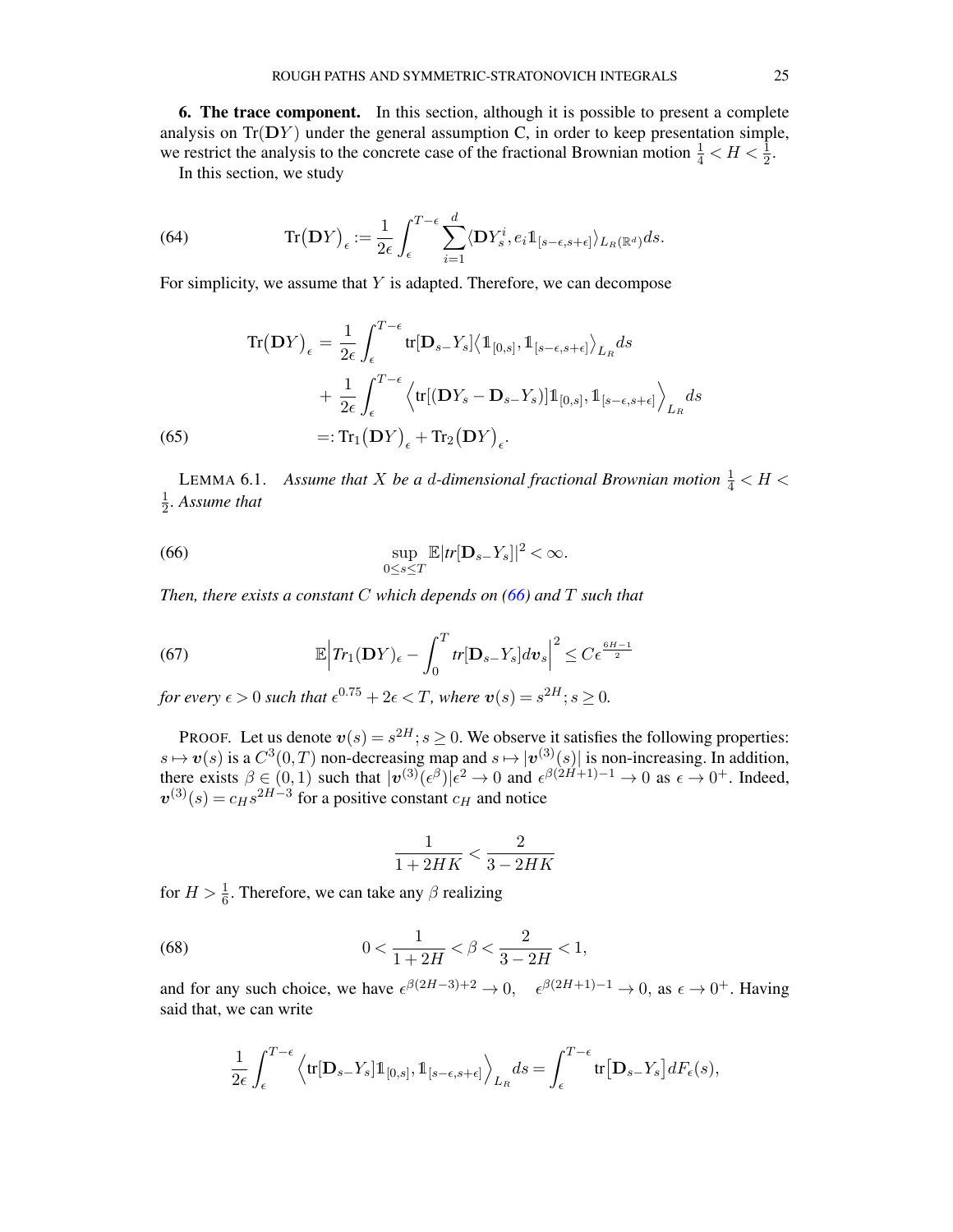<span id="page-24-1"></span>6. The trace component. In this section, although it is possible to present a complete analysis on  $Tr(DY)$  under the general assumption C, in order to keep presentation simple, we restrict the analysis to the concrete case of the fractional Brownian motion  $\frac{1}{4} < H < \frac{1}{2}$ . In this section, we study

<span id="page-24-0"></span>

(64) 
$$
\operatorname{Tr}(\mathbf{D}Y)_{\epsilon} := \frac{1}{2\epsilon} \int_{\epsilon}^{T-\epsilon} \sum_{i=1}^{d} \langle \mathbf{D}Y_s^i, e_i \mathbb{1}_{[s-\epsilon,s+\epsilon]} \rangle_{L_R(\mathbb{R}^d)} ds.
$$

For simplicity, we assume that  $Y$  is adapted. Therefore, we can decompose

$$
\operatorname{Tr}(\mathbf{D}Y)_{\epsilon} = \frac{1}{2\epsilon} \int_{\epsilon}^{T-\epsilon} \operatorname{tr}[\mathbf{D}_{s-}Y_{s}] \langle \mathbb{1}_{[0,s]}, \mathbb{1}_{[s-\epsilon,s+\epsilon]}\rangle_{L_{R}} ds
$$
  
+ 
$$
\frac{1}{2\epsilon} \int_{\epsilon}^{T-\epsilon} \langle \operatorname{tr}[(\mathbf{D}Y_{s}-\mathbf{D}_{s-}Y_{s})]\mathbb{1}_{[0,s]}, \mathbb{1}_{[s-\epsilon,s+\epsilon]}\rangle_{L_{R}} ds
$$
  
(65) =: 
$$
\operatorname{Tr}_{1}(\mathbf{D}Y)_{\epsilon} + \operatorname{Tr}_{2}(\mathbf{D}Y)_{\epsilon}.
$$

<span id="page-24-5"></span>LEMMA 6.1. Assume that X be a d-dimensional fractional Brownian motion  $\frac{1}{4} < H <$ 1  $\frac{1}{2}$ . Assume that

<span id="page-24-2"></span>(66) 
$$
\sup_{0\leq s\leq T}\mathbb{E}|tr[\mathbf{D}_{s-}Y_s]|^2<\infty.
$$

*Then, there exists a constant* C *which depends on [\(66\)](#page-24-2) and* T *such that*

<span id="page-24-4"></span>(67) 
$$
\mathbb{E}\Big|Tr_1(\mathbf{D}Y)_{\epsilon}-\int_0^T tr[\mathbf{D}_{s-}Y_s]dv_s\Big|^2\leq C\epsilon^{\frac{6H-1}{2}}
$$

*for every*  $\epsilon > 0$  *such that*  $\epsilon^{0.75} + 2\epsilon < T$ *, where*  $v(s) = s^{2H}$ ;  $s \ge 0$ *.* 

PROOF. Let us denote  $v(s) = s^{2H}$ ;  $s \ge 0$ . We observe it satisfies the following properties:  $s \mapsto v(s)$  is a  $C^3(0,T)$  non-decreasing map and  $s \mapsto |v^{(3)}(s)|$  is non-increasing. In addition, there exists  $\beta \in (0,1)$  such that  $|\mathbf{v}^{(3)}(\epsilon^{\beta})|\epsilon^2 \to 0$  and  $\epsilon^{\beta(2H+1)-1} \to 0$  as  $\epsilon \to 0^+$ . Indeed,  $\mathbf{v}^{(3)}(s) = c_H s^{2H-3}$  for a positive constant  $c_H$  and notice

<span id="page-24-3"></span>
$$
\frac{1}{1+2HK}<\frac{2}{3-2HK}
$$

for  $H > \frac{1}{6}$ . Therefore, we can take any  $\beta$  realizing

(68) 
$$
0 < \frac{1}{1+2H} < \beta < \frac{2}{3-2H} < 1,
$$

and for any such choice, we have  $\epsilon^{\beta(2H-3)+2} \to 0$ ,  $\epsilon^{\beta(2H+1)-1} \to 0$ , as  $\epsilon \to 0^+$ . Having said that, we can write

$$
\frac{1}{2\epsilon} \int_{\epsilon}^{T-\epsilon} \left\langle \text{tr}[\mathbf{D}_{s-}Y_s] \mathbb{1}_{[0,s]}, \mathbb{1}_{[s-\epsilon,s+\epsilon]} \right\rangle_{L_R} ds = \int_{\epsilon}^{T-\epsilon} \text{tr}[\mathbf{D}_{s-}Y_s] dF_{\epsilon}(s),
$$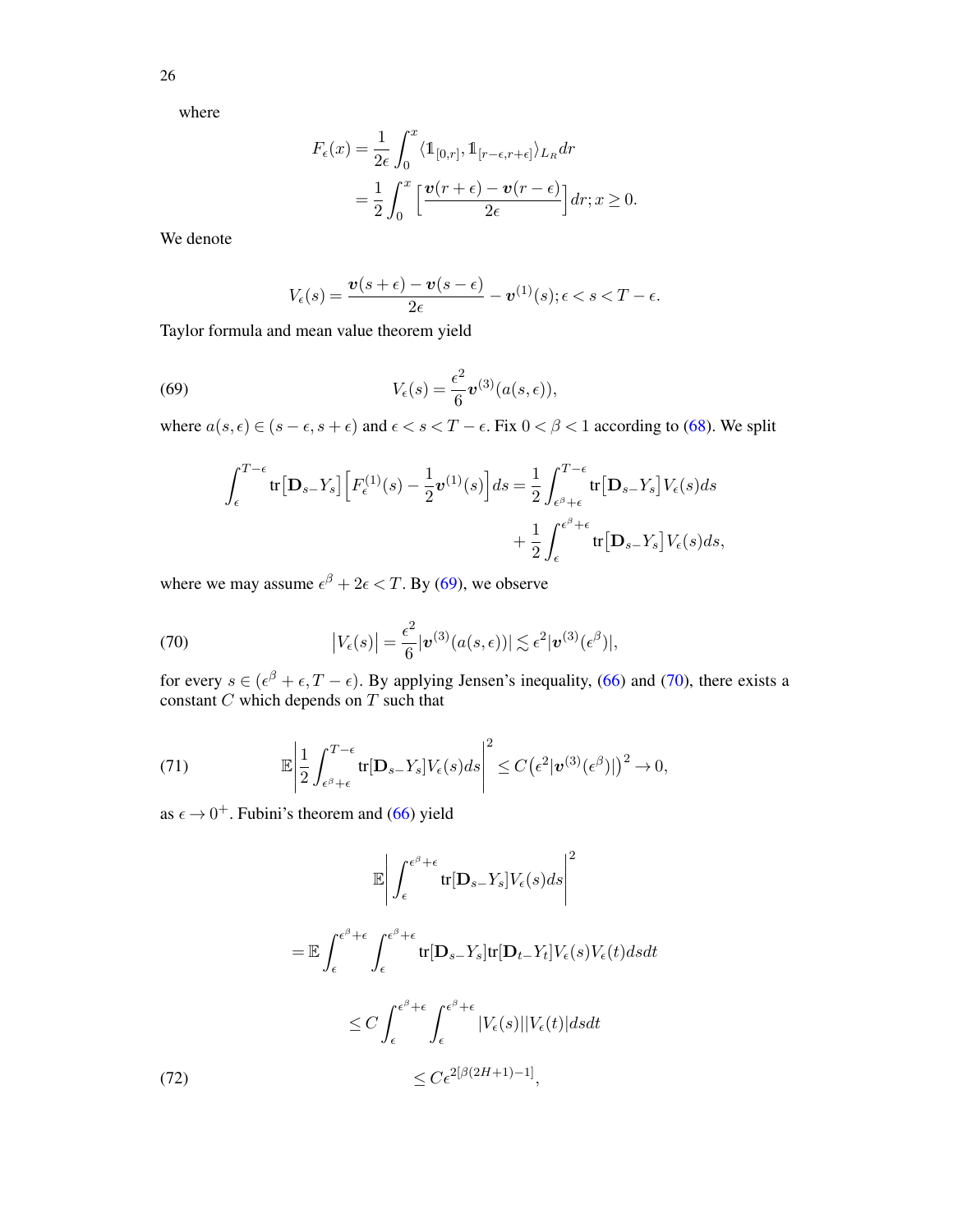26

where

$$
F_{\epsilon}(x) = \frac{1}{2\epsilon} \int_0^x \langle \mathbb{1}_{[0,r]}, \mathbb{1}_{[r-\epsilon,r+\epsilon]}\rangle_{L_R} dr
$$
  
= 
$$
\frac{1}{2} \int_0^x \left[ \frac{\mathbf{v}(r+\epsilon) - \mathbf{v}(r-\epsilon)}{2\epsilon} \right] dr; x \ge 0.
$$

We denote

<span id="page-25-0"></span>
$$
V_{\epsilon}(s) = \frac{\boldsymbol{v}(s+\epsilon) - \boldsymbol{v}(s-\epsilon)}{2\epsilon} - \boldsymbol{v}^{(1)}(s); \epsilon < s < T - \epsilon.
$$

Taylor formula and mean value theorem yield

(69) 
$$
V_{\epsilon}(s) = \frac{\epsilon^2}{6} \mathbf{v}^{(3)}(a(s,\epsilon)),
$$

where  $a(s, \epsilon) \in (s - \epsilon, s + \epsilon)$  and  $\epsilon < s < T - \epsilon$ . Fix  $0 < \beta < 1$  according to [\(68\)](#page-24-3). We split

$$
\int_{\epsilon}^{T-\epsilon} \text{tr}[\mathbf{D}_{s-}Y_s] \left[ F_{\epsilon}^{(1)}(s) - \frac{1}{2} \boldsymbol{v}^{(1)}(s) \right] ds = \frac{1}{2} \int_{\epsilon^{\beta} + \epsilon}^{T-\epsilon} \text{tr}[\mathbf{D}_{s-}Y_s] V_{\epsilon}(s) ds + \frac{1}{2} \int_{\epsilon}^{\epsilon^{\beta} + \epsilon} \text{tr}[\mathbf{D}_{s-}Y_s] V_{\epsilon}(s) ds,
$$

where we may assume  $\epsilon^{\beta} + 2\epsilon < T$ . By [\(69\)](#page-25-0), we observe

<span id="page-25-1"></span>(70) 
$$
\left|V_{\epsilon}(s)\right| = \frac{\epsilon^{2}}{6}|\boldsymbol{v}^{(3)}(a(s,\epsilon))| \lesssim \epsilon^{2}|\boldsymbol{v}^{(3)}(\epsilon^{\beta})|,
$$

for every  $s \in (\epsilon^{\beta} + \epsilon, T - \epsilon)$ . By applying Jensen's inequality, [\(66\)](#page-24-2) and [\(70\)](#page-25-1), there exists a constant  $C$  which depends on  $T$  such that

<span id="page-25-2"></span>(71) 
$$
\mathbb{E}\left|\frac{1}{2}\int_{\epsilon^{\beta}+\epsilon}^{T-\epsilon}tr[\mathbf{D}_{s-}Y_{s}]V_{\epsilon}(s)ds\right|^{2} \leq C\left(\epsilon^{2}|\boldsymbol{v}^{(3)}(\epsilon^{\beta})|\right)^{2} \to 0,
$$

as  $\epsilon \rightarrow 0^+$ . Fubini's theorem and [\(66\)](#page-24-2) yield

$$
\mathbb{E}\left|\int_{\epsilon}^{\epsilon^{\beta}+\epsilon} \text{tr}[\mathbf{D}_{s-}Y_{s}]V_{\epsilon}(s)ds\right|^{2}
$$

$$
= \mathbb{E}\int_{\epsilon}^{\epsilon^{\beta}+\epsilon} \int_{\epsilon}^{\epsilon^{\beta}+\epsilon} \text{tr}[\mathbf{D}_{s-}Y_{s}]\text{tr}[\mathbf{D}_{t-}Y_{t}]V_{\epsilon}(s)V_{\epsilon}(t)dsdt
$$

$$
\leq C \int_{\epsilon}^{\epsilon^{\beta}+\epsilon} \int_{\epsilon}^{\epsilon^{\beta}+\epsilon} |V_{\epsilon}(s)||V_{\epsilon}(t)|dsdt
$$

$$
\leq C \epsilon^{2[\beta(2H+1)-1]},
$$

<span id="page-25-3"></span>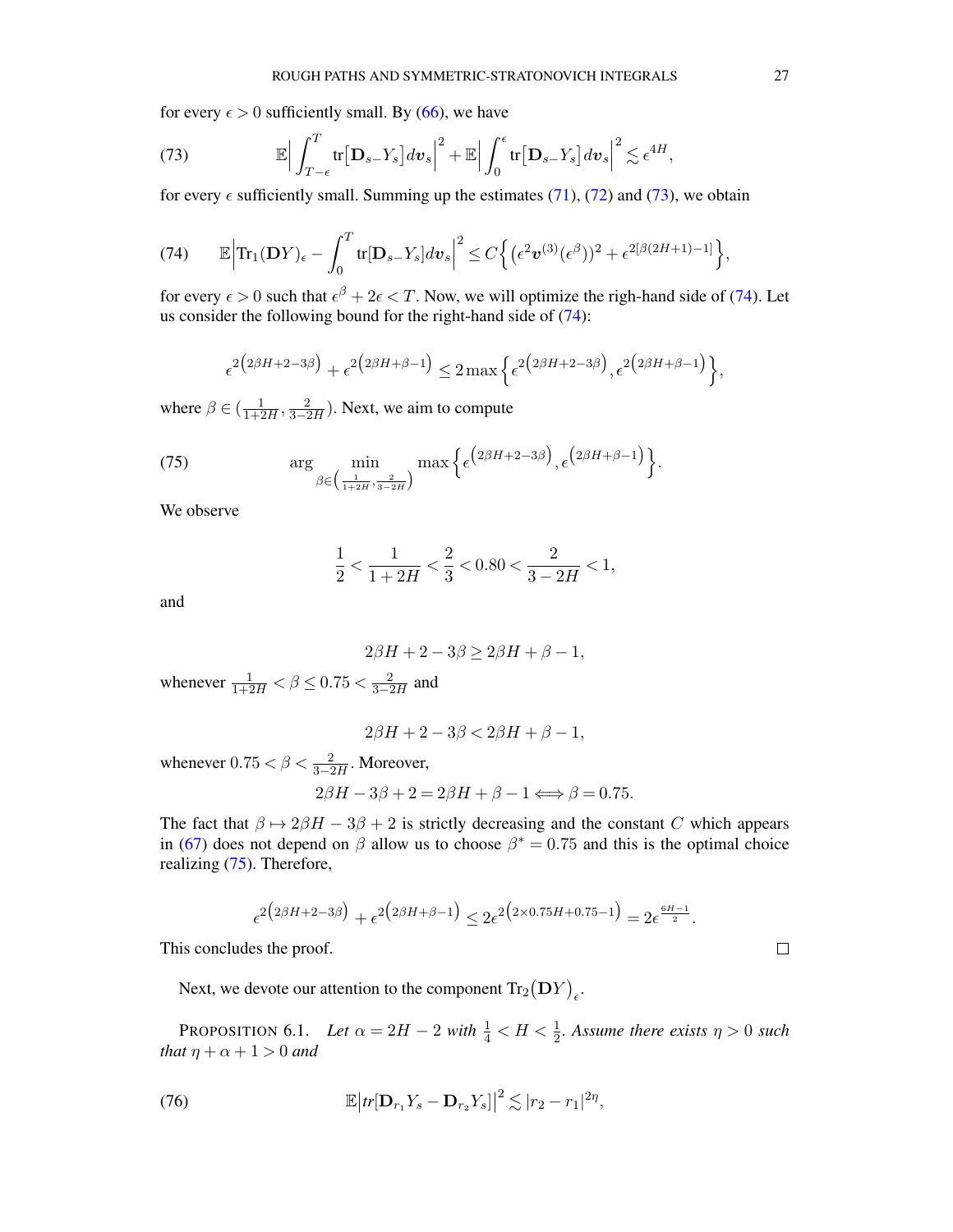for every  $\epsilon > 0$  sufficiently small. By [\(66\)](#page-24-2), we have

<span id="page-26-1"></span>(73) 
$$
\mathbb{E}\Big|\int_{T-\epsilon}^T \text{tr}\big[\mathbf{D}_{s-}Y_s\big]dv_s\Big|^2 + \mathbb{E}\Big|\int_0^{\epsilon} \text{tr}\big[\mathbf{D}_{s-}Y_s\big]dv_s\Big|^2 \lesssim \epsilon^{4H},
$$

for every  $\epsilon$  sufficiently small. Summing up the estimates [\(71\)](#page-25-2), [\(72\)](#page-25-3) and [\(73\)](#page-26-1), we obtain

<span id="page-26-2"></span>(74) 
$$
\mathbb{E}\Big|\mathrm{Tr}_{1}(\mathbf{D}Y)_{\epsilon}-\int_{0}^{T}\mathrm{tr}[\mathbf{D}_{s-}Y_{s}]d\mathbf{v}_{s}\Big|^{2}\leq C\Big\{(\epsilon^{2}\mathbf{v}^{(3)}(\epsilon^{\beta}))^{2}+\epsilon^{2[\beta(2H+1)-1]}\Big\},
$$

for every  $\epsilon > 0$  such that  $\epsilon^{\beta} + 2\epsilon < T$ . Now, we will optimize the righ-hand side of [\(74\)](#page-26-2). Let us consider the following bound for the right-hand side of [\(74\)](#page-26-2):

$$
\epsilon^{2(2\beta H + 2 - 3\beta)} + \epsilon^{2(2\beta H + \beta - 1)} \le 2 \max \left\{ \epsilon^{2(2\beta H + 2 - 3\beta)}, \epsilon^{2(2\beta H + \beta - 1)} \right\},\,
$$

where  $\beta \in (\frac{1}{1+2H}, \frac{2}{3-2H})$ . Next, we aim to compute

(75) 
$$
\arg\min_{\beta\in\left(\frac{1}{1+2H},\frac{2}{3-2H}\right)}\max\left\{\epsilon^{\left(2\beta H+2-3\beta\right)},\epsilon^{\left(2\beta H+\beta-1\right)}\right\}.
$$

We observe

<span id="page-26-3"></span>
$$
\frac{1}{2} < \frac{1}{1+2H} < \frac{2}{3} < 0.80 < \frac{2}{3-2H} < 1,
$$

and

$$
2\beta H + 2 - 3\beta \ge 2\beta H + \beta - 1,
$$

whenever  $\frac{1}{1+2H} < \beta \le 0.75 < \frac{2}{3-2H}$  and

$$
2\beta H + 2 - 3\beta < 2\beta H + \beta - 1,
$$

whenever  $0.75 < \beta < \frac{2}{3-2H}$ . Moreover,

$$
2\beta H - 3\beta + 2 = 2\beta H + \beta - 1 \Longleftrightarrow \beta = 0.75.
$$

The fact that  $\beta \mapsto 2\beta H - 3\beta + 2$  is strictly decreasing and the constant C which appears in [\(67\)](#page-24-4) does not depend on  $\beta$  allow us to choose  $\beta^* = 0.75$  and this is the optimal choice realizing [\(75\)](#page-26-3). Therefore,

$$
\epsilon^{2(2\beta H + 2 - 3\beta)} + \epsilon^{2(2\beta H + \beta - 1)} \leq 2\epsilon^{2(2 \times 0.75H + 0.75 - 1)} = 2\epsilon^{\frac{6H - 1}{2}}.
$$

This concludes the proof.

Next, we devote our attention to the component  $\text{Tr}_{2}(\mathbf{D}Y)_{\epsilon}$ .

<span id="page-26-4"></span>PROPOSITION 6.1. Let  $\alpha = 2H - 2$  with  $\frac{1}{4} < H < \frac{1}{2}$ . Assume there exists  $\eta > 0$  such *that*  $\eta + \alpha + 1 > 0$  *and* 

<span id="page-26-0"></span>(76) 
$$
\mathbb{E}\big|tr[\mathbf{D}_{r_1}Y_s - \mathbf{D}_{r_2}Y_s]\big|^2 \lesssim |r_2 - r_1|^{2\eta},
$$

 $\Box$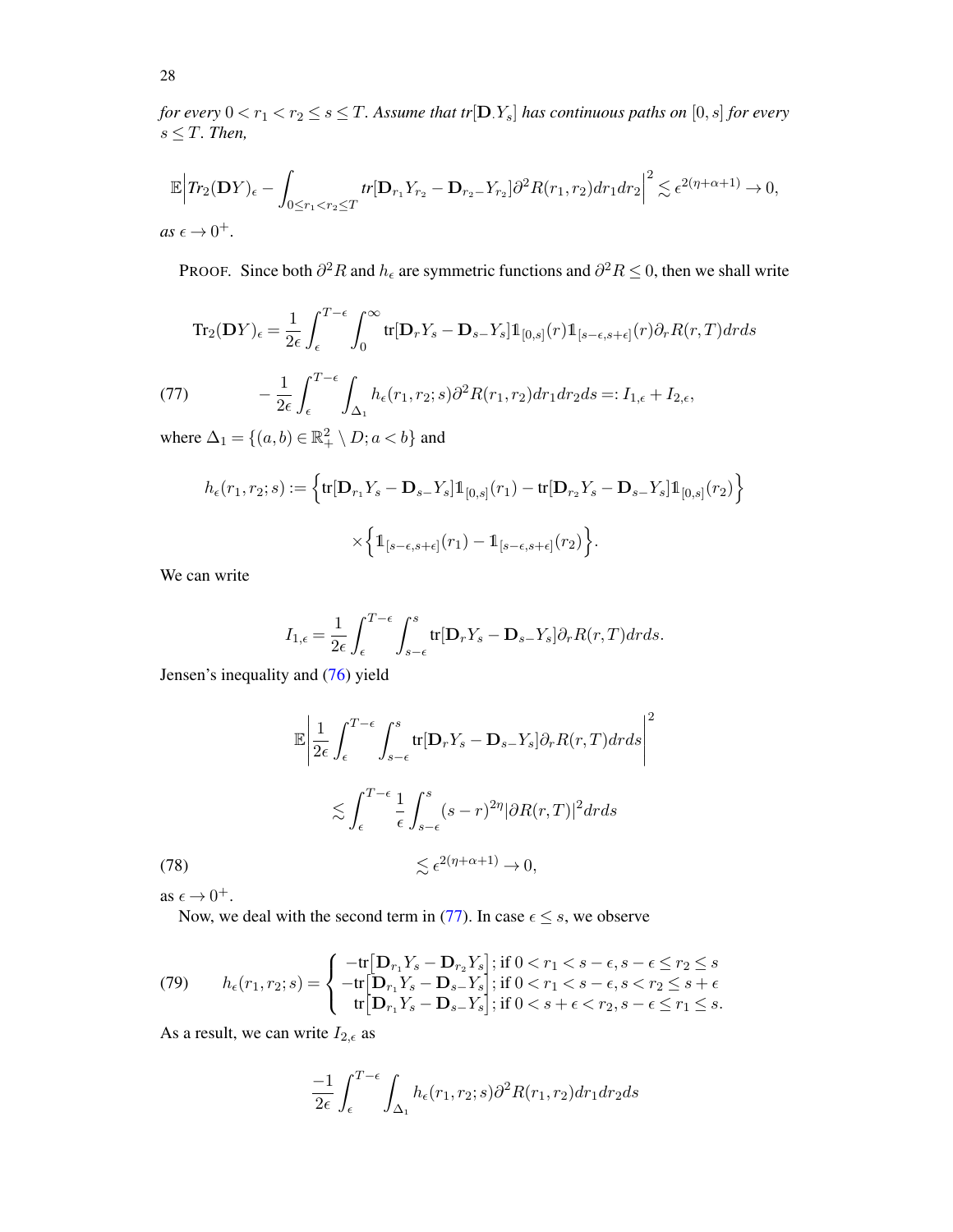*for every*  $0 < r_1 < r_2 \le s \le T$ . Assume that tr[D.Y<sub>s</sub>] has continuous paths on [0, s] *for every*  $s \leq T$ *. Then,* 

$$
\mathbb{E}\Big|Tr_2(\mathbf{D}Y)_\epsilon - \int_{0 \le r_1 < r_2 \le T} tr[\mathbf{D}_{r_1}Y_{r_2} - \mathbf{D}_{r_2}Y_{r_2}]\partial^2 R(r_1, r_2)dr_1dr_2\Big|^2 \lesssim \epsilon^{2(\eta + \alpha + 1)} \to 0,
$$
  
as  $\epsilon \to 0^+$ .

PROOF. Since both  $\partial^2 R$  and  $h_\epsilon$  are symmetric functions and  $\partial^2 R \leq 0$ , then we shall write

$$
\operatorname{Tr}_{2}(\mathbf{D}Y)_{\epsilon} = \frac{1}{2\epsilon} \int_{\epsilon}^{T-\epsilon} \int_{0}^{\infty} \operatorname{tr}[\mathbf{D}_{r}Y_{s} - \mathbf{D}_{s-}Y_{s}] \mathbb{1}_{[0,s]}(r) \mathbb{1}_{[s-\epsilon,s+\epsilon]}(r) \partial_{r} R(r,T) dr ds
$$
\n
$$
(77) \qquad -\frac{1}{2\epsilon} \int_{\epsilon}^{T-\epsilon} \int_{\Delta_{1}} h_{\epsilon}(r_{1},r_{2};s) \partial^{2} R(r_{1},r_{2}) dr_{1} dr_{2} ds =: I_{1,\epsilon} + I_{2,\epsilon},
$$

where  $\Delta_1 = \{(a, b) \in \mathbb{R}_+^2 \setminus D; a < b\}$  and

<span id="page-27-0"></span>
$$
h_{\epsilon}(r_1, r_2; s) := \left\{ \text{tr}[\mathbf{D}_{r_1} Y_s - \mathbf{D}_{s-} Y_s] \mathbb{1}_{[0,s]}(r_1) - \text{tr}[\mathbf{D}_{r_2} Y_s - \mathbf{D}_{s-} Y_s] \mathbb{1}_{[0,s]}(r_2) \right\}
$$

$$
\times \left\{ \mathbb{1}_{[s-\epsilon, s+\epsilon]}(r_1) - \mathbb{1}_{[s-\epsilon, s+\epsilon]}(r_2) \right\}.
$$

We can write

$$
I_{1,\epsilon} = \frac{1}{2\epsilon} \int_{\epsilon}^{T-\epsilon} \int_{s-\epsilon}^{s} \text{tr}[\mathbf{D}_r Y_s - \mathbf{D}_{s-} Y_s] \partial_r R(r,T) dr ds.
$$

Jensen's inequality and [\(76\)](#page-26-0) yield

<span id="page-27-1"></span>
$$
\mathbb{E}\left|\frac{1}{2\epsilon}\int_{\epsilon}^{T-\epsilon}\int_{s-\epsilon}^{s}\text{tr}[\mathbf{D}_{r}Y_{s}-\mathbf{D}_{s-}Y_{s}]\partial_{r}R(r,T)drds\right|^{2}
$$

$$
\lesssim \int_{\epsilon}^{T-\epsilon}\frac{1}{\epsilon}\int_{s-\epsilon}^{s}(s-r)^{2\eta}|\partial R(r,T)|^{2}drds
$$

$$
\lesssim \epsilon^{2(\eta+\alpha+1)}\to 0,
$$

 $(78)$ as  $\epsilon \to 0^+$ .

Now, we deal with the second term in [\(77\)](#page-27-0). In case  $\epsilon \leq s$ , we observe

(79) 
$$
h_{\epsilon}(r_1, r_2; s) = \begin{cases} -\text{tr}[\mathbf{D}_{r_1} Y_s - \mathbf{D}_{r_2} Y_s]; \text{ if } 0 < r_1 < s - \epsilon, s - \epsilon \leq r_2 \leq s \\ -\text{tr}[\mathbf{D}_{r_1} Y_s - \mathbf{D}_{s-} Y_s]; \text{ if } 0 < r_1 < s - \epsilon, s < r_2 \leq s + \epsilon \\ \text{tr}[\mathbf{D}_{r_1} Y_s - \mathbf{D}_{s-} Y_s]; \text{ if } 0 < s + \epsilon < r_2, s - \epsilon \leq r_1 \leq s. \end{cases}
$$

As a result, we can write  $I_{2,\epsilon}$  as

$$
\frac{-1}{2\epsilon} \int_{\epsilon}^{T-\epsilon} \int_{\Delta_1} h_{\epsilon}(r_1, r_2; s) \partial^2 R(r_1, r_2) dr_1 dr_2 ds
$$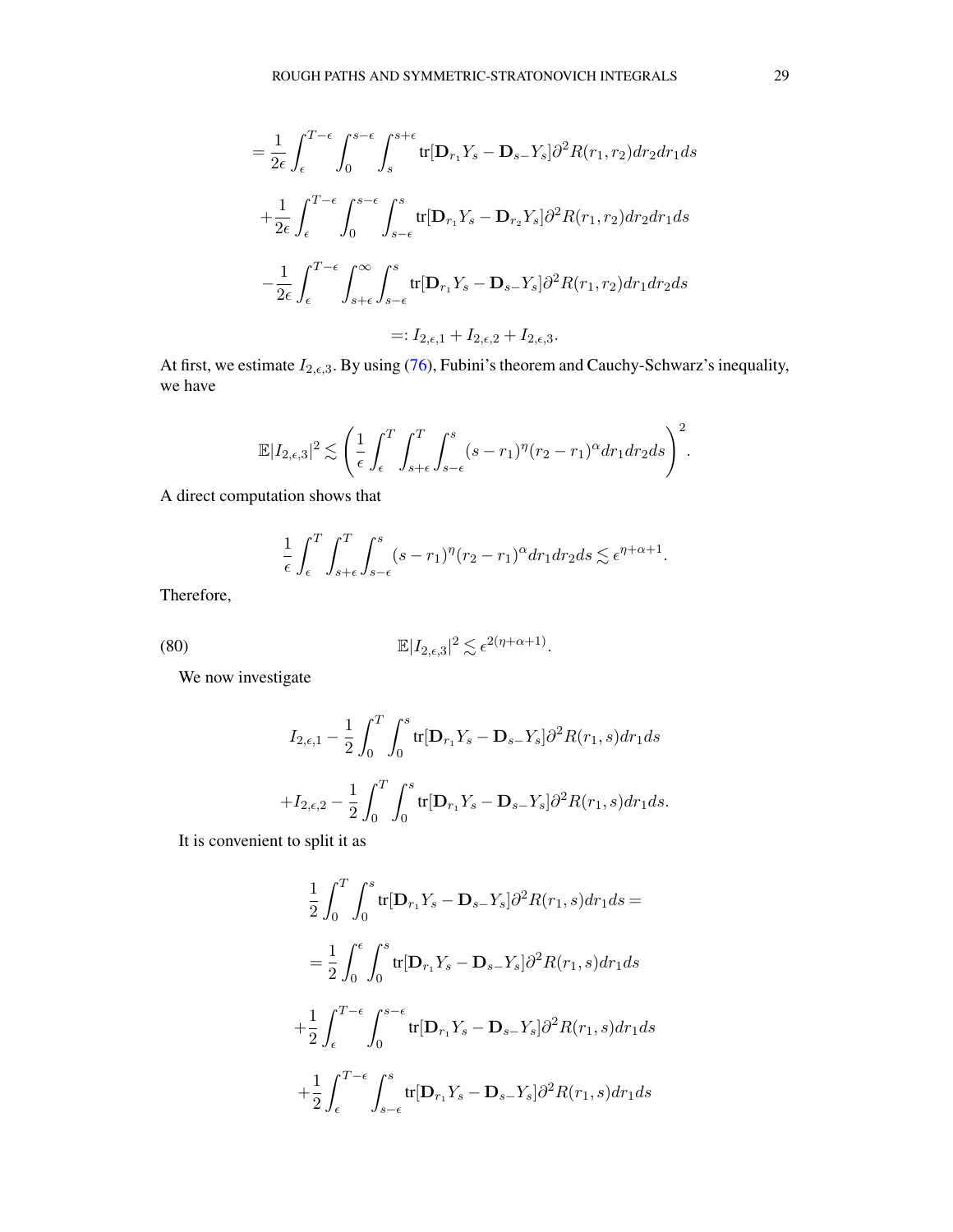$$
= \frac{1}{2\epsilon} \int_{\epsilon}^{T-\epsilon} \int_{0}^{s-\epsilon} \int_{s}^{s+\epsilon} \text{tr}[\mathbf{D}_{r_{1}}Y_{s} - \mathbf{D}_{s-}Y_{s}] \partial^{2} R(r_{1},r_{2}) dr_{2} dr_{1} ds
$$
  
+ 
$$
\frac{1}{2\epsilon} \int_{\epsilon}^{T-\epsilon} \int_{0}^{s-\epsilon} \int_{s-\epsilon}^{s} \text{tr}[\mathbf{D}_{r_{1}}Y_{s} - \mathbf{D}_{r_{2}}Y_{s}] \partial^{2} R(r_{1},r_{2}) dr_{2} dr_{1} ds
$$
  
- 
$$
\frac{1}{2\epsilon} \int_{\epsilon}^{T-\epsilon} \int_{s+\epsilon}^{\infty} \int_{s-\epsilon}^{s} \text{tr}[\mathbf{D}_{r_{1}}Y_{s} - \mathbf{D}_{s-}Y_{s}] \partial^{2} R(r_{1},r_{2}) dr_{1} dr_{2} ds
$$
  
=: 
$$
I_{2,\epsilon,1} + I_{2,\epsilon,2} + I_{2,\epsilon,3}.
$$

At first, we estimate  $I_{2,\epsilon,3}$ . By using [\(76\)](#page-26-0), Fubini's theorem and Cauchy-Schwarz's inequality, we have

$$
\mathbb{E}|I_{2,\epsilon,3}|^2 \lesssim \left(\frac{1}{\epsilon} \int_{\epsilon}^T \int_{s+\epsilon}^T \int_{s-\epsilon}^s (s-r_1)^{\eta} (r_2-r_1)^{\alpha} dr_1 dr_2 ds\right)^2.
$$

A direct computation shows that

$$
\frac{1}{\epsilon} \int_{\epsilon}^{T} \int_{s+\epsilon}^{T} \int_{s-\epsilon}^{s} (s-r_1)^{\eta} (r_2-r_1)^{\alpha} dr_1 dr_2 ds \lesssim \epsilon^{\eta+\alpha+1}.
$$

Therefore,

(80) 
$$
\mathbb{E}|I_{2,\epsilon,3}|^2 \lesssim \epsilon^{2(\eta+\alpha+1)}.
$$

We now investigate

<span id="page-28-0"></span>
$$
I_{2,\epsilon,1} - \frac{1}{2} \int_0^T \int_0^s \text{tr}[\mathbf{D}_{r_1} Y_s - \mathbf{D}_{s-} Y_s] \partial^2 R(r_1, s) dr_1 ds
$$
  
+  $I_{2,\epsilon,2} - \frac{1}{2} \int_0^T \int_0^s \text{tr}[\mathbf{D}_{r_1} Y_s - \mathbf{D}_{s-} Y_s] \partial^2 R(r_1, s) dr_1 ds.$ 

It is convenient to split it as

$$
\frac{1}{2} \int_0^T \int_0^s \text{tr}[\mathbf{D}_{r_1} Y_s - \mathbf{D}_{s-} Y_s] \partial^2 R(r_1, s) dr_1 ds =
$$
\n
$$
= \frac{1}{2} \int_0^{\epsilon} \int_0^s \text{tr}[\mathbf{D}_{r_1} Y_s - \mathbf{D}_{s-} Y_s] \partial^2 R(r_1, s) dr_1 ds
$$
\n
$$
+ \frac{1}{2} \int_{\epsilon}^{T-\epsilon} \int_0^{s-\epsilon} \text{tr}[\mathbf{D}_{r_1} Y_s - \mathbf{D}_{s-} Y_s] \partial^2 R(r_1, s) dr_1 ds
$$
\n
$$
+ \frac{1}{2} \int_{\epsilon}^{T-\epsilon} \int_{s-\epsilon}^s \text{tr}[\mathbf{D}_{r_1} Y_s - \mathbf{D}_{s-} Y_s] \partial^2 R(r_1, s) dr_1 ds
$$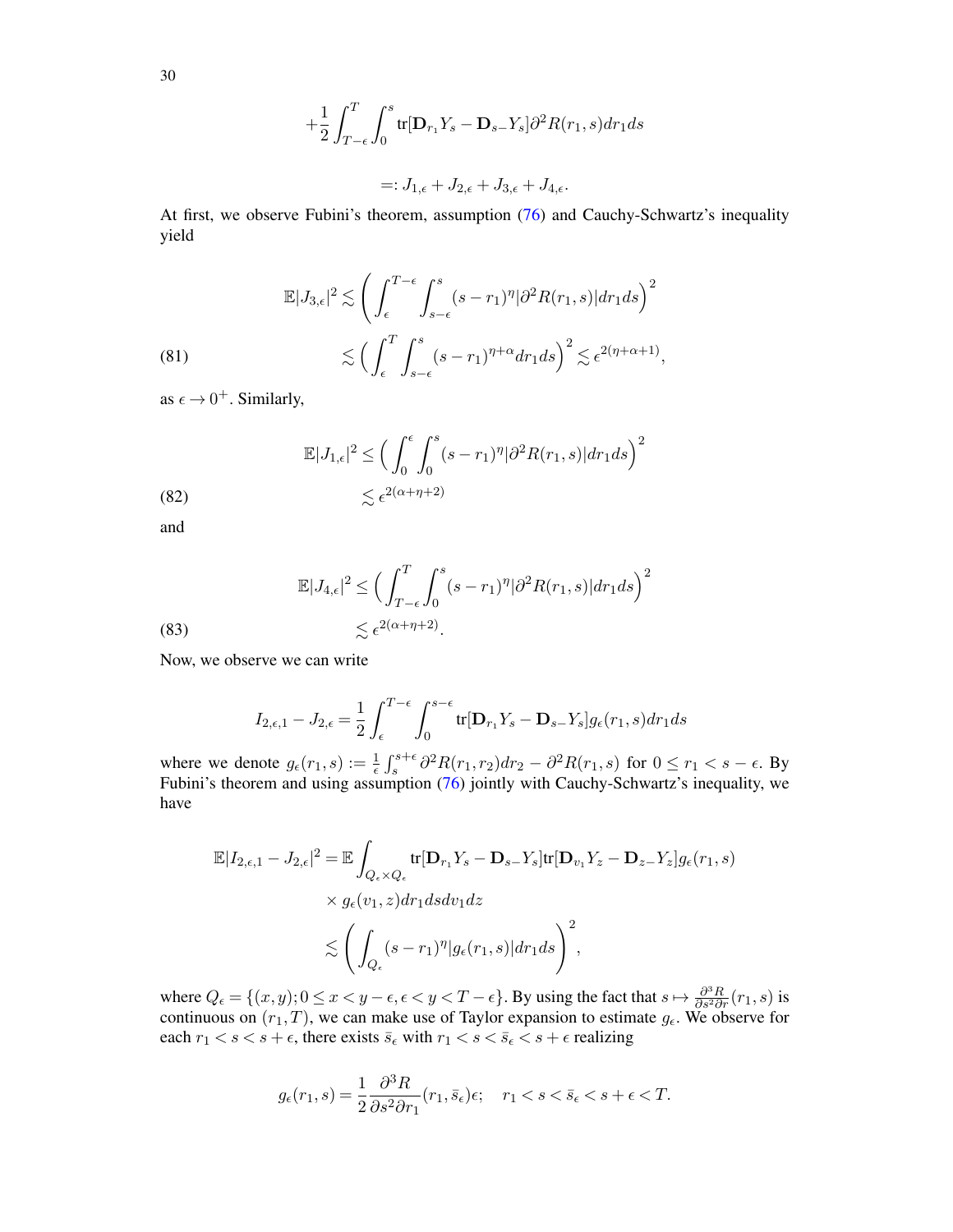$$
+\frac{1}{2}\int_{T-\epsilon}^{T}\int_{0}^{s}\text{tr}[\mathbf{D}_{r_{1}}Y_{s}-\mathbf{D}_{s-}Y_{s}]\partial^{2}R(r_{1},s)dr_{1}ds
$$

$$
=:J_{1,\epsilon}+J_{2,\epsilon}+J_{3,\epsilon}+J_{4,\epsilon}.
$$

At first, we observe Fubini's theorem, assumption [\(76\)](#page-26-0) and Cauchy-Schwartz's inequality yield

<span id="page-29-0"></span>(81)  

$$
\mathbb{E}|J_{3,\epsilon}|^2 \lesssim \left(\int_{\epsilon}^{T-\epsilon} \int_{s-\epsilon}^s (s-r_1)^{\eta} |\partial^2 R(r_1,s)| dr_1 ds\right)^2
$$

$$
\lesssim \left(\int_{\epsilon}^T \int_{s-\epsilon}^s (s-r_1)^{\eta+\alpha} dr_1 ds\right)^2 \lesssim \epsilon^{2(\eta+\alpha+1)},
$$

as  $\epsilon \rightarrow 0^+$ . Similarly,

<span id="page-29-1"></span>(82) 
$$
\mathbb{E}|J_{1,\epsilon}|^2 \leq \left(\int_0^{\epsilon} \int_0^s (s-r_1)^{\eta} |\partial^2 R(r_1,s)| dr_1 ds\right)^2 \leq \epsilon^{2(\alpha+\eta+2)}
$$

and

(83)  
\n
$$
\mathbb{E}|J_{4,\epsilon}|^2 \le \left(\int_{T-\epsilon}^T \int_0^s (s-r_1)^{\eta} |\partial^2 R(r_1,s)| dr_1 ds\right)^2
$$
\n
$$
\lesssim \epsilon^{2(\alpha+\eta+2)}.
$$

Now, we observe we can write

<span id="page-29-2"></span>
$$
I_{2,\epsilon,1} - J_{2,\epsilon} = \frac{1}{2} \int_{\epsilon}^{T-\epsilon} \int_0^{s-\epsilon} \text{tr}[\mathbf{D}_{r_1}Y_s - \mathbf{D}_{s-}Y_s]g_{\epsilon}(r_1,s)dr_1ds
$$

where we denote  $g_{\epsilon}(r_1, s) := \frac{1}{\epsilon} \int_s^{s+\epsilon} \partial^2 R(r_1, r_2) dr_2 - \partial^2 R(r_1, s)$  for  $0 \le r_1 < s - \epsilon$ . By Fubini's theorem and using assumption [\(76\)](#page-26-0) jointly with Cauchy-Schwartz's inequality, we have

$$
\mathbb{E}|I_{2,\epsilon,1} - J_{2,\epsilon}|^2 = \mathbb{E}\int_{Q_{\epsilon}\times Q_{\epsilon}} \text{tr}[\mathbf{D}_{r_1}Y_s - \mathbf{D}_{s-}Y_s] \text{tr}[\mathbf{D}_{v_1}Y_z - \mathbf{D}_{z-}Y_z]g_{\epsilon}(r_1,s)
$$
  
 
$$
\times g_{\epsilon}(v_1,z)dr_1dsdv_1dz
$$
  
 
$$
\lesssim \left(\int_{Q_{\epsilon}} (s-r_1)^{\eta} |g_{\epsilon}(r_1,s)|dr_1ds\right)^2,
$$

where  $Q_{\epsilon} = \{(x, y); 0 \le x < y - \epsilon, \epsilon < y < T - \epsilon\}$ . By using the fact that  $s \mapsto \frac{\partial^3 R}{\partial s^2 \partial r}(r_1, s)$  is continuous on  $(r_1, T)$ , we can make use of Taylor expansion to estimate  $g_\epsilon$ . We observe for each  $r_1 < s < s + \epsilon$ , there exists  $\bar{s}_{\epsilon}$  with  $r_1 < s < \bar{s}_{\epsilon} < s + \epsilon$  realizing

$$
g_{\epsilon}(r_1, s) = \frac{1}{2} \frac{\partial^3 R}{\partial s^2 \partial r_1}(r_1, \bar{s}_{\epsilon}) \epsilon; \quad r_1 < s < \bar{s}_{\epsilon} < s + \epsilon < T.
$$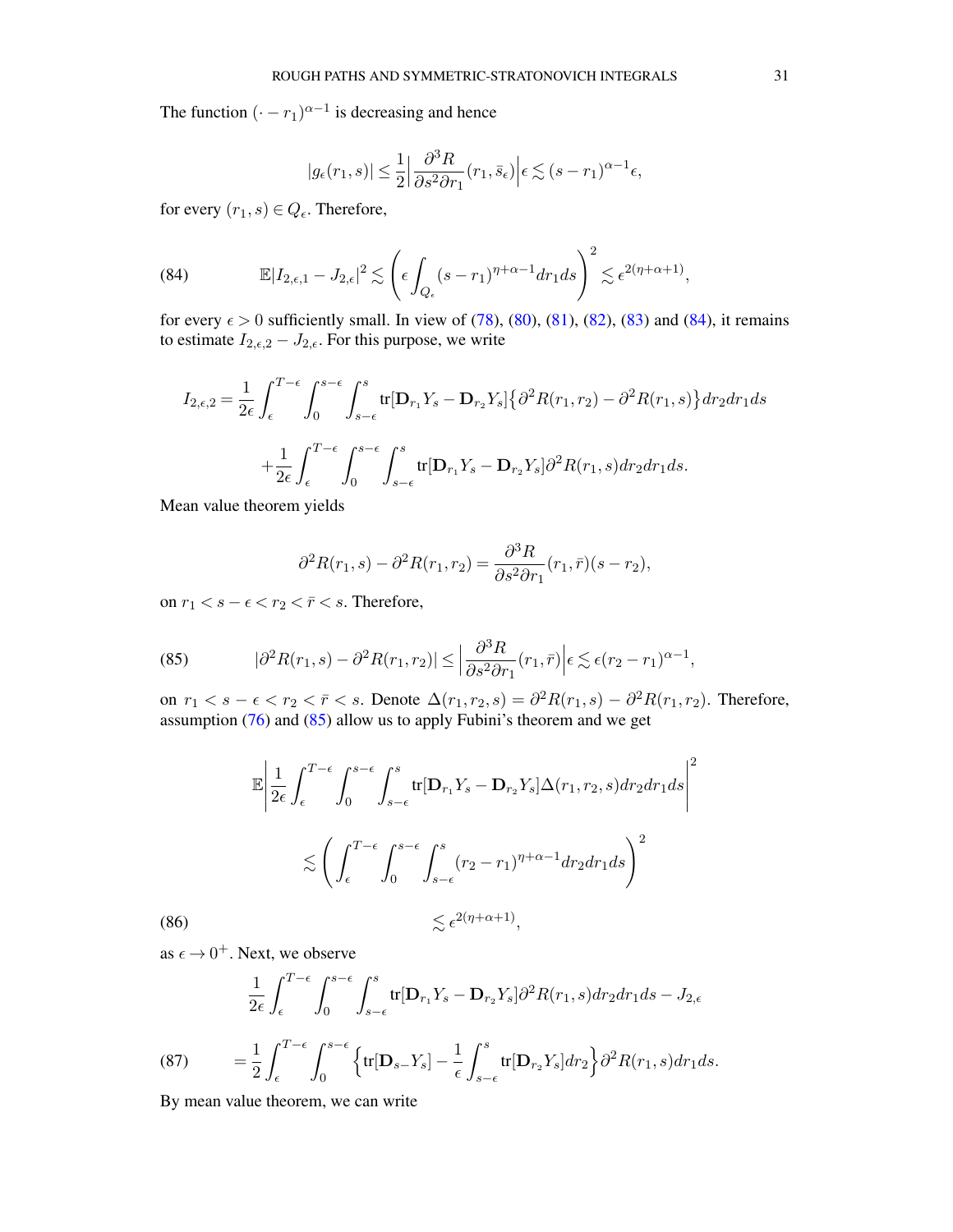The function  $(-r_1)^{\alpha-1}$  is decreasing and hence

$$
|g_\epsilon(r_1,s)|\leq \frac{1}{2}\Big|\frac{\partial^3 R}{\partial s^2 \partial r_1}(r_1,\bar{s}_\epsilon)\Big|\epsilon\lesssim (s-r_1)^{\alpha-1}\epsilon,
$$

for every  $(r_1, s) \in Q_{\epsilon}$ . Therefore,

<span id="page-30-0"></span>(84) 
$$
\mathbb{E}|I_{2,\epsilon,1}-J_{2,\epsilon}|^2 \lesssim \left(\epsilon \int_{Q_{\epsilon}} (s-r_1)^{\eta+\alpha-1} dr_1 ds\right)^2 \lesssim \epsilon^{2(\eta+\alpha+1)},
$$

for every  $\epsilon > 0$  sufficiently small. In view of [\(78\)](#page-27-1), [\(80\)](#page-28-0), [\(81\)](#page-29-0), [\(82\)](#page-29-1), [\(83\)](#page-29-2) and [\(84\)](#page-30-0), it remains to estimate  $I_{2,\epsilon,2} - J_{2,\epsilon}$ . For this purpose, we write

$$
I_{2,\epsilon,2} = \frac{1}{2\epsilon} \int_{\epsilon}^{T-\epsilon} \int_{0}^{s-\epsilon} \int_{s-\epsilon}^{s} \text{tr}[\mathbf{D}_{r_1}Y_s - \mathbf{D}_{r_2}Y_s] \{\partial^2 R(r_1, r_2) - \partial^2 R(r_1, s)\} dr_2 dr_1 ds
$$

$$
+ \frac{1}{2\epsilon} \int_{\epsilon}^{T-\epsilon} \int_{0}^{s-\epsilon} \int_{s-\epsilon}^{s} \text{tr}[\mathbf{D}_{r_1}Y_s - \mathbf{D}_{r_2}Y_s] \partial^2 R(r_1, s) dr_2 dr_1 ds.
$$

Mean value theorem yields

$$
\partial^2 R(r_1, s) - \partial^2 R(r_1, r_2) = \frac{\partial^3 R}{\partial s^2 \partial r_1}(r_1, \overline{r})(s - r_2),
$$

on  $r_1 < s - \epsilon < r_2 < \bar{r} < s$ . Therefore,

<span id="page-30-1"></span>(85) 
$$
|\partial^2 R(r_1,s) - \partial^2 R(r_1,r_2)| \leq \left|\frac{\partial^3 R}{\partial s^2 \partial r_1}(r_1,\bar{r})\right| \epsilon \lesssim \epsilon (r_2 - r_1)^{\alpha - 1},
$$

on  $r_1 < s - \epsilon < r_2 < \bar{r} < s$ . Denote  $\Delta(r_1, r_2, s) = \partial^2 R(r_1, s) - \partial^2 R(r_1, r_2)$ . Therefore, assumption  $(76)$  and  $(85)$  allow us to apply Fubini's theorem and we get

$$
\mathbb{E}\left|\frac{1}{2\epsilon}\int_{\epsilon}^{T-\epsilon}\int_{0}^{s-\epsilon}\int_{s-\epsilon}^{s}\text{tr}[\mathbf{D}_{r_{1}}Y_{s}-\mathbf{D}_{r_{2}}Y_{s}]\Delta(r_{1},r_{2},s)dr_{2}dr_{1}ds\right|^{2}
$$

$$
\lesssim \left(\int_{\epsilon}^{T-\epsilon}\int_{0}^{s-\epsilon}\int_{s-\epsilon}^{s}(r_{2}-r_{1})^{\eta+\alpha-1}dr_{2}dr_{1}ds\right)^{2}
$$
  
(86) 
$$
\lesssim \epsilon^{2(\eta+\alpha+1)},
$$

<span id="page-30-3"></span>as  $\epsilon \to 0^+$ . Next, we observe

(87) 
$$
\frac{1}{2\epsilon} \int_{\epsilon}^{T-\epsilon} \int_{0}^{s-\epsilon} \int_{s-\epsilon}^{s} \text{tr}[\mathbf{D}_{r_{1}}Y_{s} - \mathbf{D}_{r_{2}}Y_{s}] \partial^{2} R(r_{1}, s) dr_{2} dr_{1} ds - J_{2,\epsilon}
$$

$$
= \frac{1}{2} \int_{\epsilon}^{T-\epsilon} \int_{0}^{s-\epsilon} \left\{ \text{tr}[\mathbf{D}_{s-}Y_{s}] - \frac{1}{\epsilon} \int_{s-\epsilon}^{s} \text{tr}[\mathbf{D}_{r_{2}}Y_{s}] dr_{2} \right\} \partial^{2} R(r_{1}, s) dr_{1} ds.
$$

<span id="page-30-2"></span>By mean value theorem, we can write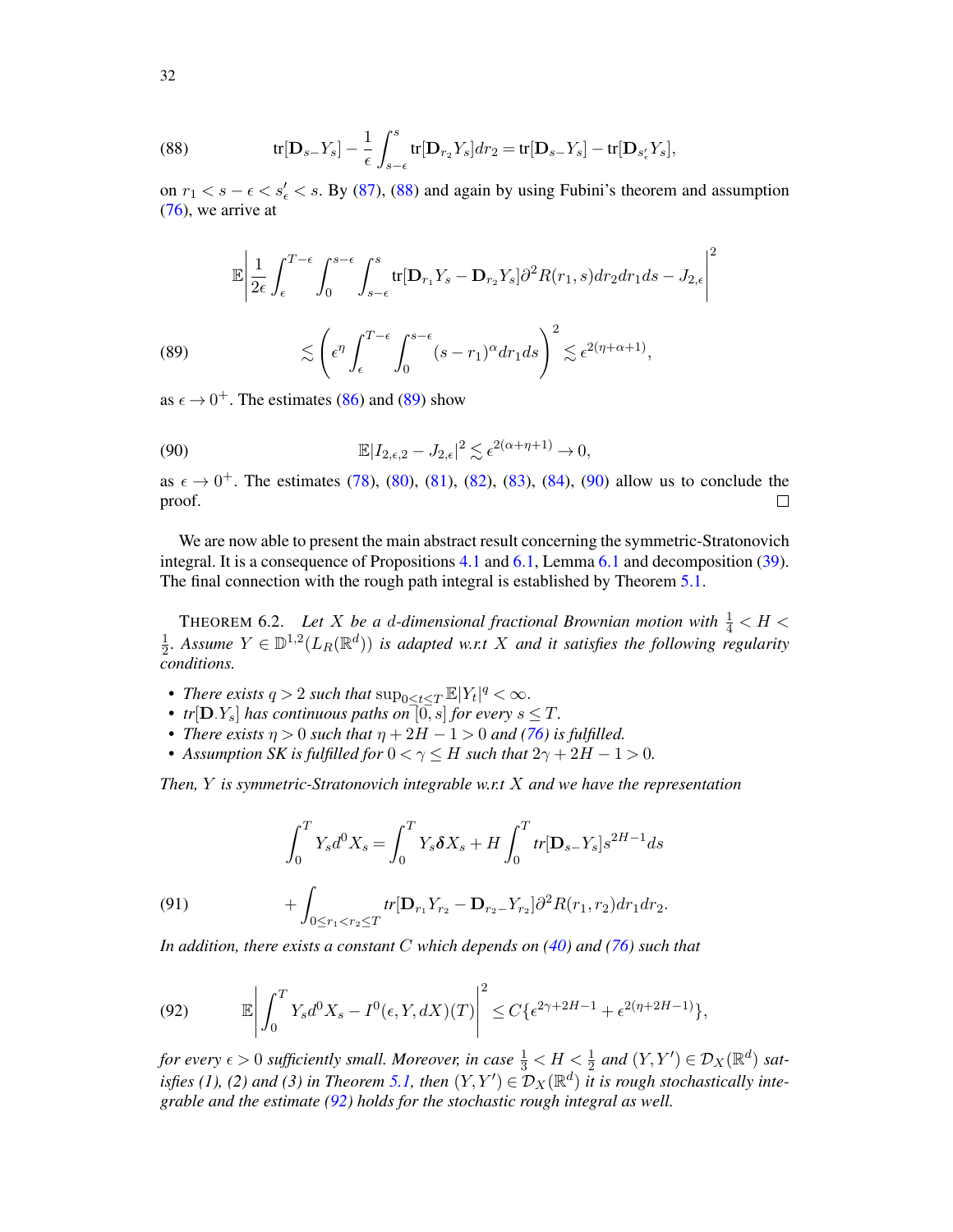<span id="page-31-1"></span>(88) 
$$
\text{tr}[\mathbf{D}_{s-}Y_s] - \frac{1}{\epsilon} \int_{s-\epsilon}^s \text{tr}[\mathbf{D}_{r_2}Y_s] dr_2 = \text{tr}[\mathbf{D}_{s-}Y_s] - \text{tr}[\mathbf{D}_{s'_\epsilon}Y_s],
$$

on  $r_1 < s - \epsilon < s'_\epsilon < s$ . By [\(87\)](#page-30-2), [\(88\)](#page-31-1) and again by using Fubini's theorem and assumption [\(76\)](#page-26-0), we arrive at

(89) 
$$
\mathbb{E}\left|\frac{1}{2\epsilon}\int_{\epsilon}^{T-\epsilon}\int_{0}^{s-\epsilon}\int_{s-\epsilon}^{s}\text{tr}[\mathbf{D}_{r_{1}}Y_{s}-\mathbf{D}_{r_{2}}Y_{s}]\partial^{2}R(r_{1},s)dr_{2}dr_{1}ds - J_{2,\epsilon}\right|^{2}
$$

$$
\lesssim \left(\epsilon^{\eta}\int_{\epsilon}^{T-\epsilon}\int_{0}^{s-\epsilon}(s-r_{1})^{\alpha}dr_{1}ds\right)^{2} \lesssim \epsilon^{2(\eta+\alpha+1)},
$$

<span id="page-31-2"></span>as  $\epsilon \to 0^+$ . The estimates [\(86\)](#page-30-3) and [\(89\)](#page-31-2) show

<span id="page-31-3"></span>(90) 
$$
\mathbb{E}|I_{2,\epsilon,2}-J_{2,\epsilon}|^2 \lesssim \epsilon^{2(\alpha+\eta+1)} \to 0,
$$

as  $\epsilon \to 0^+$ . The estimates [\(78\)](#page-27-1), [\(80\)](#page-28-0), [\(81\)](#page-29-0), [\(82\)](#page-29-1), [\(83\)](#page-29-2), [\(84\)](#page-30-0), [\(90\)](#page-31-3) allow us to conclude the proof.  $\Box$ 

We are now able to present the main abstract result concerning the symmetric-Stratonovich integral. It is a consequence of Propositions [4.1](#page-16-0) and [6.1,](#page-26-4) Lemma [6.1](#page-24-5) and decomposition [\(39\)](#page-14-1). The final connection with the rough path integral is established by Theorem [5.1.](#page-21-0)

<span id="page-31-0"></span>THEOREM 6.2. Let X be a d-dimensional fractional Brownian motion with  $\frac{1}{4} < H <$ 1  $\frac{1}{2}$ . Assume  $Y \in \mathbb{D}^{1,2}(L_R(\mathbb{R}^d))$  is adapted w.r.t X and it satisfies the following regularity *conditions.*

- *There exists*  $q > 2$  *such that*  $\sup_{0 \le t \le T} \mathbb{E}|Y_t|^q < \infty$ *.*
- *tr*[D*,Y<sub>s</sub>*] *has continuous paths on*<sup>[0,]</sup>*s*] *for every*  $s \leq T$ *.*
- *There exists*  $\eta > 0$  *such that*  $\eta + 2H 1 > 0$  *and* [\(76\)](#page-26-0) *is fulfilled.*
- Assumption SK is fulfilled for  $0 < \gamma < H$  such that  $2\gamma + 2H 1 > 0$ .

*Then,* Y *is symmetric-Stratonovich integrable w.r.t* X *and we have the representation*

(91) 
$$
\int_0^T Y_s d^0 X_s = \int_0^T Y_s \delta X_s + H \int_0^T tr[\mathbf{D}_{s-} Y_s] s^{2H-1} ds + \int_{0 \le r_1 < r_2 \le T} tr[\mathbf{D}_{r_1} Y_{r_2} - \mathbf{D}_{r_2-} Y_{r_2}] \partial^2 R(r_1, r_2) dr_1 dr_2.
$$

*In addition, there exists a constant* C *which depends on [\(40\)](#page-14-0) and [\(76\)](#page-26-0) such that*

<span id="page-31-4"></span>(92) 
$$
\mathbb{E}\left|\int_0^T Y_s d^0 X_s - I^0(\epsilon, Y, dX)(T)\right|^2 \leq C\left\{\epsilon^{2\gamma + 2H - 1} + \epsilon^{2(\eta + 2H - 1)}\right\},
$$

*for every*  $\epsilon > 0$  sufficiently small. Moreover, in case  $\frac{1}{3} < H < \frac{1}{2}$  and  $(Y, Y') \in \mathcal{D}_X(\mathbb{R}^d)$  sat-*isfies (1), (2) and (3) in Theorem [5.1,](#page-21-0) then*  $(Y, Y') \in \mathcal{D}_X(\mathbb{R}^d)$  *it is rough stochastically integrable and the estimate [\(92\)](#page-31-4) holds for the stochastic rough integral as well.*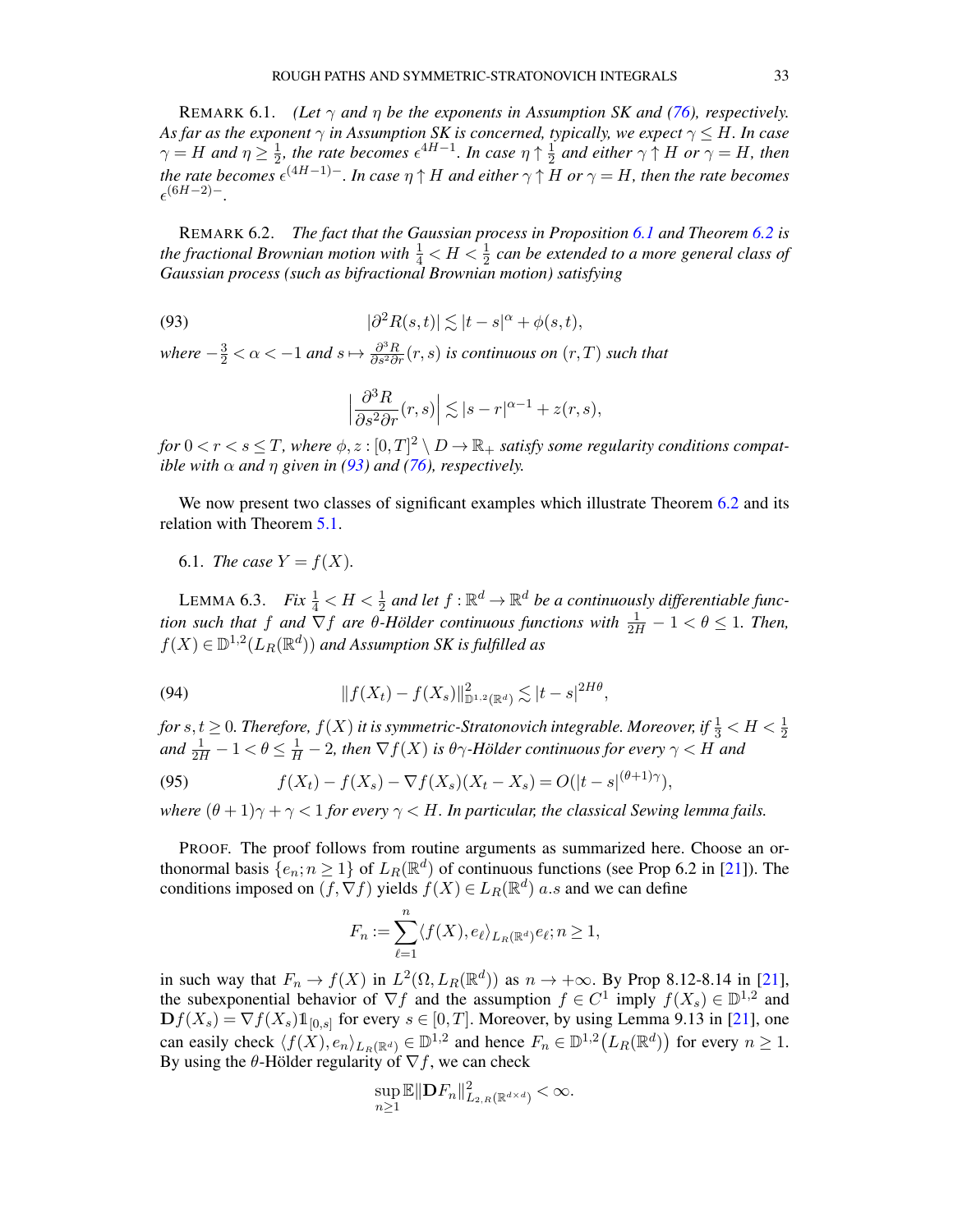REMARK 6.1. *(Let* γ *and* η *be the exponents in Assumption SK and [\(76\)](#page-26-0), respectively. As far as the exponent*  $\gamma$  *in Assumption SK is concerned, typically, we expect*  $\gamma \leq H$ *. In case*  $\gamma = H$  and  $\eta \geq \frac{1}{2}$  $\frac{1}{2}$ , the rate becomes  $\epsilon^{4H-1}$ . In case  $\eta \uparrow \frac{1}{2}$  $\frac{1}{2}$  and either  $\gamma \uparrow H$  or  $\gamma = H$ , then the rate becomes  $\epsilon^{(4H-1)-}$ . In case  $\eta \uparrow H$  and either  $\gamma \uparrow H$  or  $\gamma = H$ , then the rate becomes  $\epsilon^{(6H-2)-}.$ 

REMARK 6.2. *The fact that the Gaussian process in Proposition [6.1](#page-26-4) and Theorem [6.2](#page-31-0) is* the fractional Brownian motion with  $\frac{1}{4} < H < \frac{1}{2}$  can be extended to a more general class of *Gaussian process (such as bifractional Brownian motion) satisfying*

 $(93)$  $\vert^2 R(s,t) \vert \lesssim \vert t-s \vert^{\alpha} + \phi(s,t),$ 

where  $-\frac{3}{2} < \alpha < -1$  and  $s \mapsto \frac{\partial^3 R}{\partial s^2 \partial r}(r,s)$  *is continuous on*  $(r,T)$  *such that* 

<span id="page-32-1"></span>
$$
\left|\frac{\partial^3 R}{\partial s^2 \partial r}(r,s)\right| \lesssim |s-r|^{\alpha-1} + z(r,s),
$$

for  $0 < r < s \leq T$ , where  $\phi, z : [0, T]^2 \setminus D \to \mathbb{R}_+$  satisfy some regularity conditions compat*ible with*  $\alpha$  *and*  $\eta$  *given in* [\(93\)](#page-32-1) *and* [\(76\)](#page-26-0)*, respectively.* 

We now present two classes of significant examples which illustrate Theorem [6.2](#page-31-0) and its relation with Theorem [5.1.](#page-21-0)

### 6.1. *The case*  $Y = f(X)$ .

<span id="page-32-0"></span>LEMMA 6.3. *Fix*  $\frac{1}{4} < H < \frac{1}{2}$  and let  $f : \mathbb{R}^d \to \mathbb{R}^d$  be a continuously differentiable func*tion such that* f and  $\nabla f$  are  $\theta$ -Hölder continuous functions with  $\frac{1}{2H} - 1 < \theta \leq 1$ . Then,  $f(X) \in \mathbb{D}^{1,2}(L_R(\mathbb{R}^d))$  and Assumption SK is fulfilled as

(94) 
$$
||f(X_t) - f(X_s)||_{\mathbb{D}^{1,2}(\mathbb{R}^d)}^2 \lesssim |t-s|^{2H\theta},
$$

for  $s,t\geq 0.$  Therefore,  $f(X)$  it is symmetric-Stratonovich integrable. Moreover, if  $\frac{1}{3} < H < \frac{1}{2}$ and  $\frac{1}{2H} - 1 < \theta \leq \frac{1}{H} - 2$ , then  $\nabla f(X)$  is  $\theta \gamma$ -Hölder continuous for every  $\gamma < H$  and

<span id="page-32-2"></span>(95) 
$$
f(X_t) - f(X_s) - \nabla f(X_s)(X_t - X_s) = O(|t - s|^{(\theta + 1)\gamma}),
$$

*where*  $(\theta + 1)\gamma + \gamma < 1$  *for every*  $\gamma < H$ *. In particular, the classical Sewing lemma fails.* 

PROOF. The proof follows from routine arguments as summarized here. Choose an orthonormal basis  $\{e_n; n \geq 1\}$  of  $L_R(\mathbb{R}^d)$  of continuous functions (see Prop 6.2 in [\[21](#page-52-22)]). The conditions imposed on  $(f, \nabla f)$  yields  $f(X) \in L_R(\mathbb{R}^d)$  a.s and we can define

$$
F_n := \sum_{\ell=1}^n \langle f(X), e_{\ell} \rangle_{L_R(\mathbb{R}^d)} e_{\ell}; n \ge 1,
$$

in such way that  $F_n \to f(X)$  in  $L^2(\Omega, L_R(\mathbb{R}^d))$  as  $n \to +\infty$ . By Prop 8.12-8.14 in [\[21\]](#page-52-22), the subexponential behavior of  $\nabla f$  and the assumption  $f \in C^1$  imply  $f(X_s) \in \mathbb{D}^{1,2}$  and  $\mathbf{D}f(X_s) = \nabla f(X_s) \mathbb{1}_{[0,s]}$  for every  $s \in [0,T]$ . Moreover, by using Lemma 9.13 in [\[21](#page-52-22)], one can easily check  $\langle f(X), e_n \rangle_{L_R(\mathbb{R}^d)} \in \mathbb{D}^{1,2}$  and hence  $F_n \in \mathbb{D}^{1,2}(L_R(\mathbb{R}^d))$  for every  $n \ge 1$ . By using the  $\theta$ -Hölder regularity of  $\nabla f$ , we can check

$$
\sup_{n\geq 1}\mathbb{E}||\mathbf{D} F_n||^2_{L_{2,R}(\mathbb{R}^{d\times d})}<\infty.
$$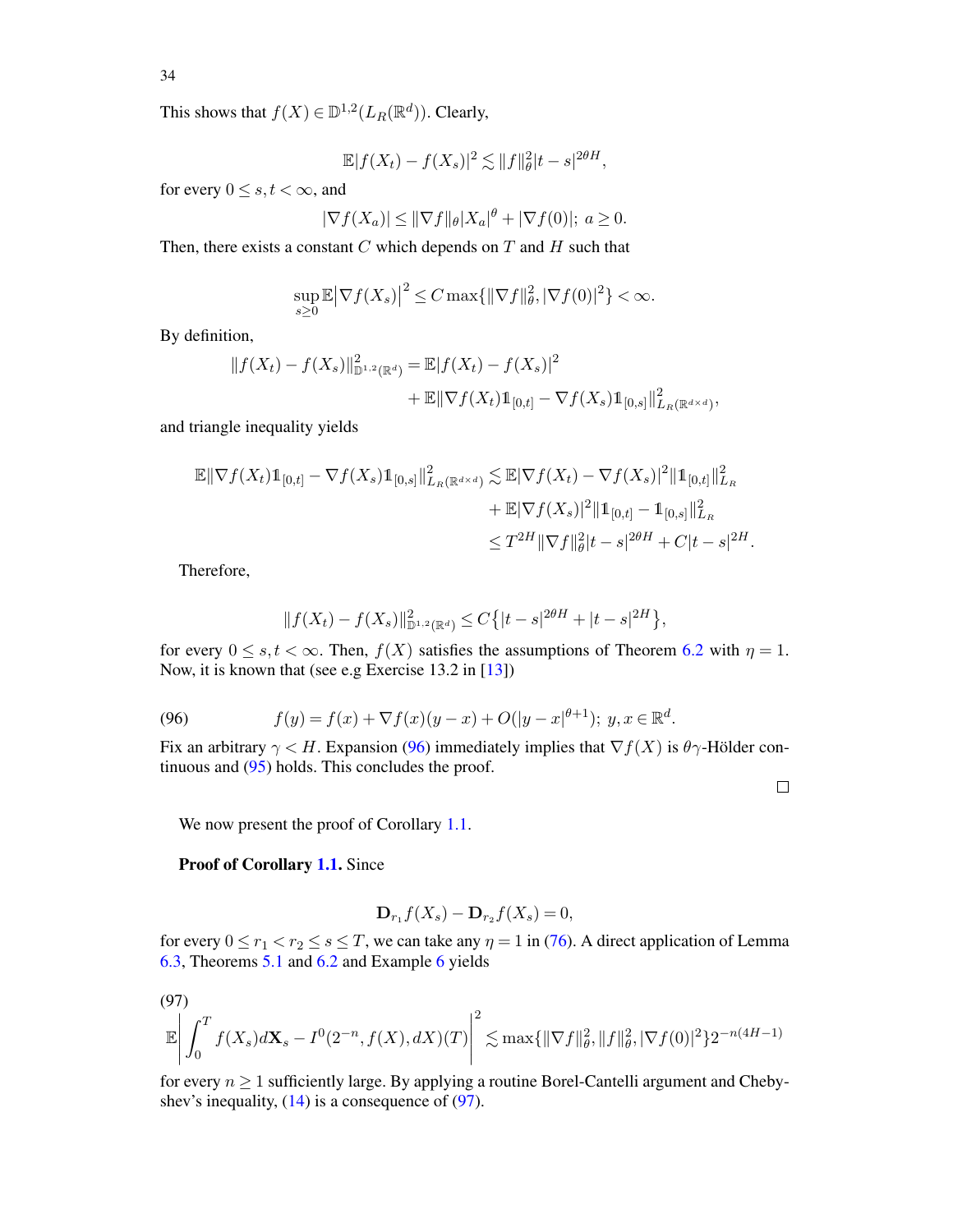This shows that  $f(X) \in \mathbb{D}^{1,2}(L_R(\mathbb{R}^d))$ . Clearly,

$$
\mathbb{E}|f(X_t) - f(X_s)|^2 \lesssim ||f||_{\theta}^2 |t-s|^{2\theta H},
$$

for every  $0 \leq s, t < \infty$ , and

$$
|\nabla f(X_a)| \le ||\nabla f||_{\theta} |X_a|^{\theta} + |\nabla f(0)|; \ a \ge 0.
$$

Then, there exists a constant  $C$  which depends on  $T$  and  $H$  such that

$$
\sup_{s\geq 0} \mathbb{E} |\nabla f(X_s)|^2 \leq C \max\{||\nabla f||^2_{\theta}, |\nabla f(0)|^2\} < \infty.
$$

By definition,

$$
||f(X_t) - f(X_s)||_{\mathbb{D}^{1,2}(\mathbb{R}^d)}^2 = \mathbb{E}|f(X_t) - f(X_s)|^2
$$
  
+  $\mathbb{E}||\nabla f(X_t)\mathbb{1}_{[0,t]} - \nabla f(X_s)\mathbb{1}_{[0,s]}||_{L_R(\mathbb{R}^{d \times d})}^2$ 

and triangle inequality yields

$$
\mathbb{E} \|\nabla f(X_t) \mathbb{1}_{[0,t]} - \nabla f(X_s) \mathbb{1}_{[0,s]} \|_{L_R(\mathbb{R}^{d \times d})}^2 \lesssim \mathbb{E} |\nabla f(X_t) - \nabla f(X_s)|^2 \| \mathbb{1}_{[0,t]} \|_{L_R}^2 + \mathbb{E} |\nabla f(X_s)|^2 \| \mathbb{1}_{[0,t]} - \mathbb{1}_{[0,s]} \|_{L_R}^2
$$
  

$$
\leq T^{2H} \|\nabla f\|_{\theta}^2 |t-s|^{2\theta H} + C|t-s|^{2H}.
$$

Therefore,

<span id="page-33-0"></span>
$$
||f(X_t) - f(X_s)||_{\mathbb{D}^{1,2}(\mathbb{R}^d)}^2 \le C\{|t-s|^{2\theta H} + |t-s|^{2H}\},\
$$

for every  $0 \le s, t < \infty$ . Then,  $f(X)$  satisfies the assumptions of Theorem [6.2](#page-31-0) with  $\eta = 1$ . Now, it is known that (see e.g Exercise 13.2 in [\[13](#page-52-18)])

(96) 
$$
f(y) = f(x) + \nabla f(x)(y - x) + O(|y - x|^{\theta + 1}); y, x \in \mathbb{R}^d.
$$

Fix an arbitrary  $\gamma < H$ . Expansion [\(96\)](#page-33-0) immediately implies that  $\nabla f(X)$  is  $\theta \gamma$ -Hölder continuous and [\(95\)](#page-32-2) holds. This concludes the proof.

 $\Box$ 

We now present the proof of Corollary [1.1.](#page-3-0)

Proof of Corollary [1.1.](#page-3-0) Since

$$
\mathbf{D}_{r_1}f(X_s) - \mathbf{D}_{r_2}f(X_s) = 0,
$$

for every  $0 \le r_1 < r_2 \le s \le T$ , we can take any  $\eta = 1$  in [\(76\)](#page-26-0). A direct application of Lemma [6.3,](#page-32-0) Theorems [5.1](#page-21-0) and [6.2](#page-31-0) and Example [6](#page-22-1) yields

$$
(97)
$$

<span id="page-33-1"></span>
$$
\mathbb{E}\left|\int_{0}^{T}f(X_{s})d\mathbf{X}_{s}-I^{0}(2^{-n},f(X),dX)(T)\right|^{2} \lesssim \max\{\|\nabla f\|_{\theta}^{2},\|f\|_{\theta}^{2},|\nabla f(0)|^{2}\}2^{-n(4H-1)}
$$

for every  $n \geq 1$  sufficiently large. By applying a routine Borel-Cantelli argument and Chebyshev's inequality,  $(14)$  is a consequence of  $(97)$ .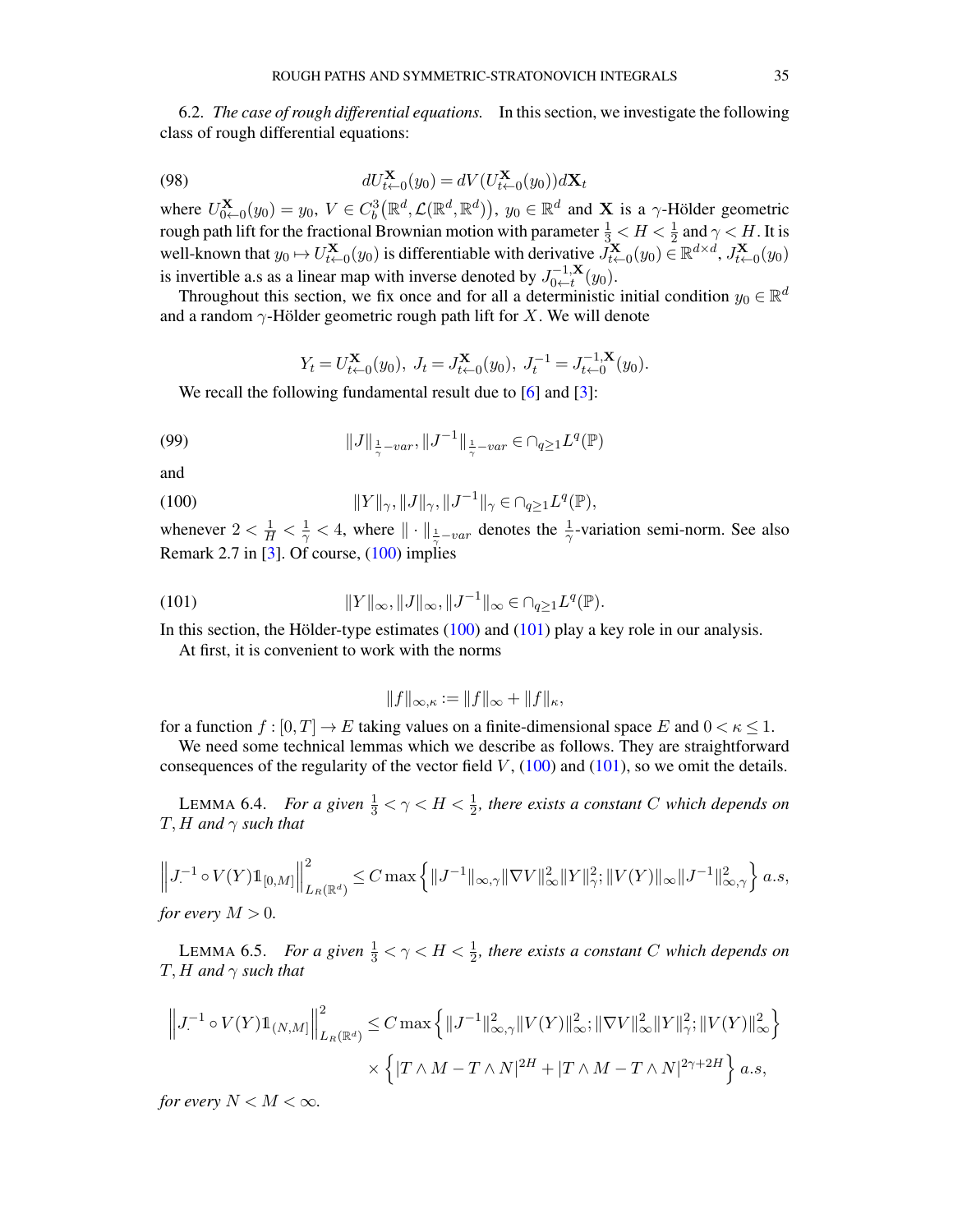6.2. *The case of rough differential equations.* In this section, we investigate the following class of rough differential equations:

(98) 
$$
dU_{t+0}^{\mathbf{X}}(y_0) = dV(U_{t+0}^{\mathbf{X}}(y_0))d\mathbf{X}_t
$$

where  $U_{0}^{\mathbf{X}}$  $\mathcal{L}_{0\leftarrow0}(y_0) = y_0, V \in C_b^3(\mathbb{R}^d, \mathcal{L}(\mathbb{R}^d, \mathbb{R}^d)), y_0 \in \mathbb{R}^d$  and **X** is a  $\gamma$ -Hölder geometric rough path lift for the fractional Brownian motion with parameter  $\frac{1}{3} < H < \frac{1}{2}$  and  $\gamma < H$ . It is well-known that  $y_0 \mapsto U_{t+}^{\mathbf{X}}$  $\mathbf{X}_{t\leftarrow0}(y_0)$  is differentiable with derivative  $\tilde{J}_{t\leftarrow0}^{\mathbf{X}}$  $\vec{X}_{t \leftarrow 0}(y_0) \in \mathbb{R}^{d \times d}$ ,  $J_{t \leftarrow 0}^{\mathbf{X}}$  $\mathbf{X}_{t\leftarrow 0}(y_0)$ is invertible a.s as a linear map with inverse denoted by  $J_{0 \leftarrow t}^{-1,\mathbf{X}}$  $\sum_{0 \leftarrow t}^{-1,\mathbf{A}}(y_0).$ 

Throughout this section, we fix once and for all a deterministic initial condition  $y_0 \in \mathbb{R}^d$ and a random  $\gamma$ -Hölder geometric rough path lift for X. We will denote

<span id="page-34-4"></span><span id="page-34-0"></span>
$$
Y_t = U_{t \leftarrow 0}^{\mathbf{X}}(y_0), J_t = J_{t \leftarrow 0}^{\mathbf{X}}(y_0), J_t^{-1} = J_{t \leftarrow 0}^{-1, \mathbf{X}}(y_0).
$$

We recall the following fundamental result due to [\[6\]](#page-52-25) and [\[3\]](#page-51-2):

(99) 
$$
||J||_{\frac{1}{\gamma}-var}, ||J^{-1}||_{\frac{1}{\gamma}-var} \in \cap_{q\geq 1} L^q(\mathbb{P})
$$

and

(100) 
$$
||Y||_{\gamma}, ||J||_{\gamma}, ||J^{-1}||_{\gamma} \in \cap_{q \ge 1} L^q(\mathbb{P}),
$$

whenever  $2 < \frac{1}{H} < \frac{1}{\gamma} < 4$ , where  $\|\cdot\|_{\frac{1}{\gamma}-var}$  denotes the  $\frac{1}{\gamma}$ -variation semi-norm. See also Remark 2.7 in [\[3](#page-51-2)]. Of course,  $(100)$  implies

(101) 
$$
||Y||_{\infty}, ||J||_{\infty}, ||J^{-1}||_{\infty} \in \cap_{q \ge 1} L^q(\mathbb{P}).
$$

In this section, the Hölder-type estimates [\(100\)](#page-34-0) and [\(101\)](#page-34-1) play a key role in our analysis.

At first, it is convenient to work with the norms

<span id="page-34-1"></span>
$$
||f||_{\infty,\kappa} := ||f||_{\infty} + ||f||_{\kappa},
$$

for a function  $f : [0, T] \to E$  taking values on a finite-dimensional space E and  $0 < \kappa \leq 1$ .

We need some technical lemmas which we describe as follows. They are straightforward consequences of the regularity of the vector field  $V$ , [\(100\)](#page-34-0) and [\(101\)](#page-34-1), so we omit the details.

<span id="page-34-2"></span>LEMMA 6.4. *For a given*  $\frac{1}{3} < \gamma < H < \frac{1}{2}$ , there exists a constant C which depends on  $T$ , H and  $\gamma$  *such that* 

$$
\left\|J^{-1} \circ V(Y) \mathbb{1}_{[0,M]}\right\|_{L_R(\mathbb{R}^d)}^2 \leq C \max \left\{\|J^{-1}\|_{\infty,\gamma} \|\nabla V\|_{\infty}^2 \|Y\|_{\gamma}^2; \|V(Y)\|_{\infty} \|J^{-1}\|_{\infty,\gamma}^2\right\} a.s,
$$

*for every*  $M > 0$ *.* 

<span id="page-34-3"></span>LEMMA 6.5. *For a given*  $\frac{1}{3} < \gamma < H < \frac{1}{2}$ , there exists a constant C which depends on  $T$ , H and  $\gamma$  *such that* 

$$
\left\| J^{-1} \circ V(Y) 1\!\!1_{(N,M]} \right\|^2_{L_R(\mathbb{R}^d)} \leq C \max \left\{ \| J^{-1} \|^2_{\infty,\gamma} \| V(Y) \|^2_{\infty}; \|\nabla V \|^2_{\infty} \| Y \|^2_{\gamma}; \| V(Y) \|^2_{\infty} \right\}
$$

$$
\times \left\{ |T \wedge M - T \wedge N|^{2H} + |T \wedge M - T \wedge N|^{2\gamma + 2H} \right\} a.s,
$$

*for every*  $N < M < \infty$ *.*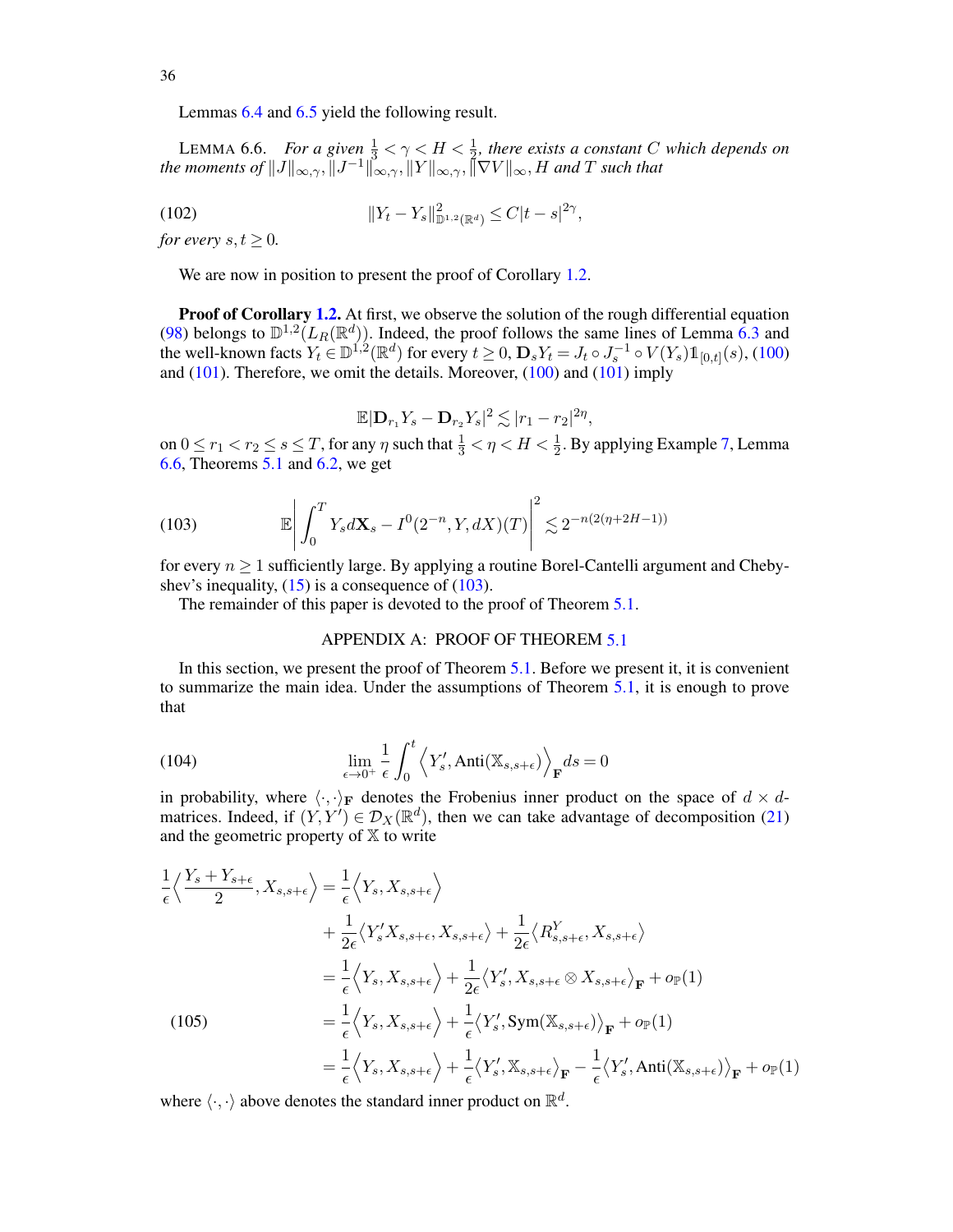Lemmas [6.4](#page-34-2) and [6.5](#page-34-3) yield the following result.

<span id="page-35-2"></span>LEMMA 6.6. *For a given*  $\frac{1}{3} < \gamma < H < \frac{1}{2}$ , there exists a constant C which depends on  $\frac{2}{\pi}$  *the moments of*  $||J||_{\infty,\gamma}$ ,  $||J^{-1}||_{\infty,\gamma}$ ,  $||Y||_{\infty,\gamma}$ ,  $||\nabla V||_{\infty}$ , *H and T such that* 

(102) 
$$
||Y_t - Y_s||_{\mathbb{D}^{1,2}(\mathbb{R}^d)}^2 \leq C|t-s|^{2\gamma},
$$

*for every*  $s, t \geq 0$ *.* 

We are now in position to present the proof of Corollary [1.2.](#page-3-1)

**Proof of Corollary [1.2.](#page-3-1)** At first, we observe the solution of the rough differential equation [\(98\)](#page-34-4) belongs to  $\mathbb{D}^{1,2}(L_R(\mathbb{R}^d))$ . Indeed, the proof follows the same lines of Lemma [6.3](#page-32-0) and the well-known facts  $Y_t \in \mathbb{D}^{1,2}(\mathbb{R}^d)$  for every  $t \geq 0$ ,  $\mathbf{D}_s Y_t = J_t \circ J_s^{-1} \circ V(Y_s) \mathbb{1}_{[0,t]}(s)$ , [\(100\)](#page-34-0) and [\(101\)](#page-34-1). Therefore, we omit the details. Moreover, [\(100\)](#page-34-0) and [\(101\)](#page-34-1) imply

$$
\mathbb{E}|\mathbf{D}_{r_1}Y_s-\mathbf{D}_{r_2}Y_s|^2\lesssim |r_1-r_2|^{2\eta},
$$

on  $0 \le r_1 < r_2 \le s \le T$ , for any  $\eta$  such that  $\frac{1}{3} < \eta < H < \frac{1}{2}$ . By applying Example [7,](#page-22-0) Lemma [6.6,](#page-35-2) Theorems  $\overline{5.1}$  $\overline{5.1}$  $\overline{5.1}$  and [6.2,](#page-31-0) we get

<span id="page-35-3"></span>(103) 
$$
\mathbb{E}\left|\int_{0}^{T} Y_{s} dX_{s} - I^{0}(2^{-n}, Y_{s} dX)(T)\right|^{2} \lesssim 2^{-n(2(\eta + 2H - 1))}
$$

for every  $n \geq 1$  sufficiently large. By applying a routine Borel-Cantelli argument and Chebyshev's inequality,  $(15)$  is a consequence of  $(103)$ .

<span id="page-35-0"></span>The remainder of this paper is devoted to the proof of Theorem [5.1.](#page-21-0)

#### <span id="page-35-4"></span>APPENDIX A: PROOF OF THEOREM [5.1](#page-21-0)

In this section, we present the proof of Theorem [5.1.](#page-21-0) Before we present it, it is convenient to summarize the main idea. Under the assumptions of Theorem [5.1,](#page-21-0) it is enough to prove that

(104) 
$$
\lim_{\epsilon \to 0^+} \frac{1}{\epsilon} \int_0^t \left\langle Y'_s, \text{Anti}(\mathbb{X}_{s,s+\epsilon}) \right\rangle_{\mathbf{F}} ds = 0
$$

in probability, where  $\langle \cdot, \cdot \rangle_F$  denotes the Frobenius inner product on the space of  $d \times d$ matrices. Indeed, if  $(Y, Y') \in \mathcal{D}_X(\mathbb{R}^d)$ , then we can take advantage of decomposition [\(21\)](#page-6-0) and the geometric property of  $X$  to write

<span id="page-35-1"></span>
$$
\frac{1}{\epsilon} \left\langle \frac{Y_s + Y_{s+\epsilon}}{2}, X_{s,s+\epsilon} \right\rangle = \frac{1}{\epsilon} \left\langle Y_s, X_{s,s+\epsilon} \right\rangle \n+ \frac{1}{2\epsilon} \left\langle Y'_s X_{s,s+\epsilon}, X_{s,s+\epsilon} \right\rangle + \frac{1}{2\epsilon} \left\langle R_{s,s+\epsilon}^Y, X_{s,s+\epsilon} \right\rangle \n= \frac{1}{\epsilon} \left\langle Y_s, X_{s,s+\epsilon} \right\rangle + \frac{1}{2\epsilon} \left\langle Y'_s, X_{s,s+\epsilon} \otimes X_{s,s+\epsilon} \right\rangle_{\mathbf{F}} + o_{\mathbb{P}}(1) \n= \frac{1}{\epsilon} \left\langle Y_s, X_{s,s+\epsilon} \right\rangle + \frac{1}{\epsilon} \left\langle Y'_s, \text{Sym}(\mathbb{X}_{s,s+\epsilon}) \right\rangle_{\mathbf{F}} + o_{\mathbb{P}}(1) \n= \frac{1}{\epsilon} \left\langle Y_s, X_{s,s+\epsilon} \right\rangle + \frac{1}{\epsilon} \left\langle Y'_s, \mathbb{X}_{s,s+\epsilon} \right\rangle_{\mathbf{F}} - \frac{1}{\epsilon} \left\langle Y'_s, \text{Anti}(\mathbb{X}_{s,s+\epsilon}) \right\rangle_{\mathbf{F}} + o_{\mathbb{P}}(1)
$$

where  $\langle \cdot, \cdot \rangle$  above denotes the standard inner product on  $\mathbb{R}^d$ .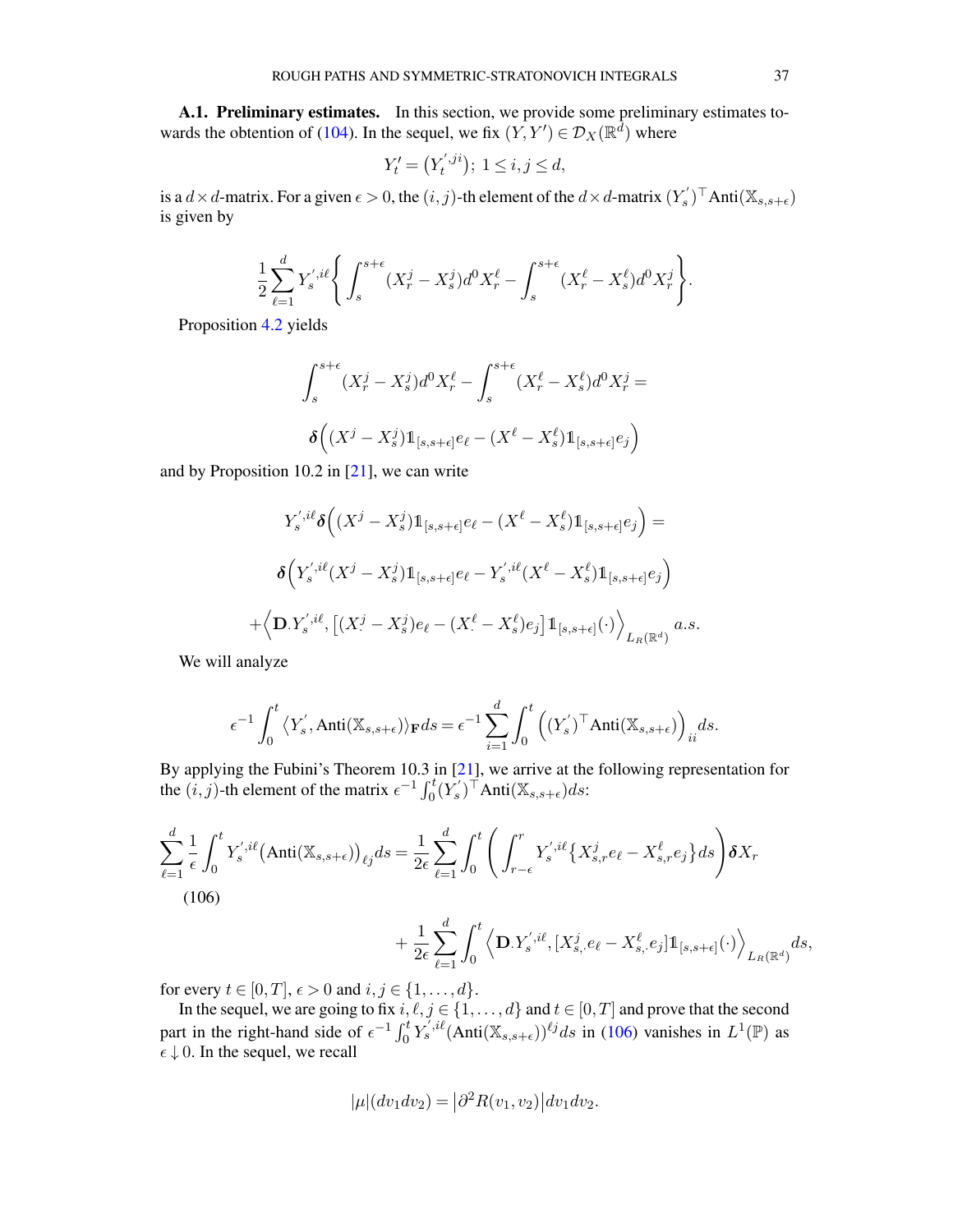A.1. Preliminary estimates. In this section, we provide some preliminary estimates to-wards the obtention of [\(104\)](#page-35-4). In the sequel, we fix  $(Y, Y') \in \mathcal{D}_X(\mathbb{R}^d)$  where

$$
Y'_t = \left(Y'_t, j^{i}\right); \ 1 \le i, j \le d,
$$

is a  $d \times d$ -matrix. For a given  $\epsilon > 0$ , the  $(i, j)$ -th element of the  $d \times d$ -matrix  $(Y^{'}_{s})^{\top}$ Anti $(\mathbb{X}_{s, s+\epsilon})$ is given by

$$
\frac{1}{2} \sum_{\ell=1}^{d} Y_s^{',i\ell} \Bigg\{ \int_s^{s+\epsilon} (X_r^j - X_s^j) d^0 X_r^{\ell} - \int_s^{s+\epsilon} (X_r^{\ell} - X_s^{\ell}) d^0 X_r^j \Bigg\}.
$$

Proposition [4.2](#page-19-3) yields

$$
\int_{s}^{s+\epsilon} (X_r^j - X_s^j) d^0 X_r^{\ell} - \int_{s}^{s+\epsilon} (X_r^{\ell} - X_s^{\ell}) d^0 X_r^j =
$$

$$
\delta \left( (X^j - X_s^j) \mathbb{1}_{[s,s+\epsilon]} e_\ell - (X^{\ell} - X_s^{\ell}) \mathbb{1}_{[s,s+\epsilon]} e_j \right)
$$

and by Proposition 10.2 in  $[21]$ , we can write

$$
Y_{s}^{',i\ell} \delta \Big( (X^{j} - X_{s}^{j}) \mathbb{1}_{[s,s+\epsilon]} e_{\ell} - (X^{\ell} - X_{s}^{\ell}) \mathbb{1}_{[s,s+\epsilon]} e_{j} \Big) =
$$
  

$$
\delta \Big( Y_{s}^{',i\ell} (X^{j} - X_{s}^{j}) \mathbb{1}_{[s,s+\epsilon]} e_{\ell} - Y_{s}^{',i\ell} (X^{\ell} - X_{s}^{\ell}) \mathbb{1}_{[s,s+\epsilon]} e_{j} \Big)
$$
  

$$
+ \Big\langle \mathbf{D}. Y_{s}^{',i\ell}, \Big[ (X^{j} - X_{s}^{j}) e_{\ell} - (X^{\ell} - X_{s}^{\ell}) e_{j} \Big] \mathbb{1}_{[s,s+\epsilon]} (\cdot) \Big\rangle_{L_{R}(\mathbb{R}^{d})} a.s.
$$

We will analyze

$$
\epsilon^{-1}\int_0^t \left\langle Y'_s, \text{Anti}(\mathbb{X}_{s,s+\epsilon})\right\rangle_{\mathbf{F}} ds = \epsilon^{-1}\sum_{i=1}^d \int_0^t \left( (Y'_s)^\top \text{Anti}(\mathbb{X}_{s,s+\epsilon}) \right)_{ii} ds.
$$

By applying the Fubini's Theorem 10.3 in [\[21\]](#page-52-22), we arrive at the following representation for the  $(i, j)$ -th element of the matrix  $\epsilon^{-1} \int_0^t (\overline{Y}_s^{\prime})^{\dagger}$  Anti $(\mathbb{X}_{s, s+\epsilon}) ds$ :

<span id="page-36-0"></span>
$$
\sum_{\ell=1}^{d} \frac{1}{\epsilon} \int_{0}^{t} Y_{s}^{',i\ell} (\text{Anti}(\mathbb{X}_{s,s+\epsilon}))_{\ell j} ds = \frac{1}{2\epsilon} \sum_{\ell=1}^{d} \int_{0}^{t} \left( \int_{r-\epsilon}^{r} Y_{s}^{',i\ell} \{ X_{s,r}^{j} e_{\ell} - X_{s,r}^{\ell} e_{j} \} ds \right) \delta X_{r}
$$
\n(106)

$$
+\frac{1}{2\epsilon}\sum_{\ell=1}^d\int_0^t\left\langle \mathbf{D}.Y_s^{',i\ell},[X^j_{s, \cdot}e_\ell-X^\ell_{s, \cdot}e_j]\mathbb{1}_{[s,s+\epsilon]}(\cdot)\right\rangle_{L_R(\mathbb{R}^d)}ds,
$$

for every  $t \in [0, T]$ ,  $\epsilon > 0$  and  $i, j \in \{1, ..., d\}$ .

In the sequel, we are going to fix  $i, \ell, j \in \{1, ..., d\}$  and  $t \in [0, T]$  and prove that the second part in the right-hand side of  $\epsilon^{-1} \int_0^t Y_s^{j,i\ell} (\text{Anti}(\mathbb{X}_{s,s+\epsilon}))^{\ell j} ds$  in [\(106\)](#page-36-0) vanishes in  $L^1(\mathbb{P})$  as  $\epsilon \downarrow 0$ . In the sequel, we recall

$$
|\mu|(dv_1dv_2) = |\partial^2 R(v_1, v_2)| dv_1dv_2.
$$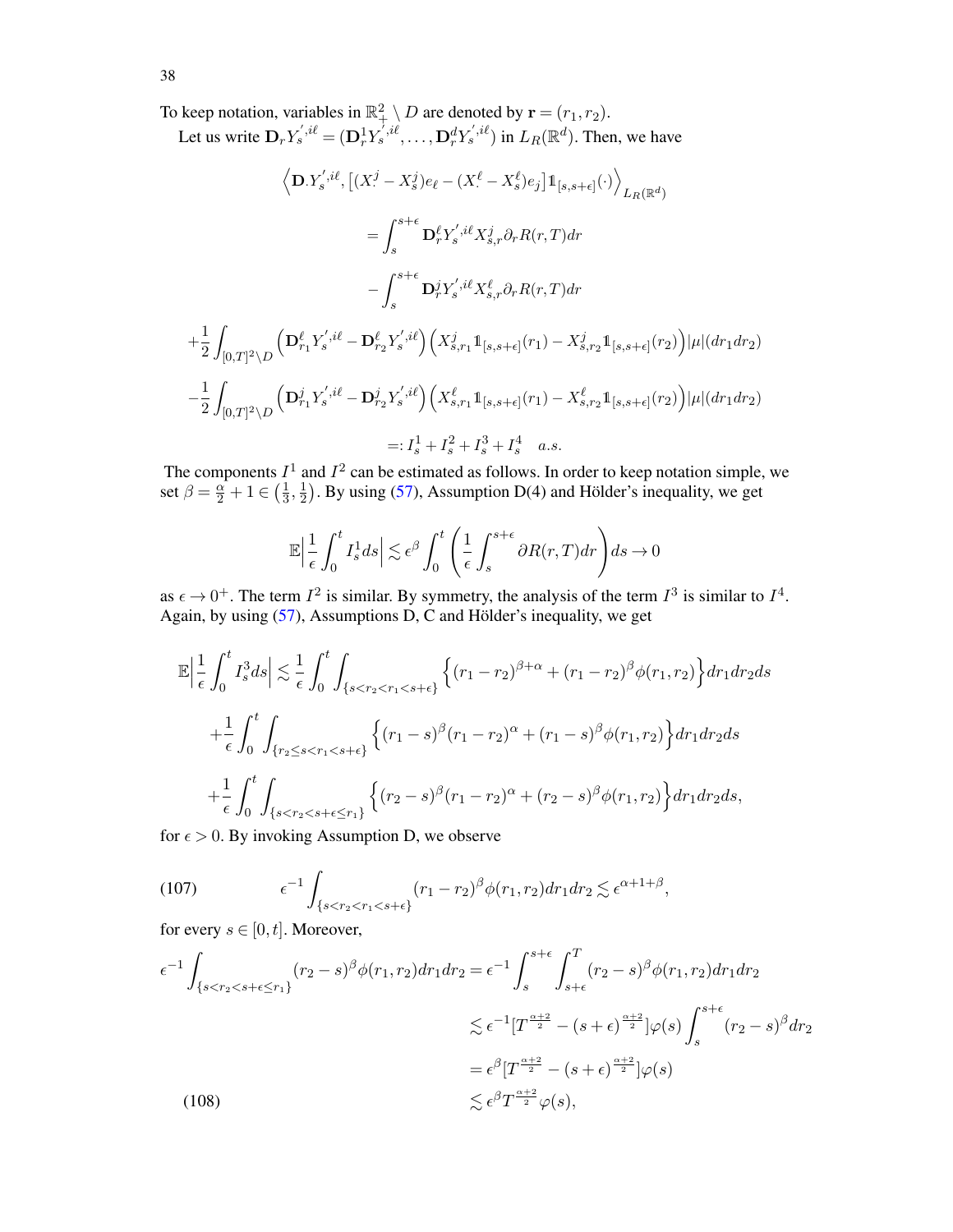To keep notation, variables in  $\mathbb{R}^2_+ \setminus D$  are denoted by  $\mathbf{r} = (r_1, r_2)$ .

Let us write  $\mathbf{D}_r Y_s^{',i\ell} = (\mathbf{D}_r^1 Y_s^{',i\ell}, \dots, \mathbf{D}_r^d Y_s^{',i\ell})$  in  $L_R(\mathbb{R}^d)$ . Then, we have

$$
\left\langle \mathbf{D}.Y_{s}^{',i\ell}, \left[ (X_{\cdot}^{j} - X_{s}^{j})e_{\ell} - (X_{\cdot}^{\ell} - X_{s}^{\ell})e_{j} \right] \mathbb{1}_{[s,s+\epsilon]}(\cdot) \right\rangle_{L_{R}(\mathbb{R}^{d})}
$$
\n
$$
= \int_{s}^{s+\epsilon} \mathbf{D}_{r}^{\ell} Y_{s}^{',i\ell} X_{s,r}^{j} \partial_{r} R(r,T) dr
$$
\n
$$
- \int_{s}^{s+\epsilon} \mathbf{D}_{r}^{j} Y_{s}^{',i\ell} X_{s,r}^{\ell} \partial_{r} R(r,T) dr
$$
\n
$$
+ \frac{1}{2} \int_{[0,T]^{2} \backslash D} \left( \mathbf{D}_{r_{1}}^{\ell} Y_{s}^{',i\ell} - \mathbf{D}_{r_{2}}^{\ell} Y_{s}^{',i\ell} \right) \left( X_{s,r_{1}}^{j} \mathbb{1}_{[s,s+\epsilon]}(r_{1}) - X_{s,r_{2}}^{j} \mathbb{1}_{[s,s+\epsilon]}(r_{2}) \right) |\mu|(dr_{1} dr_{2})
$$
\n
$$
- \frac{1}{2} \int_{[0,T]^{2} \backslash D} \left( \mathbf{D}_{r_{1}}^{j} Y_{s}^{',i\ell} - \mathbf{D}_{r_{2}}^{j} Y_{s}^{',i\ell} \right) \left( X_{s,r_{1}}^{\ell} \mathbb{1}_{[s,s+\epsilon]}(r_{1}) - X_{s,r_{2}}^{\ell} \mathbb{1}_{[s,s+\epsilon]}(r_{2}) \right) |\mu|(dr_{1} dr_{2})
$$
\n
$$
=: I_{s}^{1} + I_{s}^{2} + I_{s}^{3} + I_{s}^{4} \quad a.s.
$$

The components  $I^1$  and  $I^2$  can be estimated as follows. In order to keep notation simple, we set  $\beta = \frac{\alpha}{2} + 1 \in \left(\frac{1}{3}\right)$  $\frac{1}{3}, \frac{1}{2}$  $\frac{1}{2}$ ). By using [\(57\)](#page-21-4), Assumption D(4) and Hölder's inequality, we get

$$
\mathbb{E}\left|\frac{1}{\epsilon}\int_0^t I_s^1 ds\right| \lesssim \epsilon^\beta \int_0^t \left(\frac{1}{\epsilon}\int_s^{s+\epsilon} \partial R(r,T) dr\right) ds \to 0
$$

as  $\epsilon \to 0^+$ . The term  $I^2$  is similar. By symmetry, the analysis of the term  $I^3$  is similar to  $I^4$ . Again, by using  $(57)$ , Assumptions D, C and Hölder's inequality, we get

$$
\mathbb{E}\left|\frac{1}{\epsilon}\int_{0}^{t}I_{s}^{3}ds\right|\lesssim\frac{1}{\epsilon}\int_{0}^{t}\int_{\{s\n
$$
+\frac{1}{\epsilon}\int_{0}^{t}\int_{\{r_{2}\leq s\n
$$
+\frac{1}{\epsilon}\int_{0}^{t}\int_{\{s
$$
$$
$$

for  $\epsilon > 0$ . By invoking Assumption D, we observe

<span id="page-37-0"></span>
$$
(107)\qquad \qquad \epsilon^{-1}\int_{\{s < r_2 < r_1 < s + \epsilon\}} (r_1 - r_2)^\beta \phi(r_1, r_2) dr_1 dr_2 \lesssim \epsilon^{\alpha + 1 + \beta},
$$

for every  $s \in [0, t]$ . Moreover,

<span id="page-37-1"></span>
$$
\epsilon^{-1} \int_{\{s < r_2 < s + \epsilon \le r_1\}} (r_2 - s)^\beta \phi(r_1, r_2) dr_1 dr_2 = \epsilon^{-1} \int_s^{s + \epsilon} \int_{s + \epsilon}^T (r_2 - s)^\beta \phi(r_1, r_2) dr_1 dr_2
$$
\n
$$
\lesssim \epsilon^{-1} \left[ T^{\frac{\alpha + 2}{2}} - (s + \epsilon)^{\frac{\alpha + 2}{2}} \right] \varphi(s) \int_s^{s + \epsilon} (r_2 - s)^\beta dr_2
$$
\n
$$
= \epsilon^\beta \left[ T^{\frac{\alpha + 2}{2}} - (s + \epsilon)^{\frac{\alpha + 2}{2}} \right] \varphi(s)
$$
\n
$$
\lesssim \epsilon^\beta T^{\frac{\alpha + 2}{2}} \varphi(s),
$$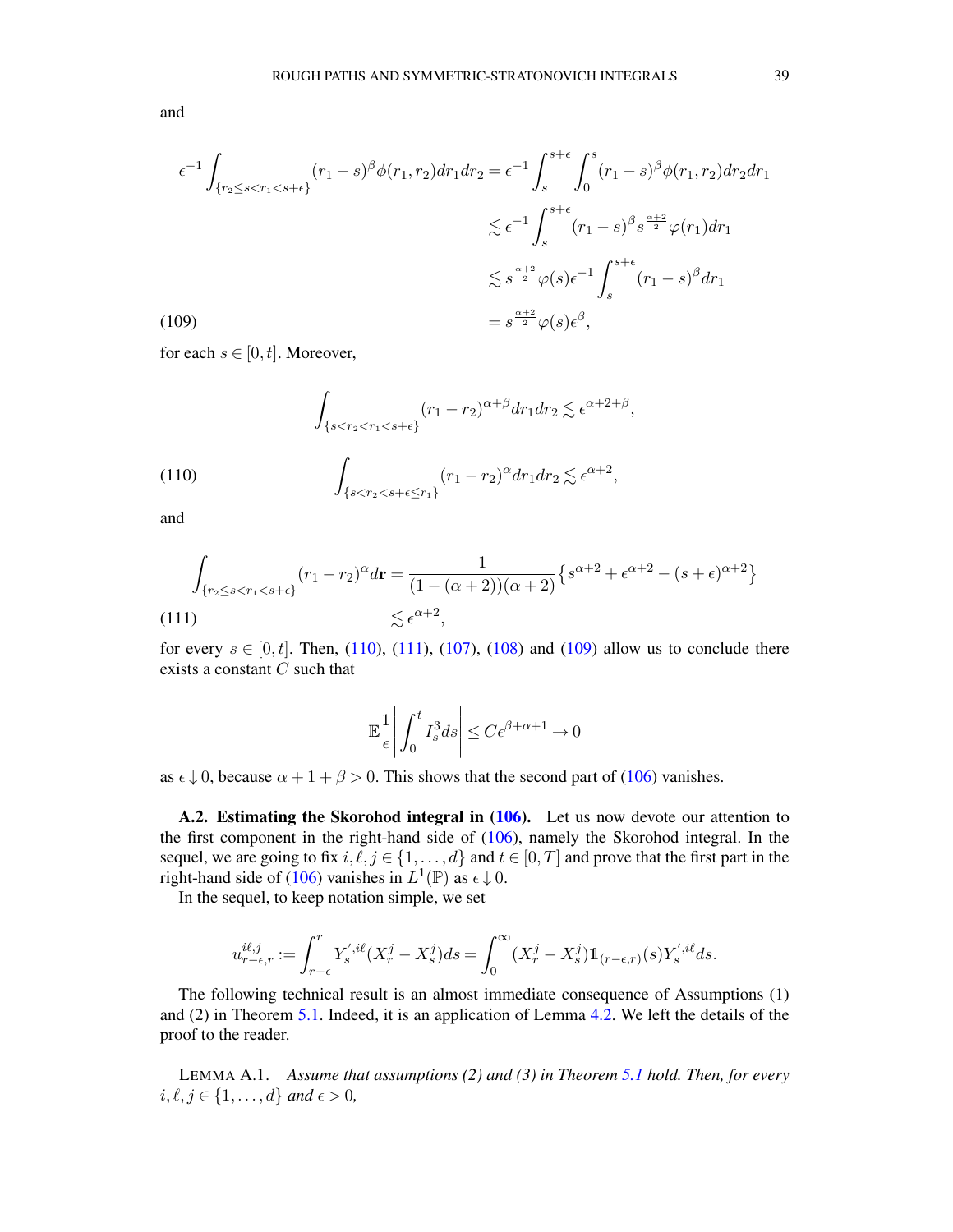and

<span id="page-38-2"></span>
$$
\epsilon^{-1} \int_{\{r_2 \le s < r_1 < s + \epsilon\}} (r_1 - s)^\beta \phi(r_1, r_2) dr_1 dr_2 = \epsilon^{-1} \int_s^{s + \epsilon} \int_0^s (r_1 - s)^\beta \phi(r_1, r_2) dr_2 dr_1
$$
\n
$$
\lesssim \epsilon^{-1} \int_s^{s + \epsilon} (r_1 - s)^\beta s^{\frac{\alpha + 2}{2}} \varphi(r_1) dr_1
$$
\n
$$
\lesssim s^{\frac{\alpha + 2}{2}} \varphi(s) \epsilon^{-1} \int_s^{s + \epsilon} (r_1 - s)^\beta dr_1
$$
\n
$$
= s^{\frac{\alpha + 2}{2}} \varphi(s) \epsilon^\beta,
$$

for each  $s \in [0, t]$ . Moreover,

(110) 
$$
\int_{\{s < r_2 < r_1 < s + \epsilon\}} (r_1 - r_2)^{\alpha + \beta} dr_1 dr_2 \lesssim \epsilon^{\alpha + 2 + \beta},
$$
\n
$$
\int_{\{s < r_2 < s + \epsilon \le r_1\}} (r_1 - r_2)^{\alpha} dr_1 dr_2 \lesssim \epsilon^{\alpha + 2},
$$

<span id="page-38-0"></span>and

<span id="page-38-1"></span>
$$
\int_{\{r_2 \le s < r_1 < s + \epsilon\}} (r_1 - r_2)^{\alpha} d\mathbf{r} = \frac{1}{(1 - (\alpha + 2))(\alpha + 2)} \{s^{\alpha + 2} + \epsilon^{\alpha + 2} - (s + \epsilon)^{\alpha + 2}\}
$$
\n
$$
\lesssim \epsilon^{\alpha + 2},
$$
\n(111)

for every  $s \in [0, t]$ . Then, [\(110\)](#page-38-0), [\(111\)](#page-38-1), [\(107\)](#page-37-0), [\(108\)](#page-37-1) and [\(109\)](#page-38-2) allow us to conclude there exists a constant  $C$  such that

$$
\mathbb{E}\frac{1}{\epsilon}\bigg|\int_0^t I_s^3 ds\bigg|\leq C\epsilon^{\beta+\alpha+1}\to 0
$$

as  $\epsilon \downarrow 0$ , because  $\alpha + 1 + \beta > 0$ . This shows that the second part of [\(106\)](#page-36-0) vanishes.

A.2. Estimating the Skorohod integral in [\(106\)](#page-36-0). Let us now devote our attention to the first component in the right-hand side of [\(106\)](#page-36-0), namely the Skorohod integral. In the sequel, we are going to fix  $i, \ell, j \in \{1, ..., d\}$  and  $t \in [0, T]$  and prove that the first part in the right-hand side of [\(106\)](#page-36-0) vanishes in  $L^1(\mathbb{P})$  as  $\epsilon \downarrow 0$ .

In the sequel, to keep notation simple, we set

$$
u_{r-\epsilon,r}^{i\ell,j} := \int_{r-\epsilon}^r Y_s^{',i\ell}(X_r^j - X_s^j)ds = \int_0^\infty (X_r^j - X_s^j) \mathbb{1}_{(r-\epsilon,r)}(s)Y_s^{',i\ell}ds.
$$

The following technical result is an almost immediate consequence of Assumptions (1) and (2) in Theorem [5.1.](#page-21-0) Indeed, it is an application of Lemma [4.2.](#page-13-0) We left the details of the proof to the reader.

<span id="page-38-3"></span>LEMMA A.1. *Assume that assumptions (2) and (3) in Theorem [5.1](#page-21-0) hold. Then, for every*  $i, \ell, j \in \{1, \ldots, d\}$  and  $\epsilon > 0$ ,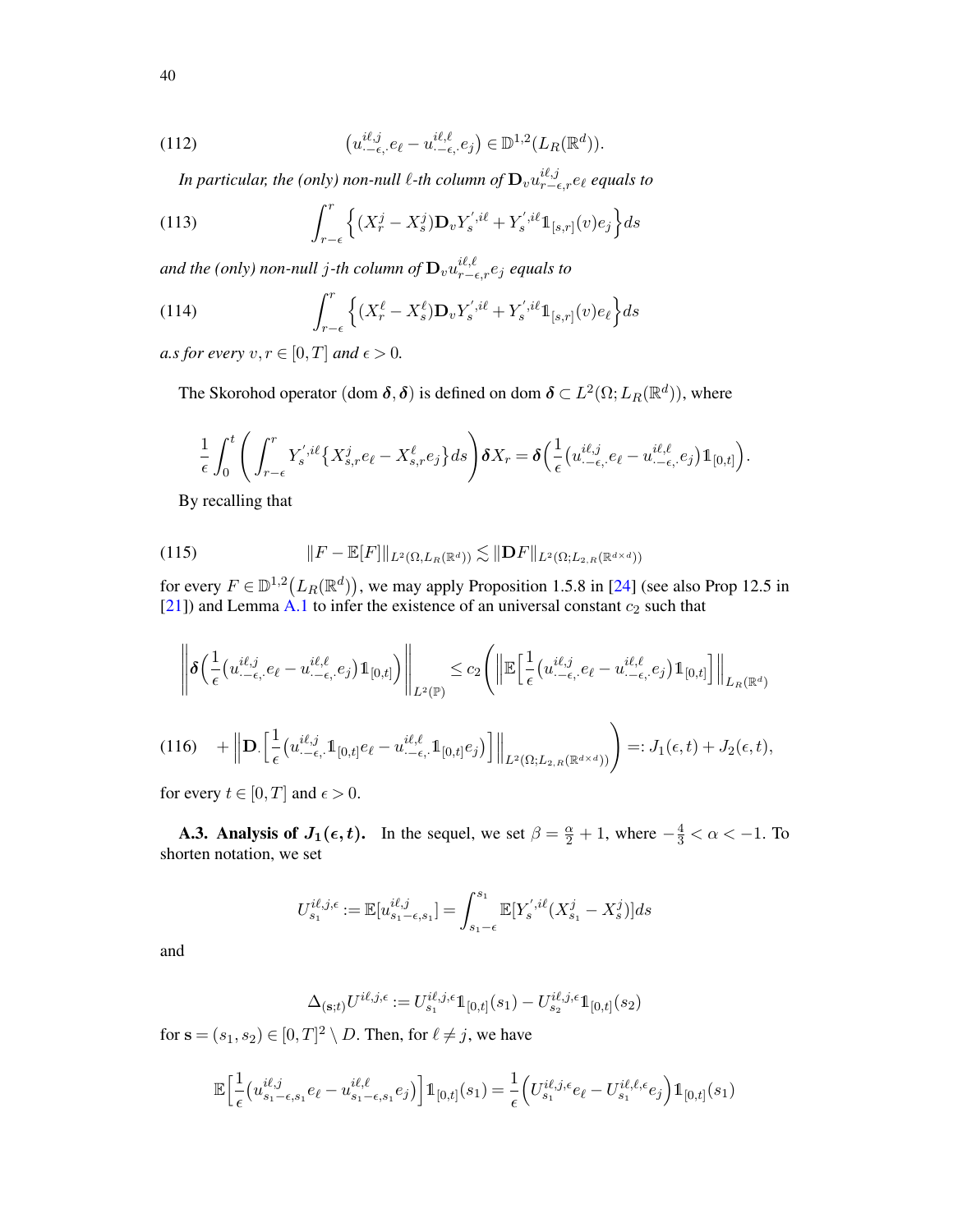(112) 
$$
\left(u_{\cdot-\epsilon,\cdot}^{i\ell,j}e_{\ell}-u_{\cdot-\epsilon,\cdot}^{i\ell,\ell}e_j\right)\in\mathbb{D}^{1,2}(L_R(\mathbb{R}^d)).
$$

In particular, the (only) non-null  $\ell$ -th column of  $\mathbf{D}_v u_{r-\epsilon,r}^{i\ell,j}$  equals to

(113) 
$$
\int_{r-\epsilon}^{r} \left\{ (X_r^{j} - X_s^{j}) \mathbf{D}_v Y_s^{',i\ell} + Y_s^{',i\ell} \mathbb{1}_{[s,r]}(v) e_j \right\} ds
$$

and the (only) non-null  $j$ -th column of  $\mathbf{D}_v u_{r-\epsilon,r}^{i\ell,\ell} e_j$  equals to

(114) 
$$
\int_{r-\epsilon}^r \left\{ (X_r^{\ell} - X_s^{\ell}) \mathbf{D}_v Y_s^{',i\ell} + Y_s^{',i\ell} \mathbb{1}_{[s,r]}(v) e_{\ell} \right\} ds
$$

*a.s for every*  $v, r \in [0, T]$  *and*  $\epsilon > 0$ *.* 

The Skorohod operator (dom  $\boldsymbol{\delta}, \boldsymbol{\delta}$ ) is defined on dom  $\boldsymbol{\delta} \subset L^2(\Omega;L_R(\mathbb{R}^d))$ , where

$$
\frac{1}{\epsilon} \int_0^t \left( \int_{r-\epsilon}^r Y_s^{',i\ell} \left\{ X_{s,r}^j e_\ell - X_{s,r}^\ell e_j \right\} ds \right) \delta X_r = \delta \left( \frac{1}{\epsilon} \left( u_{\cdot-\epsilon,\cdot}^{i\ell,\ell} e_\ell - u_{\cdot-\epsilon,\cdot}^{i\ell,\ell} e_j \right) \mathbb{1}_{[0,t]} \right).
$$

<span id="page-39-0"></span>By recalling that

(115) 
$$
||F - \mathbb{E}[F]||_{L^2(\Omega, L_R(\mathbb{R}^d))} \lesssim ||\mathbf{D}F||_{L^2(\Omega; L_{2,R}(\mathbb{R}^{d \times d}))}
$$

for every  $F \in \mathbb{D}^{1,2}(L_R(\mathbb{R}^d))$ , we may apply Proposition 1.5.8 in [\[24\]](#page-52-24) (see also Prop 12.5 in [\[21](#page-52-22)]) and Lemma [A.1](#page-38-3) to infer the existence of an universal constant  $c_2$  such that

$$
\left\| \boldsymbol{\delta} \Big( \frac{1}{\epsilon} \big( u_{\cdot-\epsilon,\cdot}^{i\ell,j} e_{\ell} - u_{\cdot-\epsilon,\cdot}^{i\ell,\ell} e_j \big) \mathbb{1}_{[0,t]} \Big) \right\|_{L^2(\mathbb{P})} \leq c_2 \left( \left\| \mathbb{E} \Big[ \frac{1}{\epsilon} \big( u_{\cdot-\epsilon,\cdot}^{i\ell,j} e_{\ell} - u_{\cdot-\epsilon,\cdot}^{i\ell,\ell} e_j \big) \mathbb{1}_{[0,t]} \Big] \right\|_{L_R(\mathbb{R}^d)}
$$
  
(116)  $+ \left\| \mathbf{D} \Big[ \frac{1}{\epsilon} \big( u_{\cdot-\epsilon,\cdot}^{i\ell,j} \mathbb{1}_{[0,t]} e_{\ell} - u_{\cdot-\epsilon,\cdot}^{i\ell,\ell} \mathbb{1}_{[0,t]} e_j \big) \Big] \right\|_{L^2(\Omega;L_{2,R}(\mathbb{R}^{d \times d}))} \right) =: J_1(\epsilon,t) + J_2(\epsilon,t),$ 

<span id="page-39-1"></span>for every  $t \in [0, T]$  and  $\epsilon > 0$ .

**A.3. Analysis of**  $J_1(\epsilon, t)$ **.** In the sequel, we set  $\beta = \frac{\alpha}{2} + 1$ , where  $-\frac{4}{3} < \alpha < -1$ . To shorten notation, we set

$$
U_{s_1}^{i\ell,j,\epsilon} := \mathbb{E}[u_{s_1-\epsilon,s_1}^{i\ell,j}] = \int_{s_1-\epsilon}^{s_1} \mathbb{E}[Y_s^{',i\ell}(X_{s_1}^j - X_s^j)]ds
$$

and

$$
\Delta_{(\mathbf{s};t)} U^{i\ell,j,\epsilon} := U^{i\ell,j,\epsilon}_{s_1} 1\!\!1_{[0,t]}(s_1) - U^{i\ell,j,\epsilon}_{s_2} 1\!\!1_{[0,t]}(s_2)
$$

for  $\mathbf{s} = (s_1, s_2) \in [0, T]^2 \setminus D$ . Then, for  $\ell \neq j$ , we have

$$
\mathbb{E}\Big[\frac{1}{\epsilon}\big(u_{s_1-\epsilon,s_1}^{i\ell,j}e_\ell-u_{s_1-\epsilon,s_1}^{i\ell,\ell}e_j\big)\Big]\mathbb{1}_{[0,t]}(s_1)=\frac{1}{\epsilon}\Big(U_{s_1}^{i\ell,j,\epsilon}e_\ell-U_{s_1}^{i\ell,\ell,\epsilon}e_j\Big)\mathbb{1}_{[0,t]}(s_1)
$$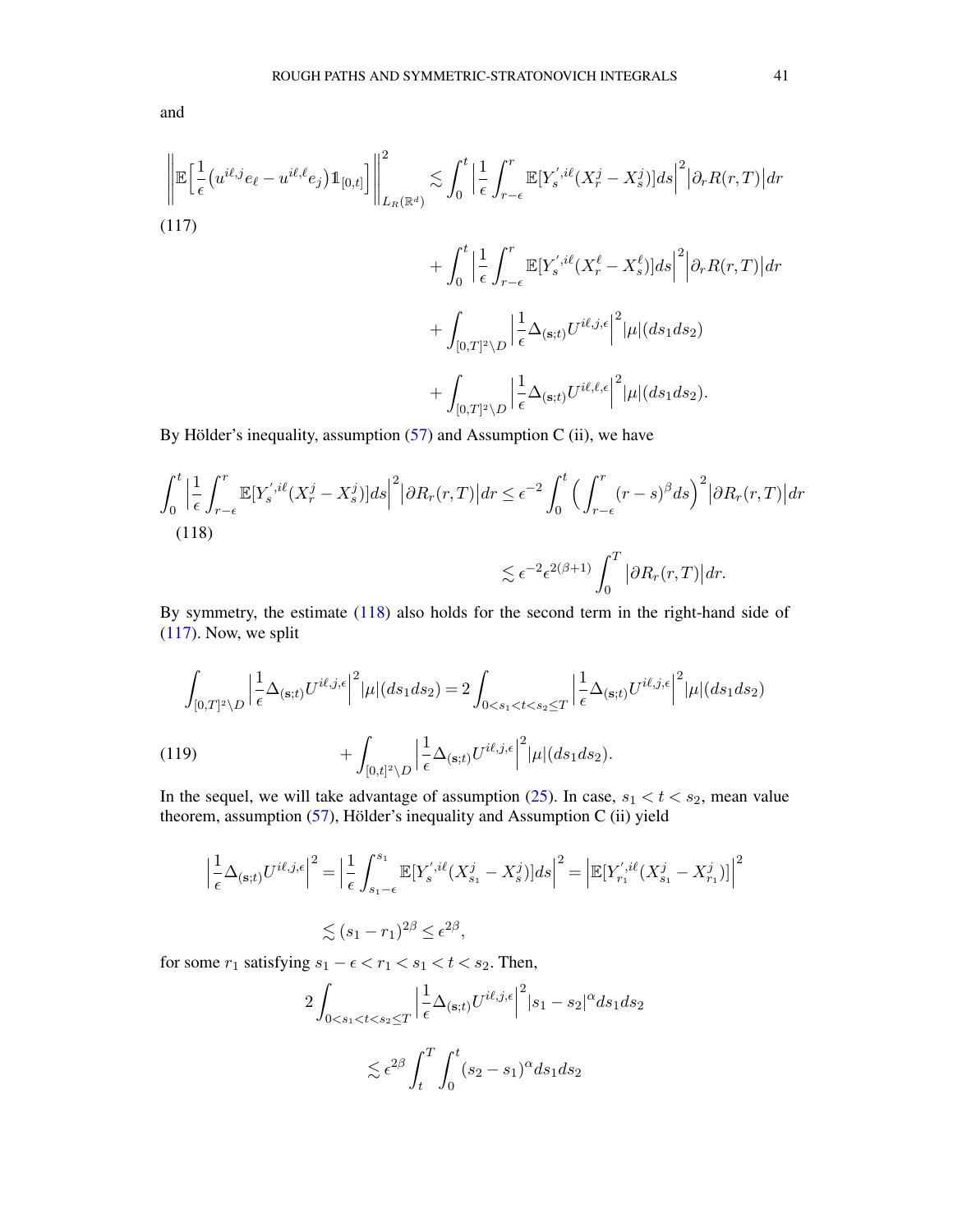and

<span id="page-40-1"></span>
$$
\left\| \mathbb{E} \left[ \frac{1}{\epsilon} \left( u^{i\ell,j} e_{\ell} - u^{i\ell,\ell} e_j \right) \mathbb{1}_{[0,t]} \right] \right\|_{L_R(\mathbb{R}^d)}^2 \lesssim \int_0^t \left| \frac{1}{\epsilon} \int_{r-\epsilon}^r \mathbb{E} [Y_s^{',i\ell}(X_r^j - X_s^j)] ds \right|^2 |\partial_r R(r,T)| dr + \int_0^t \left| \frac{1}{\epsilon} \int_{r-\epsilon}^r \mathbb{E} [Y_s^{',i\ell}(X_r^\ell - X_s^\ell)] ds \right|^2 \left| \partial_r R(r,T) \right| dr + \int_{[0,T]^2 \setminus D} \left| \frac{1}{\epsilon} \Delta_{(s;t)} U^{i\ell,j,\epsilon} \right|^2 |\mu|(ds_1 ds_2) + \int_{[0,T]^2 \setminus D} \left| \frac{1}{\epsilon} \Delta_{(s;t)} U^{i\ell,\ell,\epsilon} \right|^2 |\mu|(ds_1 ds_2).
$$

By Hölder's inequality, assumption  $(57)$  and Assumption C (ii), we have

<span id="page-40-0"></span>
$$
\int_0^t \left| \frac{1}{\epsilon} \int_{r-\epsilon}^r \mathbb{E}[Y_s^{',i\ell}(X_r^j - X_s^j)]ds \right|^2 |\partial R_r(r,T)| dr \le \epsilon^{-2} \int_0^t \left( \int_{r-\epsilon}^r (r-s)^\beta ds \right)^2 |\partial R_r(r,T)| dr
$$
\n(118)\n
$$
\lesssim \epsilon^{-2} \epsilon^{2(\beta+1)} \int_0^T |\partial R_r(r,T)| dr.
$$

By symmetry, the estimate [\(118\)](#page-40-0) also holds for the second term in the right-hand side of [\(117\)](#page-40-1). Now, we split

$$
\int_{[0,T]^2\backslash D} \left| \frac{1}{\epsilon} \Delta_{(\mathbf{s};t)} U^{i\ell,j,\epsilon} \right|^2 |\mu|(ds_1 ds_2) = 2 \int_{0 < s_1 < t < s_2 \le T} \left| \frac{1}{\epsilon} \Delta_{(\mathbf{s};t)} U^{i\ell,j,\epsilon} \right|^2 |\mu|(ds_1 ds_2)
$$
\n
$$
+ \int_{[0,t]^2\backslash D} \left| \frac{1}{\epsilon} \Delta_{(\mathbf{s};t)} U^{i\ell,j,\epsilon} \right|^2 |\mu|(ds_1 ds_2).
$$

In the sequel, we will take advantage of assumption  $(25)$ . In case,  $s_1 < t < s_2$ , mean value theorem, assumption [\(57\)](#page-21-4), Hölder's inequality and Assumption C (ii) yield

<span id="page-40-2"></span>
$$
\left|\frac{1}{\epsilon}\Delta_{(\mathbf{s};t)}U^{i\ell,j,\epsilon}\right|^2 = \left|\frac{1}{\epsilon}\int_{s_1-\epsilon}^{s_1} \mathbb{E}[Y_s^{',i\ell}(X_{s_1}^j - X_s^j)]ds\right|^2 = \left|\mathbb{E}[Y_{r_1}^{',i\ell}(X_{s_1}^j - X_{r_1}^j)]\right|^2
$$
  

$$
\lesssim (s_1 - r_1)^{2\beta} \leq \epsilon^{2\beta},
$$

for some  $r_1$  satisfying  $s_1 - \epsilon < r_1 < s_1 < t < s_2$ . Then,

$$
2\int_{0  

$$
\lesssim \epsilon^{2\beta}\int_t^T\int_0^t(s_2-s_1)^\alpha ds_1ds_2
$$
$$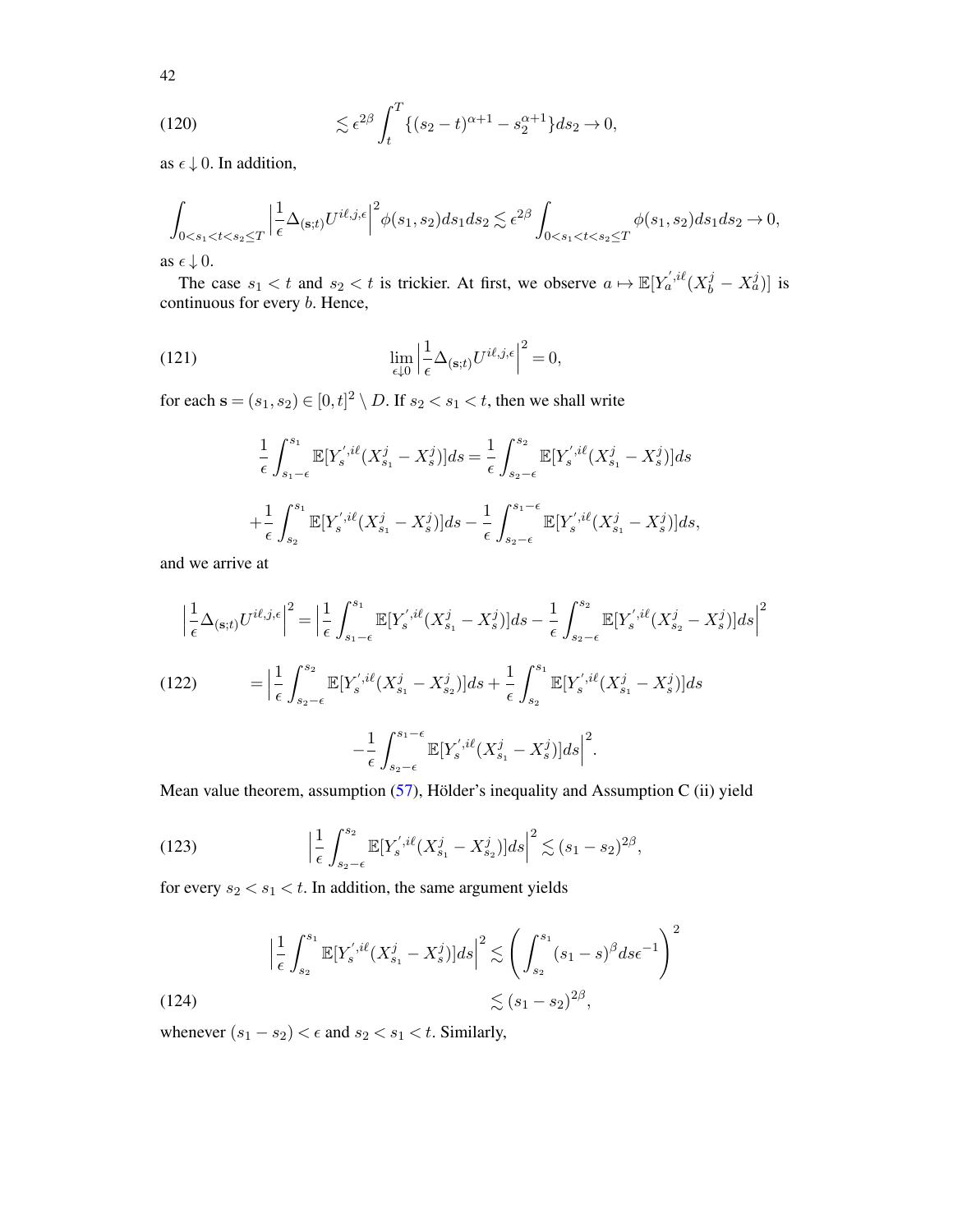<span id="page-41-4"></span>(120) 
$$
\lesssim \epsilon^{2\beta} \int_{t}^{T} \{ (s_2 - t)^{\alpha + 1} - s_2^{\alpha + 1} \} ds_2 \to 0,
$$

as  $\epsilon \downarrow 0$ . In addition,

$$
\int_{0 < s_1 < t < s_2 \le T} \left| \frac{1}{\epsilon} \Delta_{(\mathbf{s};t)} U^{i\ell,j,\epsilon} \right|^2 \phi(s_1,s_2) ds_1 ds_2 \lesssim \epsilon^{2\beta} \int_{0 < s_1 < t < s_2 \le T} \phi(s_1,s_2) ds_1 ds_2 \to 0,
$$

as  $\epsilon \downarrow 0$ .

42

The case  $s_1 < t$  and  $s_2 < t$  is trickier. At first, we observe  $a \mapsto \mathbb{E}[Y_a^{',i\ell}(X_b^j - X_a^j)]$  is continuous for every b. Hence,

(121) 
$$
\lim_{\epsilon \downarrow 0} \left| \frac{1}{\epsilon} \Delta_{(\mathbf{s};t)} U^{i\ell,j,\epsilon} \right|^2 = 0,
$$

for each  $\mathbf{s} = (s_1, s_2) \in [0, t]^2 \setminus D$ . If  $s_2 < s_1 < t$ , then we shall write

<span id="page-41-0"></span>
$$
\frac{1}{\epsilon} \int_{s_1-\epsilon}^{s_1} \mathbb{E}[Y_s^{',i\ell}(X_{s_1}^j - X_s^j)]ds = \frac{1}{\epsilon} \int_{s_2-\epsilon}^{s_2} \mathbb{E}[Y_s^{',i\ell}(X_{s_1}^j - X_s^j)]ds \n+ \frac{1}{\epsilon} \int_{s_2}^{s_1} \mathbb{E}[Y_s^{',i\ell}(X_{s_1}^j - X_s^j)]ds - \frac{1}{\epsilon} \int_{s_2-\epsilon}^{s_1-\epsilon} \mathbb{E}[Y_s^{',i\ell}(X_{s_1}^j - X_s^j)]ds,
$$

and we arrive at

<span id="page-41-1"></span>
$$
\left| \frac{1}{\epsilon} \Delta_{(s;t)} U^{i\ell,j,\epsilon} \right|^2 = \left| \frac{1}{\epsilon} \int_{s_1-\epsilon}^{s_1} \mathbb{E}[Y_s^{',i\ell}(X_{s_1}^j - X_s^j)] ds - \frac{1}{\epsilon} \int_{s_2-\epsilon}^{s_2} \mathbb{E}[Y_s^{',i\ell}(X_{s_2}^j - X_s^j)] ds \right|^2
$$
\n(122)\n
$$
= \left| \frac{1}{\epsilon} \int_{s_2-\epsilon}^{s_2} \mathbb{E}[Y_s^{',i\ell}(X_{s_1}^j - X_{s_2}^j)] ds + \frac{1}{\epsilon} \int_{s_2}^{s_1} \mathbb{E}[Y_s^{',i\ell}(X_{s_1}^j - X_s^j)] ds - \frac{1}{\epsilon} \int_{s_2-\epsilon}^{s_1-\epsilon} \mathbb{E}[Y_s^{',i\ell}(X_{s_1}^j - X_s^j)] ds \right|^2.
$$

Mean value theorem, assumption [\(57\)](#page-21-4), Hölder's inequality and Assumption C (ii) yield

<span id="page-41-2"></span>(123) 
$$
\Big| \frac{1}{\epsilon} \int_{s_2-\epsilon}^{s_2} \mathbb{E}[Y_s^{',i\ell}(X_{s_1}^j - X_{s_2}^j)] ds \Big|^2 \lesssim (s_1 - s_2)^{2\beta},
$$

for every  $s_2 < s_1 < t$ . In addition, the same argument yields

<span id="page-41-3"></span>
$$
\left| \frac{1}{\epsilon} \int_{s_2}^{s_1} \mathbb{E}[Y_s^{',i\ell}(X_{s_1}^j - X_s^j)]ds \right|^2 \lesssim \left( \int_{s_2}^{s_1} (s_1 - s)^\beta ds \epsilon^{-1} \right)^2
$$
\n(124)\n
$$
\lesssim (s_1 - s_2)^{2\beta},
$$

whenever  $(s_1 - s_2) < \epsilon$  and  $s_2 < s_1 < t$ . Similarly,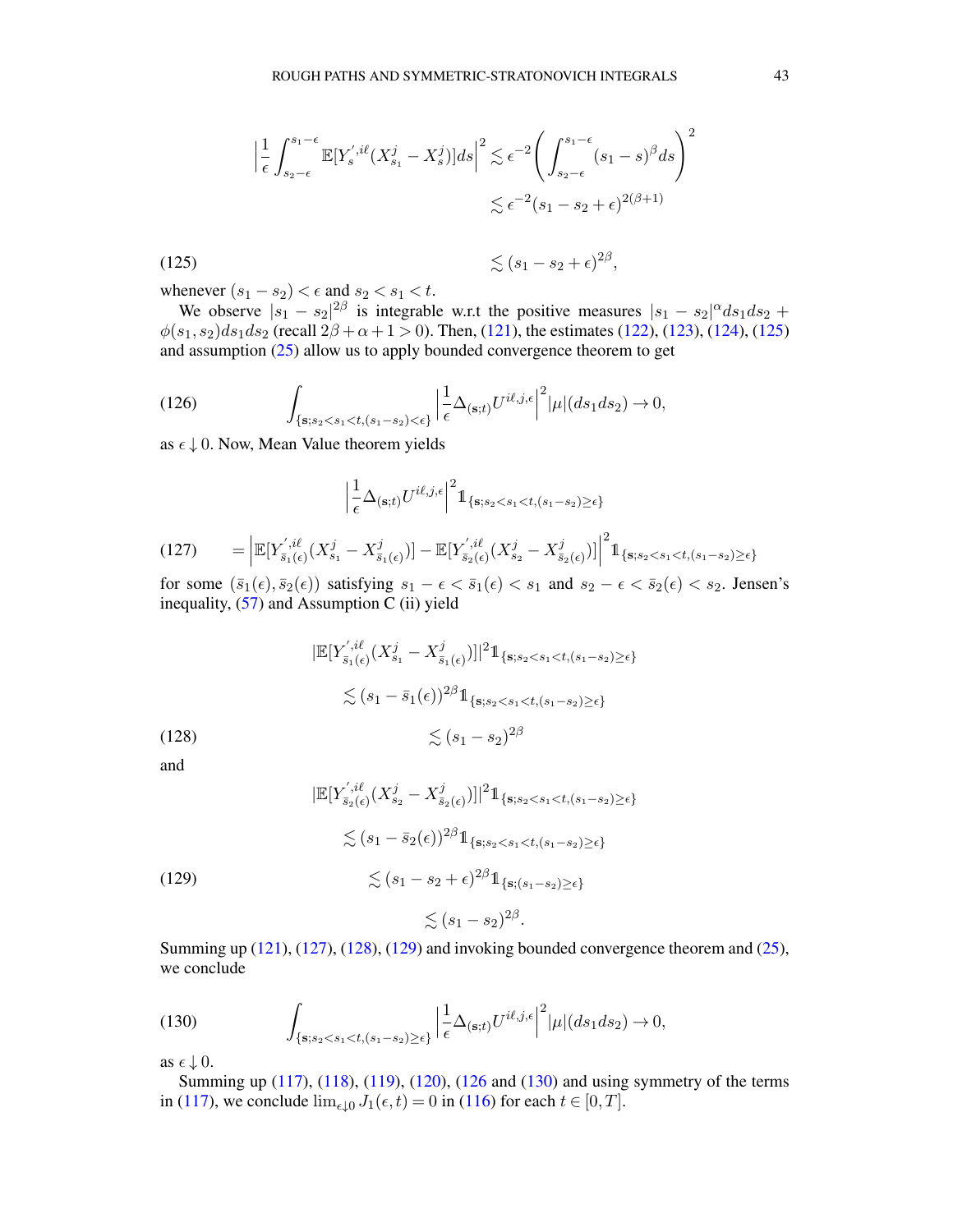<span id="page-42-0"></span>
$$
\left| \frac{1}{\epsilon} \int_{s_2 - \epsilon}^{s_1 - \epsilon} \mathbb{E}[Y_s^{', i\ell}(X_{s_1}^j - X_s^j)]ds \right|^2 \lesssim \epsilon^{-2} \left( \int_{s_2 - \epsilon}^{s_1 - \epsilon} (s_1 - s)^\beta ds \right)^2
$$
  

$$
\lesssim \epsilon^{-2} (s_1 - s_2 + \epsilon)^{2(\beta + 1)}
$$

(125)  $\lesssim (s_1 - s_2 + \epsilon)^{2\beta},$ whenever  $(s_1 - s_2) < \epsilon$  and  $s_2 < s_1 < t$ .

We observe  $|s_1 - s_2|^{2\beta}$  is integrable w.r.t the positive measures  $|s_1 - s_2|^{\alpha} ds_1 ds_2 +$  $\phi(s_1, s_2)ds_1ds_2$  (recall  $2\beta + \alpha + 1 > 0$ ). Then, [\(121\)](#page-41-0), the estimates [\(122\)](#page-41-1), [\(123\)](#page-41-2), [\(124\)](#page-41-3), [\(125\)](#page-42-0) and assumption [\(25\)](#page-8-0) allow us to apply bounded convergence theorem to get

(126) 
$$
\int_{\{\mathbf{s}; s_2 < s_1 < t, (s_1 - s_2) < \epsilon\}} \left| \frac{1}{\epsilon} \Delta_{(\mathbf{s}; t)} U^{i\ell, j, \epsilon} \right|^2 |\mu| (ds_1 ds_2) \to 0,
$$

as  $\epsilon \downarrow 0$ . Now, Mean Value theorem yields

<span id="page-42-4"></span><span id="page-42-2"></span>
$$
\Big| \frac{1}{\epsilon} \Delta_{(\mathbf{s}; t)} U^{i\ell, j, \epsilon} \Big|^2 \mathbb{1}_{\{\mathbf{s}; s_2 < s_1 < t, (s_1 - s_2) \geq \epsilon\}}
$$

<span id="page-42-1"></span>
$$
(127) \qquad = \left| \mathbb{E}[Y_{\bar{s}_1(\epsilon)}^{',i\ell}(X_{s_1}^j - X_{\bar{s}_1(\epsilon)}^j)] - \mathbb{E}[Y_{\bar{s}_2(\epsilon)}^{'',i\ell}(X_{s_2}^j - X_{\bar{s}_2(\epsilon)}^j)] \right|^2 1\!\!1_{\{\mathbf{s}; s_2 < s_1 < t, (s_1 - s_2) \geq \epsilon\}}
$$

for some  $(\bar{s}_1(\epsilon), \bar{s}_2(\epsilon))$  satisfying  $s_1 - \epsilon < \bar{s}_1(\epsilon) < s_1$  and  $s_2 - \epsilon < \bar{s}_2(\epsilon) < s_2$ . Jensen's inequality,  $(57)$  and Assumption C (ii) yield

$$
|\mathbb{E}[Y_{\bar{s}_1(\epsilon)}^{',i\ell}(X_{s_1}^j - X_{\bar{s}_1(\epsilon)}^j)]|^2 \mathbb{1}_{\{\mathbf{s}; s_2 < s_1 < t, (s_1 - s_2) \ge \epsilon\}}
$$
  

$$
\lesssim (s_1 - \bar{s}_1(\epsilon))^{2\beta} \mathbb{1}_{\{\mathbf{s}; s_2 < s_1 < t, (s_1 - s_2) \ge \epsilon\}}
$$
  

$$
\lesssim (s_1 - s_2)^{2\beta}
$$

and

$$
|\mathbb{E}[Y_{\bar{s}_2(\epsilon)}^{',i\ell}(X_{s_2}^j - X_{\bar{s}_2(\epsilon)}^j)]|^2 \mathbb{1}_{\{\mathbf{s}; s_2 < s_1 < t, (s_1 - s_2) \ge \epsilon\}}\n\n\lesssim (s_1 - \bar{s}_2(\epsilon))^{2\beta} \mathbb{1}_{\{\mathbf{s}; s_2 < s_1 < t, (s_1 - s_2) \ge \epsilon\}}\n\n(129)\n\n\lesssim (s_1 - s_2 + \epsilon)^{2\beta} \mathbb{1}_{\{\mathbf{s}; (s_1 - s_2) \ge \epsilon\}}\n\n\lesssim (s_1 - s_2)^{2\beta}.
$$

<span id="page-42-3"></span>Summing up  $(121)$ ,  $(127)$ ,  $(128)$ ,  $(129)$  and invoking bounded convergence theorem and  $(25)$ , we conclude

<span id="page-42-5"></span>(130) 
$$
\int_{\{\mathbf{s}; s_2 < s_1 < t, (s_1 - s_2) \geq \epsilon\}} \left| \frac{1}{\epsilon} \Delta_{(\mathbf{s}; t)} U^{i\ell, j, \epsilon} \right|^2 |\mu| (ds_1 ds_2) \to 0,
$$

as  $\epsilon \downarrow 0$ .

Summing up [\(117\)](#page-40-1), [\(118\)](#page-40-0), [\(119\)](#page-40-2), [\(120\)](#page-41-4), [\(126](#page-42-4) and [\(130\)](#page-42-5) and using symmetry of the terms in [\(117\)](#page-40-1), we conclude  $\lim_{\epsilon \downarrow 0} J_1(\epsilon, t) = 0$  in [\(116\)](#page-39-1) for each  $t \in [0, T]$ .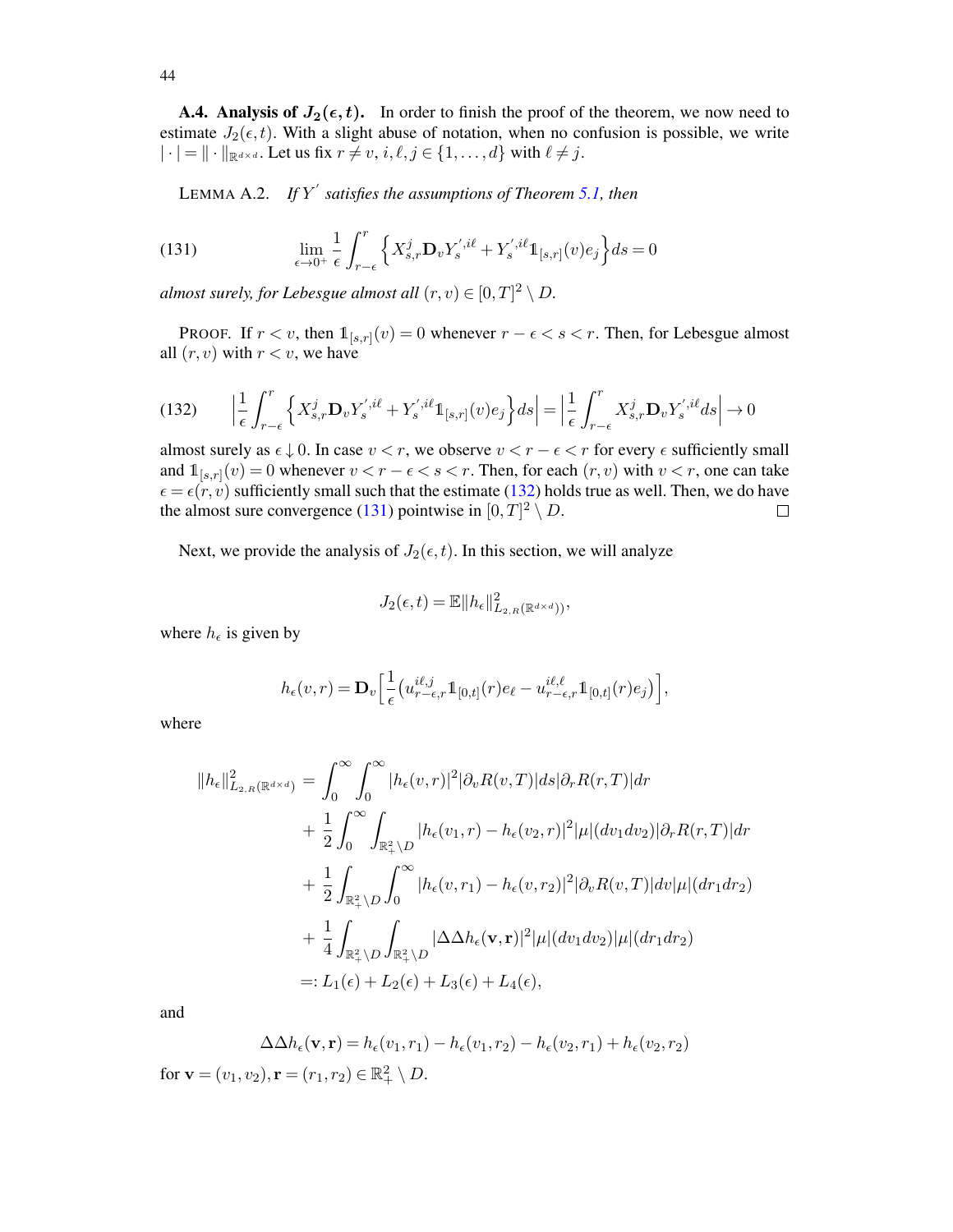A.4. Analysis of  $J_2(\epsilon, t)$ . In order to finish the proof of the theorem, we now need to estimate  $J_2(\epsilon, t)$ . With a slight abuse of notation, when no confusion is possible, we write  $|\cdot| = ||\cdot||_{\mathbb{R}^{d \times d}}$ . Let us fix  $r \neq v, i, \ell, j \in \{1, ..., d\}$  with  $\ell \neq j$ .

<span id="page-43-2"></span><span id="page-43-1"></span>LEMMA A.2. *If* Y ′ *satisfies the assumptions of Theorem [5.1,](#page-21-0) then*

(131) 
$$
\lim_{\epsilon \to 0^+} \frac{1}{\epsilon} \int_{r-\epsilon}^r \left\{ X_{s,r}^j \mathbf{D}_v Y_s^{',i\ell} + Y_s^{',i\ell} \mathbb{1}_{[s,r]}(v) e_j \right\} ds = 0
$$

*almost surely, for Lebesgue almost all*  $(r, v) \in [0, T]^2 \setminus D$ .

**PROOF.** If  $r < v$ , then  $\mathbb{1}_{[s,r]}(v) = 0$  whenever  $r - \epsilon < s < r$ . Then, for Lebesgue almost all  $(r, v)$  with  $r < v$ , we have

<span id="page-43-0"></span>
$$
(132) \qquad \left| \frac{1}{\epsilon} \int_{r-\epsilon}^{r} \left\{ X_{s,r}^{j} \mathbf{D}_{v} Y_{s}^{',i\ell} + Y_{s}^{',i\ell} \mathbb{1}_{[s,r]}(v) e_{j} \right\} ds \right| = \left| \frac{1}{\epsilon} \int_{r-\epsilon}^{r} X_{s,r}^{j} \mathbf{D}_{v} Y_{s}^{',i\ell} ds \right| \to 0
$$

almost surely as  $\epsilon \downarrow 0$ . In case  $v < r$ , we observe  $v < r - \epsilon < r$  for every  $\epsilon$  sufficiently small and  $\mathbb{1}_{[s,r]}(v) = 0$  whenever  $v < r - \epsilon < s < r$ . Then, for each  $(r, v)$  with  $v < r$ , one can take  $\epsilon = \epsilon(r, v)$  sufficiently small such that the estimate [\(132\)](#page-43-0) holds true as well. Then, we do have the almost sure convergence [\(131\)](#page-43-1) pointwise in  $[0, T]^2 \setminus D$ .  $\Box$ 

Next, we provide the analysis of  $J_2(\epsilon, t)$ . In this section, we will analyze

$$
J_2(\epsilon, t) = \mathbb{E} \|h_{\epsilon}\|_{L_{2,R}(\mathbb{R}^{d \times d}))}^2,
$$

where  $h_{\epsilon}$  is given by

$$
h_{\epsilon}(v,r) = \mathbf{D}_{v} \left[ \frac{1}{\epsilon} \left( u_{r-\epsilon,r}^{i\ell,j} \mathbb{1}_{[0,t]}(r) e_{\ell} - u_{r-\epsilon,r}^{i\ell,\ell} \mathbb{1}_{[0,t]}(r) e_{j} \right) \right],
$$

where

$$
||h_{\epsilon}||_{L_{2,R}(\mathbb{R}^{d\times d})}^{2} = \int_{0}^{\infty} \int_{0}^{\infty} |h_{\epsilon}(v,r)|^{2} |\partial_{v}R(v,T)| ds |\partial_{r}R(r,T)| dr + \frac{1}{2} \int_{0}^{\infty} \int_{\mathbb{R}^{2}_{+}\backslash D} |h_{\epsilon}(v_{1},r) - h_{\epsilon}(v_{2},r)|^{2} |\mu|(dv_{1}dv_{2}) |\partial_{r}R(r,T)| dr + \frac{1}{2} \int_{\mathbb{R}^{2}_{+}\backslash D} \int_{0}^{\infty} |h_{\epsilon}(v,r_{1}) - h_{\epsilon}(v,r_{2})|^{2} |\partial_{v}R(v,T)| dv |\mu|(dr_{1}dr_{2}) + \frac{1}{4} \int_{\mathbb{R}^{2}_{+}\backslash D} \int_{\mathbb{R}^{2}_{+}\backslash D} |\Delta \Delta h_{\epsilon}(\mathbf{v},\mathbf{r})|^{2} |\mu|(dv_{1}dv_{2}) |\mu|(dr_{1}dr_{2}) =: L_{1}(\epsilon) + L_{2}(\epsilon) + L_{3}(\epsilon) + L_{4}(\epsilon),
$$

and

$$
\Delta \Delta h_{\epsilon}(\mathbf{v}, \mathbf{r}) = h_{\epsilon}(v_1, r_1) - h_{\epsilon}(v_1, r_2) - h_{\epsilon}(v_2, r_1) + h_{\epsilon}(v_2, r_2)
$$

for  $\mathbf{v} = (v_1, v_2), \mathbf{r} = (r_1, r_2) \in \mathbb{R}_+^2 \setminus D$ .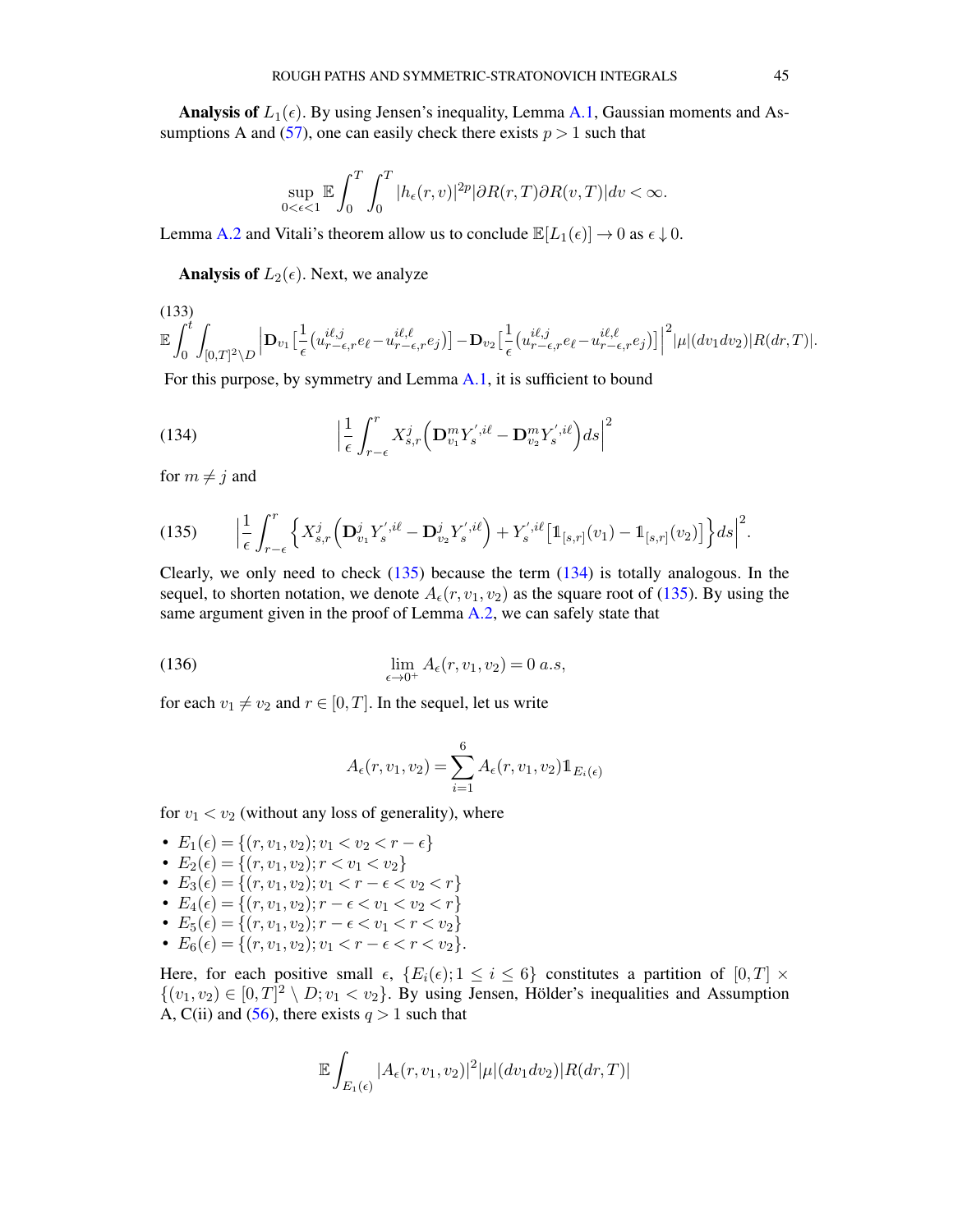**Analysis of**  $L_1(\epsilon)$ . By using Jensen's inequality, Lemma [A.1,](#page-38-3) Gaussian moments and As-sumptions A and [\(57\)](#page-21-4), one can easily check there exists  $p > 1$  such that

$$
\sup_{0<\epsilon<1}\mathbb{E}\int_0^T\int_0^T|h_\epsilon(r,v)|^{2p}|\partial R(r,T)\partial R(v,T)|dv<\infty.
$$

Lemma [A.2](#page-43-2) and Vitali's theorem allow us to conclude  $\mathbb{E}[L_1(\epsilon)] \to 0$  as  $\epsilon \downarrow 0$ .

**Analysis of**  $L_2(\epsilon)$ . Next, we analyze

(133)  
\n
$$
\mathbb{E}\int_0^t\int_{[0,T]^2\setminus D}\left|\mathbf{D}_{v_1}\left[\frac{1}{\epsilon}\left(u_{r-\epsilon,r}^{i\ell,j}e_\ell-u_{r-\epsilon,r}^{i\ell,\ell}e_j\right)\right]-\mathbf{D}_{v_2}\left[\frac{1}{\epsilon}\left(u_{r-\epsilon,r}^{i\ell,j}e_\ell-u_{r-\epsilon,r}^{i\ell,\ell}e_j\right)\right]\right|^2|\mu|(dv_1dv_2)|R(dr,T)|.
$$

For this purpose, by symmetry and Lemma [A.1,](#page-38-3) it is sufficient to bound

<span id="page-44-1"></span>(134) 
$$
\left|\frac{1}{\epsilon}\int_{r-\epsilon}^r X_{s,r}^j \left(\mathbf{D}_{v_1}^m Y_s^{',i\ell} - \mathbf{D}_{v_2}^m Y_s^{',i\ell}\right) ds\right|^2
$$

for  $m \neq j$  and

 $(133)$ 

<span id="page-44-0"></span>
$$
(135) \qquad \Big|\frac{1}{\epsilon}\int_{r-\epsilon}^r\Big\{X^j_{s,r}\Big(\mathbf{D}^j_{v_1}Y^{',i\ell}_{s}-\mathbf{D}^j_{v_2}Y^{',i\ell}_{s}\Big)+Y^{',i\ell}_{s}[\mathbb{1}_{[s,r]}(v_1)-\mathbb{1}_{[s,r]}(v_2)]\Big\}ds\Big|^2.
$$

Clearly, we only need to check  $(135)$  because the term  $(134)$  is totally analogous. In the sequel, to shorten notation, we denote  $A_{\epsilon}(r, v_1, v_2)$  as the square root of [\(135\)](#page-44-0). By using the same argument given in the proof of Lemma [A.2,](#page-43-2) we can safely state that

(136) 
$$
\lim_{\epsilon \to 0^+} A_{\epsilon}(r, v_1, v_2) = 0 \ a.s,
$$

for each  $v_1 \neq v_2$  and  $r \in [0, T]$ . In the sequel, let us write

<span id="page-44-2"></span>
$$
A_{\epsilon}(r, v_1, v_2) = \sum_{i=1}^{6} A_{\epsilon}(r, v_1, v_2) \mathbb{1}_{E_i(\epsilon)}
$$

for  $v_1 < v_2$  (without any loss of generality), where

•  $E_1(\epsilon) = \{(r, v_1, v_2); v_1 < v_2 < r - \epsilon\}$ •  $E_2(\epsilon) = \{(r, v_1, v_2); r < v_1 < v_2\}$ •  $E_3(\epsilon) = \{(r, v_1, v_2); v_1 < r - \epsilon < v_2 < r\}$ •  $E_4(\epsilon) = \{(r, v_1, v_2); r - \epsilon < v_1 < v_2 < r\}$ •  $E_5(\epsilon) = \{(r, v_1, v_2); r - \epsilon < v_1 < r < v_2\}$ •  $E_6(\epsilon) = \{(r, v_1, v_2); v_1 < r - \epsilon < r < v_2\}.$ 

Here, for each positive small  $\epsilon$ ,  $\{E_i(\epsilon); 1 \leq i \leq 6\}$  constitutes a partition of  $[0, T] \times$  $\{(v_1, v_2) \in [0, T]^2 \setminus D; v_1 < v_2\}$ . By using Jensen, Hölder's inequalities and Assumption A, C(ii) and [\(56\)](#page-21-3), there exists  $q > 1$  such that

$$
\mathbb{E}\int_{E_1(\epsilon)}|A_{\epsilon}(r,v_1,v_2)|^2|\mu|(dv_1dv_2)|R(dr,T)|
$$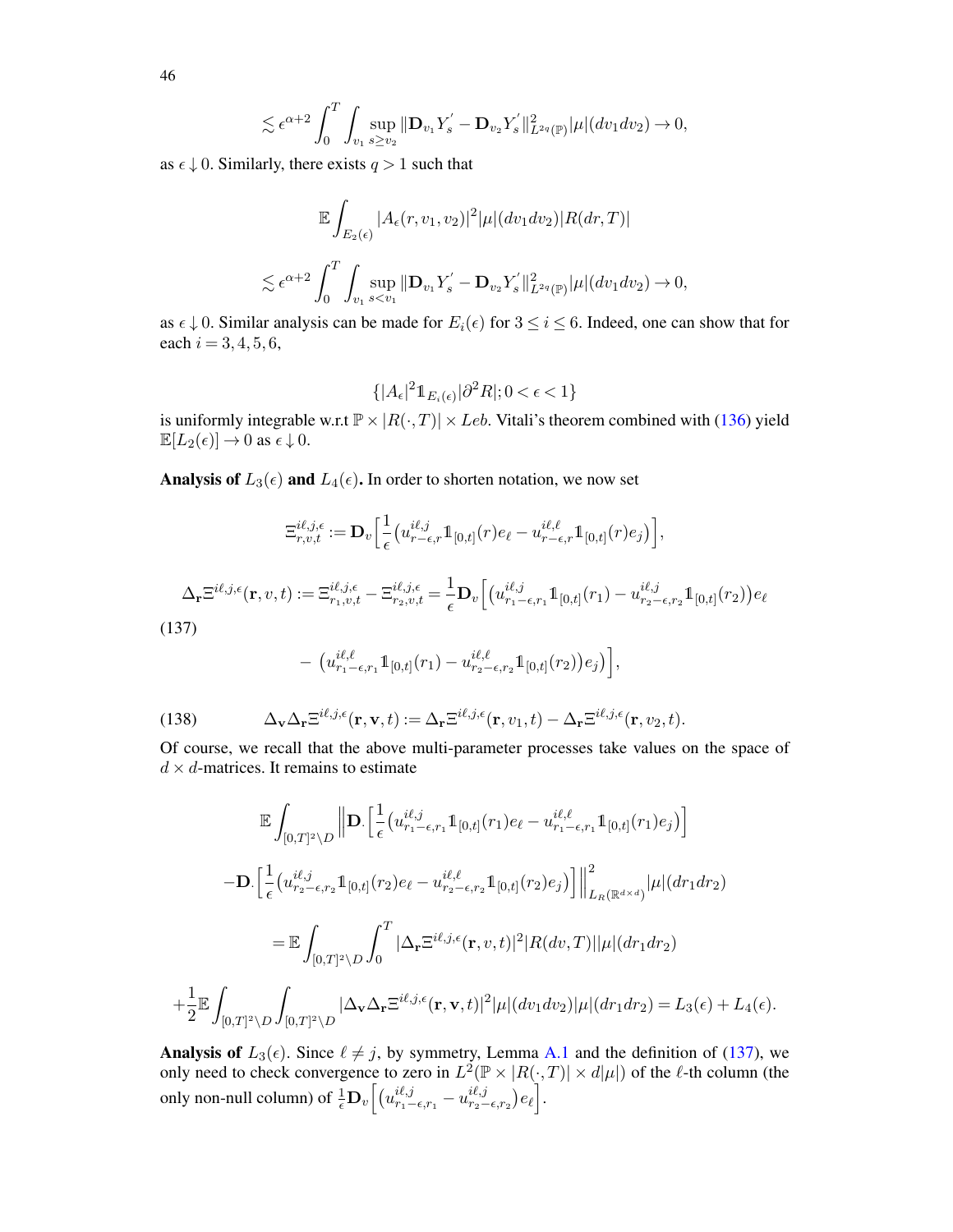$$
\lesssim \epsilon^{\alpha+2} \int_0^T \int_{v_1} \sup_{s \ge v_2} \|\mathbf{D}_{v_1} Y_s^{'} - \mathbf{D}_{v_2} Y_s^{'} \|_{L^{2q}(\mathbb{P})}^2 |\mu|(dv_1 dv_2) \to 0,
$$

as  $\epsilon \downarrow 0$ . Similarly, there exists  $q > 1$  such that

$$
\mathbb{E} \int_{E_2(\epsilon)} |A_{\epsilon}(r, v_1, v_2)|^2 |\mu|(dv_1 dv_2)|R(dr, T)|
$$
  
\$\lesssim \epsilon^{\alpha+2} \int\_0^T \int\_{v\_1} \sup\_{s < v\_1} ||\mathbf{D}\_{v\_1} Y\_s' - \mathbf{D}\_{v\_2} Y\_s' ||\_{L^{2q}(\mathbb{P})}^2 |\mu|(dv\_1 dv\_2) \to 0\$,

as  $\epsilon \downarrow 0$ . Similar analysis can be made for  $E_i(\epsilon)$  for  $3 \le i \le 6$ . Indeed, one can show that for each  $i = 3, 4, 5, 6$ ,

$$
\{|A_{\epsilon}|^2 \mathbb{1}_{E_i(\epsilon)}|\partial^2 R|; 0 < \epsilon < 1\}
$$

is uniformly integrable w.r.t  $\mathbb{P} \times |R(\cdot,T)| \times Leb$ . Vitali's theorem combined with [\(136\)](#page-44-2) yield  $\mathbb{E}[L_2(\epsilon)] \to 0$  as  $\epsilon \downarrow 0$ .

Analysis of  $L_3(\epsilon)$  and  $L_4(\epsilon)$ . In order to shorten notation, we now set

$$
\Xi_{r,v,t}^{i\ell,j,\epsilon} := \mathbf{D}_v \Big[ \frac{1}{\epsilon} \big( u_{r-\epsilon,r}^{i\ell,j} \mathbb{1}_{[0,t]}(r) e_\ell - u_{r-\epsilon,r}^{i\ell,\ell} \mathbb{1}_{[0,t]}(r) e_j \big) \Big],
$$

<span id="page-45-0"></span>
$$
\Delta_{\mathbf{r}}\Xi^{i\ell,j,\epsilon}(\mathbf{r},v,t):=\Xi^{i\ell,j,\epsilon}_{r_1,v,t}-\Xi^{i\ell,j,\epsilon}_{r_2,v,t}=\frac{1}{\epsilon}\mathbf{D}_v\Big[\big(u^{i\ell,j}_{r_1-\epsilon,r_1}\mathbb{1}_{[0,t]}(r_1)-u^{i\ell,j}_{r_2-\epsilon,r_2}\mathbb{1}_{[0,t]}(r_2)\big)e_{\ell}
$$

(137)

<span id="page-45-1"></span>
$$
- \left( u_{r_1-\epsilon,r_1}^{i\ell,\ell} 1\!\!1_{[0,t]}(r_1) - u_{r_2-\epsilon,r_2}^{i\ell,\ell} 1\!\!1_{[0,t]}(r_2) \right) e_j \big) \Big],
$$

(138) 
$$
\Delta_{\mathbf{v}} \Delta_{\mathbf{r}} \Xi^{i\ell,j,\epsilon}(\mathbf{r},\mathbf{v},t) := \Delta_{\mathbf{r}} \Xi^{i\ell,j,\epsilon}(\mathbf{r},v_1,t) - \Delta_{\mathbf{r}} \Xi^{i\ell,j,\epsilon}(\mathbf{r},v_2,t).
$$

Of course, we recall that the above multi-parameter processes take values on the space of  $d \times d$ -matrices. It remains to estimate

$$
\mathbb{E} \int_{[0,T]^2 \backslash D} \left\| \mathbf{D} \left[ \frac{1}{\epsilon} \left( u_{r_1-\epsilon,r_1}^{i\ell,j} \mathbb{1}_{[0,t]}(r_1) e_{\ell} - u_{r_1-\epsilon,r_1}^{i\ell,\ell} \mathbb{1}_{[0,t]}(r_1) e_j \right) \right] \right\|
$$

$$
- \mathbf{D} \left[ \frac{1}{\epsilon} \left( u_{r_2-\epsilon,r_2}^{i\ell,j} \mathbb{1}_{[0,t]}(r_2) e_{\ell} - u_{r_2-\epsilon,r_2}^{i\ell,\ell} \mathbb{1}_{[0,t]}(r_2) e_j \right) \right] \Big\|_{L_R(\mathbb{R}^{d \times d})}^2 |\mu|(dr_1 dr_2)
$$

$$
= \mathbb{E} \int_{[0,T]^2 \backslash D} \int_0^T |\Delta_{\mathbf{r}} \Xi^{i\ell,j,\epsilon}(\mathbf{r}, v, t)|^2 |R(dv, T)| |\mu|(dr_1 dr_2)
$$

$$
+ \frac{1}{2} \mathbb{E} \int_{[0,T]^2 \backslash D} \int_{[0,T]^2 \backslash D} |\Delta_{\mathbf{v}} \Delta_{\mathbf{r}} \Xi^{i\ell,j,\epsilon}(\mathbf{r}, \mathbf{v}, t)|^2 |\mu|(dv_1 dv_2) |\mu|(dr_1 dr_2) = L_3(\epsilon) + L_4(\epsilon).
$$

Analysis of  $L_3(\epsilon)$ . Since  $\ell \neq j$ , by symmetry, Lemma [A.1](#page-38-3) and the definition of [\(137\)](#page-45-0), we only need to check convergence to zero in  $L^2(\mathbb{P} \times |R(\cdot,T)| \times d|\mu|)$  of the  $\ell$ -th column (the only non-null column) of  $\frac{1}{\epsilon} \mathbf{D}_v \left[ \left( u_{r_1-\epsilon,r_1}^{i\ell ,j} - u_{r_2-\epsilon,r_2}^{i\ell ,j} \right) \right.$  $_{r_{2}-\epsilon,r_{2}}^{i\ell,j}\bigr)e_{\ell}\Bigr].$ 

46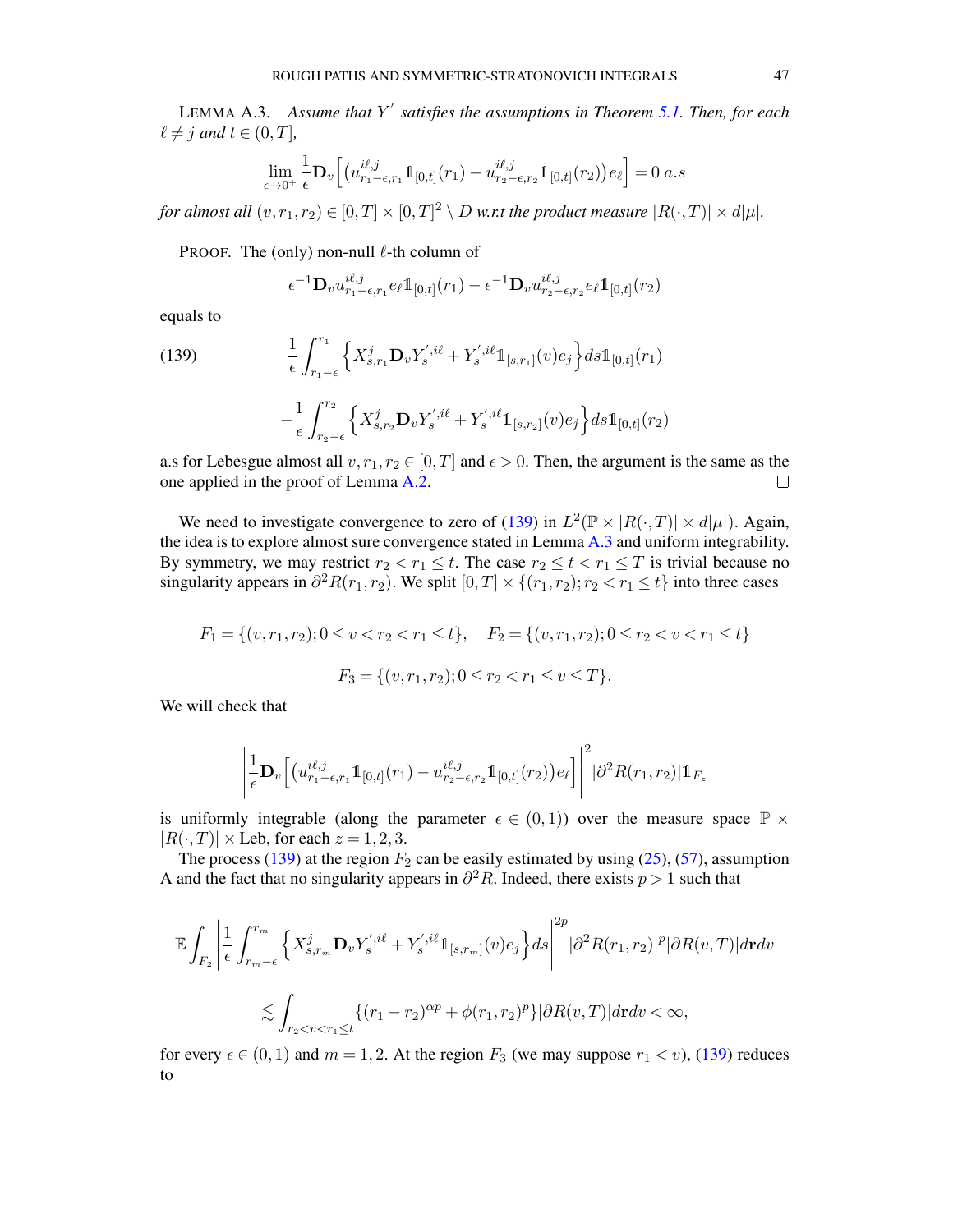<span id="page-46-1"></span>LEMMA A.3. *Assume that* Y ′ *satisfies the assumptions in Theorem [5.1.](#page-21-0) Then, for each*  $\ell \neq j$  and  $t \in (0, T]$ ,

$$
\lim_{\epsilon \to 0^+} \frac{1}{\epsilon} \mathbf{D}_v \Big[ \big( u_{r_1-\epsilon,r_1}^{i\ell,j} \mathbb{1}_{[0,t]}(r_1) - u_{r_2-\epsilon,r_2}^{i\ell,j} \mathbb{1}_{[0,t]}(r_2) \big) e_\ell \Big] = 0 \ a.s
$$

for almost all  $(v, r_1, r_2) \in [0,T] \times [0,T]^2 \setminus D$  w.r.t the product measure  $|R(\cdot, T)| \times d|\mu|.$ 

PROOF. The (only) non-null  $\ell$ -th column of

<span id="page-46-0"></span>
$$
\epsilon^{-1} \mathbf{D}_v u_{r_1-\epsilon,r_1}^{i\ell,j} e_\ell 1\!\!1_{[0,t]}(r_1) - \epsilon^{-1} \mathbf{D}_v u_{r_2-\epsilon,r_2}^{i\ell,j} e_\ell 1\!\!1_{[0,t]}(r_2)
$$

equals to

(139) 
$$
\frac{1}{\epsilon} \int_{r_1-\epsilon}^{r_1} \left\{ X_{s,r_1}^j \mathbf{D}_v Y_s^{',i\ell} + Y_s^{',i\ell} \mathbb{1}_{[s,r_1]}(v) e_j \right\} ds \mathbb{1}_{[0,t]}(r_1) - \frac{1}{\epsilon} \int_{r_2-\epsilon}^{r_2} \left\{ X_{s,r_2}^j \mathbf{D}_v Y_s^{',i\ell} + Y_s^{',i\ell} \mathbb{1}_{[s,r_2]}(v) e_j \right\} ds \mathbb{1}_{[0,t]}(r_2)
$$

a.s for Lebesgue almost all  $v, r_1, r_2 \in [0, T]$  and  $\epsilon > 0$ . Then, the argument is the same as the one applied in the proof of Lemma [A.2.](#page-43-2)  $\Box$ 

We need to investigate convergence to zero of [\(139\)](#page-46-0) in  $L^2(\mathbb{P} \times |R(\cdot,T)| \times d|\mu|)$ . Again, the idea is to explore almost sure convergence stated in Lemma [A.3](#page-46-1) and uniform integrability. By symmetry, we may restrict  $r_2 < r_1 \leq t$ . The case  $r_2 \leq t < r_1 \leq T$  is trivial because no singularity appears in  $\partial^2 R(r_1, r_2)$ . We split  $[0, T] \times \{(r_1, r_2); r_2 < r_1 \le t\}$  into three cases

$$
F_1 = \{(v, r_1, r_2); 0 \le v < r_2 < r_1 \le t\}, \quad F_2 = \{(v, r_1, r_2); 0 \le r_2 < v < r_1 \le t\}
$$

$$
F_3 = \{(v, r_1, r_2); 0 \le r_2 < r_1 \le v \le T\}.
$$

We will check that

$$
\left| \frac{1}{\epsilon} \mathbf{D}_{v} \left[ \left( u_{r_1-\epsilon,r_1}^{i\ell,j} 1\!\!1_{[0,t]}(r_1) - u_{r_2-\epsilon,r_2}^{i\ell,j} 1\!\!1_{[0,t]}(r_2) \right) e_{\ell} \right] \right|^2 |\partial^2 R(r_1,r_2)| 1\!\!1_{F_z}
$$

is uniformly integrable (along the parameter  $\epsilon \in (0,1)$ ) over the measure space  $\mathbb{P} \times$  $|R(\cdot, T)| \times$  Leb, for each  $z = 1, 2, 3$ .

The process [\(139\)](#page-46-0) at the region  $F_2$  can be easily estimated by using [\(25\)](#page-8-0), [\(57\)](#page-21-4), assumption A and the fact that no singularity appears in  $\partial^2 R$ . Indeed, there exists  $p > 1$  such that

$$
\mathbb{E}\int_{F_2}\Bigg|\frac{1}{\epsilon}\int_{r_{m-\epsilon}}^{r_m}\Big\{X_{s,r_m}^j\mathbf{D}_vY_s^{',i\ell}+Y_s^{',i\ell}\mathbb{1}_{[s,r_m]}(v)e_j\Big\}ds\Bigg|^{2p}\big|\partial^2R(r_1,r_2)|^p|\partial R(v,T)|d\mathbf{r}dv
$$
  

$$
\lesssim \int_{r_2
$$

for every  $\epsilon \in (0,1)$  and  $m = 1,2$ . At the region  $F_3$  (we may suppose  $r_1 < v$ ), [\(139\)](#page-46-0) reduces to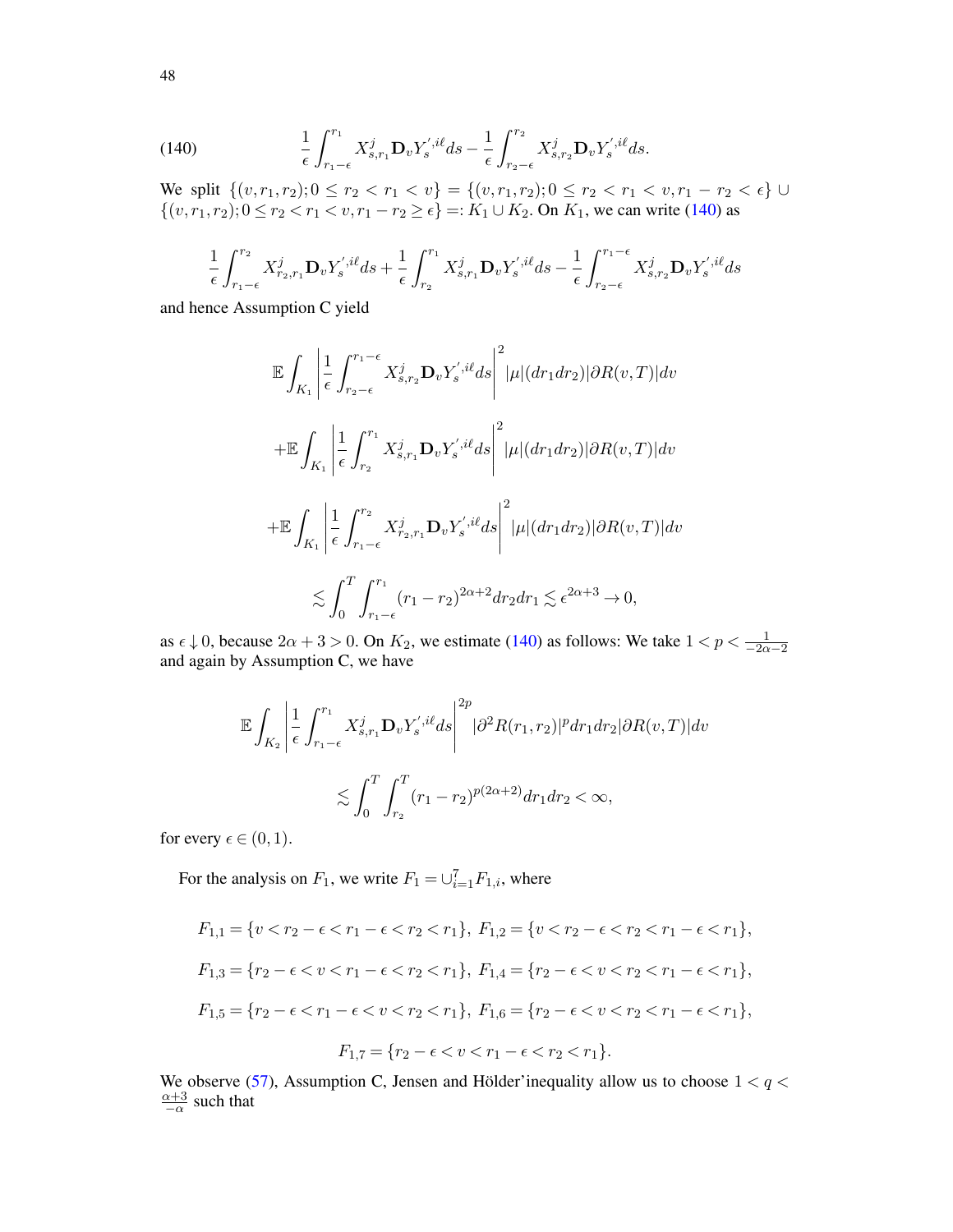<span id="page-47-0"></span>(140) 
$$
\frac{1}{\epsilon} \int_{r_1-\epsilon}^{r_1} X^j_{s,r_1} \mathbf{D}_v Y_s^{',i\ell} ds - \frac{1}{\epsilon} \int_{r_2-\epsilon}^{r_2} X^j_{s,r_2} \mathbf{D}_v Y_s^{',i\ell} ds.
$$

We split  $\{(v, r_1, r_2); 0 \le r_2 < r_1 < v\} = \{(v, r_1, r_2); 0 \le r_2 < r_1 < v, r_1 - r_2 < \epsilon\} \cup$  $\{(v, r_1, r_2); 0 \le r_2 < r_1 < v, r_1 - r_2 \ge \epsilon\} =: K_1 \cup K_2$ . On  $K_1$ , we can write [\(140\)](#page-47-0) as

$$
\frac{1}{\epsilon} \int_{r_1-\epsilon}^{r_2} X_{r_2,r_1}^j \mathbf{D}_v Y_s^{',i\ell} ds + \frac{1}{\epsilon} \int_{r_2}^{r_1} X_{s,r_1}^j \mathbf{D}_v Y_s^{',i\ell} ds - \frac{1}{\epsilon} \int_{r_2-\epsilon}^{r_1-\epsilon} X_{s,r_2}^j \mathbf{D}_v Y_s^{',i\ell} ds
$$

and hence Assumption C yield

$$
\mathbb{E} \int_{K_1} \left| \frac{1}{\epsilon} \int_{r_2-\epsilon}^{r_1-\epsilon} X_{s,r_2}^j \mathbf{D}_v Y_s^{',i\ell} ds \right|^2 |\mu|(dr_1 dr_2)| \partial R(v,T)| dv
$$
  
+
$$
\mathbb{E} \int_{K_1} \left| \frac{1}{\epsilon} \int_{r_2}^{r_1} X_{s,r_1}^j \mathbf{D}_v Y_s^{',i\ell} ds \right|^2 |\mu|(dr_1 dr_2)| \partial R(v,T)| dv
$$
  
+
$$
\mathbb{E} \int_{K_1} \left| \frac{1}{\epsilon} \int_{r_1-\epsilon}^{r_2} X_{r_2,r_1}^j \mathbf{D}_v Y_s^{',i\ell} ds \right|^2 |\mu|(dr_1 dr_2)| \partial R(v,T)| dv
$$
  

$$
\lesssim \int_0^T \int_{r_1-\epsilon}^{r_1} (r_1-r_2)^{2\alpha+2} dr_2 dr_1 \lesssim \epsilon^{2\alpha+3} \to 0,
$$

as  $\epsilon \downarrow 0$ , because  $2\alpha + 3 > 0$ . On  $K_2$ , we estimate [\(140\)](#page-47-0) as follows: We take  $1 < p < \frac{1}{-2\alpha - 2}$ and again by Assumption C, we have

$$
\mathbb{E} \int_{K_2} \left| \frac{1}{\epsilon} \int_{r_1-\epsilon}^{r_1} X_{s,r_1}^j \mathbf{D}_v Y_s^{',i\ell} ds \right|^{2p} |\partial^2 R(r_1,r_2)|^p dr_1 dr_2 |\partial R(v,T)| dv
$$
  

$$
\lesssim \int_0^T \int_{r_2}^T (r_1-r_2)^{p(2\alpha+2)} dr_1 dr_2 < \infty,
$$

for every  $\epsilon \in (0,1)$ .

For the analysis on  $F_1$ , we write  $F_1 = \bigcup_{i=1}^{7} F_{1,i}$ , where

$$
F_{1,1} = \{v < r_2 - \epsilon < r_1 - \epsilon < r_2 < r_1\}, \ F_{1,2} = \{v < r_2 - \epsilon < r_2 < r_1 - \epsilon < r_1\},
$$
\n
$$
F_{1,3} = \{r_2 - \epsilon < v < r_1 - \epsilon < r_2 < r_1\}, \ F_{1,4} = \{r_2 - \epsilon < v < r_2 < r_1 - \epsilon < r_1\},
$$
\n
$$
F_{1,5} = \{r_2 - \epsilon < r_1 - \epsilon < v < r_2 < r_1\}, \ F_{1,6} = \{r_2 - \epsilon < v < r_2 < r_1 - \epsilon < r_1\},
$$
\n
$$
F_{1,7} = \{r_2 - \epsilon < v < r_1 - \epsilon < r_2 < r_1\}.
$$

We observe [\(57\)](#page-21-4), Assumption C, Jensen and Hölder'inequality allow us to choose  $1 < q <$  $\alpha + 3$  $\frac{\alpha+3}{\alpha}$  such that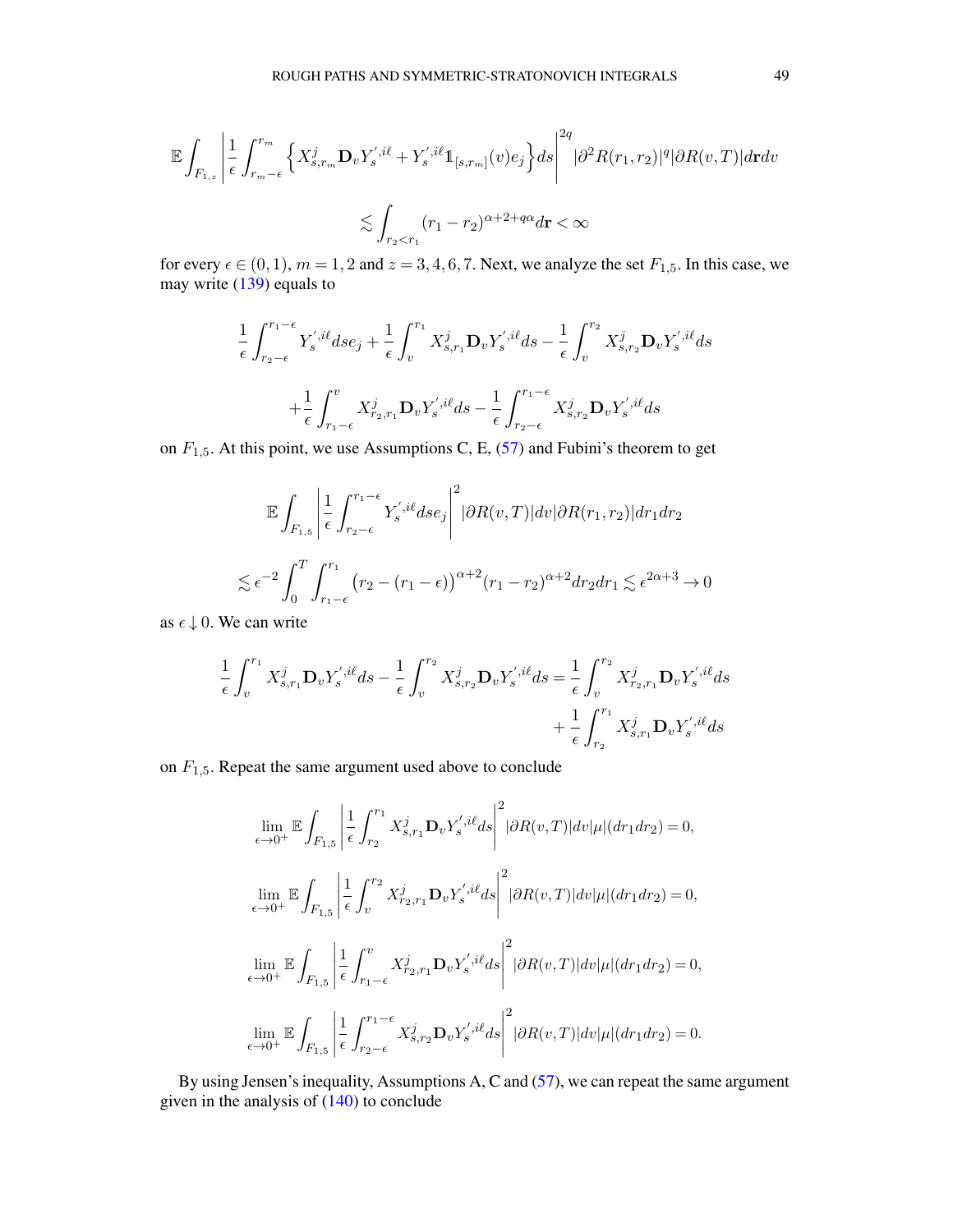$$
\mathbb{E}\int_{F_{1,z}}\Bigg|\frac{1}{\epsilon}\int_{r_m-\epsilon}^{r_m}\Big\{X^j_{s,r_m}\mathbf{D}_vY^{',i\ell}_s+Y^{',i\ell}_s1_{[s,r_m]}(v)e_j\Big\}ds\Bigg|^{2q}|\partial^2R(r_1,r_2)|^q|\partial R(v,T)|d\mathbf{r}dv
$$
  

$$
\lesssim \int_{r_2
$$

for every  $\epsilon \in (0, 1)$ ,  $m = 1, 2$  and  $z = 3, 4, 6, 7$ . Next, we analyze the set  $F_{1,5}$ . In this case, we may write [\(139\)](#page-46-0) equals to

$$
\frac{1}{\epsilon} \int_{r_2-\epsilon}^{r_1-\epsilon} Y_s^{',i\ell} ds e_j + \frac{1}{\epsilon} \int_v^{r_1} X_{s,r_1}^j \mathbf{D}_v Y_s^{',i\ell} ds - \frac{1}{\epsilon} \int_v^{r_2} X_{s,r_2}^j \mathbf{D}_v Y_s^{',i\ell} ds \n+ \frac{1}{\epsilon} \int_{r_1-\epsilon}^v X_{r_2,r_1}^j \mathbf{D}_v Y_s^{',i\ell} ds - \frac{1}{\epsilon} \int_{r_2-\epsilon}^{r_1-\epsilon} X_{s,r_2}^j \mathbf{D}_v Y_s^{',i\ell} ds
$$

on  $F_{1,5}$ . At this point, we use Assumptions C, E, [\(57\)](#page-21-4) and Fubini's theorem to get

$$
\mathbb{E} \int_{F_{1,5}} \left| \frac{1}{\epsilon} \int_{r_2-\epsilon}^{r_1-\epsilon} Y_s^{',i\ell} ds e_j \right|^2 |\partial R(v,T)| dv |\partial R(r_1,r_2)| dr_1 dr_2
$$
  

$$
\lesssim \epsilon^{-2} \int_0^T \int_{r_1-\epsilon}^{r_1} (r_2 - (r_1 - \epsilon))^{\alpha+2} (r_1 - r_2)^{\alpha+2} dr_2 dr_1 \lesssim \epsilon^{2\alpha+3} \to 0
$$

as  $\epsilon \downarrow 0$ . We can write

$$
\frac{1}{\epsilon} \int_{v}^{r_1} X_{s,r_1}^{j} \mathbf{D}_{v} Y_{s}^{',i\ell} ds - \frac{1}{\epsilon} \int_{v}^{r_2} X_{s,r_2}^{j} \mathbf{D}_{v} Y_{s}^{',i\ell} ds = \frac{1}{\epsilon} \int_{v}^{r_2} X_{r_2,r_1}^{j} \mathbf{D}_{v} Y_{s}^{',i\ell} ds + \frac{1}{\epsilon} \int_{r_2}^{r_1} X_{s,r_1}^{j} \mathbf{D}_{v} Y_{s}^{',i\ell} ds
$$

on  $F_{1,5}$ . Repeat the same argument used above to conclude

$$
\lim_{\epsilon \to 0^+} \mathbb{E} \int_{F_{1,5}} \left| \frac{1}{\epsilon} \int_{r_2}^{r_1} X_{s,r_1}^j \mathbf{D}_v Y_s^{',i\ell} ds \right|^2 |\partial R(v,T)| dv |\mu| (dr_1 dr_2) = 0,
$$
\n
$$
\lim_{\epsilon \to 0^+} \mathbb{E} \int_{F_{1,5}} \left| \frac{1}{\epsilon} \int_v^{r_2} X_{r_2,r_1}^j \mathbf{D}_v Y_s^{',i\ell} ds \right|^2 |\partial R(v,T)| dv |\mu| (dr_1 dr_2) = 0,
$$
\n
$$
\lim_{\epsilon \to 0^+} \mathbb{E} \int_{F_{1,5}} \left| \frac{1}{\epsilon} \int_{r_1 - \epsilon}^v X_{r_2,r_1}^j \mathbf{D}_v Y_s^{',i\ell} ds \right|^2 |\partial R(v,T)| dv |\mu| (dr_1 dr_2) = 0,
$$
\n
$$
\lim_{\epsilon \to 0^+} \mathbb{E} \int_{F_{1,5}} \left| \frac{1}{\epsilon} \int_{r_2 - \epsilon}^{r_1 - \epsilon} X_{s,r_2}^j \mathbf{D}_v Y_s^{',i\ell} ds \right|^2 |\partial R(v,T)| dv |\mu| (dr_1 dr_2) = 0.
$$

By using Jensen's inequality, Assumptions A, C and [\(57\)](#page-21-4), we can repeat the same argument given in the analysis of  $(140)$  to conclude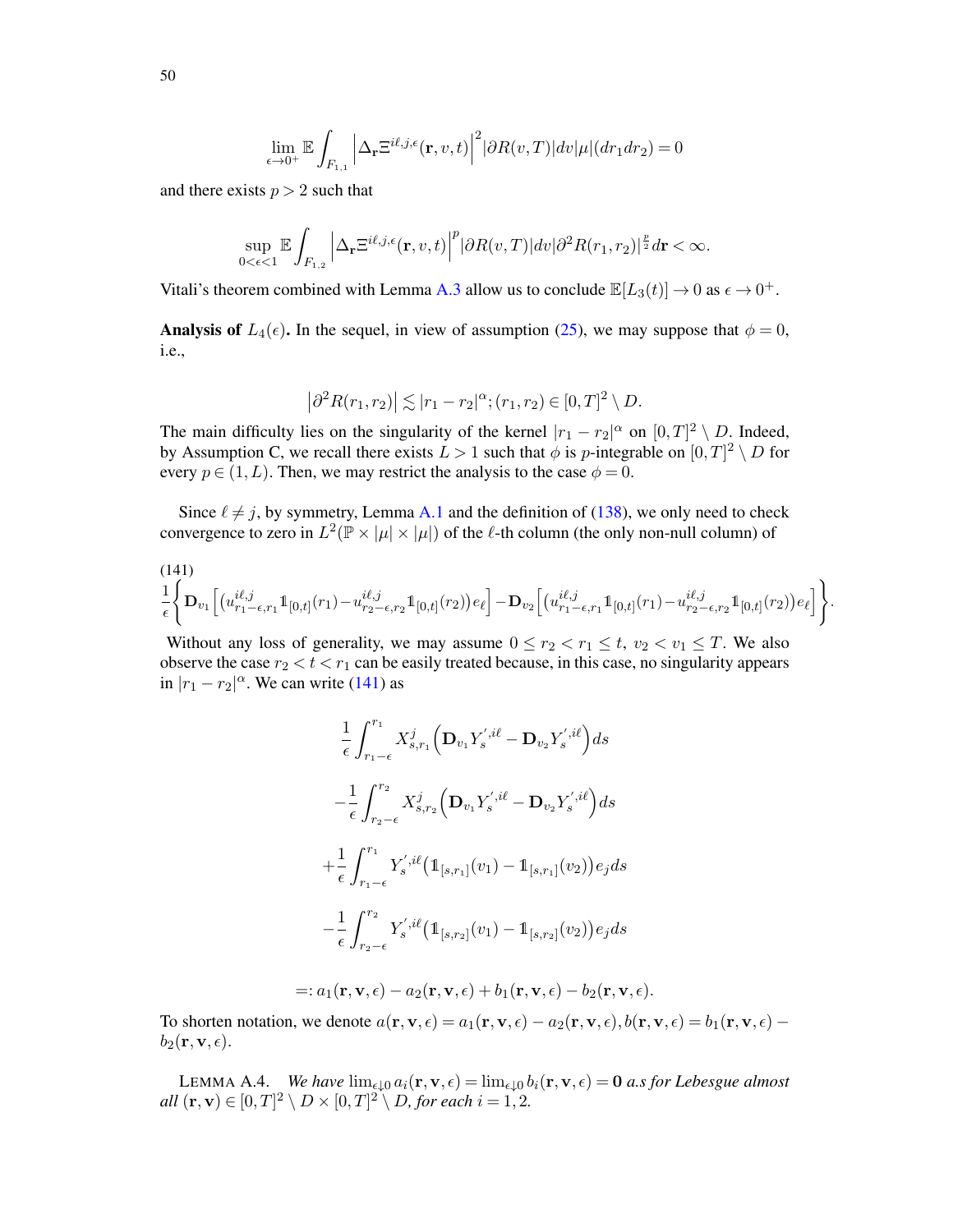$$
\lim_{\epsilon \to 0^+}\mathbb{E}\int_{F_{1,1}}\Big|\Delta_{\mathbf{r}}\Xi^{i\ell,j,\epsilon}(\mathbf{r},v,t)\Big|^2 |\partial R(v,T)|dv |\mu|(dr_1dr_2)=0
$$

and there exists  $p > 2$  such that

$$
\sup_{0<\epsilon<1}\mathbb{E}\int_{F_{1,2}}\Big|\Delta_{\mathbf{r}}\Xi^{i\ell,j,\epsilon}(\mathbf{r},v,t)\Big|^p|\partial R(v,T)|dv|\partial^2 R(r_1,r_2)|^{\frac{p}{2}}d\mathbf{r}<\infty.
$$

Vitali's theorem combined with Lemma [A.3](#page-46-1) allow us to conclude  $\mathbb{E}[L_3(t)] \to 0$  as  $\epsilon \to 0^+$ .

Analysis of  $L_4(\epsilon)$ . In the sequel, in view of assumption [\(25\)](#page-8-0), we may suppose that  $\phi = 0$ , i.e.,

$$
|\partial^2 R(r_1, r_2)| \lesssim |r_1 - r_2|^{\alpha}; (r_1, r_2) \in [0, T]^2 \setminus D.
$$

The main difficulty lies on the singularity of the kernel  $|r_1 - r_2|^{\alpha}$  on  $[0,T]^2 \setminus D$ . Indeed, by Assumption C, we recall there exists  $L > 1$  such that  $\phi$  is p-integrable on  $[0, T]^2 \setminus D$  for every  $p \in (1, L)$ . Then, we may restrict the analysis to the case  $\phi = 0$ .

Since  $\ell \neq j$ , by symmetry, Lemma [A.1](#page-38-3) and the definition of [\(138\)](#page-45-1), we only need to check convergence to zero in  $L^2(\mathbb{P} \times |\mu| \times |\mu|)$  of the  $\ell$ -th column (the only non-null column) of

<span id="page-49-0"></span>
$$
\frac{1}{\epsilon} \Big\{ \mathbf{D}_{v_1} \Big[ \big( u_{r_1-\epsilon,r_1}^{i\ell,j} \mathbb{1}_{[0,t]}(r_1) - u_{r_2-\epsilon,r_2}^{i\ell,j} \mathbb{1}_{[0,t]}(r_2) \big) e_\ell \Big] - \mathbf{D}_{v_2} \Big[ \big( u_{r_1-\epsilon,r_1}^{i\ell,j} \mathbb{1}_{[0,t]}(r_1) - u_{r_2-\epsilon,r_2}^{i\ell,j} \mathbb{1}_{[0,t]}(r_2) \big) e_\ell \Big] \Big\}.
$$

Without any loss of generality, we may assume  $0 \le r_2 < r_1 \le t$ ,  $v_2 < v_1 \le T$ . We also observe the case  $r_2 < t < r_1$  can be easily treated because, in this case, no singularity appears in  $|r_1 - r_2|^{\alpha}$ . We can write [\(141\)](#page-49-0) as

$$
\frac{1}{\epsilon} \int_{r_1-\epsilon}^{r_1} X_{s,r_1}^j \left( \mathbf{D}_{v_1} Y_s^{',i\ell} - \mathbf{D}_{v_2} Y_s^{',i\ell} \right) ds
$$
\n
$$
- \frac{1}{\epsilon} \int_{r_2-\epsilon}^{r_2} X_{s,r_2}^j \left( \mathbf{D}_{v_1} Y_s^{',i\ell} - \mathbf{D}_{v_2} Y_s^{',i\ell} \right) ds
$$
\n
$$
+ \frac{1}{\epsilon} \int_{r_1-\epsilon}^{r_1} Y_s^{',i\ell} \left( \mathbb{1}_{[s,r_1]}(v_1) - \mathbb{1}_{[s,r_1]}(v_2) \right) e_j ds
$$
\n
$$
- \frac{1}{\epsilon} \int_{r_2-\epsilon}^{r_2} Y_s^{',i\ell} \left( \mathbb{1}_{[s,r_2]}(v_1) - \mathbb{1}_{[s,r_2]}(v_2) \right) e_j ds
$$

$$
=:a_1(\mathbf{r},\mathbf{v},\epsilon)-a_2(\mathbf{r},\mathbf{v},\epsilon)+b_1(\mathbf{r},\mathbf{v},\epsilon)-b_2(\mathbf{r},\mathbf{v},\epsilon).
$$

To shorten notation, we denote  $a(\mathbf{r}, \mathbf{v}, \epsilon) = a_1(\mathbf{r}, \mathbf{v}, \epsilon) - a_2(\mathbf{r}, \mathbf{v}, \epsilon)$ ,  $b(\mathbf{r}, \mathbf{v}, \epsilon) = b_1(\mathbf{r}, \mathbf{v}, \epsilon) - a_2(\mathbf{r}, \mathbf{v}, \epsilon)$  $b_2(\mathbf{r},\mathbf{v},\epsilon)$ .

<span id="page-49-1"></span>LEMMA A.4. *We have*  $\lim_{\epsilon \downarrow 0} a_i(\mathbf{r}, \mathbf{v}, \epsilon) = \lim_{\epsilon \downarrow 0} b_i(\mathbf{r}, \mathbf{v}, \epsilon) = \mathbf{0}$  *a.s for Lebesgue almost all*  $(\mathbf{r}, \mathbf{v}) \in [0, T]^2 \setminus D \times [0, T]^2 \setminus D$ , for each  $i = 1, 2$ .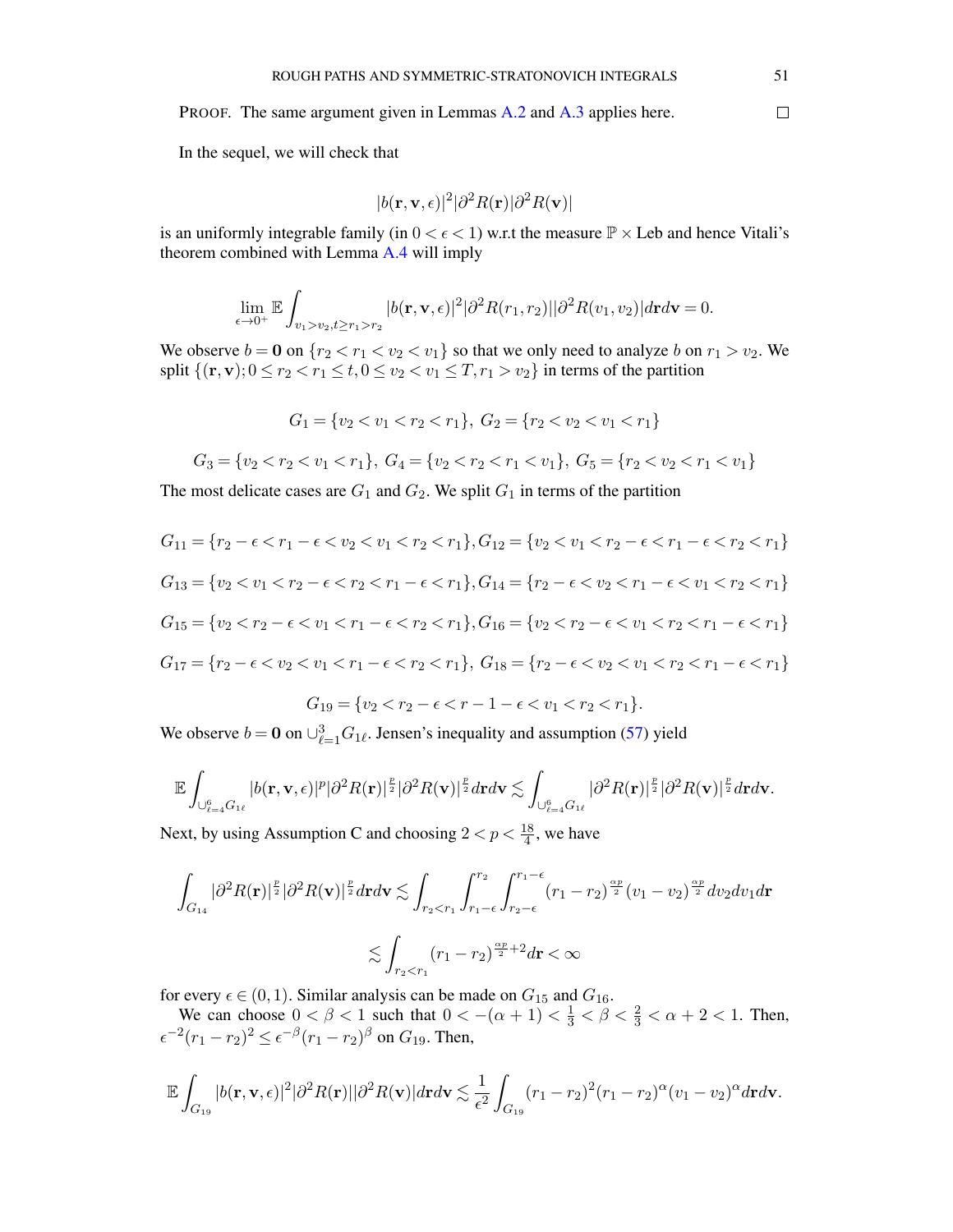PROOF. The same argument given in Lemmas [A.2](#page-43-2) and [A.3](#page-46-1) applies here.

In the sequel, we will check that

$$
|b(\mathbf{r}, \mathbf{v}, \epsilon)|^2 |\partial^2 R(\mathbf{r})| \partial^2 R(\mathbf{v})|
$$

is an uniformly integrable family (in  $0 < \epsilon < 1$ ) w.r.t the measure  $\mathbb{P} \times$  Leb and hence Vitali's theorem combined with Lemma [A.4](#page-49-1) will imply

$$
\lim_{\epsilon \to 0^+} \mathbb{E} \int_{v_1 > v_2, t \ge r_1 > r_2} |b(\mathbf{r}, \mathbf{v}, \epsilon)|^2 |\partial^2 R(r_1, r_2)| |\partial^2 R(v_1, v_2)| d\mathbf{r} d\mathbf{v} = 0.
$$

We observe  $b = 0$  on  $\{r_2 < r_1 < v_2 < v_1\}$  so that we only need to analyze b on  $r_1 > v_2$ . We split  $\{(\mathbf{r},\mathbf{v})\colon 0 \leq r_2 < r_1 \leq t, 0 \leq v_2 < v_1 \leq T, r_1 > v_2\}$  in terms of the partition

$$
G_1 = \{v_2 < v_1 < r_2 < r_1\}, \ G_2 = \{r_2 < v_2 < v_1 < r_1\}
$$

$$
G_3 = \{v_2 < r_2 < v_1 < r_1\}, \ G_4 = \{v_2 < r_2 < r_1 < v_1\}, \ G_5 = \{r_2 < v_2 < r_1 < v_1\}
$$

The most delicate cases are  $G_1$  and  $G_2$ . We split  $G_1$  in terms of the partition

$$
G_{11} = \{r_2 - \epsilon < r_1 - \epsilon < v_2 < v_1 < r_2 < r_1\}, G_{12} = \{v_2 < v_1 < r_2 - \epsilon < r_1 - \epsilon < r_2 < r_1\}
$$
\n
$$
G_{13} = \{v_2 < v_1 < r_2 - \epsilon < r_2 < r_1 - \epsilon < r_1\}, G_{14} = \{r_2 - \epsilon < v_2 < r_1 - \epsilon < v_1 < r_2 < r_1\}
$$
\n
$$
G_{15} = \{v_2 < r_2 - \epsilon < v_1 < r_1 - \epsilon < r_2 < r_1\}, G_{16} = \{v_2 < r_2 - \epsilon < v_1 < r_2 < r_1 - \epsilon < r_1\}
$$
\n
$$
G_{17} = \{r_2 - \epsilon < v_2 < v_1 < r_1 - \epsilon < r_2 < r_1\}, G_{18} = \{r_2 - \epsilon < v_2 < v_1 < r_2 < r_1 - \epsilon < r_1\}
$$

$$
G_{19} = \{v_2 < r_2 - \epsilon < r - 1 - \epsilon < v_1 < r_2 < r_1\}.
$$

We observe  $b = 0$  on  $\bigcup_{\ell=1}^{3} G_{1\ell}$ . Jensen's inequality and assumption [\(57\)](#page-21-4) yield

$$
\mathbb{E}\int_{\cup_{\ell=4}^6G_{1\ell}}|b(\mathbf{r},\mathbf{v},\epsilon)|^p|\partial^2R(\mathbf{r})|^{\frac{p}{2}}|\partial^2R(\mathbf{v})|^{\frac{p}{2}}d\mathbf{r}d\mathbf{v}\lesssim\int_{\cup_{\ell=4}^6G_{1\ell}}|\partial^2R(\mathbf{r})|^{\frac{p}{2}}|\partial^2R(\mathbf{v})|^{\frac{p}{2}}d\mathbf{r}d\mathbf{v}.
$$

Next, by using Assumption C and choosing  $2 < p < \frac{18}{4}$ , we have

$$
\int_{G_{14}} |\partial^2 R(\mathbf{r})|^{\frac{p}{2}} |\partial^2 R(\mathbf{v})|^{\frac{p}{2}} d\mathbf{r} d\mathbf{v} \lesssim \int_{r_2 < r_1} \int_{r_1 - \epsilon}^{r_2} \int_{r_2 - \epsilon}^{r_1 - \epsilon} (r_1 - r_2)^{\frac{\alpha p}{2}} (v_1 - v_2)^{\frac{\alpha p}{2}} dv_2 dv_1 d\mathbf{r}
$$
  

$$
\lesssim \int_{r_2 < r_1} (r_1 - r_2)^{\frac{\alpha p}{2} + 2} d\mathbf{r} < \infty
$$

for every  $\epsilon \in (0, 1)$ . Similar analysis can be made on  $G_{15}$  and  $G_{16}$ .

We can choose  $0 < \beta < 1$  such that  $0 < -(\alpha + 1) < \frac{1}{3} < \beta < \frac{2}{3} < \alpha + 2 < 1$ . Then,  $\epsilon^{-2}(r_1 - r_2)^2 \leq \epsilon^{-\beta}(r_1 - r_2)^{\beta}$  on  $G_{19}$ . Then,

$$
\mathbb{E}\int_{G_{19}}|b(\mathbf{r},\mathbf{v},\epsilon)|^2|\partial^2R(\mathbf{r})||\partial^2R(\mathbf{v})|d\mathbf{r}d\mathbf{v}\lesssim \frac{1}{\epsilon^2}\int_{G_{19}}(r_1-r_2)^2(r_1-r_2)^{\alpha}(v_1-v_2)^{\alpha}d\mathbf{r}d\mathbf{v}.
$$

 $\Box$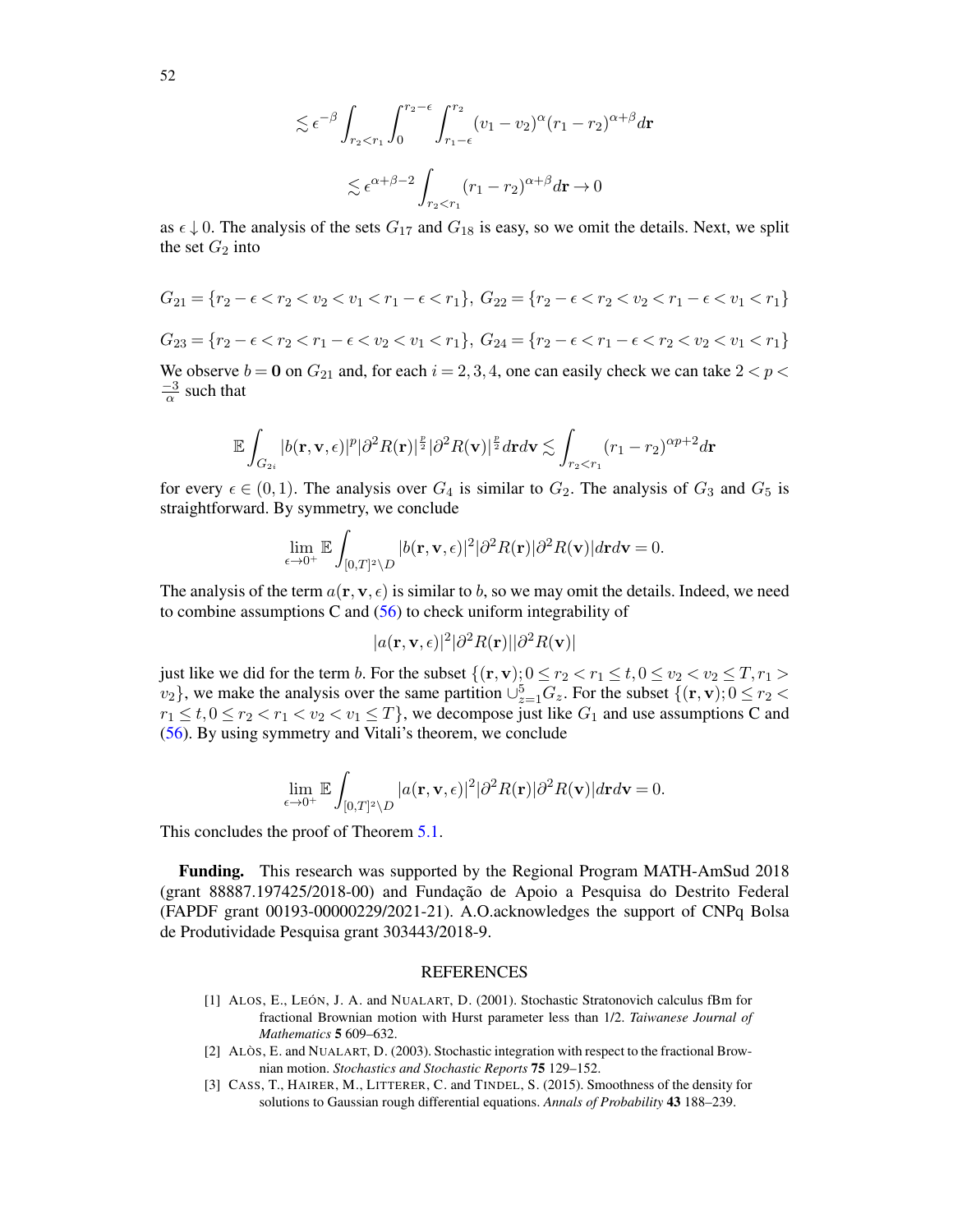52

$$
\lesssim \epsilon^{-\beta} \int_{r_2 < r_1} \int_0^{r_2 - \epsilon} \int_{r_1 - \epsilon}^{r_2} (v_1 - v_2)^\alpha (r_1 - r_2)^{\alpha + \beta} d\mathbf{r}
$$
\n
$$
\lesssim \epsilon^{\alpha + \beta - 2} \int_{r_2 < r_1} (r_1 - r_2)^{\alpha + \beta} d\mathbf{r} \to 0
$$

as  $\epsilon \downarrow 0$ . The analysis of the sets  $G_{17}$  and  $G_{18}$  is easy, so we omit the details. Next, we split the set  $G_2$  into

$$
G_{21} = \{r_2 - \epsilon < r_2 < v_2 < v_1 < r_1 - \epsilon < r_1\}, \ G_{22} = \{r_2 - \epsilon < r_2 < v_2 < r_1 - \epsilon < v_1 < r_1\}
$$
\n
$$
G_{23} = \{r_2 - \epsilon < r_2 < r_1 - \epsilon < v_2 < v_1 < r_1\}, \ G_{24} = \{r_2 - \epsilon < r_1 - \epsilon < r_2 < v_2 < v_1 < r_1\}
$$

We observe  $b = 0$  on  $G_{21}$  and, for each  $i = 2, 3, 4$ , one can easily check we can take  $2 < p <$  $\frac{-3}{\alpha}$  such that

$$
\mathbb{E}\int_{G_{2i}}|b(\mathbf{r},\mathbf{v},\epsilon)|^p|\partial^2 R(\mathbf{r})|^{\frac{p}{2}}|\partial^2 R(\mathbf{v})|^{\frac{p}{2}}d\mathbf{r}d\mathbf{v}\lesssim \int_{r_2
$$

for every  $\epsilon \in (0,1)$ . The analysis over  $G_4$  is similar to  $G_2$ . The analysis of  $G_3$  and  $G_5$  is straightforward. By symmetry, we conclude

$$
\lim_{\epsilon\to 0^+}\mathbb{E}\int_{[0,T]^2\setminus D}|b(\mathbf{r},\mathbf{v},\epsilon)|^2|\partial^2R(\mathbf{r})|\partial^2R(\mathbf{v})|d\mathbf{r}d\mathbf{v}=0.
$$

The analysis of the term  $a(\mathbf{r}, \mathbf{v}, \epsilon)$  is similar to b, so we may omit the details. Indeed, we need to combine assumptions C and [\(56\)](#page-21-3) to check uniform integrability of

$$
|a(\mathbf{r}, \mathbf{v}, \epsilon)|^2 |\partial^2 R(\mathbf{r})| |\partial^2 R(\mathbf{v})|
$$

just like we did for the term b. For the subset  $\{(\mathbf{r},\mathbf{v})\colon 0 \le r_2 < r_1 \le t, 0 \le v_2 < v_2 \le T, r_1 > 0\}$  $v_2$ , we make the analysis over the same partition  $\cup_{z=1}^5 G_z$ . For the subset  $\{(\mathbf{r}, \mathbf{v}); 0 \le r_2 < \mathbf{v} \}$  $r_1 \le t, 0 \le r_2 < r_1 < v_2 < v_1 \le T$ , we decompose just like  $G_1$  and use assumptions C and [\(56\)](#page-21-3). By using symmetry and Vitali's theorem, we conclude

$$
\lim_{\epsilon\to 0^+}\mathbb{E}\int_{[0,T]^2\setminus D}|a(\mathbf{r},\mathbf{v},\epsilon)|^2|\partial^2R(\mathbf{r})|\partial^2R(\mathbf{v})|d\mathbf{r}d\mathbf{v}=0.
$$

This concludes the proof of Theorem [5.1.](#page-21-0)

Funding. This research was supported by the Regional Program MATH-AmSud 2018 (grant 88887.197425/2018-00) and Fundação de Apoio a Pesquisa do Destrito Federal (FAPDF grant 00193-00000229/2021-21). A.O.acknowledges the support of CNPq Bolsa de Produtividade Pesquisa grant 303443/2018-9.

#### REFERENCES

- <span id="page-51-0"></span>[1] ALOS, E., LEÓN, J. A. and NUALART, D. (2001). Stochastic Stratonovich calculus fBm for fractional Brownian motion with Hurst parameter less than 1/2. *Taiwanese Journal of Mathematics* 5 609–632.
- <span id="page-51-1"></span>[2] ALÒS, E. and NUALART, D. (2003). Stochastic integration with respect to the fractional Brownian motion. *Stochastics and Stochastic Reports* 75 129–152.
- <span id="page-51-2"></span>[3] CASS, T., HAIRER, M., LITTERER, C. and TINDEL, S. (2015). Smoothness of the density for solutions to Gaussian rough differential equations. *Annals of Probability* 43 188–239.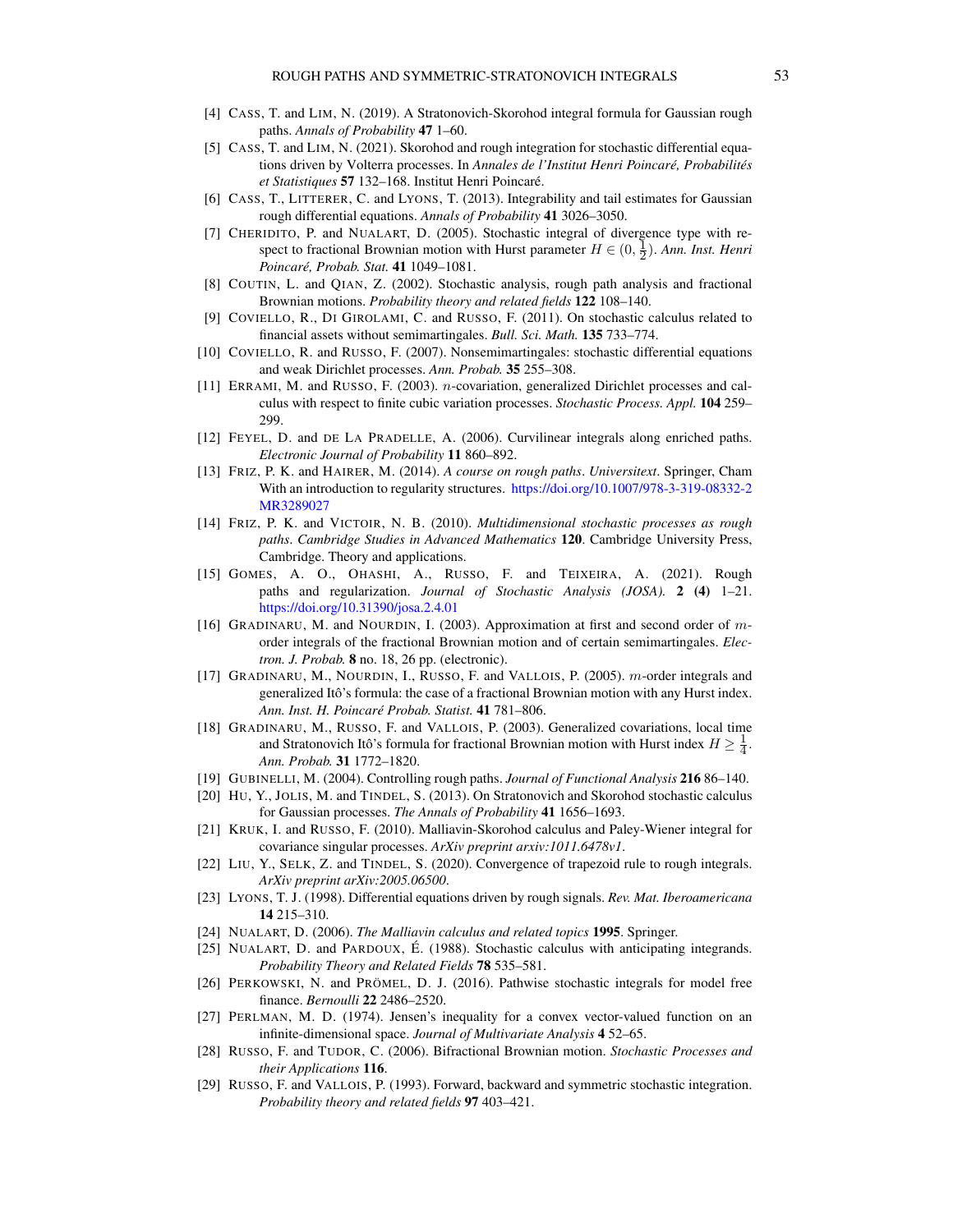- <span id="page-52-16"></span>[4] CASS, T. and LIM, N. (2019). A Stratonovich-Skorohod integral formula for Gaussian rough paths. *Annals of Probability* 47 1–60.
- <span id="page-52-17"></span>[5] CASS, T. and LIM, N. (2021). Skorohod and rough integration for stochastic differential equations driven by Volterra processes. In *Annales de l'Institut Henri Poincaré, Probabilités et Statistiques* 57 132–168. Institut Henri Poincaré.
- <span id="page-52-25"></span>[6] CASS, T., LITTERER, C. and LYONS, T. (2013). Integrability and tail estimates for Gaussian rough differential equations. *Annals of Probability* 41 3026–3050.
- <span id="page-52-4"></span>[7] CHERIDITO, P. and NUALART, D. (2005). Stochastic integral of divergence type with respect to fractional Brownian motion with Hurst parameter  $H \in (0, \frac{1}{2})$ . *Ann. Inst. Henri Poincaré, Probab. Stat.* 41 1049–1081.
- <span id="page-52-20"></span>[8] COUTIN, L. and QIAN, Z. (2002). Stochastic analysis, rough path analysis and fractional Brownian motions. *Probability theory and related fields* 122 108–140.
- <span id="page-52-14"></span>[9] COVIELLO, R., DI GIROLAMI, C. and RUSSO, F. (2011). On stochastic calculus related to financial assets without semimartingales. *Bull. Sci. Math.* 135 733–774.
- <span id="page-52-8"></span>[10] COVIELLO, R. and RUSSO, F. (2007). Nonsemimartingales: stochastic differential equations and weak Dirichlet processes. *Ann. Probab.* 35 255–308.
- <span id="page-52-9"></span>[11] ERRAMI, M. and RUSSO, F. (2003). n-covariation, generalized Dirichlet processes and calculus with respect to finite cubic variation processes. *Stochastic Process. Appl.* 104 259– 299.
- <span id="page-52-3"></span>[12] FEYEL, D. and DE LA PRADELLE, A. (2006). Curvilinear integrals along enriched paths. *Electronic Journal of Probability* 11 860–892.
- <span id="page-52-18"></span>[13] FRIZ, P. K. and HAIRER, M. (2014). *A course on rough paths*. *Universitext*. Springer, Cham With an introduction to regularity structures. <https://doi.org/10.1007/978-3-319-08332-2> [MR3289027](https://www.ams.org/mathscinet-getitem?mr=3289027)
- <span id="page-52-11"></span>[14] FRIZ, P. K. and VICTOIR, N. B. (2010). *Multidimensional stochastic processes as rough paths*. *Cambridge Studies in Advanced Mathematics* 120. Cambridge University Press, Cambridge. Theory and applications.
- <span id="page-52-10"></span>[15] GOMES, A. O., OHASHI, A., RUSSO, F. and TEIXEIRA, A. (2021). Rough paths and regularization. *Journal of Stochastic Analysis (JOSA).* 2 (4) 1–21. <https://doi.org/10.31390/josa.2.4.01>
- <span id="page-52-5"></span>[16] GRADINARU, M. and NOURDIN, I. (2003). Approximation at first and second order of morder integrals of the fractional Brownian motion and of certain semimartingales. *Electron. J. Probab.* 8 no. 18, 26 pp. (electronic).
- <span id="page-52-6"></span>[17] GRADINARU, M., NOURDIN, I., RUSSO, F. and VALLOIS, P. (2005). m-order integrals and generalized Itô's formula: the case of a fractional Brownian motion with any Hurst index. *Ann. Inst. H. Poincaré Probab. Statist.* 41 781–806.
- <span id="page-52-7"></span>[18] GRADINARU, M., RUSSO, F. and VALLOIS, P. (2003). Generalized covariations, local time and Stratonovich Itô's formula for fractional Brownian motion with Hurst index  $H \geq \frac{1}{4}$ . *Ann. Probab.* 31 1772–1820.
- <span id="page-52-1"></span>[19] GUBINELLI, M. (2004). Controlling rough paths. *Journal of Functional Analysis* 216 86–140.
- <span id="page-52-15"></span>[20] HU, Y., JOLIS, M. and TINDEL, S. (2013). On Stratonovich and Skorohod stochastic calculus for Gaussian processes. *The Annals of Probability* 41 1656–1693.
- <span id="page-52-22"></span>[21] KRUK, I. and RUSSO, F. (2010). Malliavin-Skorohod calculus and Paley-Wiener integral for covariance singular processes. *ArXiv preprint arxiv:1011.6478v1*.
- <span id="page-52-12"></span>[22] LIU, Y., SELK, Z. and TINDEL, S. (2020). Convergence of trapezoid rule to rough integrals. *ArXiv preprint arXiv:2005.06500*.
- <span id="page-52-0"></span>[23] LYONS, T. J. (1998). Differential equations driven by rough signals. *Rev. Mat. Iberoamericana* 14 215–310.
- <span id="page-52-24"></span>[24] NUALART, D. (2006). *The Malliavin calculus and related topics* 1995. Springer.
- <span id="page-52-19"></span>[25] NUALART, D. and PARDOUX, É. (1988). Stochastic calculus with anticipating integrands. *Probability Theory and Related Fields* 78 535–581.
- <span id="page-52-13"></span>[26] PERKOWSKI, N. and PRÖMEL, D. J. (2016). Pathwise stochastic integrals for model free finance. *Bernoulli* 22 2486–2520.
- <span id="page-52-23"></span>[27] PERLMAN, M. D. (1974). Jensen's inequality for a convex vector-valued function on an infinite-dimensional space. *Journal of Multivariate Analysis* 4 52–65.
- <span id="page-52-21"></span>[28] RUSSO, F. and TUDOR, C. (2006). Bifractional Brownian motion. *Stochastic Processes and their Applications* 116.
- <span id="page-52-2"></span>[29] RUSSO, F. and VALLOIS, P. (1993). Forward, backward and symmetric stochastic integration. *Probability theory and related fields* 97 403–421.